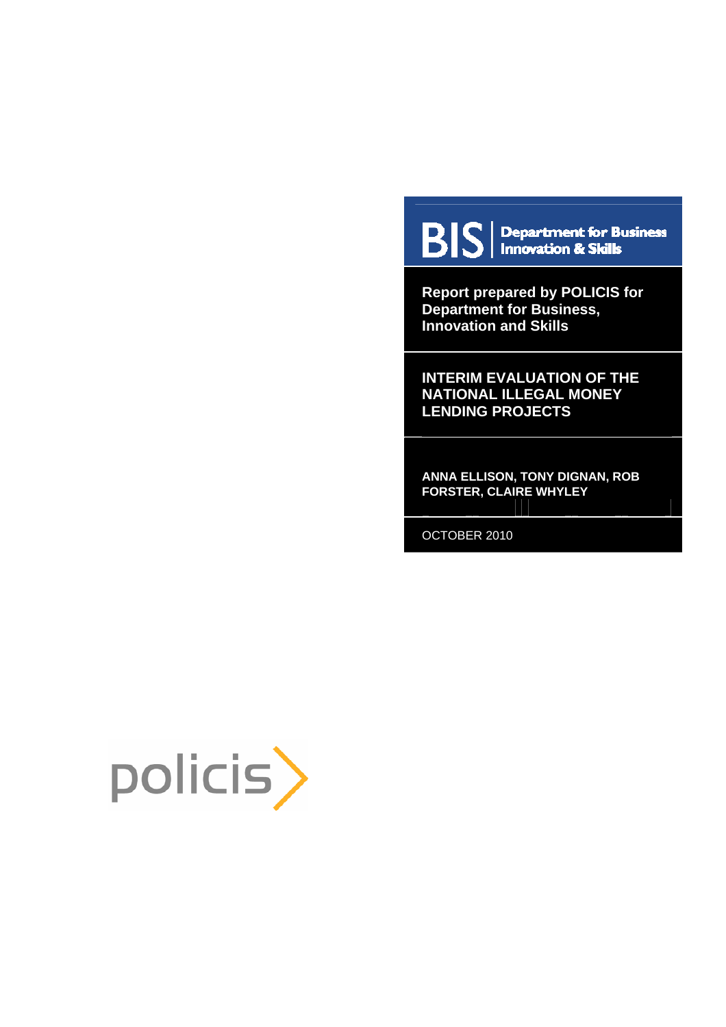

**BIS** | Department for Business

**Report prepared by POLICIS for Department for Business, Innovation and Skills** 

**INTERIM EVALUATION OF THE NATIONAL ILLEGAL MONEY LENDING PROJECTS** 

**ANNA ELLISON, TONY DIGNAN, ROB FORSTER, CLAIRE WHYLEY** 

OCTOBER 2010

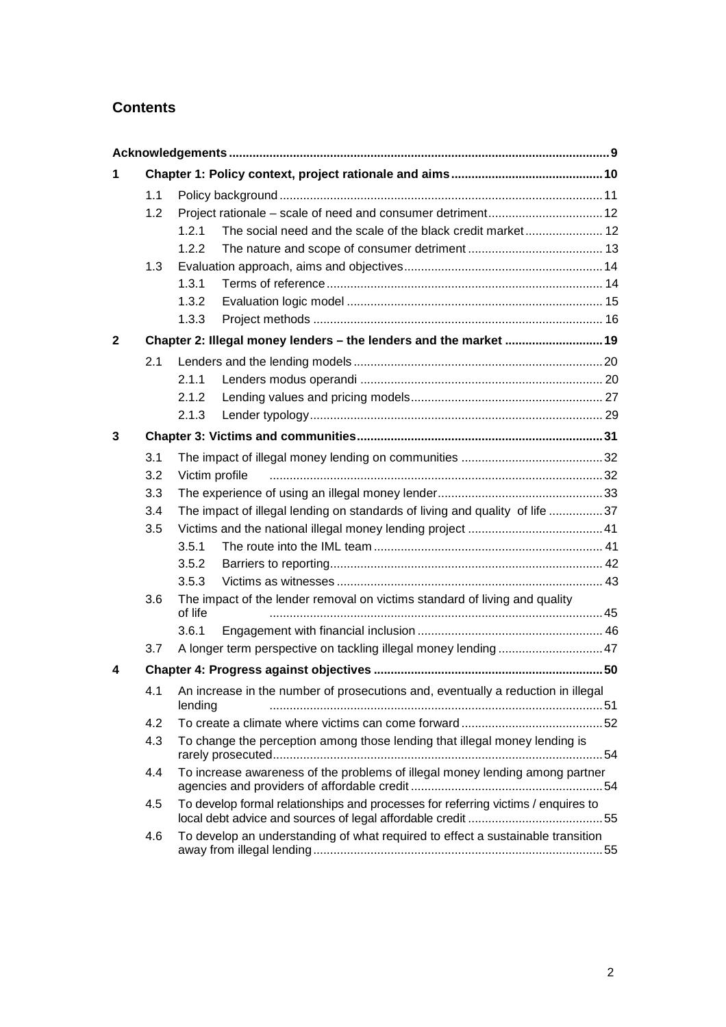# **Contents**

| 1            |     |                                                                                                 |  |  |  |  |  |  |
|--------------|-----|-------------------------------------------------------------------------------------------------|--|--|--|--|--|--|
|              | 1.1 |                                                                                                 |  |  |  |  |  |  |
|              | 1.2 |                                                                                                 |  |  |  |  |  |  |
|              |     | 1.2.1                                                                                           |  |  |  |  |  |  |
|              |     | 1.2.2                                                                                           |  |  |  |  |  |  |
|              | 1.3 |                                                                                                 |  |  |  |  |  |  |
|              |     | 1.3.1                                                                                           |  |  |  |  |  |  |
|              |     | 1.3.2                                                                                           |  |  |  |  |  |  |
|              |     | 1.3.3                                                                                           |  |  |  |  |  |  |
| $\mathbf{2}$ |     | Chapter 2: Illegal money lenders - the lenders and the market  19                               |  |  |  |  |  |  |
|              | 2.1 |                                                                                                 |  |  |  |  |  |  |
|              |     | 2.1.1                                                                                           |  |  |  |  |  |  |
|              |     | 2.1.2                                                                                           |  |  |  |  |  |  |
|              |     | 2.1.3                                                                                           |  |  |  |  |  |  |
| 3            |     |                                                                                                 |  |  |  |  |  |  |
|              | 3.1 |                                                                                                 |  |  |  |  |  |  |
|              | 3.2 | Victim profile                                                                                  |  |  |  |  |  |  |
|              | 3.3 |                                                                                                 |  |  |  |  |  |  |
|              | 3.4 | The impact of illegal lending on standards of living and quality of life 37                     |  |  |  |  |  |  |
|              | 3.5 |                                                                                                 |  |  |  |  |  |  |
|              |     | 3.5.1                                                                                           |  |  |  |  |  |  |
|              |     | 3.5.2                                                                                           |  |  |  |  |  |  |
|              |     | 3.5.3                                                                                           |  |  |  |  |  |  |
|              | 3.6 | The impact of the lender removal on victims standard of living and quality<br>of life           |  |  |  |  |  |  |
|              |     | 3.6.1                                                                                           |  |  |  |  |  |  |
|              | 3.7 | A longer term perspective on tackling illegal money lending  47                                 |  |  |  |  |  |  |
| 4            |     |                                                                                                 |  |  |  |  |  |  |
|              |     | 4.1 An increase in the number of prosecutions and, eventually a reduction in illegal<br>lending |  |  |  |  |  |  |
|              | 4.2 |                                                                                                 |  |  |  |  |  |  |
|              | 4.3 | To change the perception among those lending that illegal money lending is                      |  |  |  |  |  |  |
|              | 4.4 | To increase awareness of the problems of illegal money lending among partner                    |  |  |  |  |  |  |
|              | 4.5 | To develop formal relationships and processes for referring victims / enquires to               |  |  |  |  |  |  |
|              | 4.6 | To develop an understanding of what required to effect a sustainable transition                 |  |  |  |  |  |  |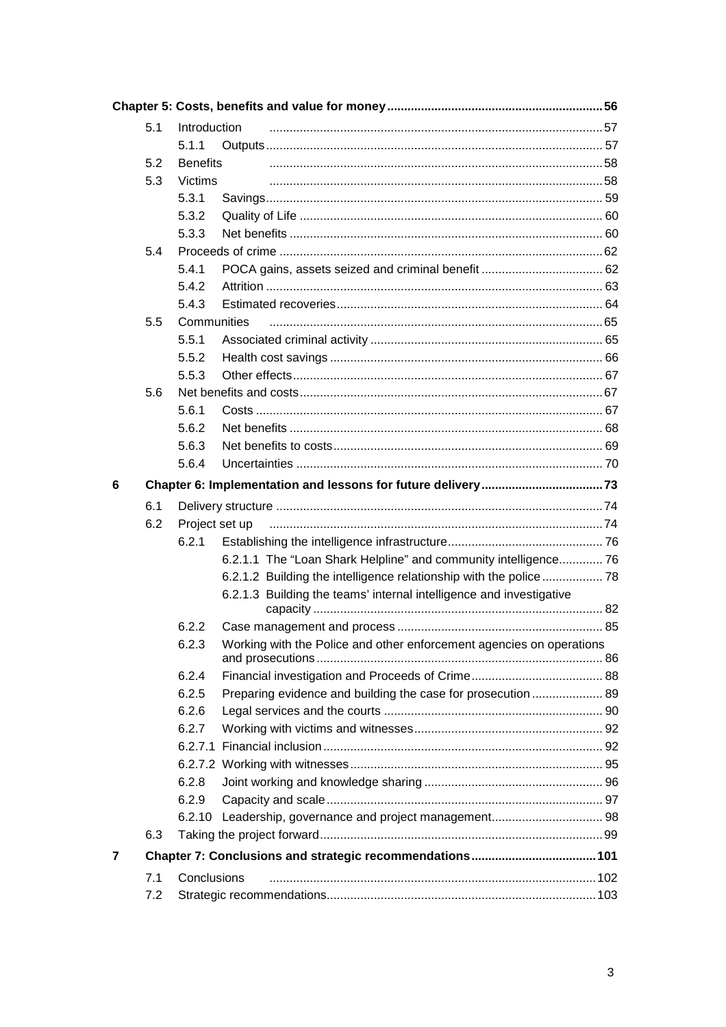|   | 5.1 | Introduction    |                                                                      |  |  |  |  |
|---|-----|-----------------|----------------------------------------------------------------------|--|--|--|--|
|   |     | 5.1.1           |                                                                      |  |  |  |  |
|   | 5.2 | <b>Benefits</b> |                                                                      |  |  |  |  |
|   | 5.3 | Victims         |                                                                      |  |  |  |  |
|   |     | 5.3.1           |                                                                      |  |  |  |  |
|   |     | 5.3.2           |                                                                      |  |  |  |  |
|   |     | 5.3.3           |                                                                      |  |  |  |  |
|   | 5.4 |                 |                                                                      |  |  |  |  |
|   |     | 5.4.1           |                                                                      |  |  |  |  |
|   |     | 5.4.2           |                                                                      |  |  |  |  |
|   |     | 5.4.3           |                                                                      |  |  |  |  |
|   | 5.5 | Communities     |                                                                      |  |  |  |  |
|   |     | 5.5.1           |                                                                      |  |  |  |  |
|   |     | 5.5.2           |                                                                      |  |  |  |  |
|   |     | 5.5.3           |                                                                      |  |  |  |  |
|   | 5.6 |                 |                                                                      |  |  |  |  |
|   |     | 5.6.1           |                                                                      |  |  |  |  |
|   |     | 5.6.2           |                                                                      |  |  |  |  |
|   |     | 5.6.3           |                                                                      |  |  |  |  |
|   |     | 5.6.4           |                                                                      |  |  |  |  |
| 6 |     |                 |                                                                      |  |  |  |  |
|   | 6.1 |                 |                                                                      |  |  |  |  |
|   | 6.2 | Project set up  |                                                                      |  |  |  |  |
|   |     | 6.2.1           |                                                                      |  |  |  |  |
|   |     |                 | 6.2.1.1 The "Loan Shark Helpline" and community intelligence 76      |  |  |  |  |
|   |     |                 | 6.2.1.2 Building the intelligence relationship with the police  78   |  |  |  |  |
|   |     |                 | 6.2.1.3 Building the teams' internal intelligence and investigative  |  |  |  |  |
|   |     | 6.2.2           |                                                                      |  |  |  |  |
|   |     | 6.2.3           | Working with the Police and other enforcement agencies on operations |  |  |  |  |
|   |     | 6.2.4           |                                                                      |  |  |  |  |
|   |     | 6.2.5           | Preparing evidence and building the case for prosecution  89         |  |  |  |  |
|   |     | 6.2.6           |                                                                      |  |  |  |  |
|   |     | 6.2.7           |                                                                      |  |  |  |  |
|   |     |                 |                                                                      |  |  |  |  |
|   |     |                 |                                                                      |  |  |  |  |
|   |     | 6.2.8           |                                                                      |  |  |  |  |
|   |     | 6.2.9           |                                                                      |  |  |  |  |
|   |     |                 |                                                                      |  |  |  |  |
|   | 6.3 |                 |                                                                      |  |  |  |  |
| 7 |     |                 |                                                                      |  |  |  |  |
|   | 7.1 | Conclusions     |                                                                      |  |  |  |  |
|   | 7.2 |                 |                                                                      |  |  |  |  |
|   |     |                 |                                                                      |  |  |  |  |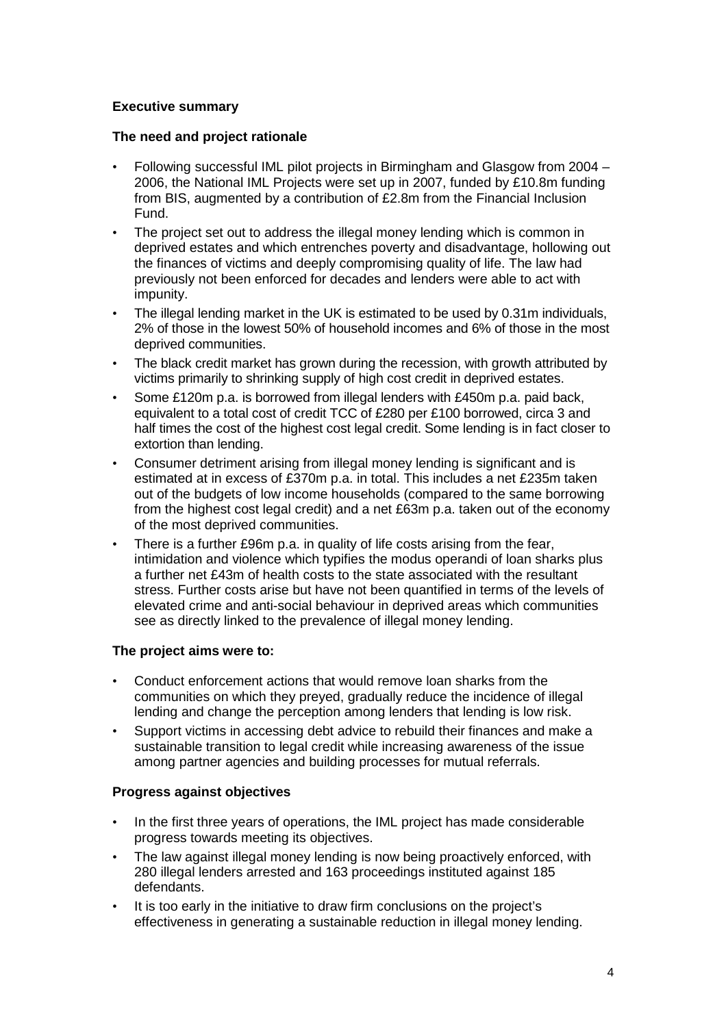## **Executive summary**

### **The need and project rationale**

- Following successful IML pilot projects in Birmingham and Glasgow from 2004 2006, the National IML Projects were set up in 2007, funded by £10.8m funding from BIS, augmented by a contribution of £2.8m from the Financial Inclusion Fund.
- The project set out to address the illegal money lending which is common in deprived estates and which entrenches poverty and disadvantage, hollowing out the finances of victims and deeply compromising quality of life. The law had previously not been enforced for decades and lenders were able to act with impunity.
- The illegal lending market in the UK is estimated to be used by 0.31m individuals, 2% of those in the lowest 50% of household incomes and 6% of those in the most deprived communities.
- The black credit market has grown during the recession, with growth attributed by victims primarily to shrinking supply of high cost credit in deprived estates.
- Some £120m p.a. is borrowed from illegal lenders with £450m p.a. paid back, equivalent to a total cost of credit TCC of £280 per £100 borrowed, circa 3 and half times the cost of the highest cost legal credit. Some lending is in fact closer to extortion than lending.
- Consumer detriment arising from illegal money lending is significant and is estimated at in excess of £370m p.a. in total. This includes a net £235m taken out of the budgets of low income households (compared to the same borrowing from the highest cost legal credit) and a net £63m p.a. taken out of the economy of the most deprived communities.
- There is a further £96m p.a. in quality of life costs arising from the fear, intimidation and violence which typifies the modus operandi of loan sharks plus a further net £43m of health costs to the state associated with the resultant stress. Further costs arise but have not been quantified in terms of the levels of elevated crime and anti-social behaviour in deprived areas which communities see as directly linked to the prevalence of illegal money lending.

## **The project aims were to:**

- Conduct enforcement actions that would remove loan sharks from the communities on which they preyed, gradually reduce the incidence of illegal lending and change the perception among lenders that lending is low risk.
- Support victims in accessing debt advice to rebuild their finances and make a sustainable transition to legal credit while increasing awareness of the issue among partner agencies and building processes for mutual referrals.

## **Progress against objectives**

- In the first three years of operations, the IML project has made considerable progress towards meeting its objectives.
- The law against illegal money lending is now being proactively enforced, with 280 illegal lenders arrested and 163 proceedings instituted against 185 defendants.
- It is too early in the initiative to draw firm conclusions on the project's effectiveness in generating a sustainable reduction in illegal money lending.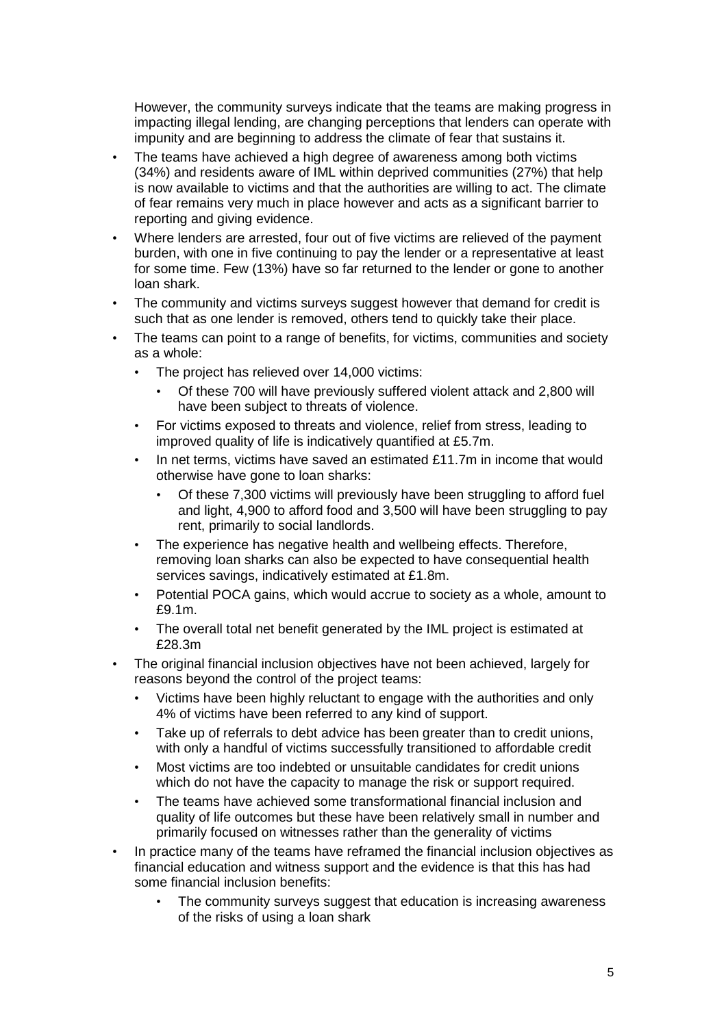However, the community surveys indicate that the teams are making progress in impacting illegal lending, are changing perceptions that lenders can operate with impunity and are beginning to address the climate of fear that sustains it.

- The teams have achieved a high degree of awareness among both victims (34%) and residents aware of IML within deprived communities (27%) that help is now available to victims and that the authorities are willing to act. The climate of fear remains very much in place however and acts as a significant barrier to reporting and giving evidence.
- Where lenders are arrested, four out of five victims are relieved of the payment burden, with one in five continuing to pay the lender or a representative at least for some time. Few (13%) have so far returned to the lender or gone to another loan shark.
- The community and victims surveys suggest however that demand for credit is such that as one lender is removed, others tend to quickly take their place.
- The teams can point to a range of benefits, for victims, communities and society as a whole:
	- The project has relieved over 14,000 victims:
		- Of these 700 will have previously suffered violent attack and 2,800 will have been subject to threats of violence.
	- For victims exposed to threats and violence, relief from stress, leading to improved quality of life is indicatively quantified at £5.7m.
	- In net terms, victims have saved an estimated £11.7m in income that would otherwise have gone to loan sharks:
		- Of these 7,300 victims will previously have been struggling to afford fuel and light, 4,900 to afford food and 3,500 will have been struggling to pay rent, primarily to social landlords.
	- The experience has negative health and wellbeing effects. Therefore, removing loan sharks can also be expected to have consequential health services savings, indicatively estimated at £1.8m.
	- Potential POCA gains, which would accrue to society as a whole, amount to £9.1m.
	- The overall total net benefit generated by the IML project is estimated at £28.3m
- The original financial inclusion objectives have not been achieved, largely for reasons beyond the control of the project teams:
	- Victims have been highly reluctant to engage with the authorities and only 4% of victims have been referred to any kind of support.
	- Take up of referrals to debt advice has been greater than to credit unions, with only a handful of victims successfully transitioned to affordable credit
	- Most victims are too indebted or unsuitable candidates for credit unions which do not have the capacity to manage the risk or support required.
	- The teams have achieved some transformational financial inclusion and quality of life outcomes but these have been relatively small in number and primarily focused on witnesses rather than the generality of victims
- In practice many of the teams have reframed the financial inclusion objectives as financial education and witness support and the evidence is that this has had some financial inclusion benefits:
	- The community surveys suggest that education is increasing awareness of the risks of using a loan shark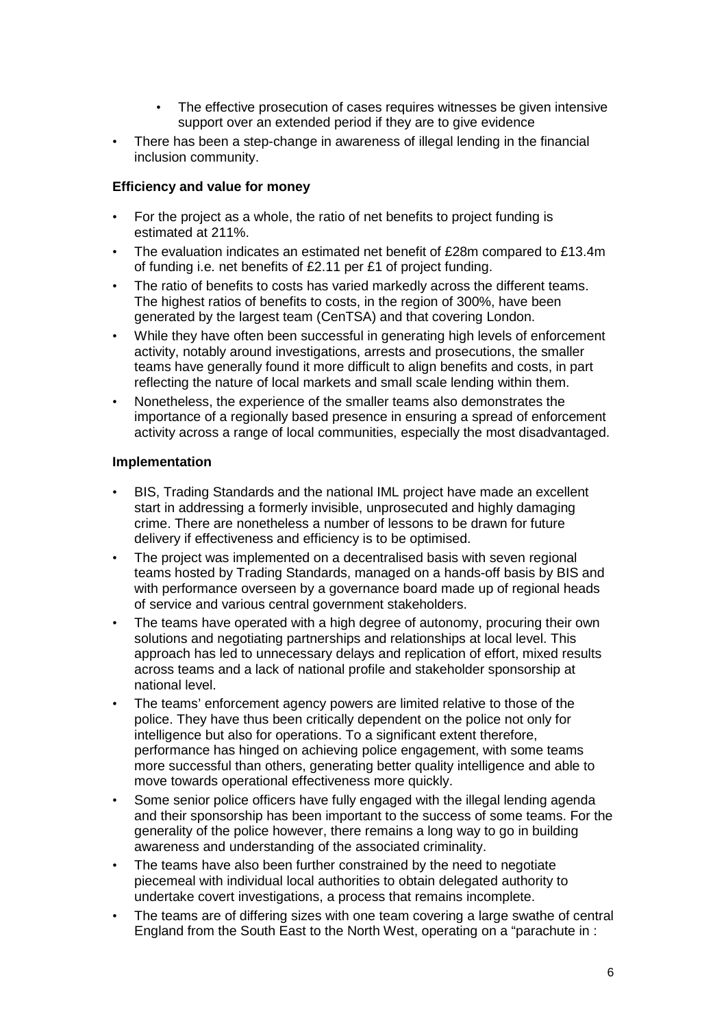- The effective prosecution of cases requires witnesses be given intensive support over an extended period if they are to give evidence
- There has been a step-change in awareness of illegal lending in the financial inclusion community.

### **Efficiency and value for money**

- For the project as a whole, the ratio of net benefits to project funding is estimated at 211%.
- The evaluation indicates an estimated net benefit of £28m compared to £13.4m of funding i.e. net benefits of £2.11 per £1 of project funding.
- The ratio of benefits to costs has varied markedly across the different teams. The highest ratios of benefits to costs, in the region of 300%, have been generated by the largest team (CenTSA) and that covering London.
- While they have often been successful in generating high levels of enforcement activity, notably around investigations, arrests and prosecutions, the smaller teams have generally found it more difficult to align benefits and costs, in part reflecting the nature of local markets and small scale lending within them.
- Nonetheless, the experience of the smaller teams also demonstrates the importance of a regionally based presence in ensuring a spread of enforcement activity across a range of local communities, especially the most disadvantaged.

### **Implementation**

- BIS, Trading Standards and the national IML project have made an excellent start in addressing a formerly invisible, unprosecuted and highly damaging crime. There are nonetheless a number of lessons to be drawn for future delivery if effectiveness and efficiency is to be optimised.
- The project was implemented on a decentralised basis with seven regional teams hosted by Trading Standards, managed on a hands-off basis by BIS and with performance overseen by a governance board made up of regional heads of service and various central government stakeholders.
- The teams have operated with a high degree of autonomy, procuring their own solutions and negotiating partnerships and relationships at local level. This approach has led to unnecessary delays and replication of effort, mixed results across teams and a lack of national profile and stakeholder sponsorship at national level.
- The teams' enforcement agency powers are limited relative to those of the police. They have thus been critically dependent on the police not only for intelligence but also for operations. To a significant extent therefore, performance has hinged on achieving police engagement, with some teams more successful than others, generating better quality intelligence and able to move towards operational effectiveness more quickly.
- Some senior police officers have fully engaged with the illegal lending agenda and their sponsorship has been important to the success of some teams. For the generality of the police however, there remains a long way to go in building awareness and understanding of the associated criminality.
- The teams have also been further constrained by the need to negotiate piecemeal with individual local authorities to obtain delegated authority to undertake covert investigations, a process that remains incomplete.
- The teams are of differing sizes with one team covering a large swathe of central England from the South East to the North West, operating on a "parachute in :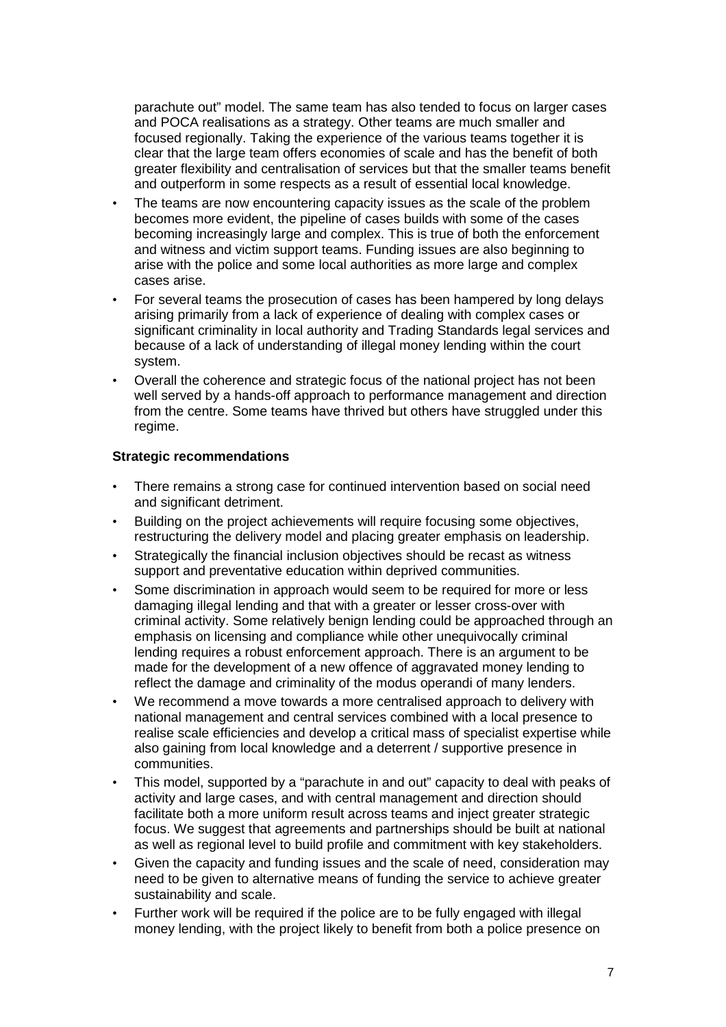parachute out" model. The same team has also tended to focus on larger cases and POCA realisations as a strategy. Other teams are much smaller and focused regionally. Taking the experience of the various teams together it is clear that the large team offers economies of scale and has the benefit of both greater flexibility and centralisation of services but that the smaller teams benefit and outperform in some respects as a result of essential local knowledge.

- The teams are now encountering capacity issues as the scale of the problem becomes more evident, the pipeline of cases builds with some of the cases becoming increasingly large and complex. This is true of both the enforcement and witness and victim support teams. Funding issues are also beginning to arise with the police and some local authorities as more large and complex cases arise.
- For several teams the prosecution of cases has been hampered by long delays arising primarily from a lack of experience of dealing with complex cases or significant criminality in local authority and Trading Standards legal services and because of a lack of understanding of illegal money lending within the court system.
- Overall the coherence and strategic focus of the national project has not been well served by a hands-off approach to performance management and direction from the centre. Some teams have thrived but others have struggled under this regime.

## **Strategic recommendations**

- There remains a strong case for continued intervention based on social need and significant detriment.
- Building on the project achievements will require focusing some objectives, restructuring the delivery model and placing greater emphasis on leadership.
- Strategically the financial inclusion objectives should be recast as witness support and preventative education within deprived communities.
- Some discrimination in approach would seem to be required for more or less damaging illegal lending and that with a greater or lesser cross-over with criminal activity. Some relatively benign lending could be approached through an emphasis on licensing and compliance while other unequivocally criminal lending requires a robust enforcement approach. There is an argument to be made for the development of a new offence of aggravated money lending to reflect the damage and criminality of the modus operandi of many lenders.
- We recommend a move towards a more centralised approach to delivery with national management and central services combined with a local presence to realise scale efficiencies and develop a critical mass of specialist expertise while also gaining from local knowledge and a deterrent / supportive presence in communities.
- This model, supported by a "parachute in and out" capacity to deal with peaks of activity and large cases, and with central management and direction should facilitate both a more uniform result across teams and inject greater strategic focus. We suggest that agreements and partnerships should be built at national as well as regional level to build profile and commitment with key stakeholders.
- Given the capacity and funding issues and the scale of need, consideration may need to be given to alternative means of funding the service to achieve greater sustainability and scale.
- Further work will be required if the police are to be fully engaged with illegal money lending, with the project likely to benefit from both a police presence on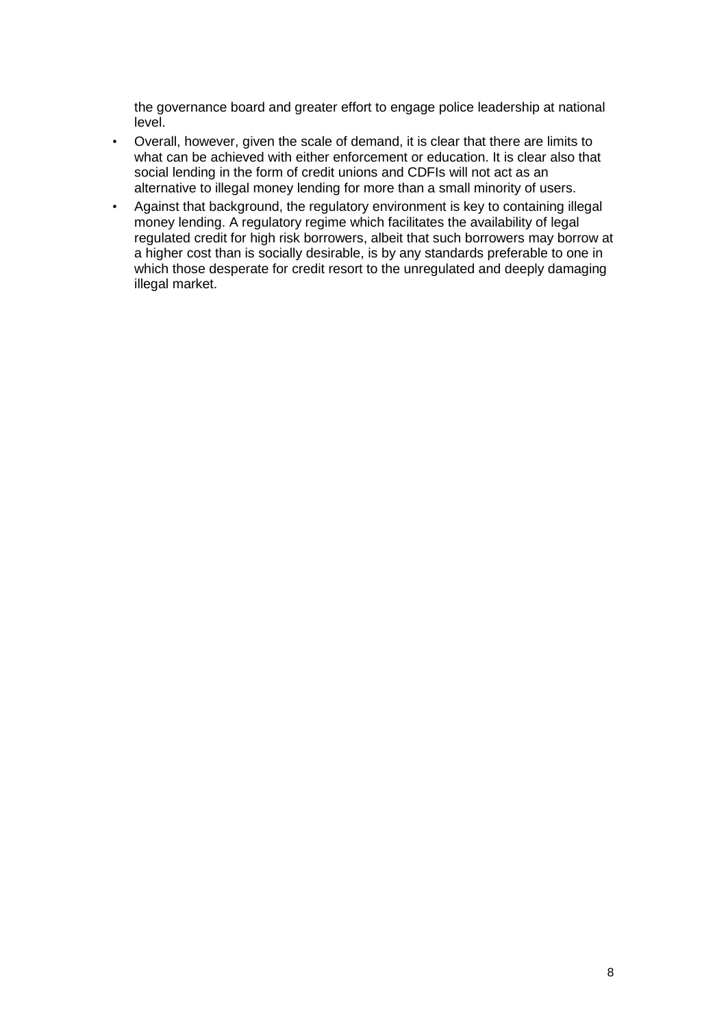the governance board and greater effort to engage police leadership at national level.

- Overall, however, given the scale of demand, it is clear that there are limits to what can be achieved with either enforcement or education. It is clear also that social lending in the form of credit unions and CDFIs will not act as an alternative to illegal money lending for more than a small minority of users.
- Against that background, the regulatory environment is key to containing illegal money lending. A regulatory regime which facilitates the availability of legal regulated credit for high risk borrowers, albeit that such borrowers may borrow at a higher cost than is socially desirable, is by any standards preferable to one in which those desperate for credit resort to the unregulated and deeply damaging illegal market.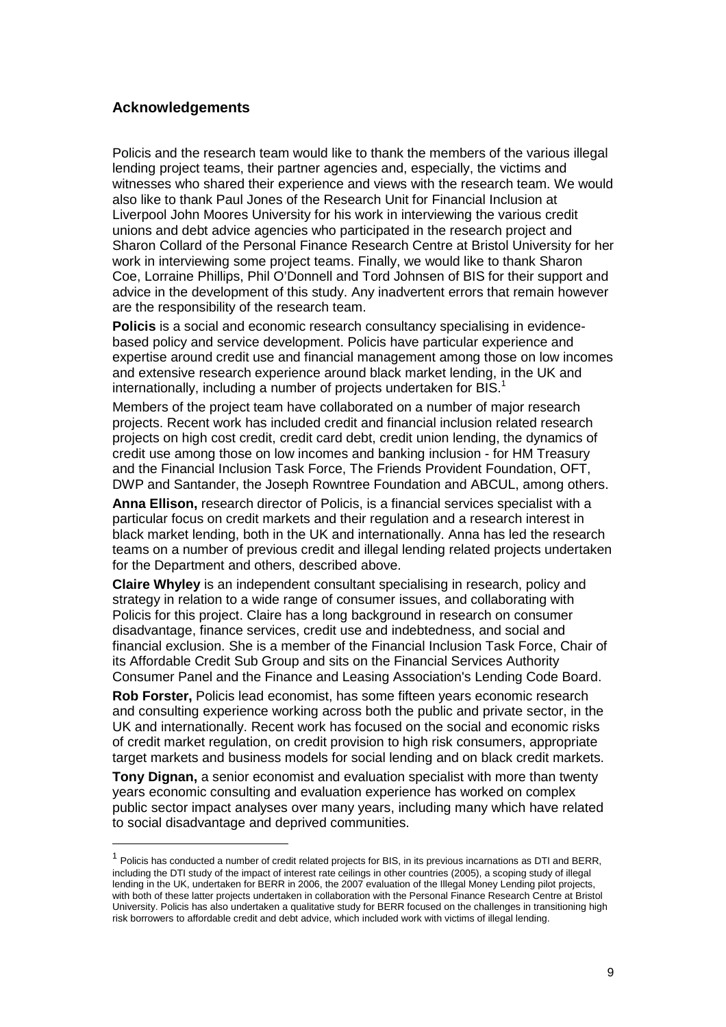### **Acknowledgements**

 $\overline{a}$ 

Policis and the research team would like to thank the members of the various illegal lending project teams, their partner agencies and, especially, the victims and witnesses who shared their experience and views with the research team. We would also like to thank Paul Jones of the Research Unit for Financial Inclusion at Liverpool John Moores University for his work in interviewing the various credit unions and debt advice agencies who participated in the research project and Sharon Collard of the Personal Finance Research Centre at Bristol University for her work in interviewing some project teams. Finally, we would like to thank Sharon Coe, Lorraine Phillips, Phil O'Donnell and Tord Johnsen of BIS for their support and advice in the development of this study. Any inadvertent errors that remain however are the responsibility of the research team.

**Policis** is a social and economic research consultancy specialising in evidencebased policy and service development. Policis have particular experience and expertise around credit use and financial management among those on low incomes and extensive research experience around black market lending, in the UK and internationally, including a number of projects undertaken for BIS.<sup>1</sup>

Members of the project team have collaborated on a number of major research projects. Recent work has included credit and financial inclusion related research projects on high cost credit, credit card debt, credit union lending, the dynamics of credit use among those on low incomes and banking inclusion - for HM Treasury and the Financial Inclusion Task Force, The Friends Provident Foundation, OFT, DWP and Santander, the Joseph Rowntree Foundation and ABCUL, among others.

**Anna Ellison,** research director of Policis, is a financial services specialist with a particular focus on credit markets and their regulation and a research interest in black market lending, both in the UK and internationally. Anna has led the research teams on a number of previous credit and illegal lending related projects undertaken for the Department and others, described above.

**Claire Whyley** is an independent consultant specialising in research, policy and strategy in relation to a wide range of consumer issues, and collaborating with Policis for this project. Claire has a long background in research on consumer disadvantage, finance services, credit use and indebtedness, and social and financial exclusion. She is a member of the Financial Inclusion Task Force, Chair of its Affordable Credit Sub Group and sits on the Financial Services Authority Consumer Panel and the Finance and Leasing Association's Lending Code Board.

**Rob Forster,** Policis lead economist, has some fifteen years economic research and consulting experience working across both the public and private sector, in the UK and internationally. Recent work has focused on the social and economic risks of credit market regulation, on credit provision to high risk consumers, appropriate target markets and business models for social lending and on black credit markets.

**Tony Dignan,** a senior economist and evaluation specialist with more than twenty years economic consulting and evaluation experience has worked on complex public sector impact analyses over many years, including many which have related to social disadvantage and deprived communities.

<sup>1</sup> Policis has conducted a number of credit related projects for BIS, in its previous incarnations as DTI and BERR, including the DTI study of the impact of interest rate ceilings in other countries (2005), a scoping study of illegal lending in the UK, undertaken for BERR in 2006, the 2007 evaluation of the Illegal Money Lending pilot projects, with both of these latter projects undertaken in collaboration with the Personal Finance Research Centre at Bristol University. Policis has also undertaken a qualitative study for BERR focused on the challenges in transitioning high risk borrowers to affordable credit and debt advice, which included work with victims of illegal lending.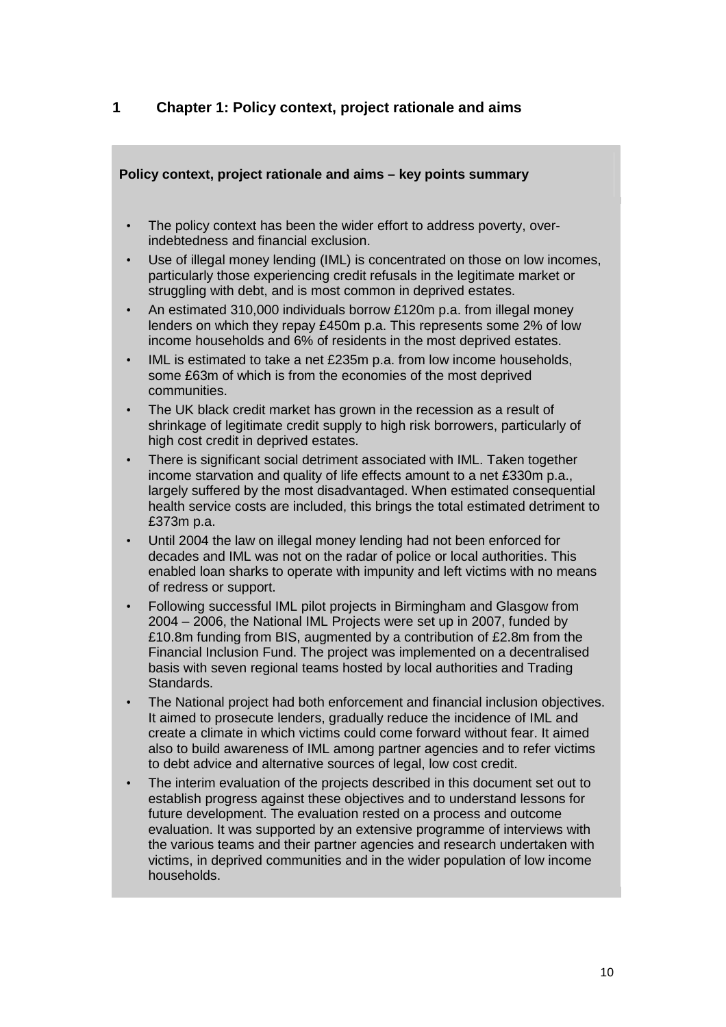## **1 Chapter 1: Policy context, project rationale and aims**

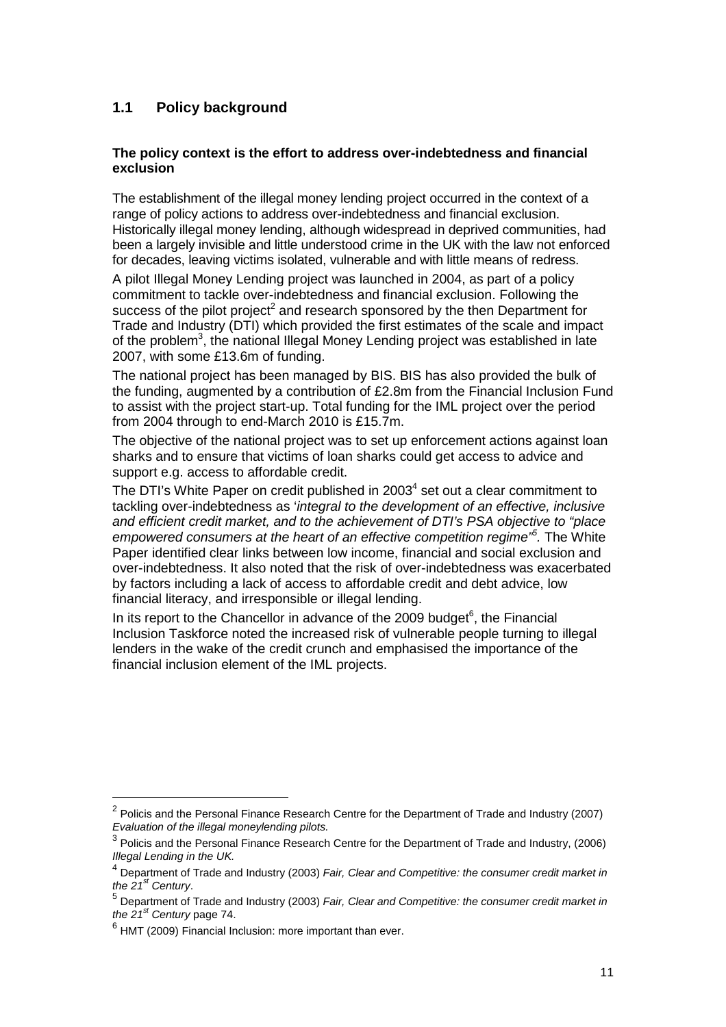# **1.1 Policy background**

### **The policy context is the effort to address over-indebtedness and financial exclusion**

The establishment of the illegal money lending project occurred in the context of a range of policy actions to address over-indebtedness and financial exclusion. Historically illegal money lending, although widespread in deprived communities, had been a largely invisible and little understood crime in the UK with the law not enforced for decades, leaving victims isolated, vulnerable and with little means of redress.

A pilot Illegal Money Lending project was launched in 2004, as part of a policy commitment to tackle over-indebtedness and financial exclusion. Following the success of the pilot project<sup>2</sup> and research sponsored by the then Department for Trade and Industry (DTI) which provided the first estimates of the scale and impact of the problem<sup>3</sup>, the national Illegal Money Lending project was established in late 2007, with some £13.6m of funding.

The national project has been managed by BIS. BIS has also provided the bulk of the funding, augmented by a contribution of £2.8m from the Financial Inclusion Fund to assist with the project start-up. Total funding for the IML project over the period from 2004 through to end-March 2010 is £15.7m.

The objective of the national project was to set up enforcement actions against loan sharks and to ensure that victims of loan sharks could get access to advice and support e.g. access to affordable credit.

The DTI's White Paper on credit published in 2003<sup>4</sup> set out a clear commitment to tackling over-indebtedness as 'integral to the development of an effective, inclusive and efficient credit market, and to the achievement of DTI's PSA objective to "place empowered consumers at the heart of an effective competition regime<sup>15</sup>. The White Paper identified clear links between low income, financial and social exclusion and over-indebtedness. It also noted that the risk of over-indebtedness was exacerbated by factors including a lack of access to affordable credit and debt advice, low financial literacy, and irresponsible or illegal lending.

In its report to the Chancellor in advance of the 2009 budget $6$ , the Financial Inclusion Taskforce noted the increased risk of vulnerable people turning to illegal lenders in the wake of the credit crunch and emphasised the importance of the financial inclusion element of the IML projects.

 $\overline{a}$ 

 $2$  Policis and the Personal Finance Research Centre for the Department of Trade and Industry (2007) Evaluation of the illegal moneylending pilots.

 $^3$  Policis and the Personal Finance Research Centre for the Department of Trade and Industry, (2006) Illegal Lending in the UK.

 $<sup>4</sup>$  Department of Trade and Industry (2003) Fair, Clear and Competitive: the consumer credit market in</sup> the  $21<sup>st</sup>$  Century.

<sup>&</sup>lt;sup>5</sup> Department of Trade and Industry (2003) Fair, Clear and Competitive: the consumer credit market in the  $21<sup>st</sup>$  Century page 74.

 $<sup>6</sup>$  HMT (2009) Financial Inclusion: more important than ever.</sup>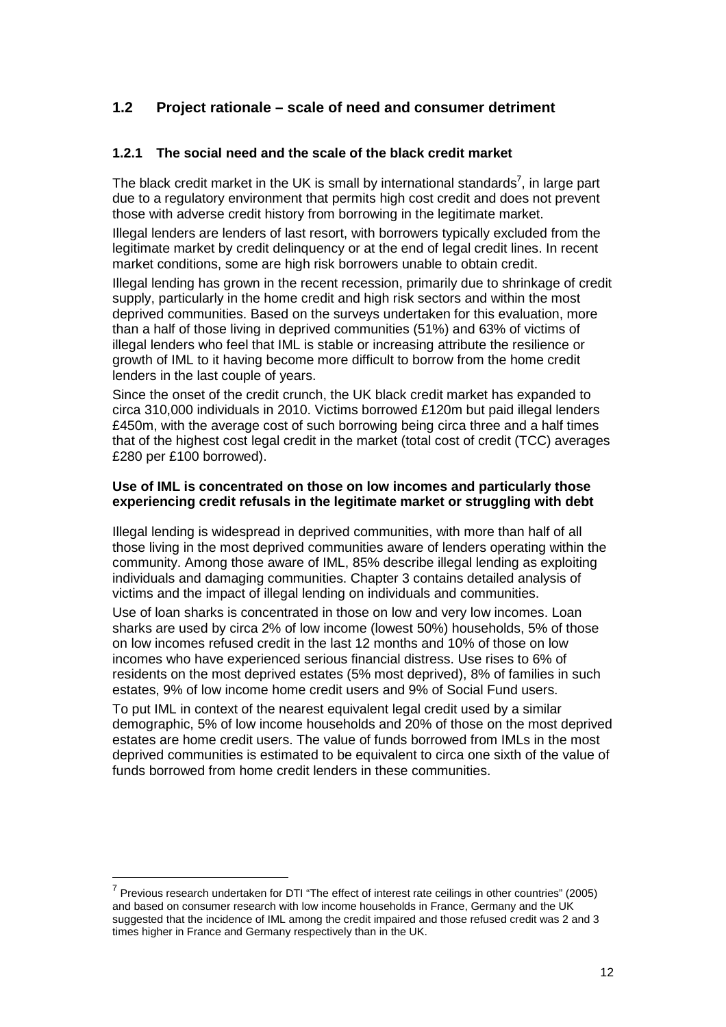## **1.2 Project rationale – scale of need and consumer detriment**

## **1.2.1 The social need and the scale of the black credit market**

The black credit market in the UK is small by international standards<sup>7</sup>, in large part due to a regulatory environment that permits high cost credit and does not prevent those with adverse credit history from borrowing in the legitimate market.

Illegal lenders are lenders of last resort, with borrowers typically excluded from the legitimate market by credit delinquency or at the end of legal credit lines. In recent market conditions, some are high risk borrowers unable to obtain credit.

Illegal lending has grown in the recent recession, primarily due to shrinkage of credit supply, particularly in the home credit and high risk sectors and within the most deprived communities. Based on the surveys undertaken for this evaluation, more than a half of those living in deprived communities (51%) and 63% of victims of illegal lenders who feel that IML is stable or increasing attribute the resilience or growth of IML to it having become more difficult to borrow from the home credit lenders in the last couple of years.

Since the onset of the credit crunch, the UK black credit market has expanded to circa 310,000 individuals in 2010. Victims borrowed £120m but paid illegal lenders £450m, with the average cost of such borrowing being circa three and a half times that of the highest cost legal credit in the market (total cost of credit (TCC) averages £280 per £100 borrowed).

### **Use of IML is concentrated on those on low incomes and particularly those experiencing credit refusals in the legitimate market or struggling with debt**

Illegal lending is widespread in deprived communities, with more than half of all those living in the most deprived communities aware of lenders operating within the community. Among those aware of IML, 85% describe illegal lending as exploiting individuals and damaging communities. Chapter 3 contains detailed analysis of victims and the impact of illegal lending on individuals and communities.

Use of loan sharks is concentrated in those on low and very low incomes. Loan sharks are used by circa 2% of low income (lowest 50%) households, 5% of those on low incomes refused credit in the last 12 months and 10% of those on low incomes who have experienced serious financial distress. Use rises to 6% of residents on the most deprived estates (5% most deprived), 8% of families in such estates, 9% of low income home credit users and 9% of Social Fund users.

To put IML in context of the nearest equivalent legal credit used by a similar demographic, 5% of low income households and 20% of those on the most deprived estates are home credit users. The value of funds borrowed from IMLs in the most deprived communities is estimated to be equivalent to circa one sixth of the value of funds borrowed from home credit lenders in these communities.

 $\overline{a}$ 

 $<sup>7</sup>$  Previous research undertaken for DTI "The effect of interest rate ceilings in other countries" (2005)</sup> and based on consumer research with low income households in France, Germany and the UK suggested that the incidence of IML among the credit impaired and those refused credit was 2 and 3 times higher in France and Germany respectively than in the UK.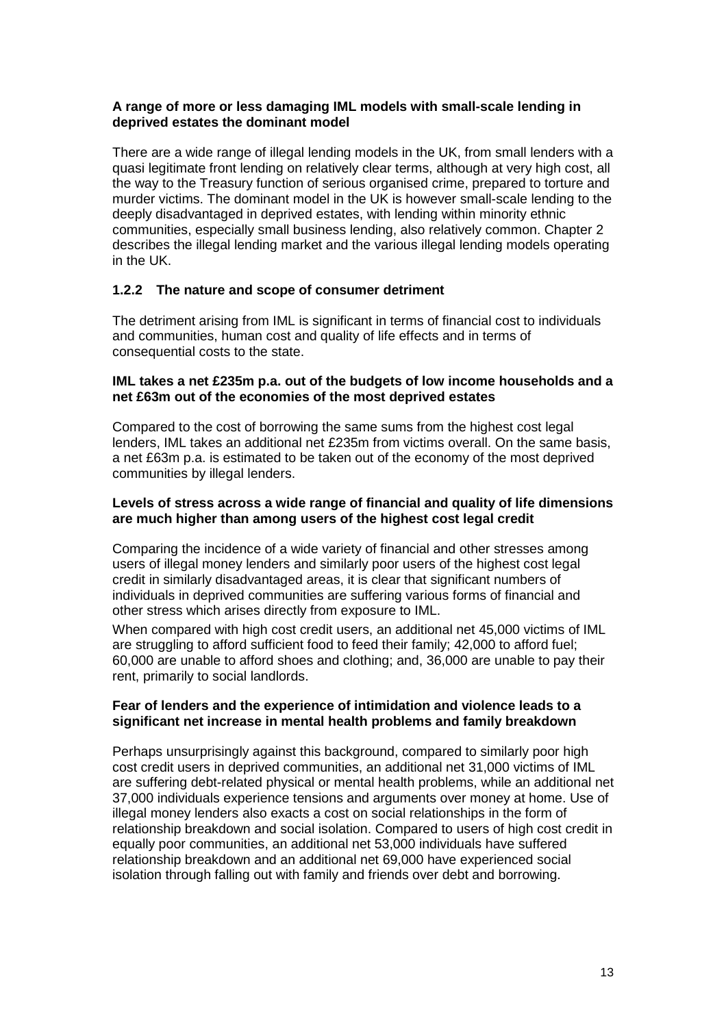## **A range of more or less damaging IML models with small-scale lending in deprived estates the dominant model**

There are a wide range of illegal lending models in the UK, from small lenders with a quasi legitimate front lending on relatively clear terms, although at very high cost, all the way to the Treasury function of serious organised crime, prepared to torture and murder victims. The dominant model in the UK is however small-scale lending to the deeply disadvantaged in deprived estates, with lending within minority ethnic communities, especially small business lending, also relatively common. Chapter 2 describes the illegal lending market and the various illegal lending models operating in the UK.

### **1.2.2 The nature and scope of consumer detriment**

The detriment arising from IML is significant in terms of financial cost to individuals and communities, human cost and quality of life effects and in terms of consequential costs to the state.

### **IML takes a net £235m p.a. out of the budgets of low income households and a net £63m out of the economies of the most deprived estates**

Compared to the cost of borrowing the same sums from the highest cost legal lenders, IML takes an additional net £235m from victims overall. On the same basis, a net £63m p.a. is estimated to be taken out of the economy of the most deprived communities by illegal lenders.

#### **Levels of stress across a wide range of financial and quality of life dimensions are much higher than among users of the highest cost legal credit**

Comparing the incidence of a wide variety of financial and other stresses among users of illegal money lenders and similarly poor users of the highest cost legal credit in similarly disadvantaged areas, it is clear that significant numbers of individuals in deprived communities are suffering various forms of financial and other stress which arises directly from exposure to IML.

When compared with high cost credit users, an additional net 45,000 victims of IML are struggling to afford sufficient food to feed their family; 42,000 to afford fuel; 60,000 are unable to afford shoes and clothing; and, 36,000 are unable to pay their rent, primarily to social landlords.

#### **Fear of lenders and the experience of intimidation and violence leads to a significant net increase in mental health problems and family breakdown**

Perhaps unsurprisingly against this background, compared to similarly poor high cost credit users in deprived communities, an additional net 31,000 victims of IML are suffering debt-related physical or mental health problems, while an additional net 37,000 individuals experience tensions and arguments over money at home. Use of illegal money lenders also exacts a cost on social relationships in the form of relationship breakdown and social isolation. Compared to users of high cost credit in equally poor communities, an additional net 53,000 individuals have suffered relationship breakdown and an additional net 69,000 have experienced social isolation through falling out with family and friends over debt and borrowing.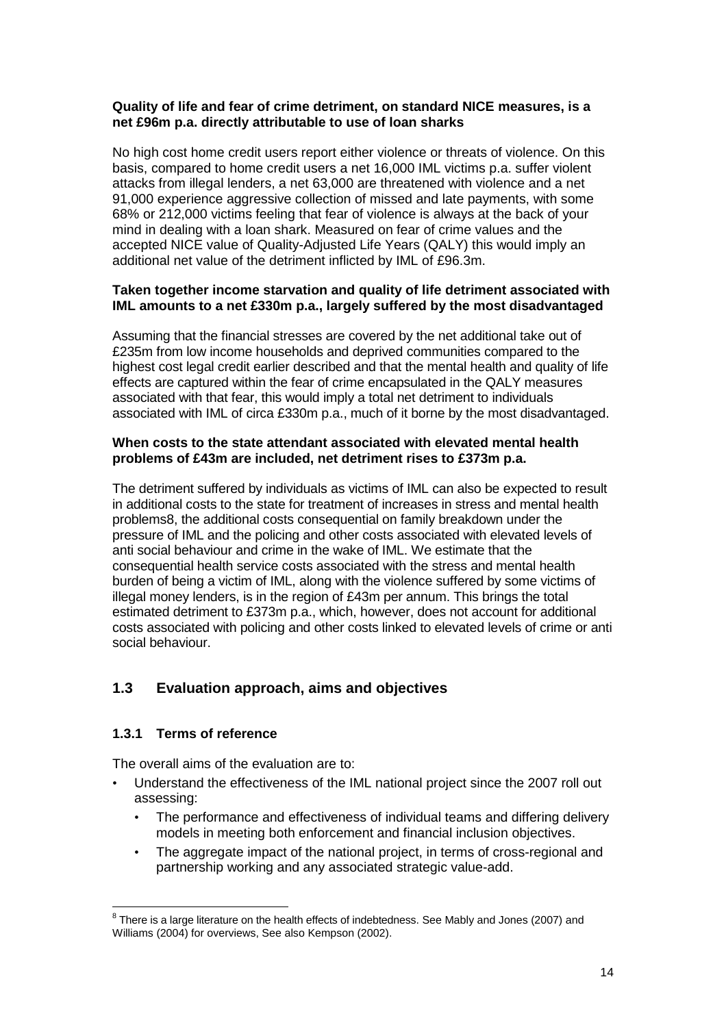### **Quality of life and fear of crime detriment, on standard NICE measures, is a net £96m p.a. directly attributable to use of loan sharks**

No high cost home credit users report either violence or threats of violence. On this basis, compared to home credit users a net 16,000 IML victims p.a. suffer violent attacks from illegal lenders, a net 63,000 are threatened with violence and a net 91,000 experience aggressive collection of missed and late payments, with some 68% or 212,000 victims feeling that fear of violence is always at the back of your mind in dealing with a loan shark. Measured on fear of crime values and the accepted NICE value of Quality-Adjusted Life Years (QALY) this would imply an additional net value of the detriment inflicted by IML of £96.3m.

### **Taken together income starvation and quality of life detriment associated with IML amounts to a net £330m p.a., largely suffered by the most disadvantaged**

Assuming that the financial stresses are covered by the net additional take out of £235m from low income households and deprived communities compared to the highest cost legal credit earlier described and that the mental health and quality of life effects are captured within the fear of crime encapsulated in the QALY measures associated with that fear, this would imply a total net detriment to individuals associated with IML of circa £330m p.a., much of it borne by the most disadvantaged.

## **When costs to the state attendant associated with elevated mental health problems of £43m are included, net detriment rises to £373m p.a.**

The detriment suffered by individuals as victims of IML can also be expected to result in additional costs to the state for treatment of increases in stress and mental health problems8, the additional costs consequential on family breakdown under the pressure of IML and the policing and other costs associated with elevated levels of anti social behaviour and crime in the wake of IML. We estimate that the consequential health service costs associated with the stress and mental health burden of being a victim of IML, along with the violence suffered by some victims of illegal money lenders, is in the region of £43m per annum. This brings the total estimated detriment to £373m p.a., which, however, does not account for additional costs associated with policing and other costs linked to elevated levels of crime or anti social behaviour.

## **1.3 Evaluation approach, aims and objectives**

## **1.3.1 Terms of reference**

The overall aims of the evaluation are to:

- Understand the effectiveness of the IML national project since the 2007 roll out assessing:
	- The performance and effectiveness of individual teams and differing delivery models in meeting both enforcement and financial inclusion objectives.
	- The aggregate impact of the national project, in terms of cross-regional and partnership working and any associated strategic value-add.

ENDREEN THERREN CONDENSING THERREN CONSERVER THERREN BUT THERREN BUT THERREN THERREN BUT THERREN BUT THERREN B<br>There is a large literature on the health effects of indebtedness. See Mably and Jones (2007) and Williams (2004) for overviews, See also Kempson (2002).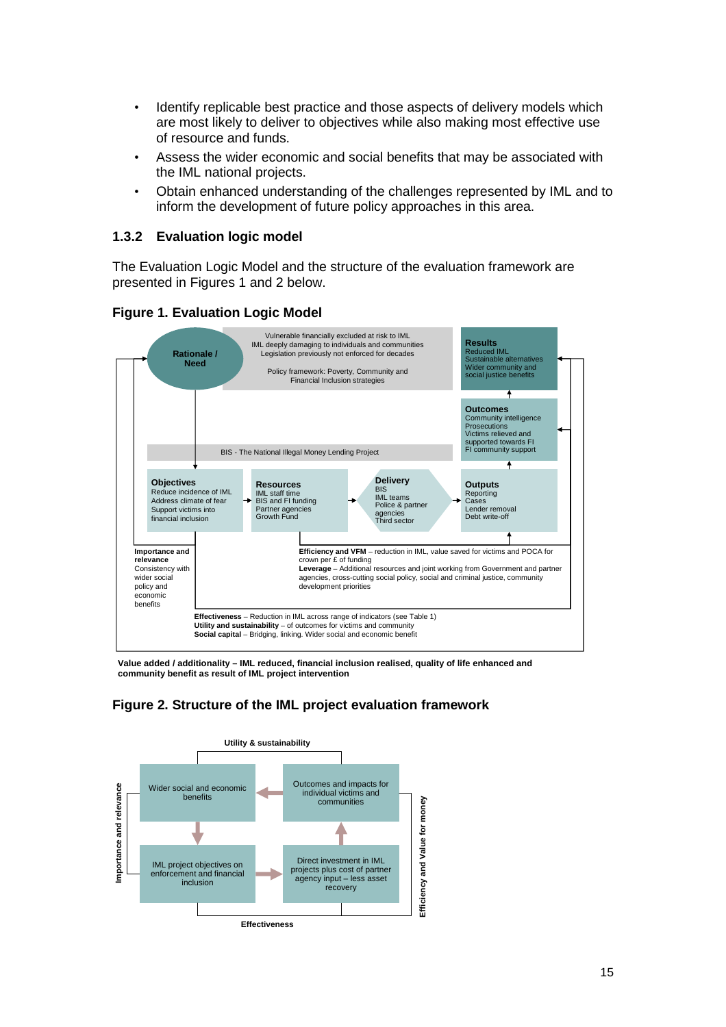- Identify replicable best practice and those aspects of delivery models which are most likely to deliver to objectives while also making most effective use of resource and funds.
- Assess the wider economic and social benefits that may be associated with the IML national projects.
- Obtain enhanced understanding of the challenges represented by IML and to inform the development of future policy approaches in this area.

### **1.3.2 Evaluation logic model**

The Evaluation Logic Model and the structure of the evaluation framework are presented in Figures 1 and 2 below.



### **Figure 1. Evaluation Logic Model**

**Value added / additionality – IML reduced, financial inclusion realised, quality of life enhanced and community benefit as result of IML project intervention**

## **Figure 2. Structure of the IML project evaluation framework**

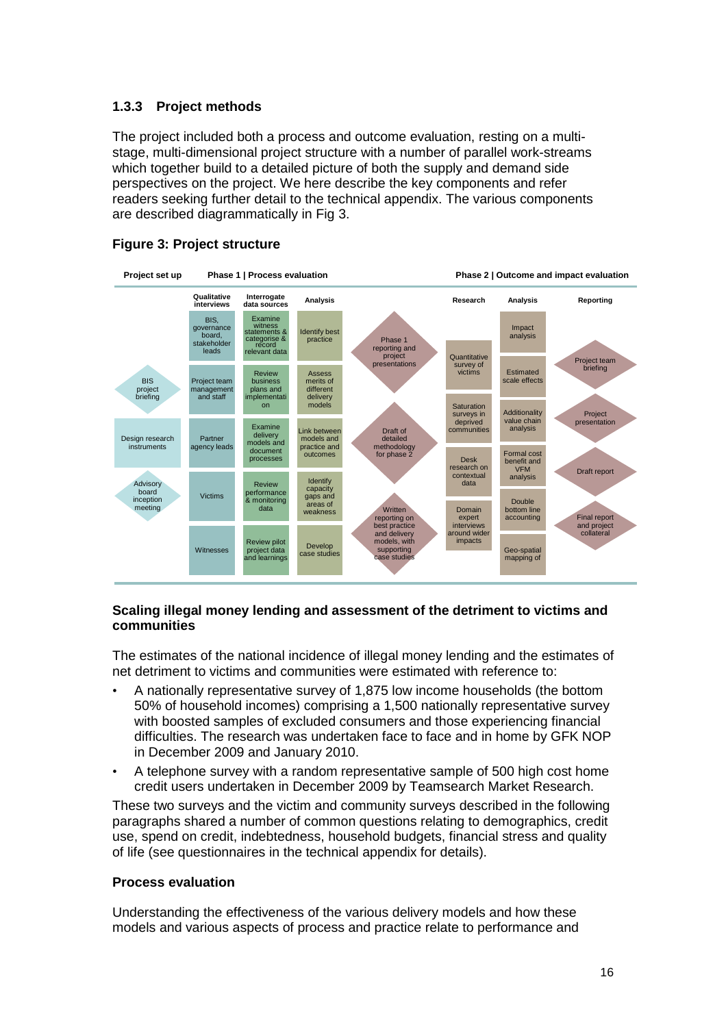## **1.3.3 Project methods**

The project included both a process and outcome evaluation, resting on a multistage, multi-dimensional project structure with a number of parallel work-streams which together build to a detailed picture of both the supply and demand side perspectives on the project. We here describe the key components and refer readers seeking further detail to the technical appendix. The various components are described diagrammatically in Fig 3.



## **Figure 3: Project structure**

#### **Scaling illegal money lending and assessment of the detriment to victims and communities**

The estimates of the national incidence of illegal money lending and the estimates of net detriment to victims and communities were estimated with reference to:

- A nationally representative survey of 1,875 low income households (the bottom 50% of household incomes) comprising a 1,500 nationally representative survey with boosted samples of excluded consumers and those experiencing financial difficulties. The research was undertaken face to face and in home by GFK NOP in December 2009 and January 2010.
- A telephone survey with a random representative sample of 500 high cost home credit users undertaken in December 2009 by Teamsearch Market Research.

These two surveys and the victim and community surveys described in the following paragraphs shared a number of common questions relating to demographics, credit use, spend on credit, indebtedness, household budgets, financial stress and quality of life (see questionnaires in the technical appendix for details).

#### **Process evaluation**

Understanding the effectiveness of the various delivery models and how these models and various aspects of process and practice relate to performance and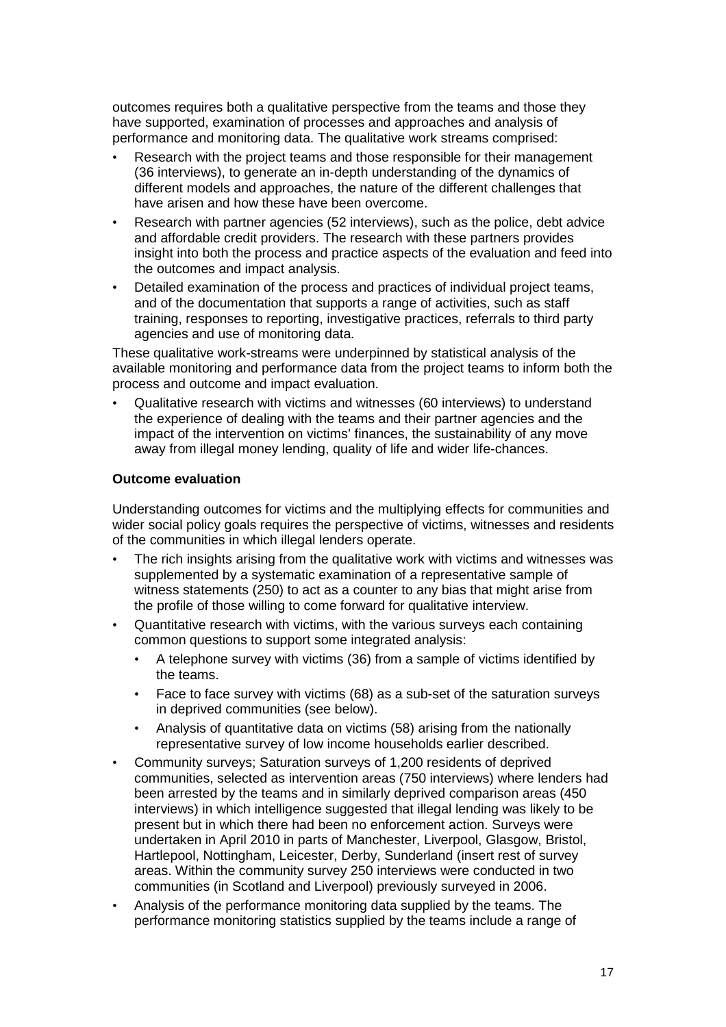outcomes requires both a qualitative perspective from the teams and those they have supported, examination of processes and approaches and analysis of performance and monitoring data. The qualitative work streams comprised:

- Research with the project teams and those responsible for their management (36 interviews), to generate an in-depth understanding of the dynamics of different models and approaches, the nature of the different challenges that have arisen and how these have been overcome.
- Research with partner agencies (52 interviews), such as the police, debt advice and affordable credit providers. The research with these partners provides insight into both the process and practice aspects of the evaluation and feed into the outcomes and impact analysis.
- Detailed examination of the process and practices of individual project teams, and of the documentation that supports a range of activities, such as staff training, responses to reporting, investigative practices, referrals to third party agencies and use of monitoring data.

These qualitative work-streams were underpinned by statistical analysis of the available monitoring and performance data from the project teams to inform both the process and outcome and impact evaluation.

• Qualitative research with victims and witnesses (60 interviews) to understand the experience of dealing with the teams and their partner agencies and the impact of the intervention on victims' finances, the sustainability of any move away from illegal money lending, quality of life and wider life-chances.

#### **Outcome evaluation**

Understanding outcomes for victims and the multiplying effects for communities and wider social policy goals requires the perspective of victims, witnesses and residents of the communities in which illegal lenders operate.

- The rich insights arising from the qualitative work with victims and witnesses was supplemented by a systematic examination of a representative sample of witness statements (250) to act as a counter to any bias that might arise from the profile of those willing to come forward for qualitative interview.
- Quantitative research with victims, with the various surveys each containing common questions to support some integrated analysis:
	- A telephone survey with victims (36) from a sample of victims identified by the teams.
	- Face to face survey with victims (68) as a sub-set of the saturation surveys in deprived communities (see below).
	- Analysis of quantitative data on victims (58) arising from the nationally representative survey of low income households earlier described.
- Community surveys; Saturation surveys of 1,200 residents of deprived communities, selected as intervention areas (750 interviews) where lenders had been arrested by the teams and in similarly deprived comparison areas (450 interviews) in which intelligence suggested that illegal lending was likely to be present but in which there had been no enforcement action. Surveys were undertaken in April 2010 in parts of Manchester, Liverpool, Glasgow, Bristol, Hartlepool, Nottingham, Leicester, Derby, Sunderland (insert rest of survey areas. Within the community survey 250 interviews were conducted in two communities (in Scotland and Liverpool) previously surveyed in 2006.
- Analysis of the performance monitoring data supplied by the teams. The performance monitoring statistics supplied by the teams include a range of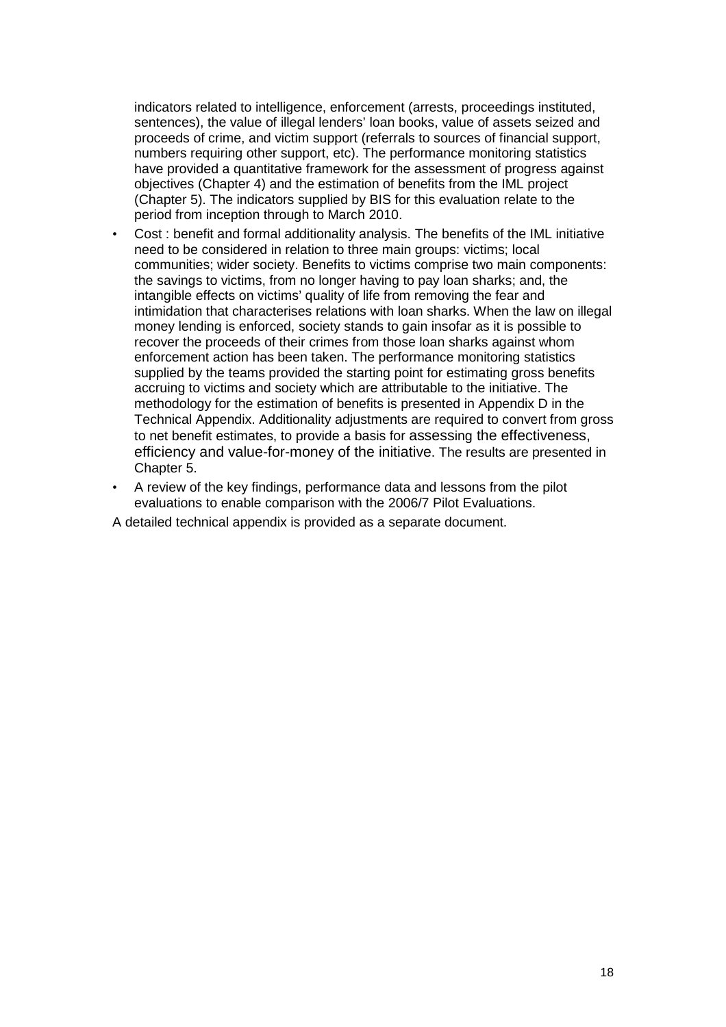indicators related to intelligence, enforcement (arrests, proceedings instituted, sentences), the value of illegal lenders' loan books, value of assets seized and proceeds of crime, and victim support (referrals to sources of financial support, numbers requiring other support, etc). The performance monitoring statistics have provided a quantitative framework for the assessment of progress against objectives (Chapter 4) and the estimation of benefits from the IML project (Chapter 5). The indicators supplied by BIS for this evaluation relate to the period from inception through to March 2010.

- Cost : benefit and formal additionality analysis. The benefits of the IML initiative need to be considered in relation to three main groups: victims; local communities; wider society. Benefits to victims comprise two main components: the savings to victims, from no longer having to pay loan sharks; and, the intangible effects on victims' quality of life from removing the fear and intimidation that characterises relations with loan sharks. When the law on illegal money lending is enforced, society stands to gain insofar as it is possible to recover the proceeds of their crimes from those loan sharks against whom enforcement action has been taken. The performance monitoring statistics supplied by the teams provided the starting point for estimating gross benefits accruing to victims and society which are attributable to the initiative. The methodology for the estimation of benefits is presented in Appendix D in the Technical Appendix. Additionality adjustments are required to convert from gross to net benefit estimates, to provide a basis for assessing the effectiveness, efficiency and value-for-money of the initiative. The results are presented in Chapter 5.
- A review of the key findings, performance data and lessons from the pilot evaluations to enable comparison with the 2006/7 Pilot Evaluations.
- A detailed technical appendix is provided as a separate document.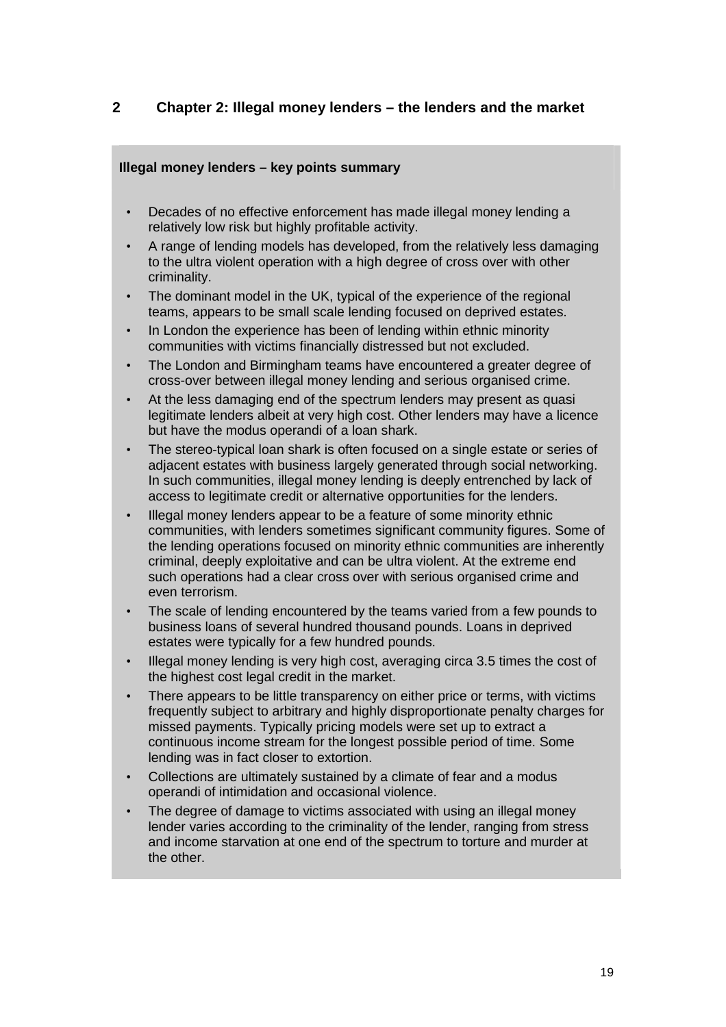## **2 Chapter 2: Illegal money lenders – the lenders and the market**

## **Illegal money lenders – key points summary**

- Decades of no effective enforcement has made illegal money lending a relatively low risk but highly profitable activity.
- A range of lending models has developed, from the relatively less damaging to the ultra violent operation with a high degree of cross over with other criminality.
- The dominant model in the UK, typical of the experience of the regional teams, appears to be small scale lending focused on deprived estates.
- In London the experience has been of lending within ethnic minority communities with victims financially distressed but not excluded.
- The London and Birmingham teams have encountered a greater degree of cross-over between illegal money lending and serious organised crime.
- At the less damaging end of the spectrum lenders may present as quasi legitimate lenders albeit at very high cost. Other lenders may have a licence but have the modus operandi of a loan shark.
- The stereo-typical loan shark is often focused on a single estate or series of adjacent estates with business largely generated through social networking. In such communities, illegal money lending is deeply entrenched by lack of access to legitimate credit or alternative opportunities for the lenders.
- Illegal money lenders appear to be a feature of some minority ethnic communities, with lenders sometimes significant community figures. Some of the lending operations focused on minority ethnic communities are inherently criminal, deeply exploitative and can be ultra violent. At the extreme end such operations had a clear cross over with serious organised crime and even terrorism.
- The scale of lending encountered by the teams varied from a few pounds to business loans of several hundred thousand pounds. Loans in deprived estates were typically for a few hundred pounds.
- Illegal money lending is very high cost, averaging circa 3.5 times the cost of the highest cost legal credit in the market.
- There appears to be little transparency on either price or terms, with victims frequently subject to arbitrary and highly disproportionate penalty charges for missed payments. Typically pricing models were set up to extract a continuous income stream for the longest possible period of time. Some lending was in fact closer to extortion.
- Collections are ultimately sustained by a climate of fear and a modus operandi of intimidation and occasional violence.
- The degree of damage to victims associated with using an illegal money lender varies according to the criminality of the lender, ranging from stress and income starvation at one end of the spectrum to torture and murder at the other.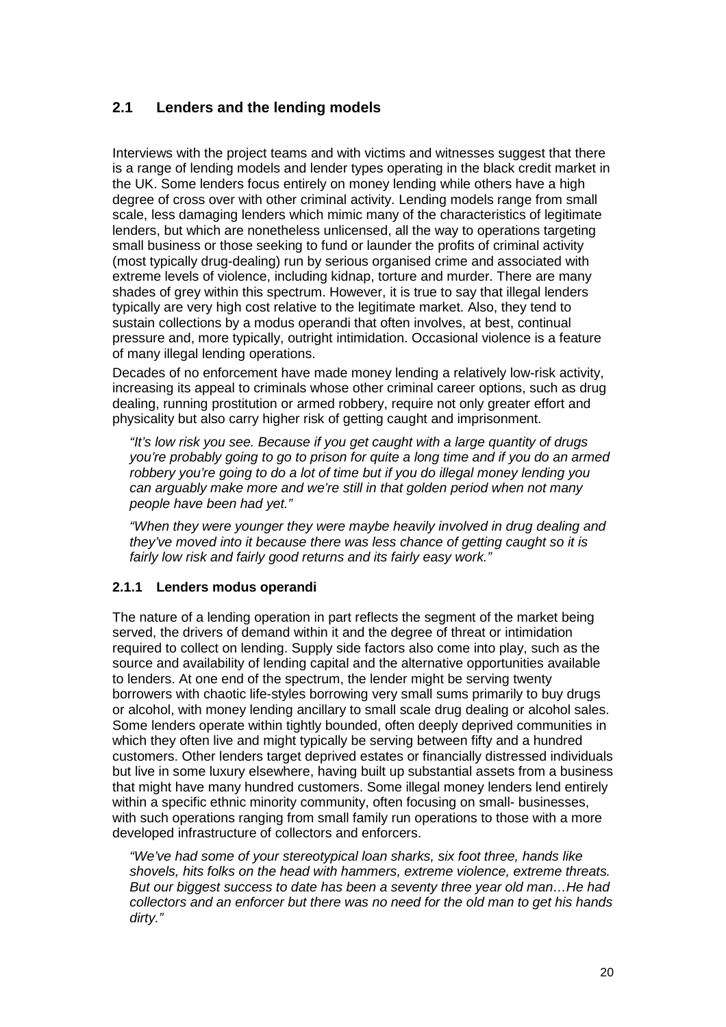# **2.1 Lenders and the lending models**

Interviews with the project teams and with victims and witnesses suggest that there is a range of lending models and lender types operating in the black credit market in the UK. Some lenders focus entirely on money lending while others have a high degree of cross over with other criminal activity. Lending models range from small scale, less damaging lenders which mimic many of the characteristics of legitimate lenders, but which are nonetheless unlicensed, all the way to operations targeting small business or those seeking to fund or launder the profits of criminal activity (most typically drug-dealing) run by serious organised crime and associated with extreme levels of violence, including kidnap, torture and murder. There are many shades of grey within this spectrum. However, it is true to say that illegal lenders typically are very high cost relative to the legitimate market. Also, they tend to sustain collections by a modus operandi that often involves, at best, continual pressure and, more typically, outright intimidation. Occasional violence is a feature of many illegal lending operations.

Decades of no enforcement have made money lending a relatively low-risk activity, increasing its appeal to criminals whose other criminal career options, such as drug dealing, running prostitution or armed robbery, require not only greater effort and physicality but also carry higher risk of getting caught and imprisonment.

"It's low risk you see. Because if you get caught with a large quantity of drugs you're probably going to go to prison for quite a long time and if you do an armed robbery you're going to do a lot of time but if you do illegal money lending you can arguably make more and we're still in that golden period when not many people have been had yet."

"When they were younger they were maybe heavily involved in drug dealing and they've moved into it because there was less chance of getting caught so it is fairly low risk and fairly good returns and its fairly easy work."

## **2.1.1 Lenders modus operandi**

The nature of a lending operation in part reflects the segment of the market being served, the drivers of demand within it and the degree of threat or intimidation required to collect on lending. Supply side factors also come into play, such as the source and availability of lending capital and the alternative opportunities available to lenders. At one end of the spectrum, the lender might be serving twenty borrowers with chaotic life-styles borrowing very small sums primarily to buy drugs or alcohol, with money lending ancillary to small scale drug dealing or alcohol sales. Some lenders operate within tightly bounded, often deeply deprived communities in which they often live and might typically be serving between fifty and a hundred customers. Other lenders target deprived estates or financially distressed individuals but live in some luxury elsewhere, having built up substantial assets from a business that might have many hundred customers. Some illegal money lenders lend entirely within a specific ethnic minority community, often focusing on small- businesses, with such operations ranging from small family run operations to those with a more developed infrastructure of collectors and enforcers.

"We've had some of your stereotypical loan sharks, six foot three, hands like shovels, hits folks on the head with hammers, extreme violence, extreme threats. But our biggest success to date has been a seventy three year old man…He had collectors and an enforcer but there was no need for the old man to get his hands dirty."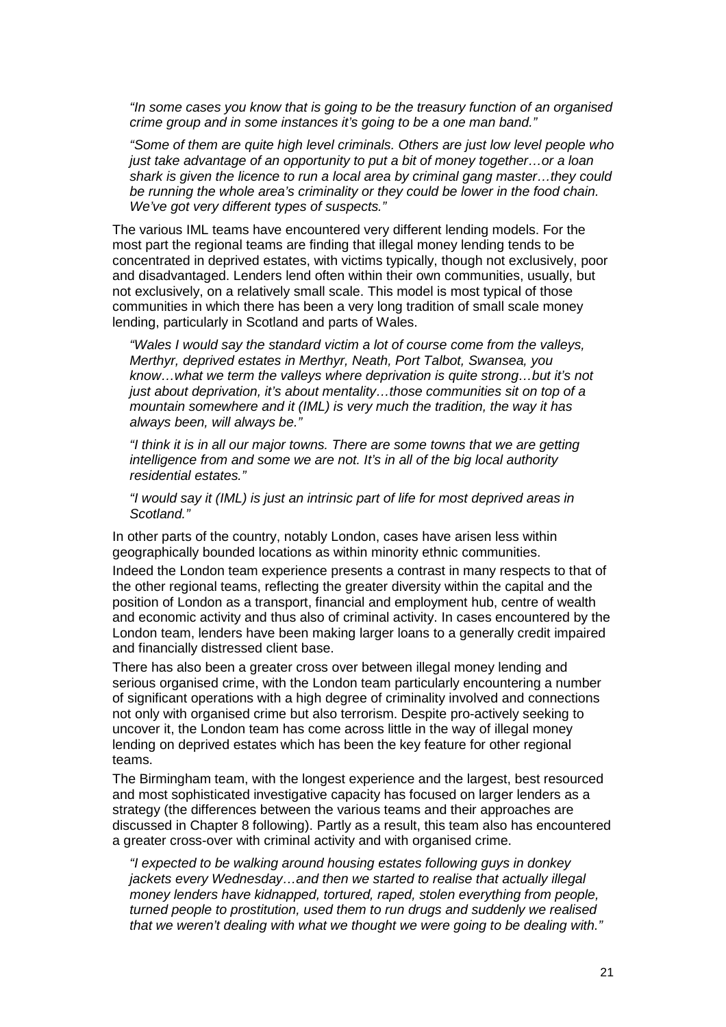"In some cases you know that is going to be the treasury function of an organised crime group and in some instances it's going to be a one man band."

"Some of them are quite high level criminals. Others are just low level people who just take advantage of an opportunity to put a bit of money together…or a loan shark is given the licence to run a local area by criminal gang master...they could be running the whole area's criminality or they could be lower in the food chain. We've got very different types of suspects."

The various IML teams have encountered very different lending models. For the most part the regional teams are finding that illegal money lending tends to be concentrated in deprived estates, with victims typically, though not exclusively, poor and disadvantaged. Lenders lend often within their own communities, usually, but not exclusively, on a relatively small scale. This model is most typical of those communities in which there has been a very long tradition of small scale money lending, particularly in Scotland and parts of Wales.

"Wales I would say the standard victim a lot of course come from the valleys, Merthyr, deprived estates in Merthyr, Neath, Port Talbot, Swansea, you know…what we term the valleys where deprivation is quite strong…but it's not just about deprivation, it's about mentality...those communities sit on top of a mountain somewhere and it (IML) is very much the tradition, the way it has always been, will always be."

"I think it is in all our major towns. There are some towns that we are getting intelligence from and some we are not. It's in all of the big local authority residential estates."

"I would say it (IML) is just an intrinsic part of life for most deprived areas in Scotland."

In other parts of the country, notably London, cases have arisen less within geographically bounded locations as within minority ethnic communities.

Indeed the London team experience presents a contrast in many respects to that of the other regional teams, reflecting the greater diversity within the capital and the position of London as a transport, financial and employment hub, centre of wealth and economic activity and thus also of criminal activity. In cases encountered by the London team, lenders have been making larger loans to a generally credit impaired and financially distressed client base.

There has also been a greater cross over between illegal money lending and serious organised crime, with the London team particularly encountering a number of significant operations with a high degree of criminality involved and connections not only with organised crime but also terrorism. Despite pro-actively seeking to uncover it, the London team has come across little in the way of illegal money lending on deprived estates which has been the key feature for other regional teams.

The Birmingham team, with the longest experience and the largest, best resourced and most sophisticated investigative capacity has focused on larger lenders as a strategy (the differences between the various teams and their approaches are discussed in Chapter 8 following). Partly as a result, this team also has encountered a greater cross-over with criminal activity and with organised crime.

"I expected to be walking around housing estates following guys in donkey jackets every Wednesday…and then we started to realise that actually illegal money lenders have kidnapped, tortured, raped, stolen everything from people, turned people to prostitution, used them to run drugs and suddenly we realised that we weren't dealing with what we thought we were going to be dealing with."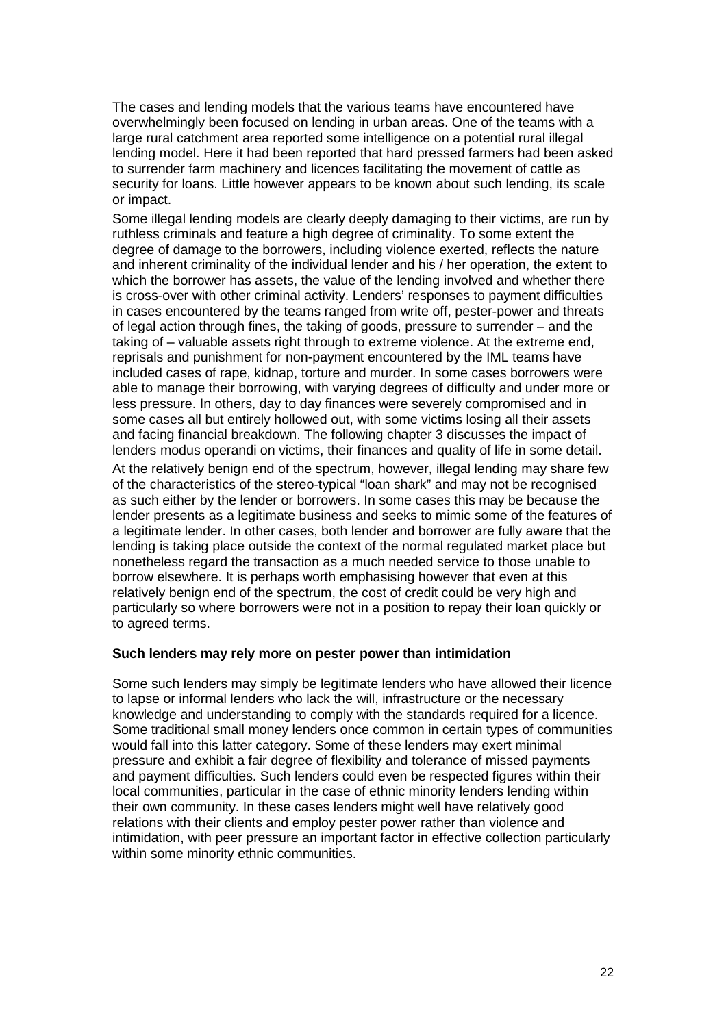The cases and lending models that the various teams have encountered have overwhelmingly been focused on lending in urban areas. One of the teams with a large rural catchment area reported some intelligence on a potential rural illegal lending model. Here it had been reported that hard pressed farmers had been asked to surrender farm machinery and licences facilitating the movement of cattle as security for loans. Little however appears to be known about such lending, its scale or impact.

Some illegal lending models are clearly deeply damaging to their victims, are run by ruthless criminals and feature a high degree of criminality. To some extent the degree of damage to the borrowers, including violence exerted, reflects the nature and inherent criminality of the individual lender and his / her operation, the extent to which the borrower has assets, the value of the lending involved and whether there is cross-over with other criminal activity. Lenders' responses to payment difficulties in cases encountered by the teams ranged from write off, pester-power and threats of legal action through fines, the taking of goods, pressure to surrender – and the taking of – valuable assets right through to extreme violence. At the extreme end, reprisals and punishment for non-payment encountered by the IML teams have included cases of rape, kidnap, torture and murder. In some cases borrowers were able to manage their borrowing, with varying degrees of difficulty and under more or less pressure. In others, day to day finances were severely compromised and in some cases all but entirely hollowed out, with some victims losing all their assets and facing financial breakdown. The following chapter 3 discusses the impact of lenders modus operandi on victims, their finances and quality of life in some detail.

At the relatively benign end of the spectrum, however, illegal lending may share few of the characteristics of the stereo-typical "loan shark" and may not be recognised as such either by the lender or borrowers. In some cases this may be because the lender presents as a legitimate business and seeks to mimic some of the features of a legitimate lender. In other cases, both lender and borrower are fully aware that the lending is taking place outside the context of the normal regulated market place but nonetheless regard the transaction as a much needed service to those unable to borrow elsewhere. It is perhaps worth emphasising however that even at this relatively benign end of the spectrum, the cost of credit could be very high and particularly so where borrowers were not in a position to repay their loan quickly or to agreed terms.

#### **Such lenders may rely more on pester power than intimidation**

Some such lenders may simply be legitimate lenders who have allowed their licence to lapse or informal lenders who lack the will, infrastructure or the necessary knowledge and understanding to comply with the standards required for a licence. Some traditional small money lenders once common in certain types of communities would fall into this latter category. Some of these lenders may exert minimal pressure and exhibit a fair degree of flexibility and tolerance of missed payments and payment difficulties. Such lenders could even be respected figures within their local communities, particular in the case of ethnic minority lenders lending within their own community. In these cases lenders might well have relatively good relations with their clients and employ pester power rather than violence and intimidation, with peer pressure an important factor in effective collection particularly within some minority ethnic communities.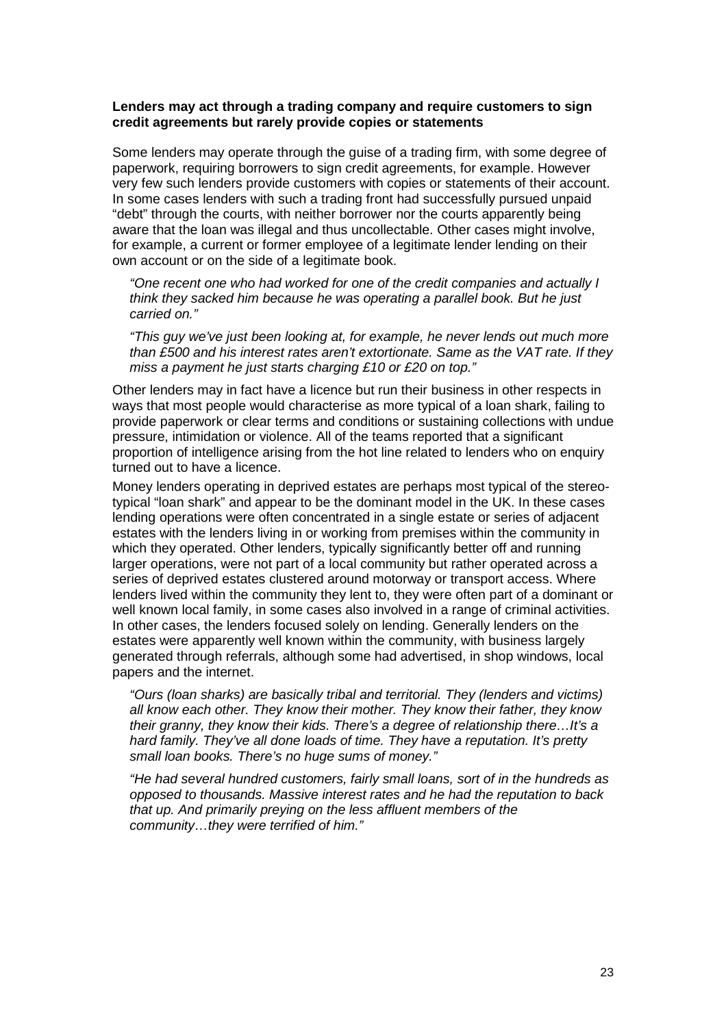#### **Lenders may act through a trading company and require customers to sign credit agreements but rarely provide copies or statements**

Some lenders may operate through the guise of a trading firm, with some degree of paperwork, requiring borrowers to sign credit agreements, for example. However very few such lenders provide customers with copies or statements of their account. In some cases lenders with such a trading front had successfully pursued unpaid "debt" through the courts, with neither borrower nor the courts apparently being aware that the loan was illegal and thus uncollectable. Other cases might involve, for example, a current or former employee of a legitimate lender lending on their own account or on the side of a legitimate book.

"One recent one who had worked for one of the credit companies and actually I think they sacked him because he was operating a parallel book. But he just carried on."

"This guy we've just been looking at, for example, he never lends out much more than £500 and his interest rates aren't extortionate. Same as the VAT rate. If they miss a payment he just starts charging £10 or £20 on top."

Other lenders may in fact have a licence but run their business in other respects in ways that most people would characterise as more typical of a loan shark, failing to provide paperwork or clear terms and conditions or sustaining collections with undue pressure, intimidation or violence. All of the teams reported that a significant proportion of intelligence arising from the hot line related to lenders who on enquiry turned out to have a licence.

Money lenders operating in deprived estates are perhaps most typical of the stereotypical "loan shark" and appear to be the dominant model in the UK. In these cases lending operations were often concentrated in a single estate or series of adjacent estates with the lenders living in or working from premises within the community in which they operated. Other lenders, typically significantly better off and running larger operations, were not part of a local community but rather operated across a series of deprived estates clustered around motorway or transport access. Where lenders lived within the community they lent to, they were often part of a dominant or well known local family, in some cases also involved in a range of criminal activities. In other cases, the lenders focused solely on lending. Generally lenders on the estates were apparently well known within the community, with business largely generated through referrals, although some had advertised, in shop windows, local papers and the internet.

"Ours (loan sharks) are basically tribal and territorial. They (lenders and victims) all know each other. They know their mother. They know their father, they know their granny, they know their kids. There's a degree of relationship there…It's a hard family. They've all done loads of time. They have a reputation. It's pretty small loan books. There's no huge sums of money."

"He had several hundred customers, fairly small loans, sort of in the hundreds as opposed to thousands. Massive interest rates and he had the reputation to back that up. And primarily preying on the less affluent members of the community…they were terrified of him."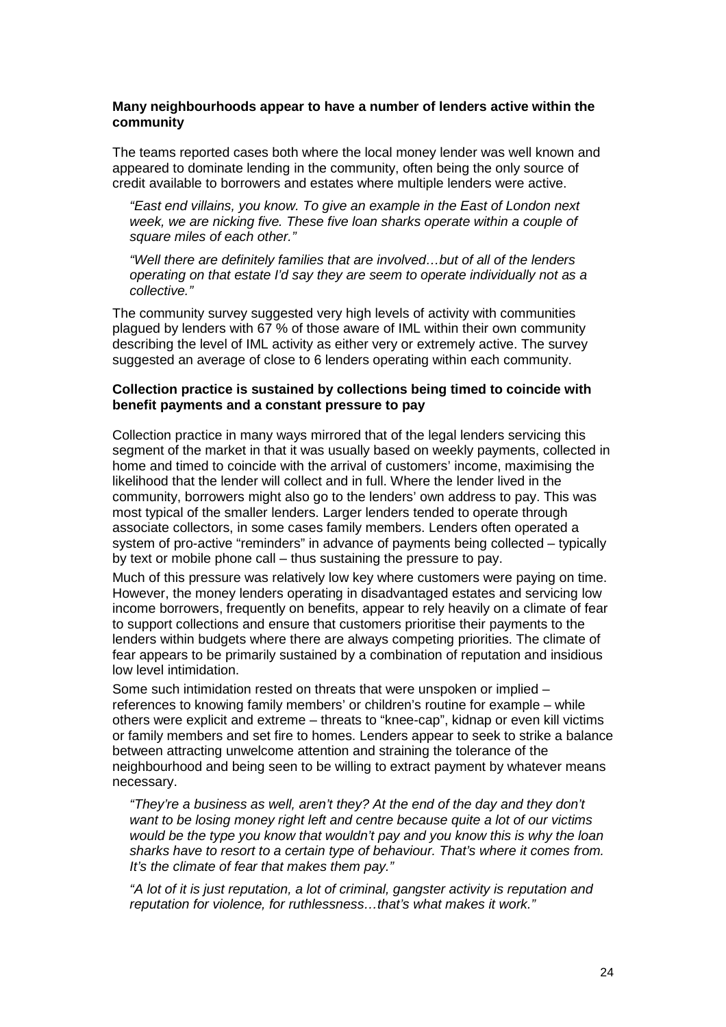#### **Many neighbourhoods appear to have a number of lenders active within the community**

The teams reported cases both where the local money lender was well known and appeared to dominate lending in the community, often being the only source of credit available to borrowers and estates where multiple lenders were active.

"East end villains, you know. To give an example in the East of London next week, we are nicking five. These five loan sharks operate within a couple of square miles of each other."

"Well there are definitely families that are involved…but of all of the lenders operating on that estate I'd say they are seem to operate individually not as a collective."

The community survey suggested very high levels of activity with communities plagued by lenders with 67 % of those aware of IML within their own community describing the level of IML activity as either very or extremely active. The survey suggested an average of close to 6 lenders operating within each community.

#### **Collection practice is sustained by collections being timed to coincide with benefit payments and a constant pressure to pay**

Collection practice in many ways mirrored that of the legal lenders servicing this segment of the market in that it was usually based on weekly payments, collected in home and timed to coincide with the arrival of customers' income, maximising the likelihood that the lender will collect and in full. Where the lender lived in the community, borrowers might also go to the lenders' own address to pay. This was most typical of the smaller lenders. Larger lenders tended to operate through associate collectors, in some cases family members. Lenders often operated a system of pro-active "reminders" in advance of payments being collected – typically by text or mobile phone call – thus sustaining the pressure to pay.

Much of this pressure was relatively low key where customers were paying on time. However, the money lenders operating in disadvantaged estates and servicing low income borrowers, frequently on benefits, appear to rely heavily on a climate of fear to support collections and ensure that customers prioritise their payments to the lenders within budgets where there are always competing priorities. The climate of fear appears to be primarily sustained by a combination of reputation and insidious low level intimidation.

Some such intimidation rested on threats that were unspoken or implied – references to knowing family members' or children's routine for example – while others were explicit and extreme – threats to "knee-cap", kidnap or even kill victims or family members and set fire to homes. Lenders appear to seek to strike a balance between attracting unwelcome attention and straining the tolerance of the neighbourhood and being seen to be willing to extract payment by whatever means necessary.

"They're a business as well, aren't they? At the end of the day and they don't want to be losing money right left and centre because quite a lot of our victims would be the type you know that wouldn't pay and you know this is why the loan sharks have to resort to a certain type of behaviour. That's where it comes from. It's the climate of fear that makes them pay."

"A lot of it is just reputation, a lot of criminal, gangster activity is reputation and reputation for violence, for ruthlessness…that's what makes it work."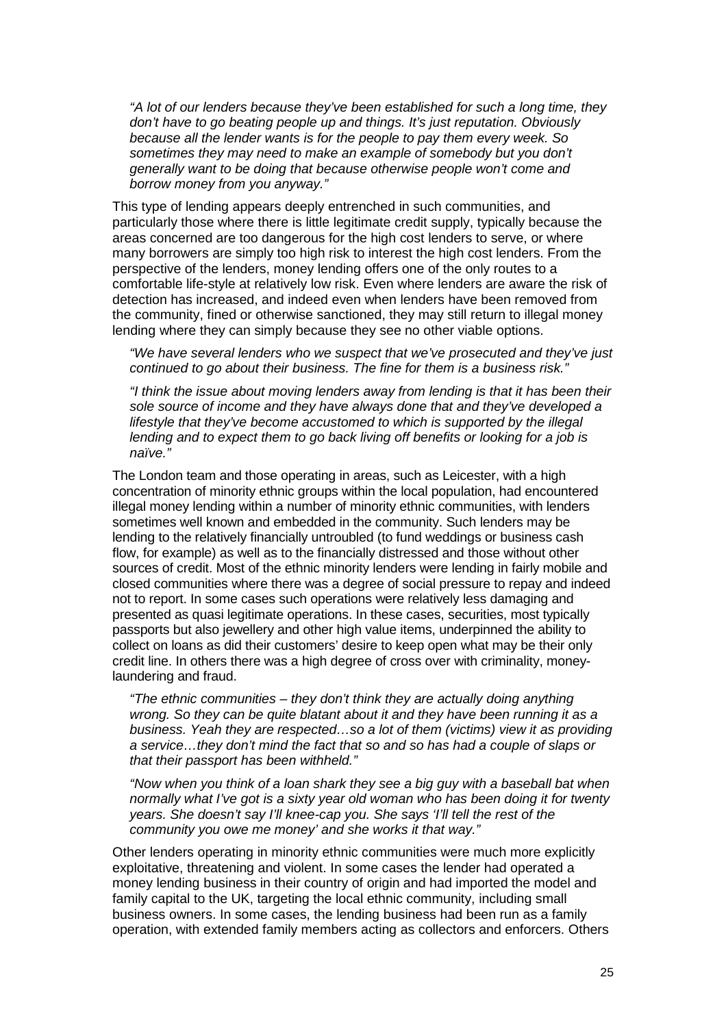"A lot of our lenders because they've been established for such a long time, they don't have to go beating people up and things. It's just reputation. Obviously because all the lender wants is for the people to pay them every week. So sometimes they may need to make an example of somebody but you don't generally want to be doing that because otherwise people won't come and borrow money from you anyway."

This type of lending appears deeply entrenched in such communities, and particularly those where there is little legitimate credit supply, typically because the areas concerned are too dangerous for the high cost lenders to serve, or where many borrowers are simply too high risk to interest the high cost lenders. From the perspective of the lenders, money lending offers one of the only routes to a comfortable life-style at relatively low risk. Even where lenders are aware the risk of detection has increased, and indeed even when lenders have been removed from the community, fined or otherwise sanctioned, they may still return to illegal money lending where they can simply because they see no other viable options.

"We have several lenders who we suspect that we've prosecuted and they've just continued to go about their business. The fine for them is a business risk."

"I think the issue about moving lenders away from lending is that it has been their sole source of income and they have always done that and they've developed a lifestyle that they've become accustomed to which is supported by the illegal lending and to expect them to go back living off benefits or looking for a job is naïve."

The London team and those operating in areas, such as Leicester, with a high concentration of minority ethnic groups within the local population, had encountered illegal money lending within a number of minority ethnic communities, with lenders sometimes well known and embedded in the community. Such lenders may be lending to the relatively financially untroubled (to fund weddings or business cash flow, for example) as well as to the financially distressed and those without other sources of credit. Most of the ethnic minority lenders were lending in fairly mobile and closed communities where there was a degree of social pressure to repay and indeed not to report. In some cases such operations were relatively less damaging and presented as quasi legitimate operations. In these cases, securities, most typically passports but also jewellery and other high value items, underpinned the ability to collect on loans as did their customers' desire to keep open what may be their only credit line. In others there was a high degree of cross over with criminality, moneylaundering and fraud.

"The ethnic communities – they don't think they are actually doing anything wrong. So they can be quite blatant about it and they have been running it as a business. Yeah they are respected…so a lot of them (victims) view it as providing a service…they don't mind the fact that so and so has had a couple of slaps or that their passport has been withheld."

"Now when you think of a loan shark they see a big guy with a baseball bat when normally what I've got is a sixty year old woman who has been doing it for twenty years. She doesn't say I'll knee-cap you. She says 'I'll tell the rest of the community you owe me money' and she works it that way."

Other lenders operating in minority ethnic communities were much more explicitly exploitative, threatening and violent. In some cases the lender had operated a money lending business in their country of origin and had imported the model and family capital to the UK, targeting the local ethnic community, including small business owners. In some cases, the lending business had been run as a family operation, with extended family members acting as collectors and enforcers. Others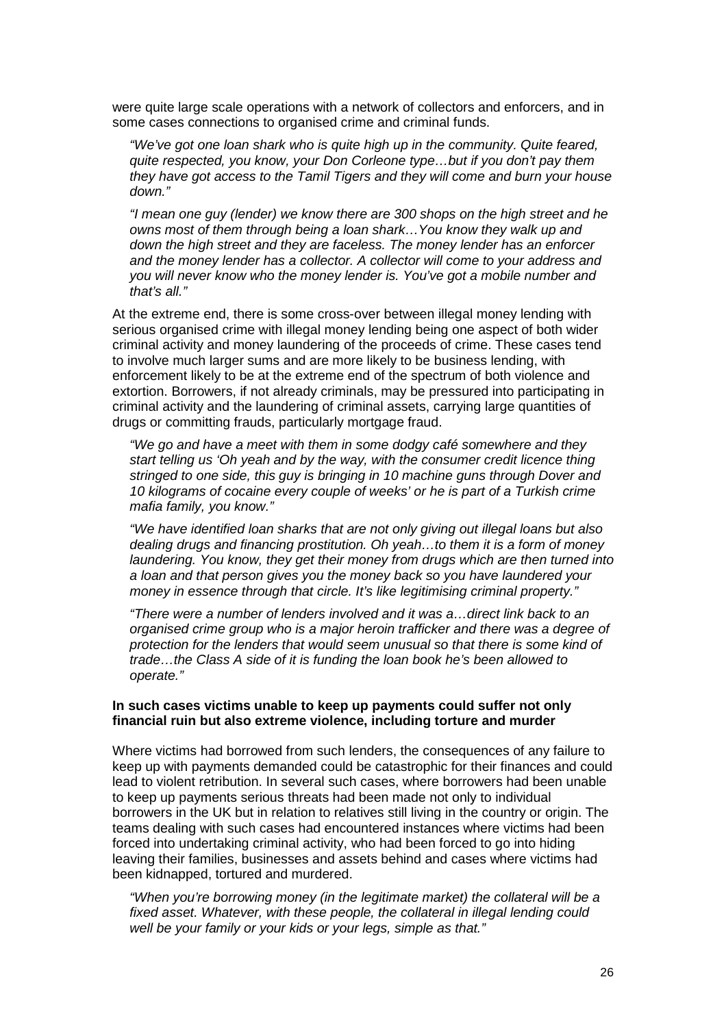were quite large scale operations with a network of collectors and enforcers, and in some cases connections to organised crime and criminal funds.

"We've got one loan shark who is quite high up in the community. Quite feared, quite respected, you know, your Don Corleone type…but if you don't pay them they have got access to the Tamil Tigers and they will come and burn your house down."

"I mean one guy (lender) we know there are 300 shops on the high street and he owns most of them through being a loan shark…You know they walk up and down the high street and they are faceless. The money lender has an enforcer and the money lender has a collector. A collector will come to your address and you will never know who the money lender is. You've got a mobile number and that's all."

At the extreme end, there is some cross-over between illegal money lending with serious organised crime with illegal money lending being one aspect of both wider criminal activity and money laundering of the proceeds of crime. These cases tend to involve much larger sums and are more likely to be business lending, with enforcement likely to be at the extreme end of the spectrum of both violence and extortion. Borrowers, if not already criminals, may be pressured into participating in criminal activity and the laundering of criminal assets, carrying large quantities of drugs or committing frauds, particularly mortgage fraud.

"We go and have a meet with them in some dodgy café somewhere and they start telling us 'Oh yeah and by the way, with the consumer credit licence thing stringed to one side, this guy is bringing in 10 machine guns through Dover and 10 kilograms of cocaine every couple of weeks' or he is part of a Turkish crime mafia family, you know."

"We have identified loan sharks that are not only giving out illegal loans but also dealing drugs and financing prostitution. Oh yeah…to them it is a form of money laundering. You know, they get their money from drugs which are then turned into a loan and that person gives you the money back so you have laundered your money in essence through that circle. It's like legitimising criminal property."

"There were a number of lenders involved and it was a…direct link back to an organised crime group who is a major heroin trafficker and there was a degree of protection for the lenders that would seem unusual so that there is some kind of trade…the Class A side of it is funding the loan book he's been allowed to operate."

#### **In such cases victims unable to keep up payments could suffer not only financial ruin but also extreme violence, including torture and murder**

Where victims had borrowed from such lenders, the consequences of any failure to keep up with payments demanded could be catastrophic for their finances and could lead to violent retribution. In several such cases, where borrowers had been unable to keep up payments serious threats had been made not only to individual borrowers in the UK but in relation to relatives still living in the country or origin. The teams dealing with such cases had encountered instances where victims had been forced into undertaking criminal activity, who had been forced to go into hiding leaving their families, businesses and assets behind and cases where victims had been kidnapped, tortured and murdered.

"When you're borrowing money (in the legitimate market) the collateral will be a fixed asset. Whatever, with these people, the collateral in illegal lending could well be your family or your kids or your legs, simple as that."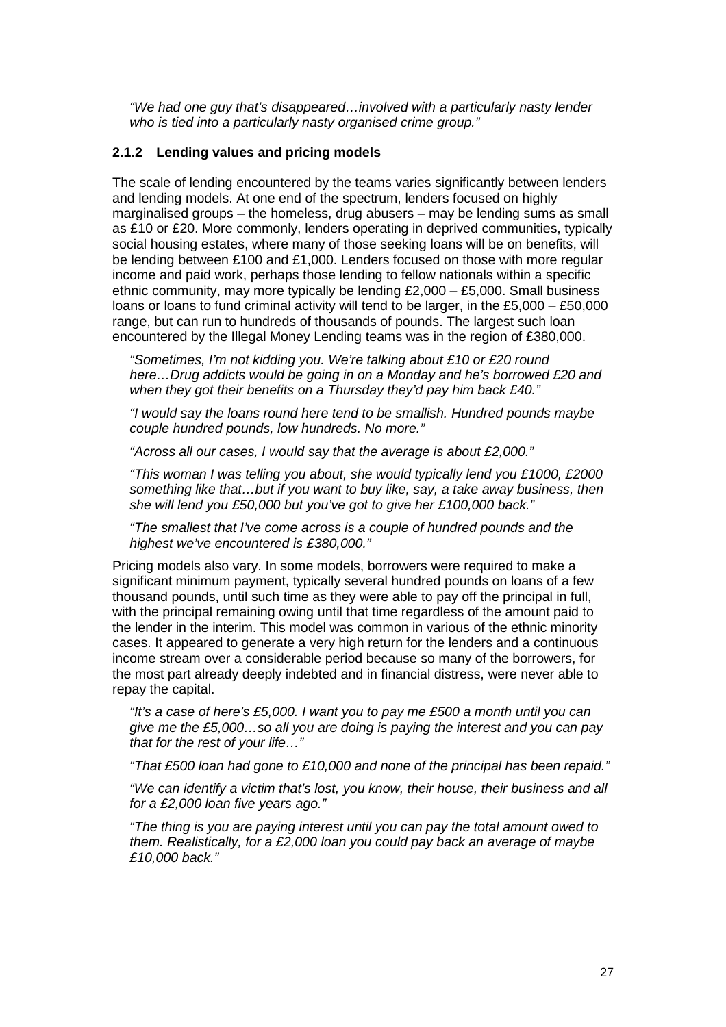"We had one guy that's disappeared…involved with a particularly nasty lender who is tied into a particularly nasty organised crime group."

#### **2.1.2 Lending values and pricing models**

The scale of lending encountered by the teams varies significantly between lenders and lending models. At one end of the spectrum, lenders focused on highly marginalised groups – the homeless, drug abusers – may be lending sums as small as £10 or £20. More commonly, lenders operating in deprived communities, typically social housing estates, where many of those seeking loans will be on benefits, will be lending between £100 and £1,000. Lenders focused on those with more regular income and paid work, perhaps those lending to fellow nationals within a specific ethnic community, may more typically be lending  $£2,000 - £5,000$ . Small business loans or loans to fund criminal activity will tend to be larger, in the £5,000 – £50,000 range, but can run to hundreds of thousands of pounds. The largest such loan encountered by the Illegal Money Lending teams was in the region of £380,000.

"Sometimes, I'm not kidding you. We're talking about £10 or £20 round here…Drug addicts would be going in on a Monday and he's borrowed £20 and when they got their benefits on a Thursday they'd pay him back £40."

"I would say the loans round here tend to be smallish. Hundred pounds maybe couple hundred pounds, low hundreds. No more."

"Across all our cases, I would say that the average is about £2,000."

"This woman I was telling you about, she would typically lend you £1000, £2000 something like that…but if you want to buy like, say, a take away business, then she will lend you £50,000 but you've got to give her £100,000 back."

"The smallest that I've come across is a couple of hundred pounds and the highest we've encountered is £380,000."

Pricing models also vary. In some models, borrowers were required to make a significant minimum payment, typically several hundred pounds on loans of a few thousand pounds, until such time as they were able to pay off the principal in full, with the principal remaining owing until that time regardless of the amount paid to the lender in the interim. This model was common in various of the ethnic minority cases. It appeared to generate a very high return for the lenders and a continuous income stream over a considerable period because so many of the borrowers, for the most part already deeply indebted and in financial distress, were never able to repay the capital.

"It's a case of here's £5,000. I want you to pay me £500 a month until you can give me the £5,000…so all you are doing is paying the interest and you can pay that for the rest of your life…"

"That £500 loan had gone to £10,000 and none of the principal has been repaid."

"We can identify a victim that's lost, you know, their house, their business and all for a £2,000 loan five years ago."

"The thing is you are paying interest until you can pay the total amount owed to them. Realistically, for a £2,000 loan you could pay back an average of maybe £10,000 back."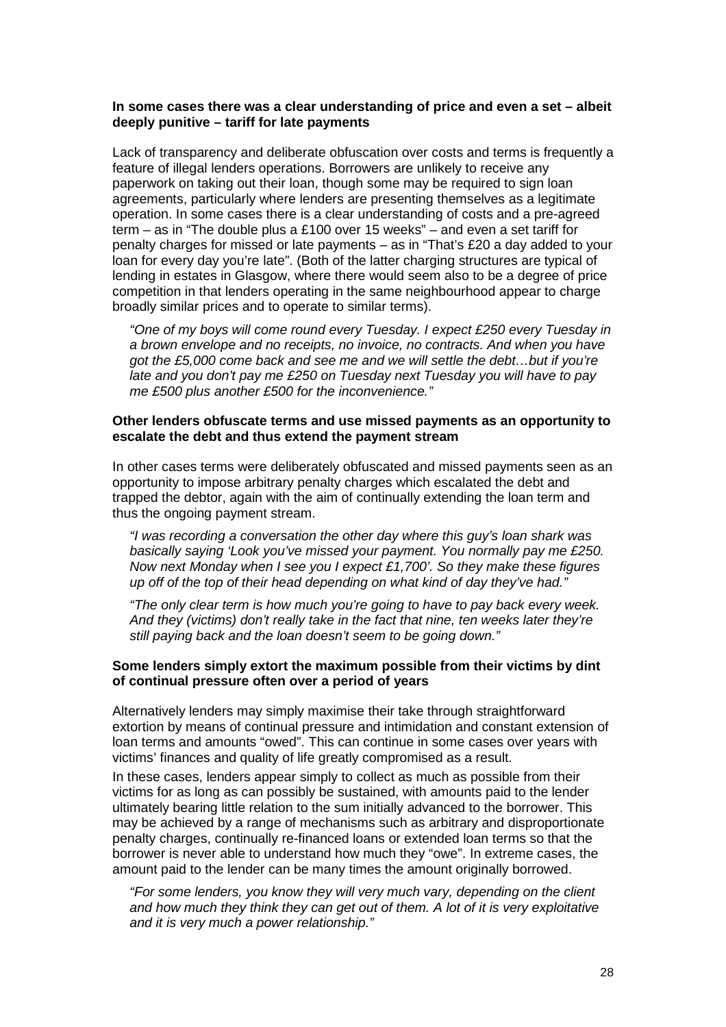#### **In some cases there was a clear understanding of price and even a set – albeit deeply punitive – tariff for late payments**

Lack of transparency and deliberate obfuscation over costs and terms is frequently a feature of illegal lenders operations. Borrowers are unlikely to receive any paperwork on taking out their loan, though some may be required to sign loan agreements, particularly where lenders are presenting themselves as a legitimate operation. In some cases there is a clear understanding of costs and a pre-agreed term – as in "The double plus a £100 over 15 weeks" – and even a set tariff for penalty charges for missed or late payments – as in "That's £20 a day added to your loan for every day you're late". (Both of the latter charging structures are typical of lending in estates in Glasgow, where there would seem also to be a degree of price competition in that lenders operating in the same neighbourhood appear to charge broadly similar prices and to operate to similar terms).

"One of my boys will come round every Tuesday. I expect £250 every Tuesday in a brown envelope and no receipts, no invoice, no contracts. And when you have got the £5,000 come back and see me and we will settle the debt…but if you're late and you don't pay me £250 on Tuesday next Tuesday you will have to pay me £500 plus another £500 for the inconvenience."

#### **Other lenders obfuscate terms and use missed payments as an opportunity to escalate the debt and thus extend the payment stream**

In other cases terms were deliberately obfuscated and missed payments seen as an opportunity to impose arbitrary penalty charges which escalated the debt and trapped the debtor, again with the aim of continually extending the loan term and thus the ongoing payment stream.

"I was recording a conversation the other day where this guy's loan shark was basically saying 'Look you've missed your payment. You normally pay me £250. Now next Monday when I see you I expect £1,700'. So they make these figures up off of the top of their head depending on what kind of day they've had."

"The only clear term is how much you're going to have to pay back every week. And they (victims) don't really take in the fact that nine, ten weeks later they're still paying back and the loan doesn't seem to be going down."

### **Some lenders simply extort the maximum possible from their victims by dint of continual pressure often over a period of years**

Alternatively lenders may simply maximise their take through straightforward extortion by means of continual pressure and intimidation and constant extension of loan terms and amounts "owed". This can continue in some cases over years with victims' finances and quality of life greatly compromised as a result.

In these cases, lenders appear simply to collect as much as possible from their victims for as long as can possibly be sustained, with amounts paid to the lender ultimately bearing little relation to the sum initially advanced to the borrower. This may be achieved by a range of mechanisms such as arbitrary and disproportionate penalty charges, continually re-financed loans or extended loan terms so that the borrower is never able to understand how much they "owe". In extreme cases, the amount paid to the lender can be many times the amount originally borrowed.

"For some lenders, you know they will very much vary, depending on the client and how much they think they can get out of them. A lot of it is very exploitative and it is very much a power relationship."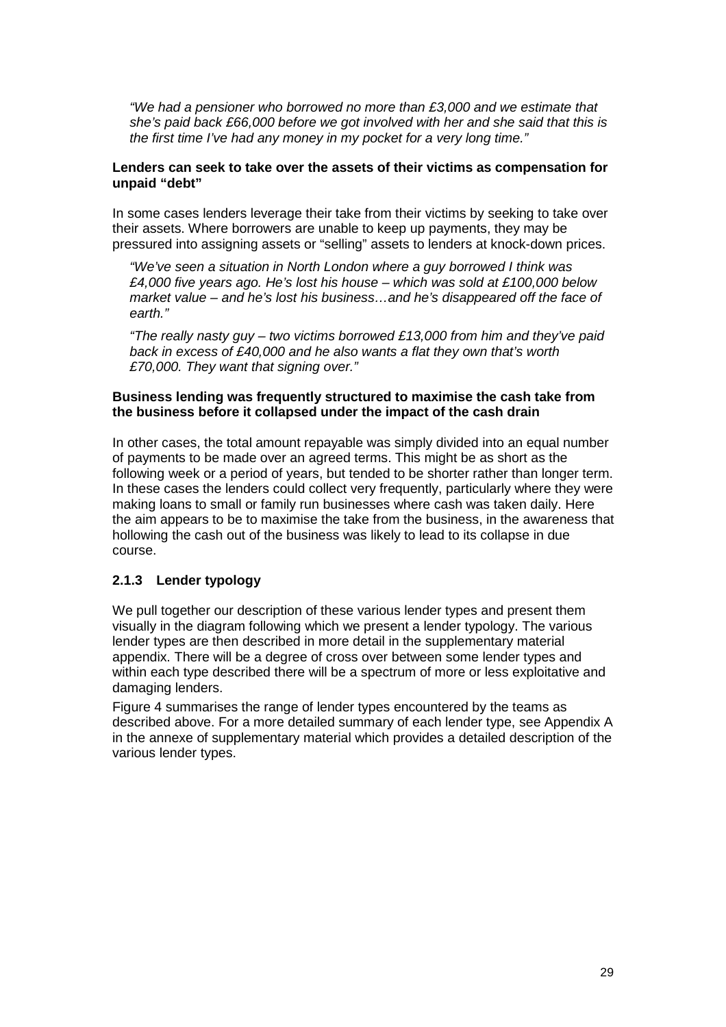"We had a pensioner who borrowed no more than £3,000 and we estimate that she's paid back £66,000 before we got involved with her and she said that this is the first time I've had any money in my pocket for a very long time."

### **Lenders can seek to take over the assets of their victims as compensation for unpaid "debt"**

In some cases lenders leverage their take from their victims by seeking to take over their assets. Where borrowers are unable to keep up payments, they may be pressured into assigning assets or "selling" assets to lenders at knock-down prices.

"We've seen a situation in North London where a guy borrowed I think was £4,000 five years ago. He's lost his house – which was sold at £100,000 below market value – and he's lost his business…and he's disappeared off the face of earth."

"The really nasty guy – two victims borrowed £13,000 from him and they've paid back in excess of £40,000 and he also wants a flat they own that's worth £70,000. They want that signing over."

### **Business lending was frequently structured to maximise the cash take from the business before it collapsed under the impact of the cash drain**

In other cases, the total amount repayable was simply divided into an equal number of payments to be made over an agreed terms. This might be as short as the following week or a period of years, but tended to be shorter rather than longer term. In these cases the lenders could collect very frequently, particularly where they were making loans to small or family run businesses where cash was taken daily. Here the aim appears to be to maximise the take from the business, in the awareness that hollowing the cash out of the business was likely to lead to its collapse in due course.

## **2.1.3 Lender typology**

We pull together our description of these various lender types and present them visually in the diagram following which we present a lender typology. The various lender types are then described in more detail in the supplementary material appendix. There will be a degree of cross over between some lender types and within each type described there will be a spectrum of more or less exploitative and damaging lenders.

Figure 4 summarises the range of lender types encountered by the teams as described above. For a more detailed summary of each lender type, see Appendix A in the annexe of supplementary material which provides a detailed description of the various lender types.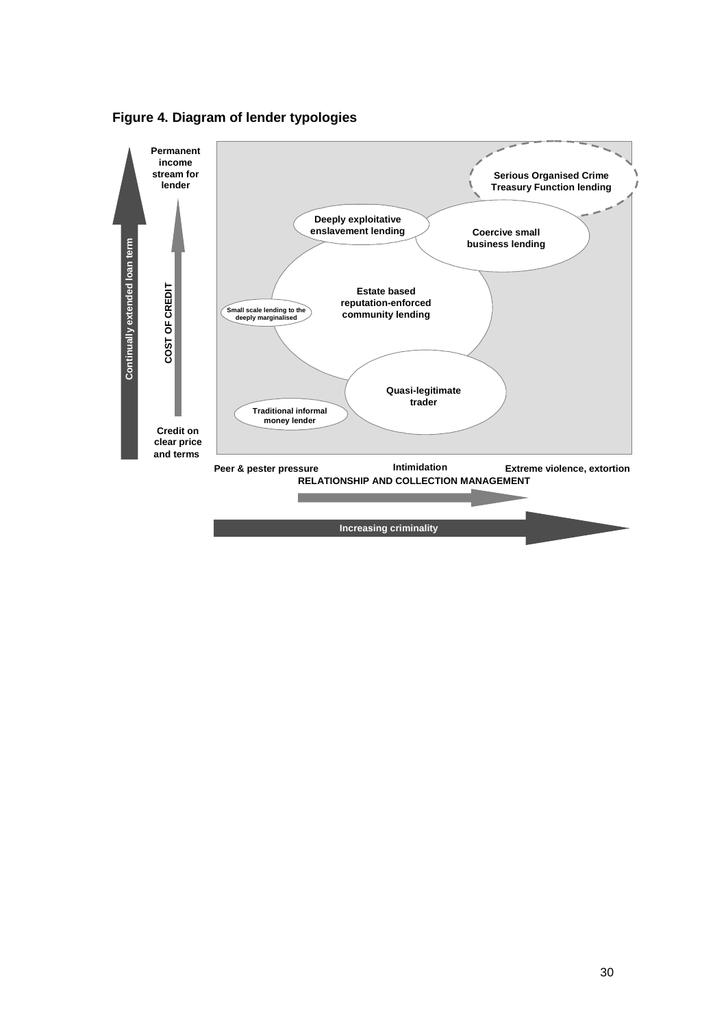

**Figure 4. Diagram of lender typologies** 

**Increasing criminality -**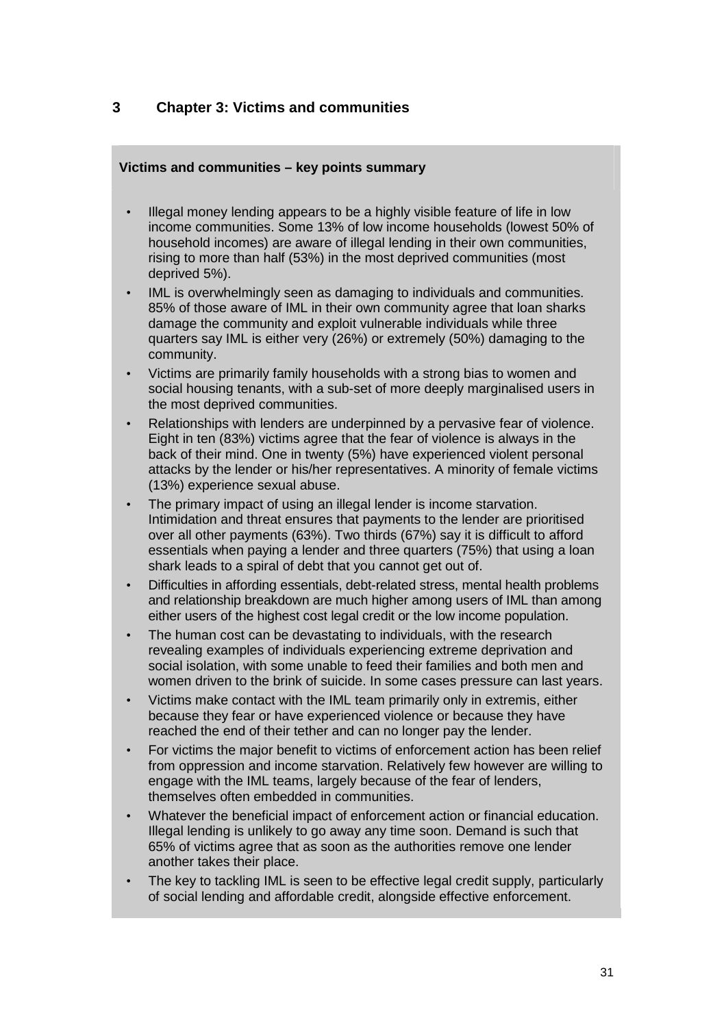# **3 Chapter 3: Victims and communities**

## **Victims and communities – key points summary**

- Illegal money lending appears to be a highly visible feature of life in low income communities. Some 13% of low income households (lowest 50% of household incomes) are aware of illegal lending in their own communities, rising to more than half (53%) in the most deprived communities (most deprived 5%).
- IML is overwhelmingly seen as damaging to individuals and communities. 85% of those aware of IML in their own community agree that loan sharks damage the community and exploit vulnerable individuals while three quarters say IML is either very (26%) or extremely (50%) damaging to the community.
- Victims are primarily family households with a strong bias to women and social housing tenants, with a sub-set of more deeply marginalised users in the most deprived communities.
- Relationships with lenders are underpinned by a pervasive fear of violence. Eight in ten (83%) victims agree that the fear of violence is always in the back of their mind. One in twenty (5%) have experienced violent personal attacks by the lender or his/her representatives. A minority of female victims (13%) experience sexual abuse.
- The primary impact of using an illegal lender is income starvation. Intimidation and threat ensures that payments to the lender are prioritised over all other payments (63%). Two thirds (67%) say it is difficult to afford essentials when paying a lender and three quarters (75%) that using a loan shark leads to a spiral of debt that you cannot get out of.
- Difficulties in affording essentials, debt-related stress, mental health problems and relationship breakdown are much higher among users of IML than among either users of the highest cost legal credit or the low income population.
- The human cost can be devastating to individuals, with the research revealing examples of individuals experiencing extreme deprivation and social isolation, with some unable to feed their families and both men and women driven to the brink of suicide. In some cases pressure can last years.
- Victims make contact with the IML team primarily only in extremis, either because they fear or have experienced violence or because they have reached the end of their tether and can no longer pay the lender.
- For victims the major benefit to victims of enforcement action has been relief from oppression and income starvation. Relatively few however are willing to engage with the IML teams, largely because of the fear of lenders, themselves often embedded in communities.
- Whatever the beneficial impact of enforcement action or financial education. Illegal lending is unlikely to go away any time soon. Demand is such that 65% of victims agree that as soon as the authorities remove one lender another takes their place.
- The key to tackling IML is seen to be effective legal credit supply, particularly of social lending and affordable credit, alongside effective enforcement.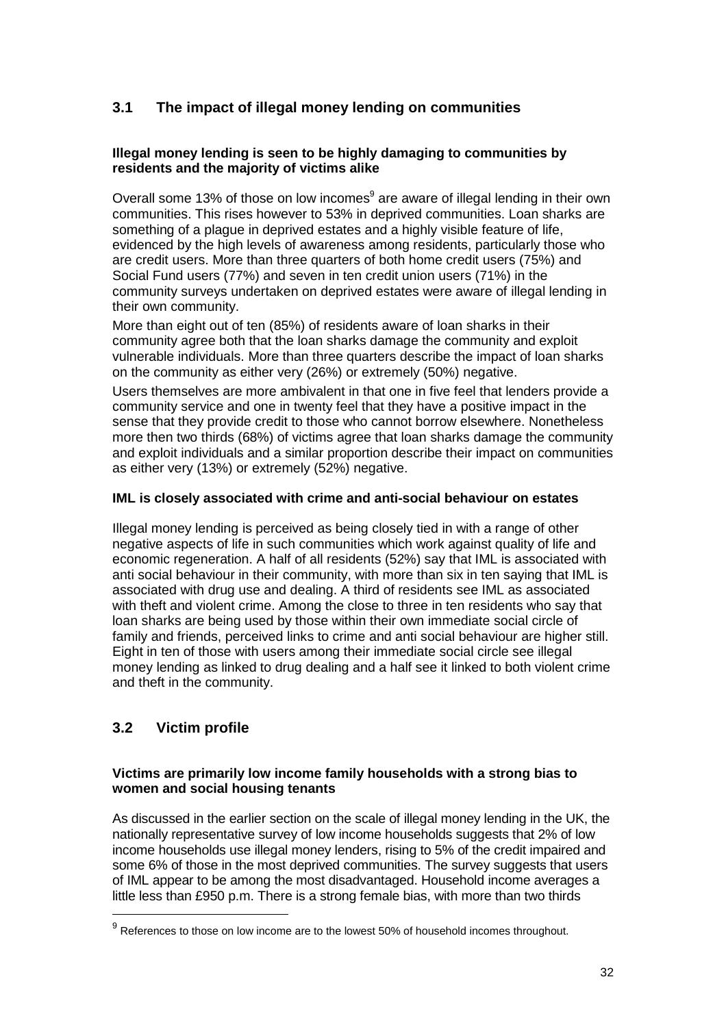# **3.1 The impact of illegal money lending on communities**

## **Illegal money lending is seen to be highly damaging to communities by residents and the majority of victims alike**

Overall some 13% of those on low incomes<sup>9</sup> are aware of illegal lending in their own communities. This rises however to 53% in deprived communities. Loan sharks are something of a plague in deprived estates and a highly visible feature of life, evidenced by the high levels of awareness among residents, particularly those who are credit users. More than three quarters of both home credit users (75%) and Social Fund users (77%) and seven in ten credit union users (71%) in the community surveys undertaken on deprived estates were aware of illegal lending in their own community.

More than eight out of ten (85%) of residents aware of loan sharks in their community agree both that the loan sharks damage the community and exploit vulnerable individuals. More than three quarters describe the impact of loan sharks on the community as either very (26%) or extremely (50%) negative.

Users themselves are more ambivalent in that one in five feel that lenders provide a community service and one in twenty feel that they have a positive impact in the sense that they provide credit to those who cannot borrow elsewhere. Nonetheless more then two thirds (68%) of victims agree that loan sharks damage the community and exploit individuals and a similar proportion describe their impact on communities as either very (13%) or extremely (52%) negative.

## **IML is closely associated with crime and anti-social behaviour on estates**

Illegal money lending is perceived as being closely tied in with a range of other negative aspects of life in such communities which work against quality of life and economic regeneration. A half of all residents (52%) say that IML is associated with anti social behaviour in their community, with more than six in ten saying that IML is associated with drug use and dealing. A third of residents see IML as associated with theft and violent crime. Among the close to three in ten residents who say that loan sharks are being used by those within their own immediate social circle of family and friends, perceived links to crime and anti social behaviour are higher still. Eight in ten of those with users among their immediate social circle see illegal money lending as linked to drug dealing and a half see it linked to both violent crime and theft in the community.

# **3.2 Victim profile**

 $\overline{a}$ 

## **Victims are primarily low income family households with a strong bias to women and social housing tenants**

As discussed in the earlier section on the scale of illegal money lending in the UK, the nationally representative survey of low income households suggests that 2% of low income households use illegal money lenders, rising to 5% of the credit impaired and some 6% of those in the most deprived communities. The survey suggests that users of IML appear to be among the most disadvantaged. Household income averages a little less than £950 p.m. There is a strong female bias, with more than two thirds

 $9$  References to those on low income are to the lowest 50% of household incomes throughout.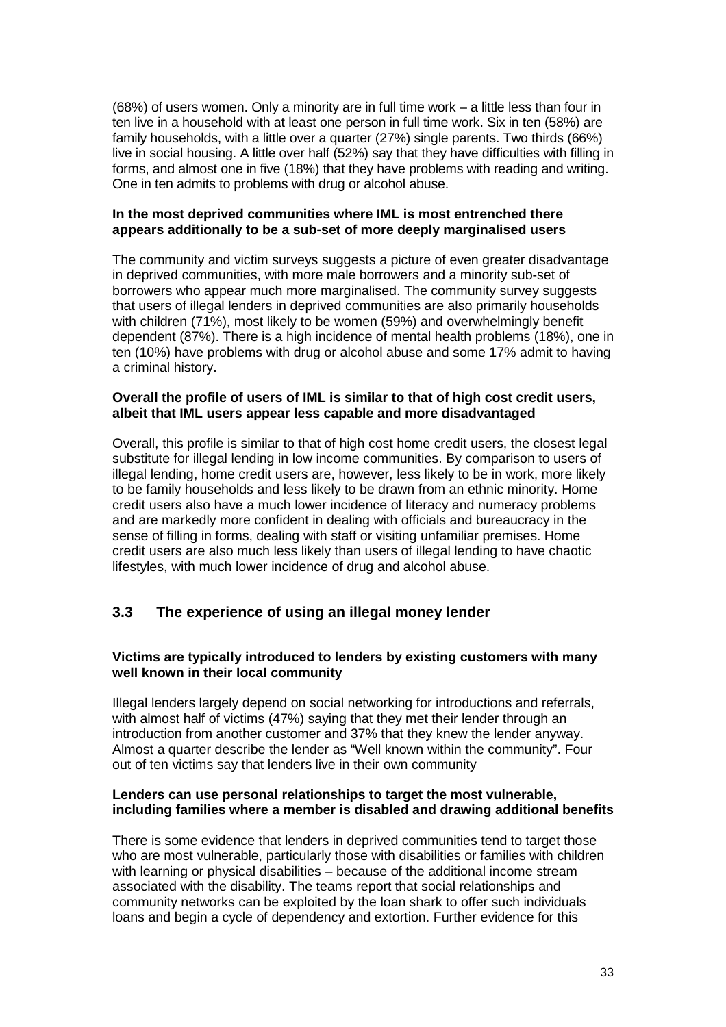(68%) of users women. Only a minority are in full time work – a little less than four in ten live in a household with at least one person in full time work. Six in ten (58%) are family households, with a little over a quarter (27%) single parents. Two thirds (66%) live in social housing. A little over half (52%) say that they have difficulties with filling in forms, and almost one in five (18%) that they have problems with reading and writing. One in ten admits to problems with drug or alcohol abuse.

### **In the most deprived communities where IML is most entrenched there appears additionally to be a sub-set of more deeply marginalised users**

The community and victim surveys suggests a picture of even greater disadvantage in deprived communities, with more male borrowers and a minority sub-set of borrowers who appear much more marginalised. The community survey suggests that users of illegal lenders in deprived communities are also primarily households with children (71%), most likely to be women (59%) and overwhelmingly benefit dependent (87%). There is a high incidence of mental health problems (18%), one in ten (10%) have problems with drug or alcohol abuse and some 17% admit to having a criminal history.

### **Overall the profile of users of IML is similar to that of high cost credit users, albeit that IML users appear less capable and more disadvantaged**

Overall, this profile is similar to that of high cost home credit users, the closest legal substitute for illegal lending in low income communities. By comparison to users of illegal lending, home credit users are, however, less likely to be in work, more likely to be family households and less likely to be drawn from an ethnic minority. Home credit users also have a much lower incidence of literacy and numeracy problems and are markedly more confident in dealing with officials and bureaucracy in the sense of filling in forms, dealing with staff or visiting unfamiliar premises. Home credit users are also much less likely than users of illegal lending to have chaotic lifestyles, with much lower incidence of drug and alcohol abuse.

# **3.3 The experience of using an illegal money lender**

## **Victims are typically introduced to lenders by existing customers with many well known in their local community**

Illegal lenders largely depend on social networking for introductions and referrals, with almost half of victims (47%) saying that they met their lender through an introduction from another customer and 37% that they knew the lender anyway. Almost a quarter describe the lender as "Well known within the community". Four out of ten victims say that lenders live in their own community

### **Lenders can use personal relationships to target the most vulnerable, including families where a member is disabled and drawing additional benefits**

There is some evidence that lenders in deprived communities tend to target those who are most vulnerable, particularly those with disabilities or families with children with learning or physical disabilities – because of the additional income stream associated with the disability. The teams report that social relationships and community networks can be exploited by the loan shark to offer such individuals loans and begin a cycle of dependency and extortion. Further evidence for this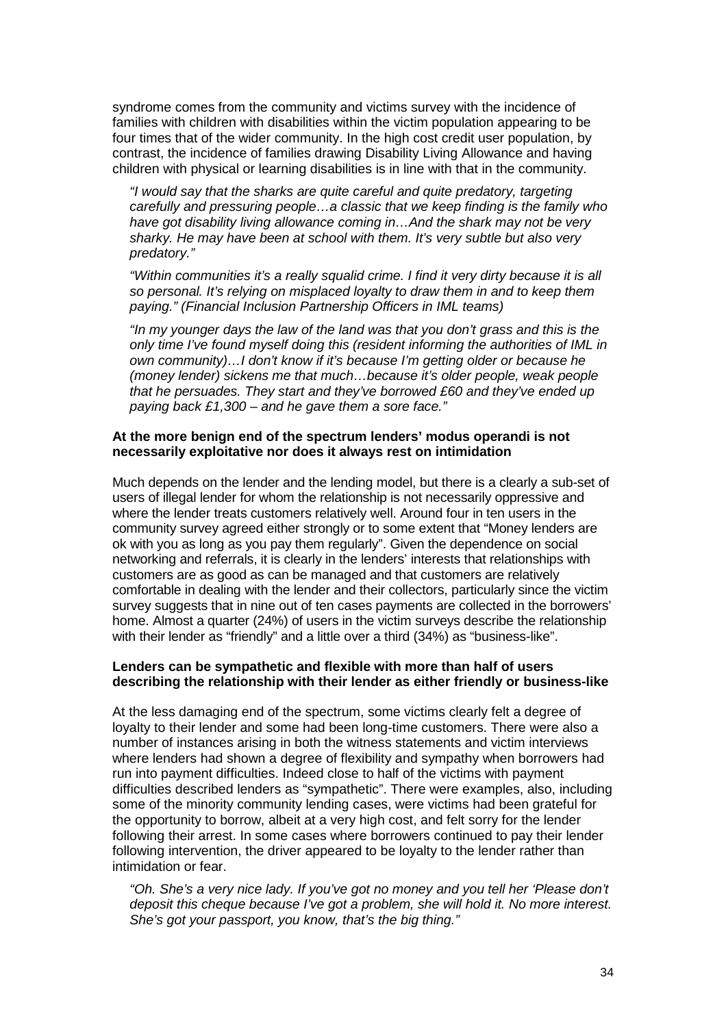syndrome comes from the community and victims survey with the incidence of families with children with disabilities within the victim population appearing to be four times that of the wider community. In the high cost credit user population, by contrast, the incidence of families drawing Disability Living Allowance and having children with physical or learning disabilities is in line with that in the community.

"I would say that the sharks are quite careful and quite predatory, targeting carefully and pressuring people…a classic that we keep finding is the family who have got disability living allowance coming in…And the shark may not be very sharky. He may have been at school with them. It's very subtle but also very predatory."

"Within communities it's a really squalid crime. I find it very dirty because it is all so personal. It's relying on misplaced loyalty to draw them in and to keep them paying." (Financial Inclusion Partnership Officers in IML teams)

"In my younger days the law of the land was that you don't grass and this is the only time I've found myself doing this (resident informing the authorities of IML in own community)…I don't know if it's because I'm getting older or because he (money lender) sickens me that much…because it's older people, weak people that he persuades. They start and they've borrowed £60 and they've ended up paying back  $£1,300 -$  and he gave them a sore face."

#### **At the more benign end of the spectrum lenders' modus operandi is not necessarily exploitative nor does it always rest on intimidation**

Much depends on the lender and the lending model, but there is a clearly a sub-set of users of illegal lender for whom the relationship is not necessarily oppressive and where the lender treats customers relatively well. Around four in ten users in the community survey agreed either strongly or to some extent that "Money lenders are ok with you as long as you pay them regularly". Given the dependence on social networking and referrals, it is clearly in the lenders' interests that relationships with customers are as good as can be managed and that customers are relatively comfortable in dealing with the lender and their collectors, particularly since the victim survey suggests that in nine out of ten cases payments are collected in the borrowers' home. Almost a quarter (24%) of users in the victim surveys describe the relationship with their lender as "friendly" and a little over a third (34%) as "business-like".

### **Lenders can be sympathetic and flexible with more than half of users describing the relationship with their lender as either friendly or business-like**

At the less damaging end of the spectrum, some victims clearly felt a degree of loyalty to their lender and some had been long-time customers. There were also a number of instances arising in both the witness statements and victim interviews where lenders had shown a degree of flexibility and sympathy when borrowers had run into payment difficulties. Indeed close to half of the victims with payment difficulties described lenders as "sympathetic". There were examples, also, including some of the minority community lending cases, were victims had been grateful for the opportunity to borrow, albeit at a very high cost, and felt sorry for the lender following their arrest. In some cases where borrowers continued to pay their lender following intervention, the driver appeared to be loyalty to the lender rather than intimidation or fear.

"Oh. She's a very nice lady. If you've got no money and you tell her 'Please don't deposit this cheque because I've got a problem, she will hold it. No more interest. She's got your passport, you know, that's the big thing."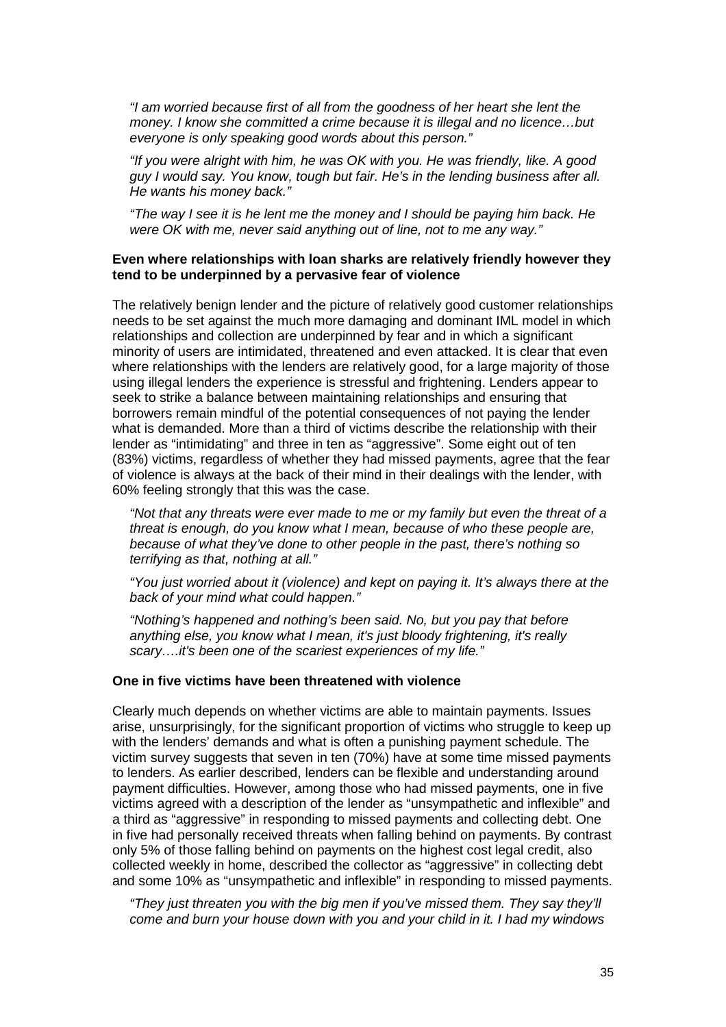"I am worried because first of all from the goodness of her heart she lent the money. I know she committed a crime because it is illegal and no licence…but everyone is only speaking good words about this person."

"If you were alright with him, he was OK with you. He was friendly, like. A good guy I would say. You know, tough but fair. He's in the lending business after all. He wants his money back."

"The way I see it is he lent me the money and I should be paying him back. He were OK with me, never said anything out of line, not to me any way."

#### **Even where relationships with loan sharks are relatively friendly however they tend to be underpinned by a pervasive fear of violence**

The relatively benign lender and the picture of relatively good customer relationships needs to be set against the much more damaging and dominant IML model in which relationships and collection are underpinned by fear and in which a significant minority of users are intimidated, threatened and even attacked. It is clear that even where relationships with the lenders are relatively good, for a large majority of those using illegal lenders the experience is stressful and frightening. Lenders appear to seek to strike a balance between maintaining relationships and ensuring that borrowers remain mindful of the potential consequences of not paying the lender what is demanded. More than a third of victims describe the relationship with their lender as "intimidating" and three in ten as "aggressive". Some eight out of ten (83%) victims, regardless of whether they had missed payments, agree that the fear of violence is always at the back of their mind in their dealings with the lender, with 60% feeling strongly that this was the case.

"Not that any threats were ever made to me or my family but even the threat of a threat is enough, do you know what I mean, because of who these people are, because of what they've done to other people in the past, there's nothing so terrifying as that, nothing at all."

"You just worried about it (violence) and kept on paying it. It's always there at the back of your mind what could happen."

"Nothing's happened and nothing's been said. No, but you pay that before anything else, you know what I mean, it's just bloody frightening, it's really scary....it's been one of the scariest experiences of my life."

#### **One in five victims have been threatened with violence**

Clearly much depends on whether victims are able to maintain payments. Issues arise, unsurprisingly, for the significant proportion of victims who struggle to keep up with the lenders' demands and what is often a punishing payment schedule. The victim survey suggests that seven in ten (70%) have at some time missed payments to lenders. As earlier described, lenders can be flexible and understanding around payment difficulties. However, among those who had missed payments, one in five victims agreed with a description of the lender as "unsympathetic and inflexible" and a third as "aggressive" in responding to missed payments and collecting debt. One in five had personally received threats when falling behind on payments. By contrast only 5% of those falling behind on payments on the highest cost legal credit, also collected weekly in home, described the collector as "aggressive" in collecting debt and some 10% as "unsympathetic and inflexible" in responding to missed payments.

"They just threaten you with the big men if you've missed them. They say they'll come and burn your house down with you and your child in it. I had my windows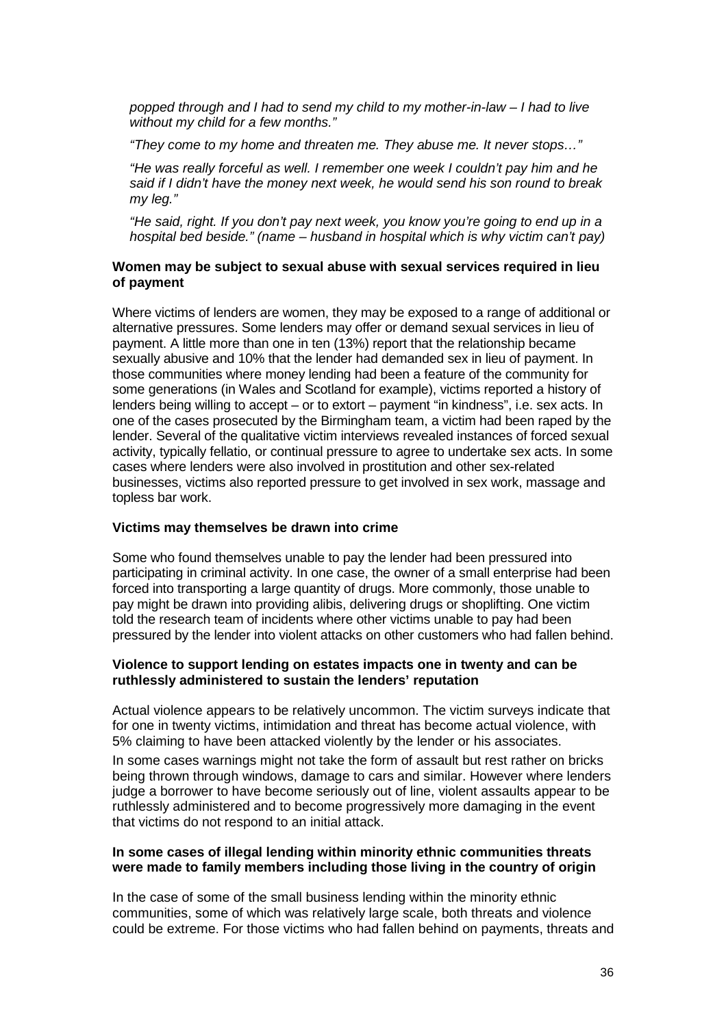popped through and I had to send my child to my mother-in-law – I had to live without my child for a few months."

"They come to my home and threaten me. They abuse me. It never stops…"

"He was really forceful as well. I remember one week I couldn't pay him and he said if I didn't have the money next week, he would send his son round to break my leg."

"He said, right. If you don't pay next week, you know you're going to end up in a hospital bed beside." (name – husband in hospital which is why victim can't pay)

#### **Women may be subject to sexual abuse with sexual services required in lieu of payment**

Where victims of lenders are women, they may be exposed to a range of additional or alternative pressures. Some lenders may offer or demand sexual services in lieu of payment. A little more than one in ten (13%) report that the relationship became sexually abusive and 10% that the lender had demanded sex in lieu of payment. In those communities where money lending had been a feature of the community for some generations (in Wales and Scotland for example), victims reported a history of lenders being willing to accept – or to extort – payment "in kindness", i.e. sex acts. In one of the cases prosecuted by the Birmingham team, a victim had been raped by the lender. Several of the qualitative victim interviews revealed instances of forced sexual activity, typically fellatio, or continual pressure to agree to undertake sex acts. In some cases where lenders were also involved in prostitution and other sex-related businesses, victims also reported pressure to get involved in sex work, massage and topless bar work.

#### **Victims may themselves be drawn into crime**

Some who found themselves unable to pay the lender had been pressured into participating in criminal activity. In one case, the owner of a small enterprise had been forced into transporting a large quantity of drugs. More commonly, those unable to pay might be drawn into providing alibis, delivering drugs or shoplifting. One victim told the research team of incidents where other victims unable to pay had been pressured by the lender into violent attacks on other customers who had fallen behind.

#### **Violence to support lending on estates impacts one in twenty and can be ruthlessly administered to sustain the lenders' reputation**

Actual violence appears to be relatively uncommon. The victim surveys indicate that for one in twenty victims, intimidation and threat has become actual violence, with 5% claiming to have been attacked violently by the lender or his associates.

In some cases warnings might not take the form of assault but rest rather on bricks being thrown through windows, damage to cars and similar. However where lenders judge a borrower to have become seriously out of line, violent assaults appear to be ruthlessly administered and to become progressively more damaging in the event that victims do not respond to an initial attack.

#### **In some cases of illegal lending within minority ethnic communities threats were made to family members including those living in the country of origin**

In the case of some of the small business lending within the minority ethnic communities, some of which was relatively large scale, both threats and violence could be extreme. For those victims who had fallen behind on payments, threats and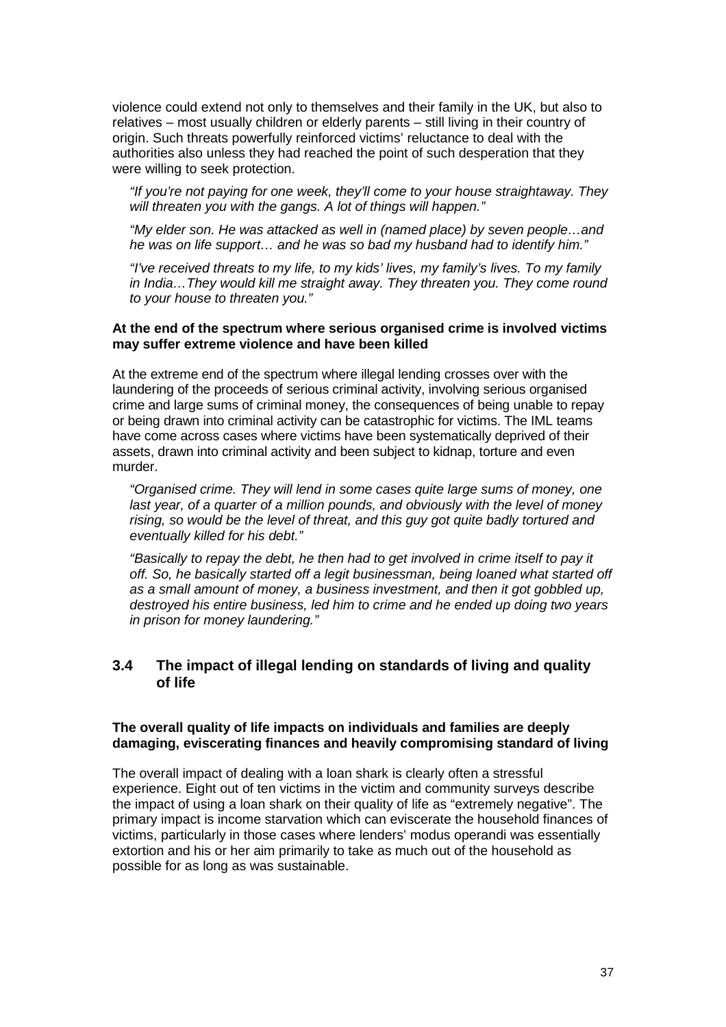violence could extend not only to themselves and their family in the UK, but also to relatives – most usually children or elderly parents – still living in their country of origin. Such threats powerfully reinforced victims' reluctance to deal with the authorities also unless they had reached the point of such desperation that they were willing to seek protection.

"If you're not paying for one week, they'll come to your house straightaway. They will threaten you with the gangs. A lot of things will happen."

"My elder son. He was attacked as well in (named place) by seven people…and he was on life support… and he was so bad my husband had to identify him."

"I've received threats to my life, to my kids' lives, my family's lives. To my family in India…They would kill me straight away. They threaten you. They come round to your house to threaten you."

### **At the end of the spectrum where serious organised crime is involved victims may suffer extreme violence and have been killed**

At the extreme end of the spectrum where illegal lending crosses over with the laundering of the proceeds of serious criminal activity, involving serious organised crime and large sums of criminal money, the consequences of being unable to repay or being drawn into criminal activity can be catastrophic for victims. The IML teams have come across cases where victims have been systematically deprived of their assets, drawn into criminal activity and been subject to kidnap, torture and even murder.

"Organised crime. They will lend in some cases quite large sums of money, one last year, of a quarter of a million pounds, and obviously with the level of money rising, so would be the level of threat, and this guy got quite badly tortured and eventually killed for his debt."

"Basically to repay the debt, he then had to get involved in crime itself to pay it off. So, he basically started off a legit businessman, being loaned what started off as a small amount of money, a business investment, and then it got gobbled up, destroyed his entire business, led him to crime and he ended up doing two years in prison for money laundering."

## **3.4 The impact of illegal lending on standards of living and quality of life**

### **The overall quality of life impacts on individuals and families are deeply damaging, eviscerating finances and heavily compromising standard of living**

The overall impact of dealing with a loan shark is clearly often a stressful experience. Eight out of ten victims in the victim and community surveys describe the impact of using a loan shark on their quality of life as "extremely negative". The primary impact is income starvation which can eviscerate the household finances of victims, particularly in those cases where lenders' modus operandi was essentially extortion and his or her aim primarily to take as much out of the household as possible for as long as was sustainable.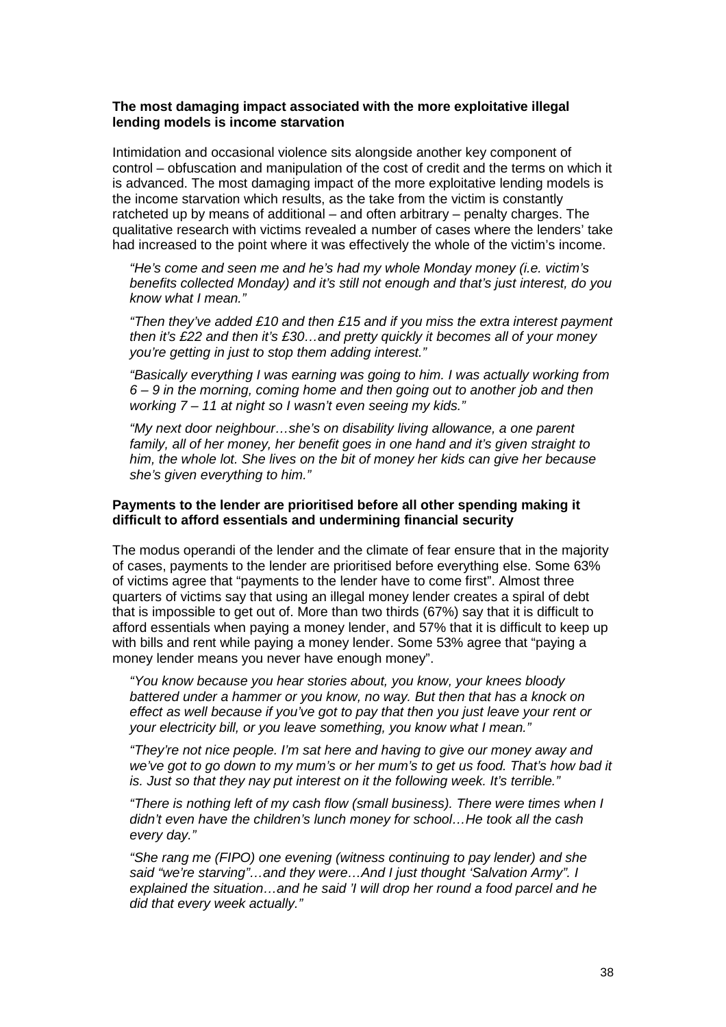### **The most damaging impact associated with the more exploitative illegal lending models is income starvation**

Intimidation and occasional violence sits alongside another key component of control – obfuscation and manipulation of the cost of credit and the terms on which it is advanced. The most damaging impact of the more exploitative lending models is the income starvation which results, as the take from the victim is constantly ratcheted up by means of additional – and often arbitrary – penalty charges. The qualitative research with victims revealed a number of cases where the lenders' take had increased to the point where it was effectively the whole of the victim's income.

"He's come and seen me and he's had my whole Monday money (i.e. victim's benefits collected Monday) and it's still not enough and that's just interest, do you know what I mean."

"Then they've added £10 and then £15 and if you miss the extra interest payment then it's £22 and then it's £30…and pretty quickly it becomes all of your money you're getting in just to stop them adding interest."

"Basically everything I was earning was going to him. I was actually working from 6 – 9 in the morning, coming home and then going out to another job and then working 7 – 11 at night so I wasn't even seeing my kids."

"My next door neighbour…she's on disability living allowance, a one parent family, all of her money, her benefit goes in one hand and it's given straight to him, the whole lot. She lives on the bit of money her kids can give her because she's given everything to him."

### **Payments to the lender are prioritised before all other spending making it difficult to afford essentials and undermining financial security**

The modus operandi of the lender and the climate of fear ensure that in the majority of cases, payments to the lender are prioritised before everything else. Some 63% of victims agree that "payments to the lender have to come first". Almost three quarters of victims say that using an illegal money lender creates a spiral of debt that is impossible to get out of. More than two thirds (67%) say that it is difficult to afford essentials when paying a money lender, and 57% that it is difficult to keep up with bills and rent while paying a money lender. Some 53% agree that "paying a money lender means you never have enough money".

"You know because you hear stories about, you know, your knees bloody battered under a hammer or you know, no way. But then that has a knock on effect as well because if you've got to pay that then you just leave your rent or your electricity bill, or you leave something, you know what I mean."

"They're not nice people. I'm sat here and having to give our money away and we've got to go down to my mum's or her mum's to get us food. That's how bad it is. Just so that they nay put interest on it the following week. It's terrible."

"There is nothing left of my cash flow (small business). There were times when I didn't even have the children's lunch money for school…He took all the cash every day."

"She rang me (FIPO) one evening (witness continuing to pay lender) and she said "we're starving"…and they were…And I just thought 'Salvation Army". I explained the situation…and he said 'I will drop her round a food parcel and he did that every week actually."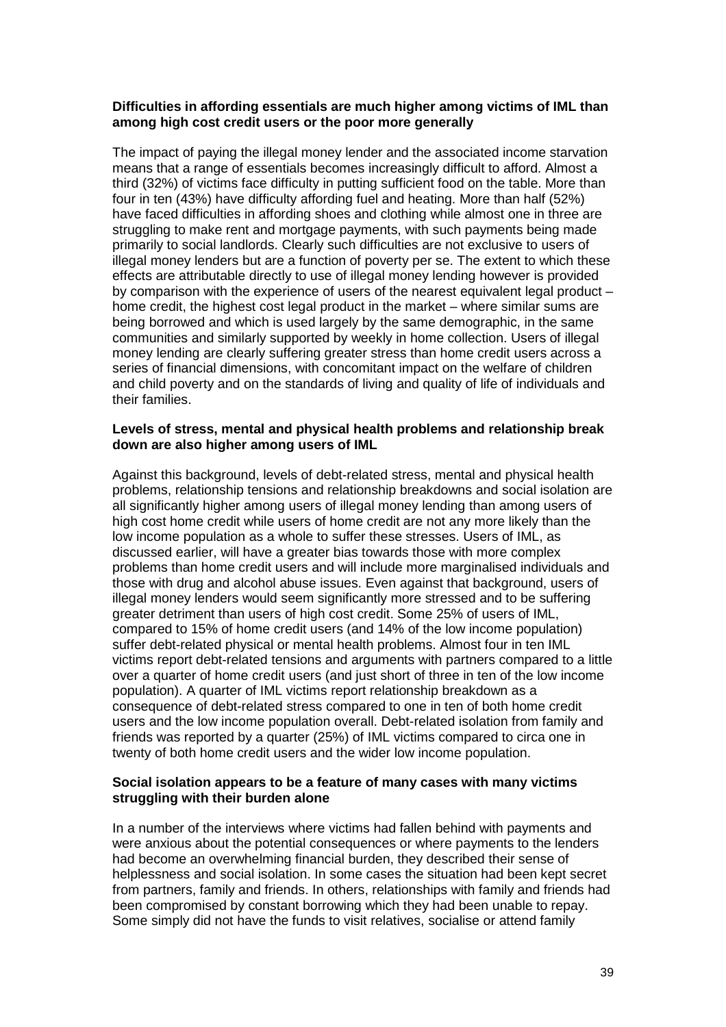### **Difficulties in affording essentials are much higher among victims of IML than among high cost credit users or the poor more generally**

The impact of paying the illegal money lender and the associated income starvation means that a range of essentials becomes increasingly difficult to afford. Almost a third (32%) of victims face difficulty in putting sufficient food on the table. More than four in ten (43%) have difficulty affording fuel and heating. More than half (52%) have faced difficulties in affording shoes and clothing while almost one in three are struggling to make rent and mortgage payments, with such payments being made primarily to social landlords. Clearly such difficulties are not exclusive to users of illegal money lenders but are a function of poverty per se. The extent to which these effects are attributable directly to use of illegal money lending however is provided by comparison with the experience of users of the nearest equivalent legal product – home credit, the highest cost legal product in the market – where similar sums are being borrowed and which is used largely by the same demographic, in the same communities and similarly supported by weekly in home collection. Users of illegal money lending are clearly suffering greater stress than home credit users across a series of financial dimensions, with concomitant impact on the welfare of children and child poverty and on the standards of living and quality of life of individuals and their families.

#### **Levels of stress, mental and physical health problems and relationship break down are also higher among users of IML**

Against this background, levels of debt-related stress, mental and physical health problems, relationship tensions and relationship breakdowns and social isolation are all significantly higher among users of illegal money lending than among users of high cost home credit while users of home credit are not any more likely than the low income population as a whole to suffer these stresses. Users of IML, as discussed earlier, will have a greater bias towards those with more complex problems than home credit users and will include more marginalised individuals and those with drug and alcohol abuse issues. Even against that background, users of illegal money lenders would seem significantly more stressed and to be suffering greater detriment than users of high cost credit. Some 25% of users of IML, compared to 15% of home credit users (and 14% of the low income population) suffer debt-related physical or mental health problems. Almost four in ten IML victims report debt-related tensions and arguments with partners compared to a little over a quarter of home credit users (and just short of three in ten of the low income population). A quarter of IML victims report relationship breakdown as a consequence of debt-related stress compared to one in ten of both home credit users and the low income population overall. Debt-related isolation from family and friends was reported by a quarter (25%) of IML victims compared to circa one in twenty of both home credit users and the wider low income population.

### **Social isolation appears to be a feature of many cases with many victims struggling with their burden alone**

In a number of the interviews where victims had fallen behind with payments and were anxious about the potential consequences or where payments to the lenders had become an overwhelming financial burden, they described their sense of helplessness and social isolation. In some cases the situation had been kept secret from partners, family and friends. In others, relationships with family and friends had been compromised by constant borrowing which they had been unable to repay. Some simply did not have the funds to visit relatives, socialise or attend family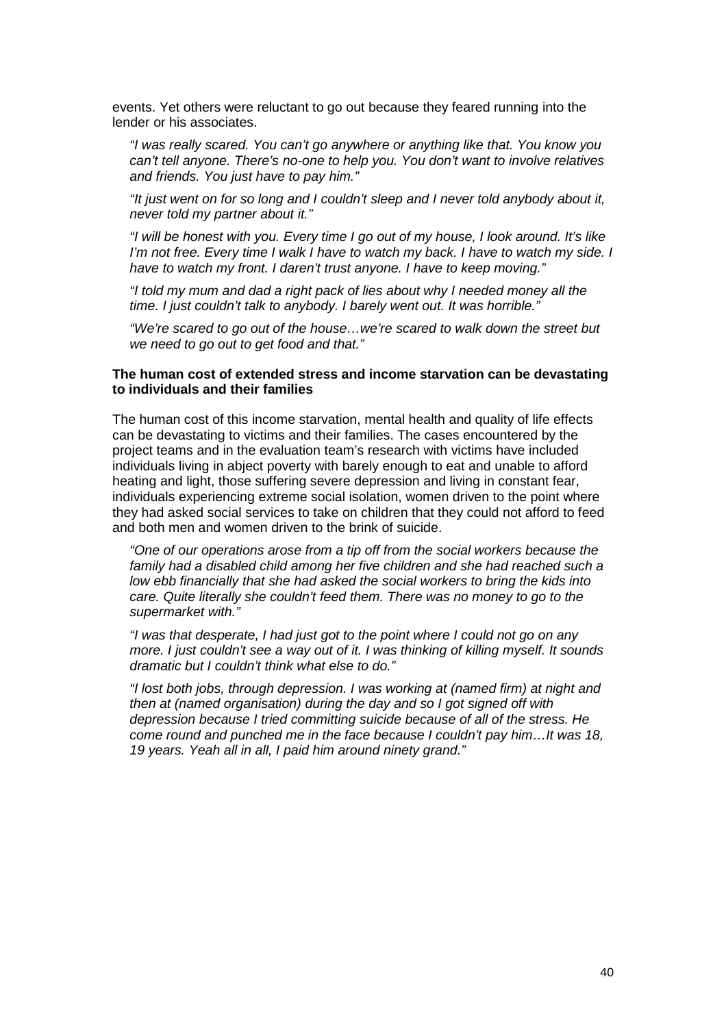events. Yet others were reluctant to go out because they feared running into the lender or his associates.

"I was really scared. You can't go anywhere or anything like that. You know you can't tell anyone. There's no-one to help you. You don't want to involve relatives and friends. You just have to pay him."

"It just went on for so long and I couldn't sleep and I never told anybody about it, never told my partner about it."

"I will be honest with you. Every time I go out of my house, I look around. It's like I'm not free. Every time I walk I have to watch my back. I have to watch my side. I have to watch my front. I daren't trust anyone. I have to keep moving."

"I told my mum and dad a right pack of lies about why I needed money all the time. I just couldn't talk to anybody. I barely went out. It was horrible."

"We're scared to go out of the house…we're scared to walk down the street but we need to go out to get food and that."

### **The human cost of extended stress and income starvation can be devastating to individuals and their families**

The human cost of this income starvation, mental health and quality of life effects can be devastating to victims and their families. The cases encountered by the project teams and in the evaluation team's research with victims have included individuals living in abject poverty with barely enough to eat and unable to afford heating and light, those suffering severe depression and living in constant fear, individuals experiencing extreme social isolation, women driven to the point where they had asked social services to take on children that they could not afford to feed and both men and women driven to the brink of suicide.

"One of our operations arose from a tip off from the social workers because the family had a disabled child among her five children and she had reached such a low ebb financially that she had asked the social workers to bring the kids into care. Quite literally she couldn't feed them. There was no money to go to the supermarket with."

"I was that desperate, I had just got to the point where I could not go on any more. I just couldn't see a way out of it. I was thinking of killing myself. It sounds dramatic but I couldn't think what else to do."

"I lost both jobs, through depression. I was working at (named firm) at night and then at (named organisation) during the day and so I got signed off with depression because I tried committing suicide because of all of the stress. He come round and punched me in the face because I couldn't pay him…It was 18, 19 years. Yeah all in all, I paid him around ninety grand."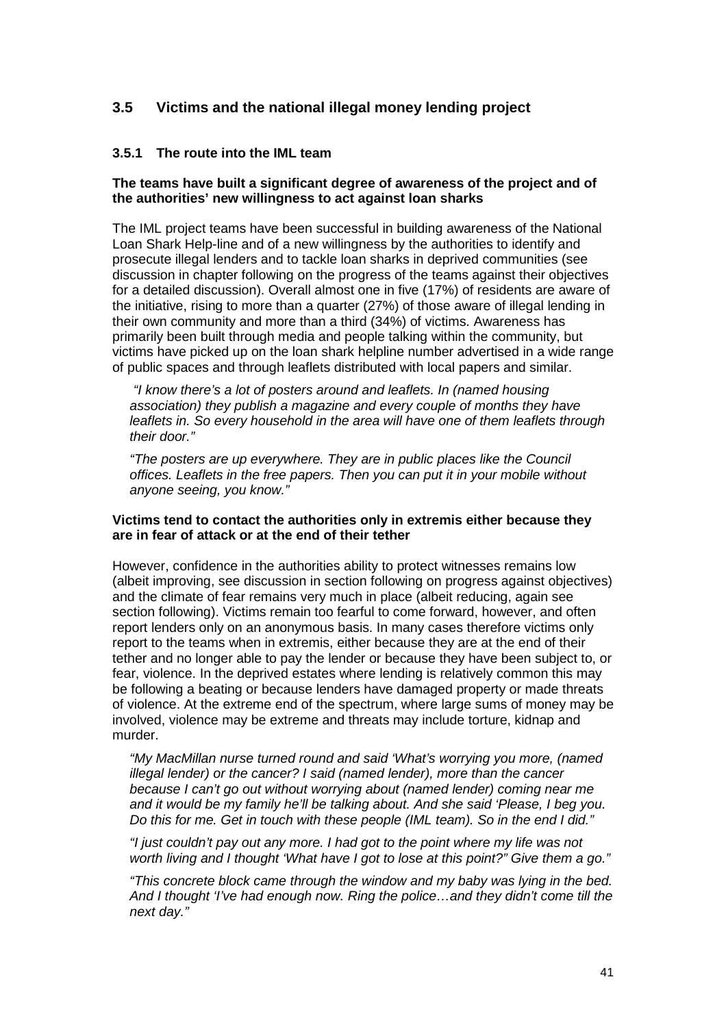# **3.5 Victims and the national illegal money lending project**

### **3.5.1 The route into the IML team**

### **The teams have built a significant degree of awareness of the project and of the authorities' new willingness to act against loan sharks**

The IML project teams have been successful in building awareness of the National Loan Shark Help-line and of a new willingness by the authorities to identify and prosecute illegal lenders and to tackle loan sharks in deprived communities (see discussion in chapter following on the progress of the teams against their objectives for a detailed discussion). Overall almost one in five (17%) of residents are aware of the initiative, rising to more than a quarter (27%) of those aware of illegal lending in their own community and more than a third (34%) of victims. Awareness has primarily been built through media and people talking within the community, but victims have picked up on the loan shark helpline number advertised in a wide range of public spaces and through leaflets distributed with local papers and similar.

 "I know there's a lot of posters around and leaflets. In (named housing association) they publish a magazine and every couple of months they have leaflets in. So every household in the area will have one of them leaflets through their door."

"The posters are up everywhere. They are in public places like the Council offices. Leaflets in the free papers. Then you can put it in your mobile without anyone seeing, you know."

#### **Victims tend to contact the authorities only in extremis either because they are in fear of attack or at the end of their tether**

However, confidence in the authorities ability to protect witnesses remains low (albeit improving, see discussion in section following on progress against objectives) and the climate of fear remains very much in place (albeit reducing, again see section following). Victims remain too fearful to come forward, however, and often report lenders only on an anonymous basis. In many cases therefore victims only report to the teams when in extremis, either because they are at the end of their tether and no longer able to pay the lender or because they have been subject to, or fear, violence. In the deprived estates where lending is relatively common this may be following a beating or because lenders have damaged property or made threats of violence. At the extreme end of the spectrum, where large sums of money may be involved, violence may be extreme and threats may include torture, kidnap and murder.

"My MacMillan nurse turned round and said 'What's worrying you more, (named illegal lender) or the cancer? I said (named lender), more than the cancer because I can't go out without worrying about (named lender) coming near me and it would be my family he'll be talking about. And she said 'Please, I beg you. Do this for me. Get in touch with these people (IML team). So in the end I did."

"I just couldn't pay out any more. I had got to the point where my life was not worth living and I thought 'What have I got to lose at this point?" Give them a go."

"This concrete block came through the window and my baby was lying in the bed. And I thought 'I've had enough now. Ring the police…and they didn't come till the next day."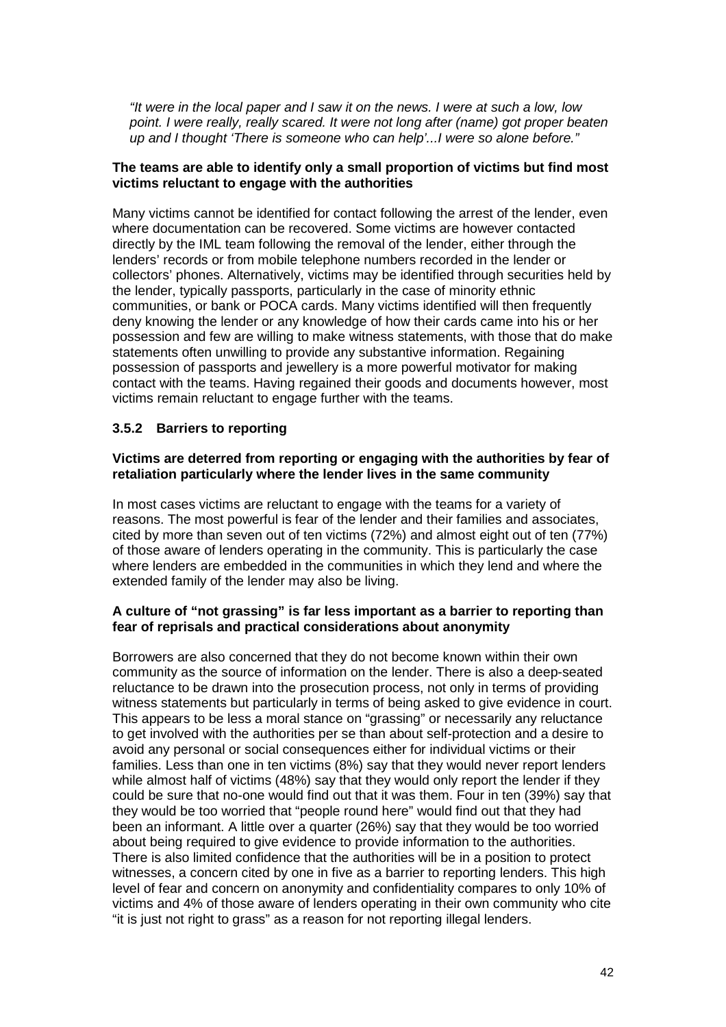"It were in the local paper and I saw it on the news. I were at such a low, low point. I were really, really scared. It were not long after (name) got proper beaten up and I thought 'There is someone who can help'...I were so alone before."

### **The teams are able to identify only a small proportion of victims but find most victims reluctant to engage with the authorities**

Many victims cannot be identified for contact following the arrest of the lender, even where documentation can be recovered. Some victims are however contacted directly by the IML team following the removal of the lender, either through the lenders' records or from mobile telephone numbers recorded in the lender or collectors' phones. Alternatively, victims may be identified through securities held by the lender, typically passports, particularly in the case of minority ethnic communities, or bank or POCA cards. Many victims identified will then frequently deny knowing the lender or any knowledge of how their cards came into his or her possession and few are willing to make witness statements, with those that do make statements often unwilling to provide any substantive information. Regaining possession of passports and jewellery is a more powerful motivator for making contact with the teams. Having regained their goods and documents however, most victims remain reluctant to engage further with the teams.

### **3.5.2 Barriers to reporting**

### **Victims are deterred from reporting or engaging with the authorities by fear of retaliation particularly where the lender lives in the same community**

In most cases victims are reluctant to engage with the teams for a variety of reasons. The most powerful is fear of the lender and their families and associates, cited by more than seven out of ten victims (72%) and almost eight out of ten (77%) of those aware of lenders operating in the community. This is particularly the case where lenders are embedded in the communities in which they lend and where the extended family of the lender may also be living.

### **A culture of "not grassing" is far less important as a barrier to reporting than fear of reprisals and practical considerations about anonymity**

Borrowers are also concerned that they do not become known within their own community as the source of information on the lender. There is also a deep-seated reluctance to be drawn into the prosecution process, not only in terms of providing witness statements but particularly in terms of being asked to give evidence in court. This appears to be less a moral stance on "grassing" or necessarily any reluctance to get involved with the authorities per se than about self-protection and a desire to avoid any personal or social consequences either for individual victims or their families. Less than one in ten victims (8%) say that they would never report lenders while almost half of victims (48%) say that they would only report the lender if they could be sure that no-one would find out that it was them. Four in ten (39%) say that they would be too worried that "people round here" would find out that they had been an informant. A little over a quarter (26%) say that they would be too worried about being required to give evidence to provide information to the authorities. There is also limited confidence that the authorities will be in a position to protect witnesses, a concern cited by one in five as a barrier to reporting lenders. This high level of fear and concern on anonymity and confidentiality compares to only 10% of victims and 4% of those aware of lenders operating in their own community who cite "it is just not right to grass" as a reason for not reporting illegal lenders.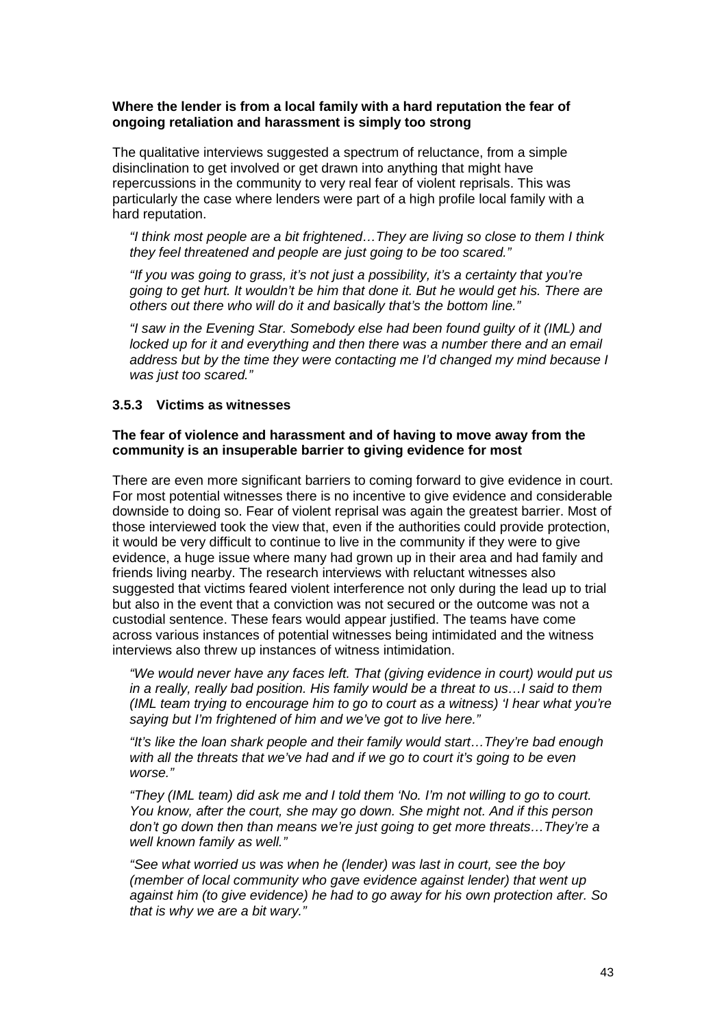### **Where the lender is from a local family with a hard reputation the fear of ongoing retaliation and harassment is simply too strong**

The qualitative interviews suggested a spectrum of reluctance, from a simple disinclination to get involved or get drawn into anything that might have repercussions in the community to very real fear of violent reprisals. This was particularly the case where lenders were part of a high profile local family with a hard reputation.

"I think most people are a bit frightened…They are living so close to them I think they feel threatened and people are just going to be too scared."

"If you was going to grass, it's not just a possibility, it's a certainty that you're going to get hurt. It wouldn't be him that done it. But he would get his. There are others out there who will do it and basically that's the bottom line."

"I saw in the Evening Star. Somebody else had been found guilty of it (IML) and locked up for it and everything and then there was a number there and an email address but by the time they were contacting me I'd changed my mind because I was just too scared."

#### **3.5.3 Victims as witnesses**

### **The fear of violence and harassment and of having to move away from the community is an insuperable barrier to giving evidence for most**

There are even more significant barriers to coming forward to give evidence in court. For most potential witnesses there is no incentive to give evidence and considerable downside to doing so. Fear of violent reprisal was again the greatest barrier. Most of those interviewed took the view that, even if the authorities could provide protection, it would be very difficult to continue to live in the community if they were to give evidence, a huge issue where many had grown up in their area and had family and friends living nearby. The research interviews with reluctant witnesses also suggested that victims feared violent interference not only during the lead up to trial but also in the event that a conviction was not secured or the outcome was not a custodial sentence. These fears would appear justified. The teams have come across various instances of potential witnesses being intimidated and the witness interviews also threw up instances of witness intimidation.

"We would never have any faces left. That (giving evidence in court) would put us in a really, really bad position. His family would be a threat to us…I said to them (IML team trying to encourage him to go to court as a witness) 'I hear what you're saying but I'm frightened of him and we've got to live here."

"It's like the loan shark people and their family would start…They're bad enough with all the threats that we've had and if we go to court it's going to be even worse."

"They (IML team) did ask me and I told them 'No. I'm not willing to go to court. You know, after the court, she may go down. She might not. And if this person don't go down then than means we're just going to get more threats…They're a well known family as well."

"See what worried us was when he (lender) was last in court, see the boy (member of local community who gave evidence against lender) that went up against him (to give evidence) he had to go away for his own protection after. So that is why we are a bit wary."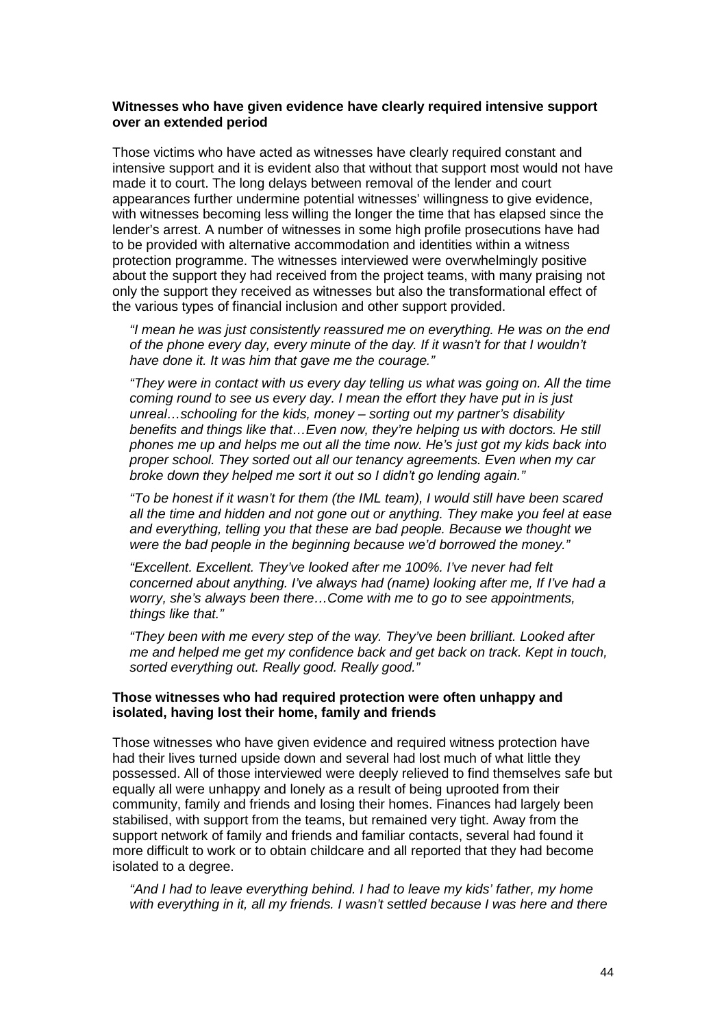### **Witnesses who have given evidence have clearly required intensive support over an extended period**

Those victims who have acted as witnesses have clearly required constant and intensive support and it is evident also that without that support most would not have made it to court. The long delays between removal of the lender and court appearances further undermine potential witnesses' willingness to give evidence, with witnesses becoming less willing the longer the time that has elapsed since the lender's arrest. A number of witnesses in some high profile prosecutions have had to be provided with alternative accommodation and identities within a witness protection programme. The witnesses interviewed were overwhelmingly positive about the support they had received from the project teams, with many praising not only the support they received as witnesses but also the transformational effect of the various types of financial inclusion and other support provided.

"I mean he was just consistently reassured me on everything. He was on the end of the phone every day, every minute of the day. If it wasn't for that I wouldn't have done it. It was him that gave me the courage."

"They were in contact with us every day telling us what was going on. All the time coming round to see us every day. I mean the effort they have put in is just unreal…schooling for the kids, money – sorting out my partner's disability benefits and things like that…Even now, they're helping us with doctors. He still phones me up and helps me out all the time now. He's just got my kids back into proper school. They sorted out all our tenancy agreements. Even when my car broke down they helped me sort it out so I didn't go lending again."

"To be honest if it wasn't for them (the IML team), I would still have been scared all the time and hidden and not gone out or anything. They make you feel at ease and everything, telling you that these are bad people. Because we thought we were the bad people in the beginning because we'd borrowed the money."

"Excellent. Excellent. They've looked after me 100%. I've never had felt concerned about anything. I've always had (name) looking after me, If I've had a worry, she's always been there…Come with me to go to see appointments, things like that."

"They been with me every step of the way. They've been brilliant. Looked after me and helped me get my confidence back and get back on track. Kept in touch, sorted everything out. Really good. Really good."

#### **Those witnesses who had required protection were often unhappy and isolated, having lost their home, family and friends**

Those witnesses who have given evidence and required witness protection have had their lives turned upside down and several had lost much of what little they possessed. All of those interviewed were deeply relieved to find themselves safe but equally all were unhappy and lonely as a result of being uprooted from their community, family and friends and losing their homes. Finances had largely been stabilised, with support from the teams, but remained very tight. Away from the support network of family and friends and familiar contacts, several had found it more difficult to work or to obtain childcare and all reported that they had become isolated to a degree.

"And I had to leave everything behind. I had to leave my kids' father, my home with everything in it, all my friends. I wasn't settled because I was here and there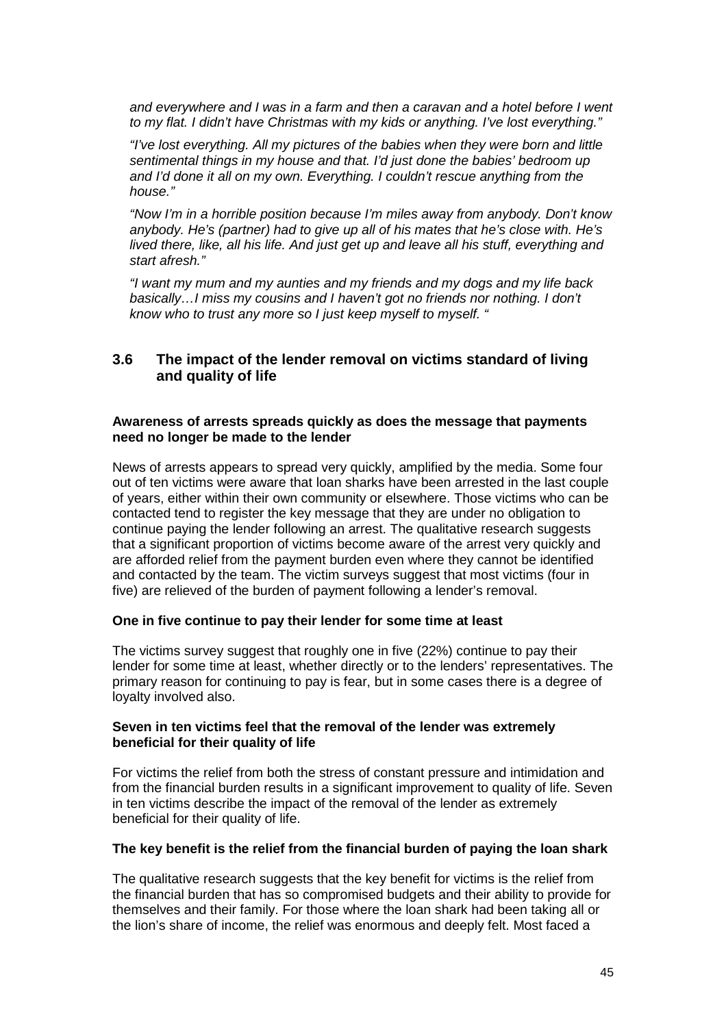and everywhere and I was in a farm and then a caravan and a hotel before I went to my flat. I didn't have Christmas with my kids or anything. I've lost everything."

"I've lost everything. All my pictures of the babies when they were born and little sentimental things in my house and that. I'd just done the babies' bedroom up and I'd done it all on my own. Everything. I couldn't rescue anything from the house."

"Now I'm in a horrible position because I'm miles away from anybody. Don't know anybody. He's (partner) had to give up all of his mates that he's close with. He's lived there, like, all his life. And just get up and leave all his stuff, everything and start afresh."

"I want my mum and my aunties and my friends and my dogs and my life back basically…I miss my cousins and I haven't got no friends nor nothing. I don't know who to trust any more so I just keep myself to myself. "

## **3.6 The impact of the lender removal on victims standard of living and quality of life**

#### **Awareness of arrests spreads quickly as does the message that payments need no longer be made to the lender**

News of arrests appears to spread very quickly, amplified by the media. Some four out of ten victims were aware that loan sharks have been arrested in the last couple of years, either within their own community or elsewhere. Those victims who can be contacted tend to register the key message that they are under no obligation to continue paying the lender following an arrest. The qualitative research suggests that a significant proportion of victims become aware of the arrest very quickly and are afforded relief from the payment burden even where they cannot be identified and contacted by the team. The victim surveys suggest that most victims (four in five) are relieved of the burden of payment following a lender's removal.

### **One in five continue to pay their lender for some time at least**

The victims survey suggest that roughly one in five (22%) continue to pay their lender for some time at least, whether directly or to the lenders' representatives. The primary reason for continuing to pay is fear, but in some cases there is a degree of loyalty involved also.

### **Seven in ten victims feel that the removal of the lender was extremely beneficial for their quality of life**

For victims the relief from both the stress of constant pressure and intimidation and from the financial burden results in a significant improvement to quality of life. Seven in ten victims describe the impact of the removal of the lender as extremely beneficial for their quality of life.

#### **The key benefit is the relief from the financial burden of paying the loan shark**

The qualitative research suggests that the key benefit for victims is the relief from the financial burden that has so compromised budgets and their ability to provide for themselves and their family. For those where the loan shark had been taking all or the lion's share of income, the relief was enormous and deeply felt. Most faced a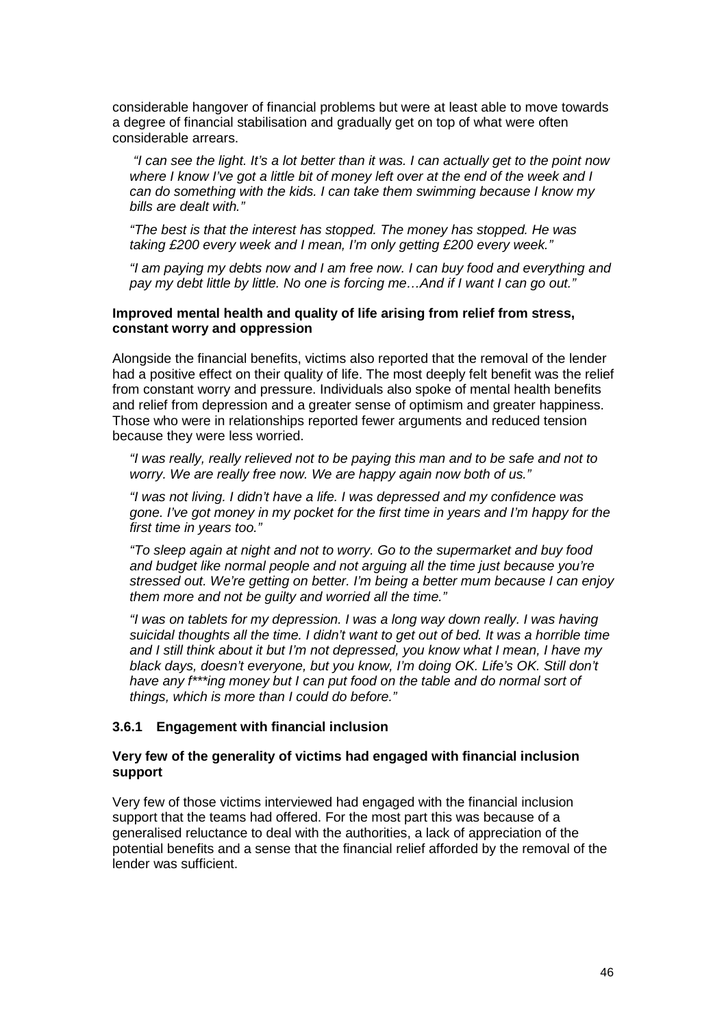considerable hangover of financial problems but were at least able to move towards a degree of financial stabilisation and gradually get on top of what were often considerable arrears.

 "I can see the light. It's a lot better than it was. I can actually get to the point now where I know I've got a little bit of money left over at the end of the week and I can do something with the kids. I can take them swimming because I know my bills are dealt with."

"The best is that the interest has stopped. The money has stopped. He was taking £200 every week and I mean, I'm only getting £200 every week."

"I am paying my debts now and I am free now. I can buy food and everything and pay my debt little by little. No one is forcing me…And if I want I can go out."

#### **Improved mental health and quality of life arising from relief from stress, constant worry and oppression**

Alongside the financial benefits, victims also reported that the removal of the lender had a positive effect on their quality of life. The most deeply felt benefit was the relief from constant worry and pressure. Individuals also spoke of mental health benefits and relief from depression and a greater sense of optimism and greater happiness. Those who were in relationships reported fewer arguments and reduced tension because they were less worried.

"I was really, really relieved not to be paying this man and to be safe and not to worry. We are really free now. We are happy again now both of us."

"I was not living. I didn't have a life. I was depressed and my confidence was gone. I've got money in my pocket for the first time in years and I'm happy for the first time in years too."

"To sleep again at night and not to worry. Go to the supermarket and buy food and budget like normal people and not arguing all the time just because you're stressed out. We're getting on better. I'm being a better mum because I can enjoy them more and not be guilty and worried all the time."

"I was on tablets for my depression. I was a long way down really. I was having suicidal thoughts all the time. I didn't want to get out of bed. It was a horrible time and I still think about it but I'm not depressed, you know what I mean, I have my black days, doesn't everyone, but you know, I'm doing OK. Life's OK. Still don't have any f\*\*\*ing money but I can put food on the table and do normal sort of things, which is more than I could do before."

### **3.6.1 Engagement with financial inclusion**

### **Very few of the generality of victims had engaged with financial inclusion support**

Very few of those victims interviewed had engaged with the financial inclusion support that the teams had offered. For the most part this was because of a generalised reluctance to deal with the authorities, a lack of appreciation of the potential benefits and a sense that the financial relief afforded by the removal of the lender was sufficient.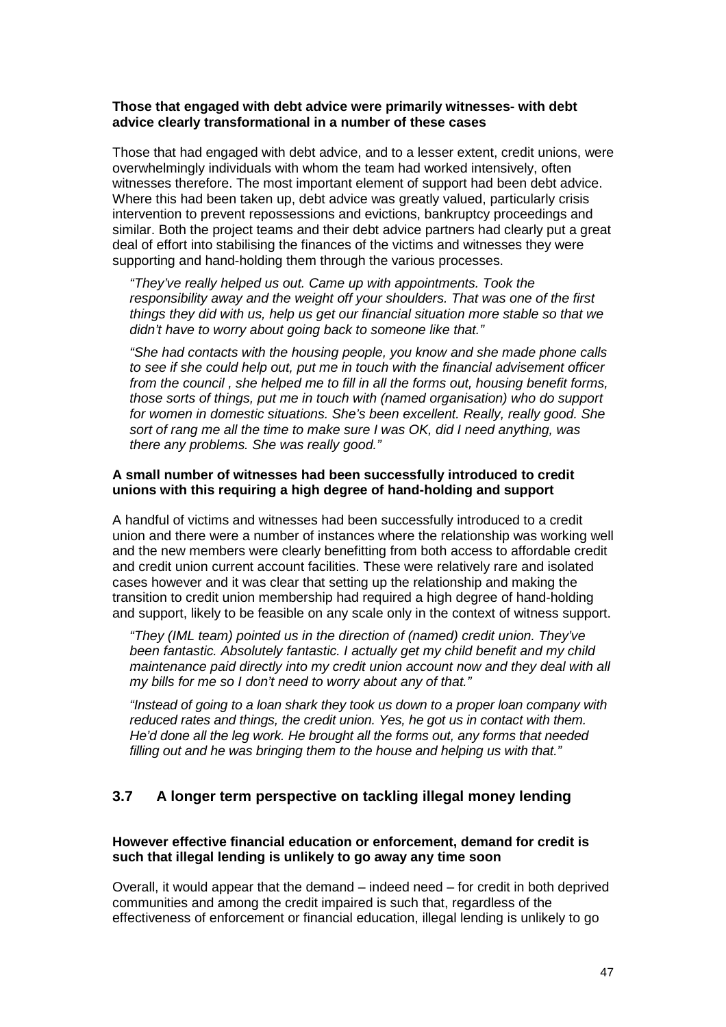### **Those that engaged with debt advice were primarily witnesses- with debt advice clearly transformational in a number of these cases**

Those that had engaged with debt advice, and to a lesser extent, credit unions, were overwhelmingly individuals with whom the team had worked intensively, often witnesses therefore. The most important element of support had been debt advice. Where this had been taken up, debt advice was greatly valued, particularly crisis intervention to prevent repossessions and evictions, bankruptcy proceedings and similar. Both the project teams and their debt advice partners had clearly put a great deal of effort into stabilising the finances of the victims and witnesses they were supporting and hand-holding them through the various processes.

"They've really helped us out. Came up with appointments. Took the responsibility away and the weight off your shoulders. That was one of the first things they did with us, help us get our financial situation more stable so that we didn't have to worry about going back to someone like that."

"She had contacts with the housing people, you know and she made phone calls to see if she could help out, put me in touch with the financial advisement officer from the council , she helped me to fill in all the forms out, housing benefit forms, those sorts of things, put me in touch with (named organisation) who do support for women in domestic situations. She's been excellent. Really, really good. She sort of rang me all the time to make sure I was OK, did I need anything, was there any problems. She was really good."

## **A small number of witnesses had been successfully introduced to credit unions with this requiring a high degree of hand-holding and support**

A handful of victims and witnesses had been successfully introduced to a credit union and there were a number of instances where the relationship was working well and the new members were clearly benefitting from both access to affordable credit and credit union current account facilities. These were relatively rare and isolated cases however and it was clear that setting up the relationship and making the transition to credit union membership had required a high degree of hand-holding and support, likely to be feasible on any scale only in the context of witness support.

"They (IML team) pointed us in the direction of (named) credit union. They've been fantastic. Absolutely fantastic. I actually get my child benefit and my child maintenance paid directly into my credit union account now and they deal with all my bills for me so I don't need to worry about any of that."

"Instead of going to a loan shark they took us down to a proper loan company with reduced rates and things, the credit union. Yes, he got us in contact with them. He'd done all the leg work. He brought all the forms out, any forms that needed filling out and he was bringing them to the house and helping us with that."

## **3.7 A longer term perspective on tackling illegal money lending**

### **However effective financial education or enforcement, demand for credit is such that illegal lending is unlikely to go away any time soon**

Overall, it would appear that the demand – indeed need – for credit in both deprived communities and among the credit impaired is such that, regardless of the effectiveness of enforcement or financial education, illegal lending is unlikely to go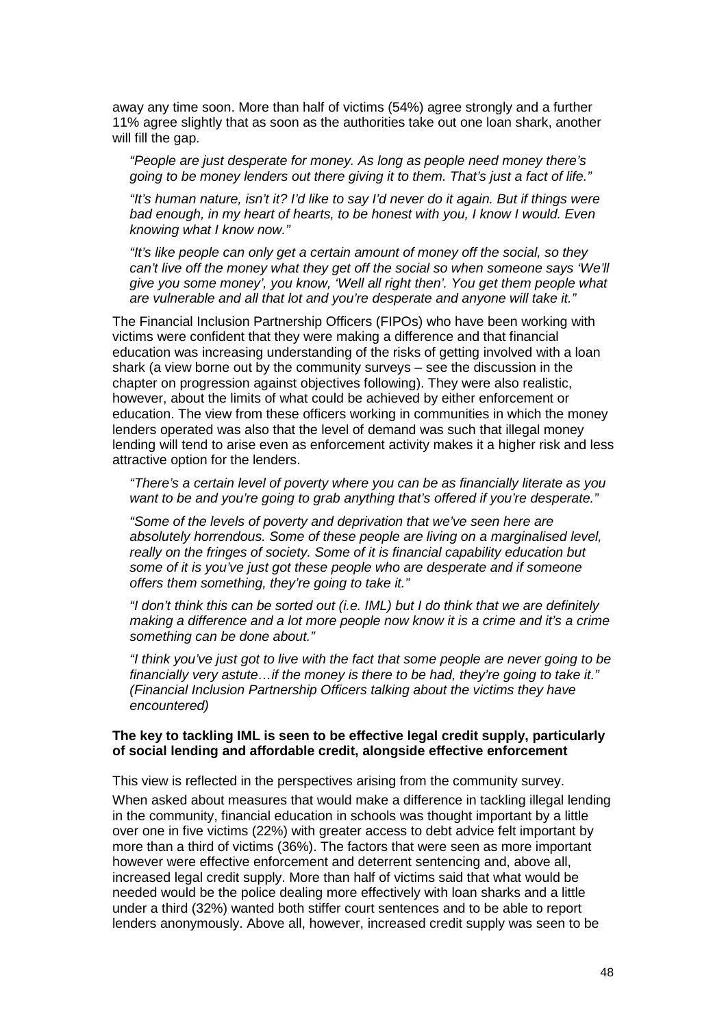away any time soon. More than half of victims (54%) agree strongly and a further 11% agree slightly that as soon as the authorities take out one loan shark, another will fill the gap.

"People are just desperate for money. As long as people need money there's going to be money lenders out there giving it to them. That's just a fact of life."

"It's human nature, isn't it? I'd like to say I'd never do it again. But if things were bad enough, in my heart of hearts, to be honest with you, I know I would. Even knowing what I know now."

"It's like people can only get a certain amount of money off the social, so they can't live off the money what they get off the social so when someone says 'We'll give you some money', you know, 'Well all right then'. You get them people what are vulnerable and all that lot and you're desperate and anyone will take it."

The Financial Inclusion Partnership Officers (FIPOs) who have been working with victims were confident that they were making a difference and that financial education was increasing understanding of the risks of getting involved with a loan shark (a view borne out by the community surveys – see the discussion in the chapter on progression against objectives following). They were also realistic, however, about the limits of what could be achieved by either enforcement or education. The view from these officers working in communities in which the money lenders operated was also that the level of demand was such that illegal money lending will tend to arise even as enforcement activity makes it a higher risk and less attractive option for the lenders.

"There's a certain level of poverty where you can be as financially literate as you want to be and you're going to grab anything that's offered if you're desperate."

"Some of the levels of poverty and deprivation that we've seen here are absolutely horrendous. Some of these people are living on a marginalised level, really on the fringes of society. Some of it is financial capability education but some of it is you've just got these people who are desperate and if someone offers them something, they're going to take it."

"I don't think this can be sorted out (i.e. IML) but I do think that we are definitely making a difference and a lot more people now know it is a crime and it's a crime something can be done about."

"I think you've just got to live with the fact that some people are never going to be financially very astute...if the money is there to be had, they're going to take it." (Financial Inclusion Partnership Officers talking about the victims they have encountered)

#### **The key to tackling IML is seen to be effective legal credit supply, particularly of social lending and affordable credit, alongside effective enforcement**

This view is reflected in the perspectives arising from the community survey.

When asked about measures that would make a difference in tackling illegal lending in the community, financial education in schools was thought important by a little over one in five victims (22%) with greater access to debt advice felt important by more than a third of victims (36%). The factors that were seen as more important however were effective enforcement and deterrent sentencing and, above all, increased legal credit supply. More than half of victims said that what would be needed would be the police dealing more effectively with loan sharks and a little under a third (32%) wanted both stiffer court sentences and to be able to report lenders anonymously. Above all, however, increased credit supply was seen to be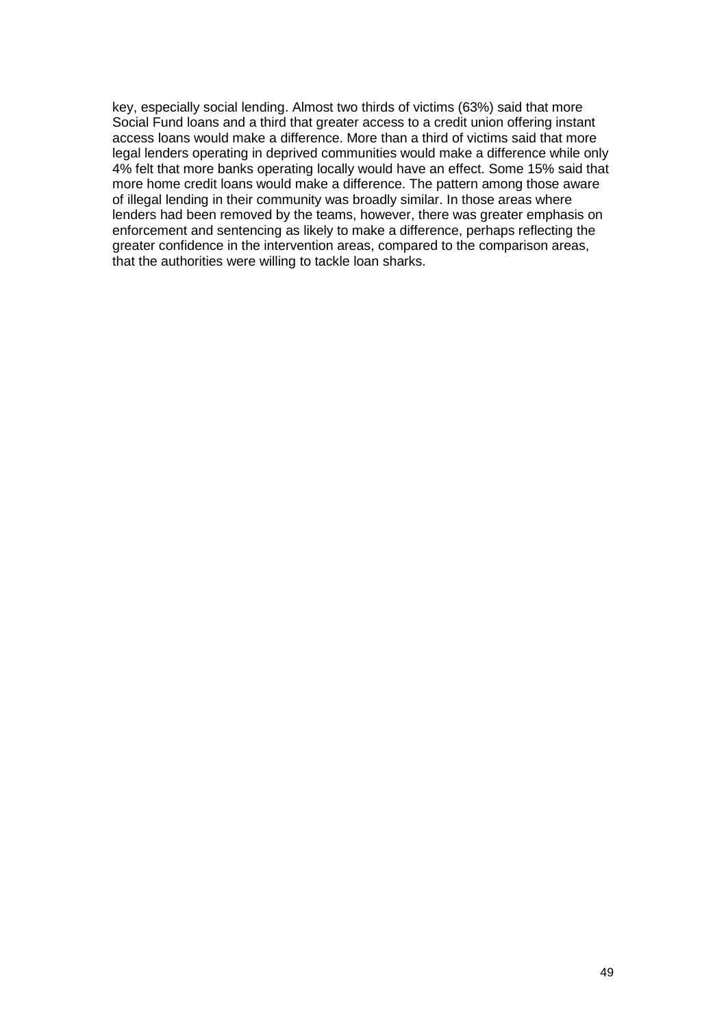key, especially social lending. Almost two thirds of victims (63%) said that more Social Fund loans and a third that greater access to a credit union offering instant access loans would make a difference. More than a third of victims said that more legal lenders operating in deprived communities would make a difference while only 4% felt that more banks operating locally would have an effect. Some 15% said that more home credit loans would make a difference. The pattern among those aware of illegal lending in their community was broadly similar. In those areas where lenders had been removed by the teams, however, there was greater emphasis on enforcement and sentencing as likely to make a difference, perhaps reflecting the greater confidence in the intervention areas, compared to the comparison areas, that the authorities were willing to tackle loan sharks.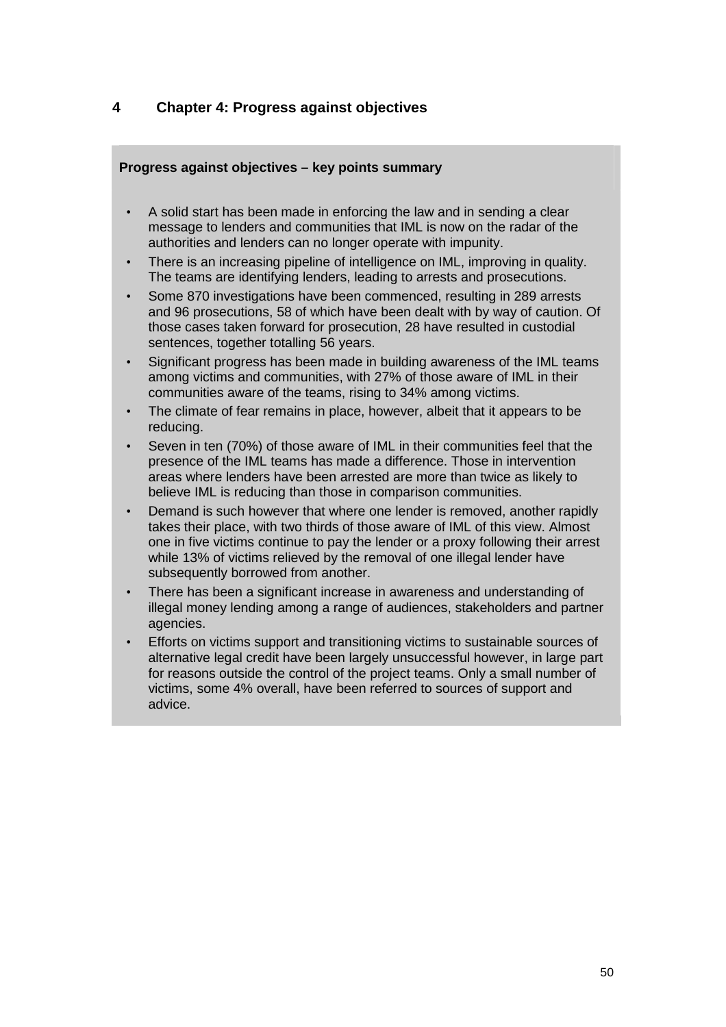# **4 Chapter 4: Progress against objectives**

### **Progress against objectives – key points summary**

- A solid start has been made in enforcing the law and in sending a clear message to lenders and communities that IML is now on the radar of the authorities and lenders can no longer operate with impunity.
- There is an increasing pipeline of intelligence on IML, improving in quality. The teams are identifying lenders, leading to arrests and prosecutions.
- Some 870 investigations have been commenced, resulting in 289 arrests and 96 prosecutions, 58 of which have been dealt with by way of caution. Of those cases taken forward for prosecution, 28 have resulted in custodial sentences, together totalling 56 years.
- Significant progress has been made in building awareness of the IML teams among victims and communities, with 27% of those aware of IML in their communities aware of the teams, rising to 34% among victims.
- The climate of fear remains in place, however, albeit that it appears to be reducing.
- Seven in ten (70%) of those aware of IML in their communities feel that the presence of the IML teams has made a difference. Those in intervention areas where lenders have been arrested are more than twice as likely to believe IML is reducing than those in comparison communities.
- Demand is such however that where one lender is removed, another rapidly takes their place, with two thirds of those aware of IML of this view. Almost one in five victims continue to pay the lender or a proxy following their arrest while 13% of victims relieved by the removal of one illegal lender have subsequently borrowed from another.
- There has been a significant increase in awareness and understanding of illegal money lending among a range of audiences, stakeholders and partner agencies.
- Efforts on victims support and transitioning victims to sustainable sources of alternative legal credit have been largely unsuccessful however, in large part for reasons outside the control of the project teams. Only a small number of victims, some 4% overall, have been referred to sources of support and advice.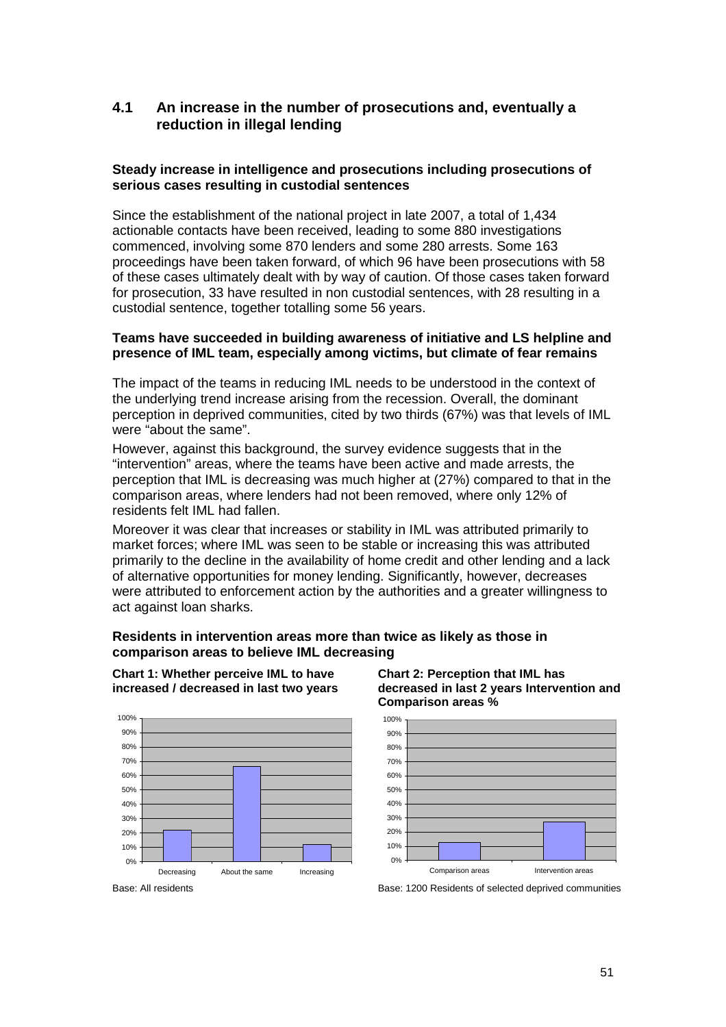# **4.1 An increase in the number of prosecutions and, eventually a reduction in illegal lending**

### **Steady increase in intelligence and prosecutions including prosecutions of serious cases resulting in custodial sentences**

Since the establishment of the national project in late 2007, a total of 1,434 actionable contacts have been received, leading to some 880 investigations commenced, involving some 870 lenders and some 280 arrests. Some 163 proceedings have been taken forward, of which 96 have been prosecutions with 58 of these cases ultimately dealt with by way of caution. Of those cases taken forward for prosecution, 33 have resulted in non custodial sentences, with 28 resulting in a custodial sentence, together totalling some 56 years.

#### **Teams have succeeded in building awareness of initiative and LS helpline and presence of IML team, especially among victims, but climate of fear remains**

The impact of the teams in reducing IML needs to be understood in the context of the underlying trend increase arising from the recession. Overall, the dominant perception in deprived communities, cited by two thirds (67%) was that levels of IML were "about the same".

However, against this background, the survey evidence suggests that in the "intervention" areas, where the teams have been active and made arrests, the perception that IML is decreasing was much higher at (27%) compared to that in the comparison areas, where lenders had not been removed, where only 12% of residents felt IML had fallen.

Moreover it was clear that increases or stability in IML was attributed primarily to market forces; where IML was seen to be stable or increasing this was attributed primarily to the decline in the availability of home credit and other lending and a lack of alternative opportunities for money lending. Significantly, however, decreases were attributed to enforcement action by the authorities and a greater willingness to act against loan sharks.

### **Residents in intervention areas more than twice as likely as those in comparison areas to believe IML decreasing**



**Chart 1: Whether perceive IML to have increased / decreased in last two years** 





**decreased in last 2 years Intervention and** 

Base: All residents **Base: 1200 Residents of selected deprived communities**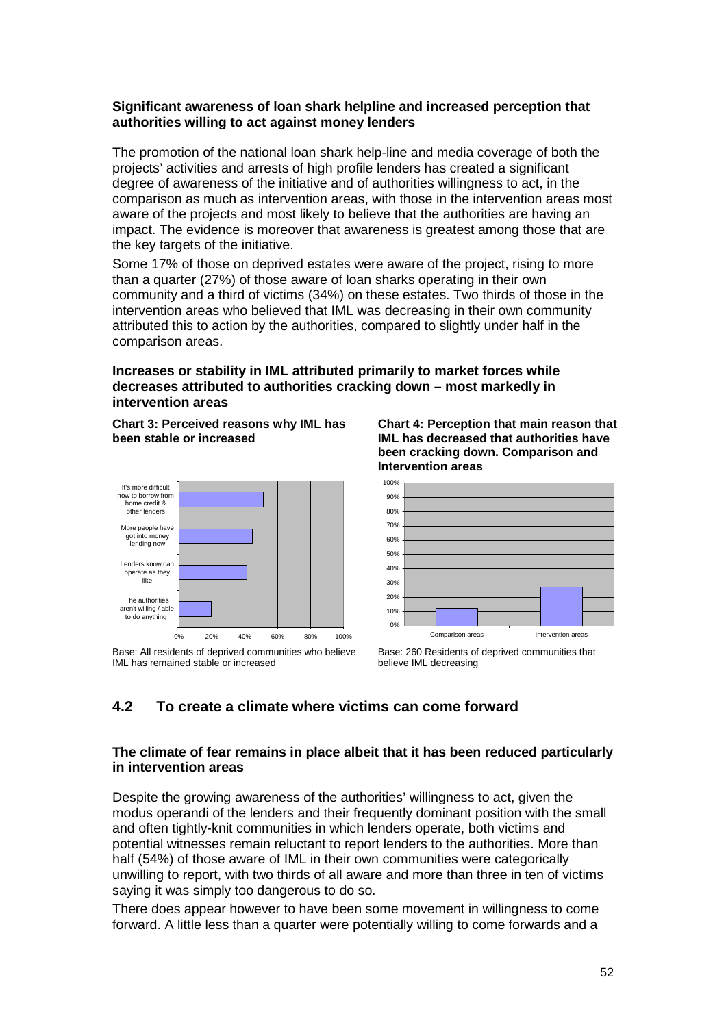### **Significant awareness of loan shark helpline and increased perception that authorities willing to act against money lenders**

The promotion of the national loan shark help-line and media coverage of both the projects' activities and arrests of high profile lenders has created a significant degree of awareness of the initiative and of authorities willingness to act, in the comparison as much as intervention areas, with those in the intervention areas most aware of the projects and most likely to believe that the authorities are having an impact. The evidence is moreover that awareness is greatest among those that are the key targets of the initiative.

Some 17% of those on deprived estates were aware of the project, rising to more than a quarter (27%) of those aware of loan sharks operating in their own community and a third of victims (34%) on these estates. Two thirds of those in the intervention areas who believed that IML was decreasing in their own community attributed this to action by the authorities, compared to slightly under half in the comparison areas.

### **Increases or stability in IML attributed primarily to market forces while decreases attributed to authorities cracking down – most markedly in intervention areas**

**Chart 3: Perceived reasons why IML has been stable or increased** 



Base: All residents of deprived communities who believe IML has remained stable or increased

**Chart 4: Perception that main reason that IML has decreased that authorities have been cracking down. Comparison and Intervention areas** 



Base: 260 Residents of deprived communities that believe IML decreasing

# **4.2 To create a climate where victims can come forward**

### **The climate of fear remains in place albeit that it has been reduced particularly in intervention areas**

Despite the growing awareness of the authorities' willingness to act, given the modus operandi of the lenders and their frequently dominant position with the small and often tightly-knit communities in which lenders operate, both victims and potential witnesses remain reluctant to report lenders to the authorities. More than half (54%) of those aware of IML in their own communities were categorically unwilling to report, with two thirds of all aware and more than three in ten of victims saying it was simply too dangerous to do so.

There does appear however to have been some movement in willingness to come forward. A little less than a quarter were potentially willing to come forwards and a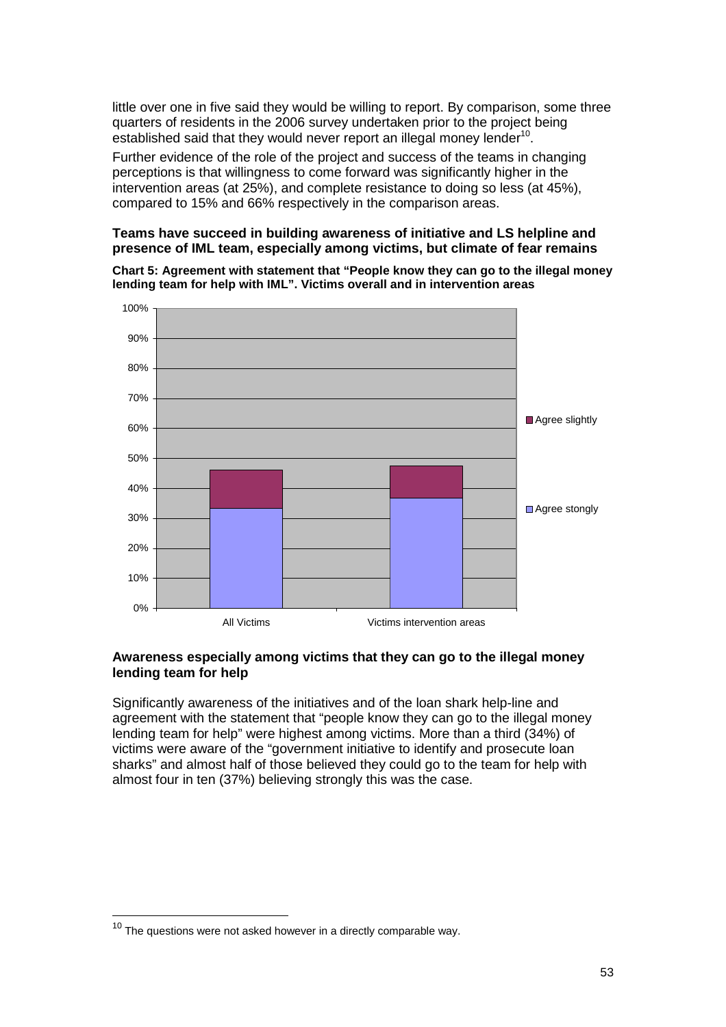little over one in five said they would be willing to report. By comparison, some three quarters of residents in the 2006 survey undertaken prior to the project being established said that they would never report an illegal money lender $10$ .

Further evidence of the role of the project and success of the teams in changing perceptions is that willingness to come forward was significantly higher in the intervention areas (at 25%), and complete resistance to doing so less (at 45%), compared to 15% and 66% respectively in the comparison areas.

### **Teams have succeed in building awareness of initiative and LS helpline and presence of IML team, especially among victims, but climate of fear remains**

**Chart 5: Agreement with statement that "People know they can go to the illegal money lending team for help with IML". Victims overall and in intervention areas** 



### **Awareness especially among victims that they can go to the illegal money lending team for help**

Significantly awareness of the initiatives and of the loan shark help-line and agreement with the statement that "people know they can go to the illegal money lending team for help" were highest among victims. More than a third (34%) of victims were aware of the "government initiative to identify and prosecute loan sharks" and almost half of those believed they could go to the team for help with almost four in ten (37%) believing strongly this was the case.

 $\overline{a}$ 

 $10$  The questions were not asked however in a directly comparable way.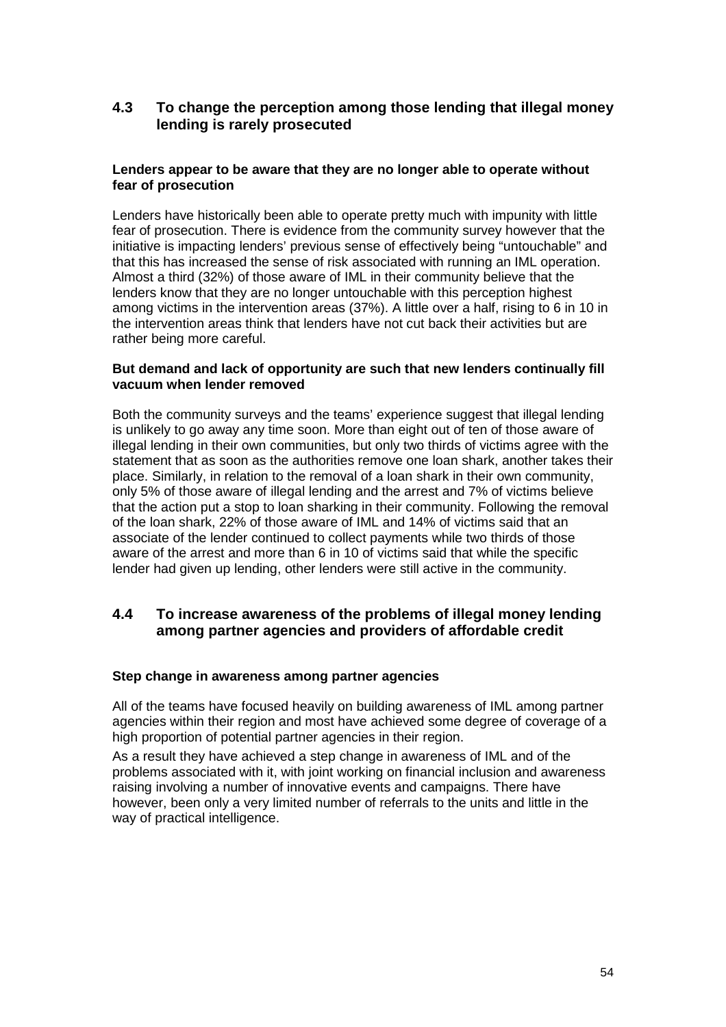## **4.3 To change the perception among those lending that illegal money lending is rarely prosecuted**

### **Lenders appear to be aware that they are no longer able to operate without fear of prosecution**

Lenders have historically been able to operate pretty much with impunity with little fear of prosecution. There is evidence from the community survey however that the initiative is impacting lenders' previous sense of effectively being "untouchable" and that this has increased the sense of risk associated with running an IML operation. Almost a third (32%) of those aware of IML in their community believe that the lenders know that they are no longer untouchable with this perception highest among victims in the intervention areas (37%). A little over a half, rising to 6 in 10 in the intervention areas think that lenders have not cut back their activities but are rather being more careful.

### **But demand and lack of opportunity are such that new lenders continually fill vacuum when lender removed**

Both the community surveys and the teams' experience suggest that illegal lending is unlikely to go away any time soon. More than eight out of ten of those aware of illegal lending in their own communities, but only two thirds of victims agree with the statement that as soon as the authorities remove one loan shark, another takes their place. Similarly, in relation to the removal of a loan shark in their own community, only 5% of those aware of illegal lending and the arrest and 7% of victims believe that the action put a stop to loan sharking in their community. Following the removal of the loan shark, 22% of those aware of IML and 14% of victims said that an associate of the lender continued to collect payments while two thirds of those aware of the arrest and more than 6 in 10 of victims said that while the specific lender had given up lending, other lenders were still active in the community.

## **4.4 To increase awareness of the problems of illegal money lending among partner agencies and providers of affordable credit**

### **Step change in awareness among partner agencies**

All of the teams have focused heavily on building awareness of IML among partner agencies within their region and most have achieved some degree of coverage of a high proportion of potential partner agencies in their region.

As a result they have achieved a step change in awareness of IML and of the problems associated with it, with joint working on financial inclusion and awareness raising involving a number of innovative events and campaigns. There have however, been only a very limited number of referrals to the units and little in the way of practical intelligence.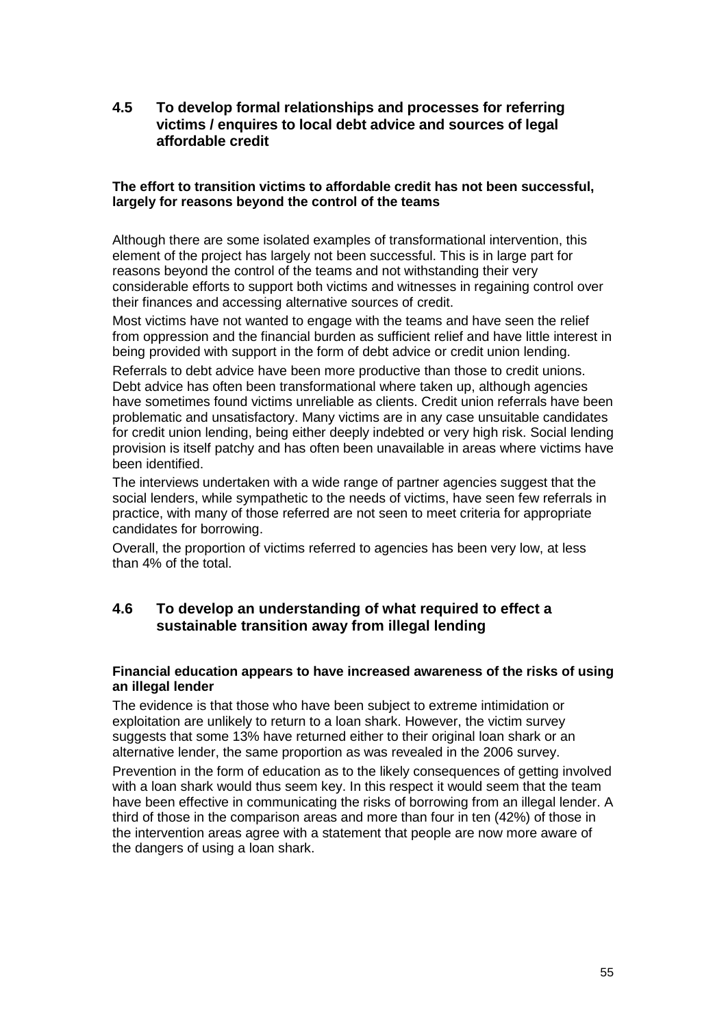**4.5 To develop formal relationships and processes for referring victims / enquires to local debt advice and sources of legal affordable credit** 

### **The effort to transition victims to affordable credit has not been successful, largely for reasons beyond the control of the teams**

Although there are some isolated examples of transformational intervention, this element of the project has largely not been successful. This is in large part for reasons beyond the control of the teams and not withstanding their very considerable efforts to support both victims and witnesses in regaining control over their finances and accessing alternative sources of credit.

Most victims have not wanted to engage with the teams and have seen the relief from oppression and the financial burden as sufficient relief and have little interest in being provided with support in the form of debt advice or credit union lending.

Referrals to debt advice have been more productive than those to credit unions. Debt advice has often been transformational where taken up, although agencies have sometimes found victims unreliable as clients. Credit union referrals have been problematic and unsatisfactory. Many victims are in any case unsuitable candidates for credit union lending, being either deeply indebted or very high risk. Social lending provision is itself patchy and has often been unavailable in areas where victims have been identified.

The interviews undertaken with a wide range of partner agencies suggest that the social lenders, while sympathetic to the needs of victims, have seen few referrals in practice, with many of those referred are not seen to meet criteria for appropriate candidates for borrowing.

Overall, the proportion of victims referred to agencies has been very low, at less than 4% of the total.

# **4.6 To develop an understanding of what required to effect a sustainable transition away from illegal lending**

### **Financial education appears to have increased awareness of the risks of using an illegal lender**

The evidence is that those who have been subject to extreme intimidation or exploitation are unlikely to return to a loan shark. However, the victim survey suggests that some 13% have returned either to their original loan shark or an alternative lender, the same proportion as was revealed in the 2006 survey.

Prevention in the form of education as to the likely consequences of getting involved with a loan shark would thus seem key. In this respect it would seem that the team have been effective in communicating the risks of borrowing from an illegal lender. A third of those in the comparison areas and more than four in ten (42%) of those in the intervention areas agree with a statement that people are now more aware of the dangers of using a loan shark.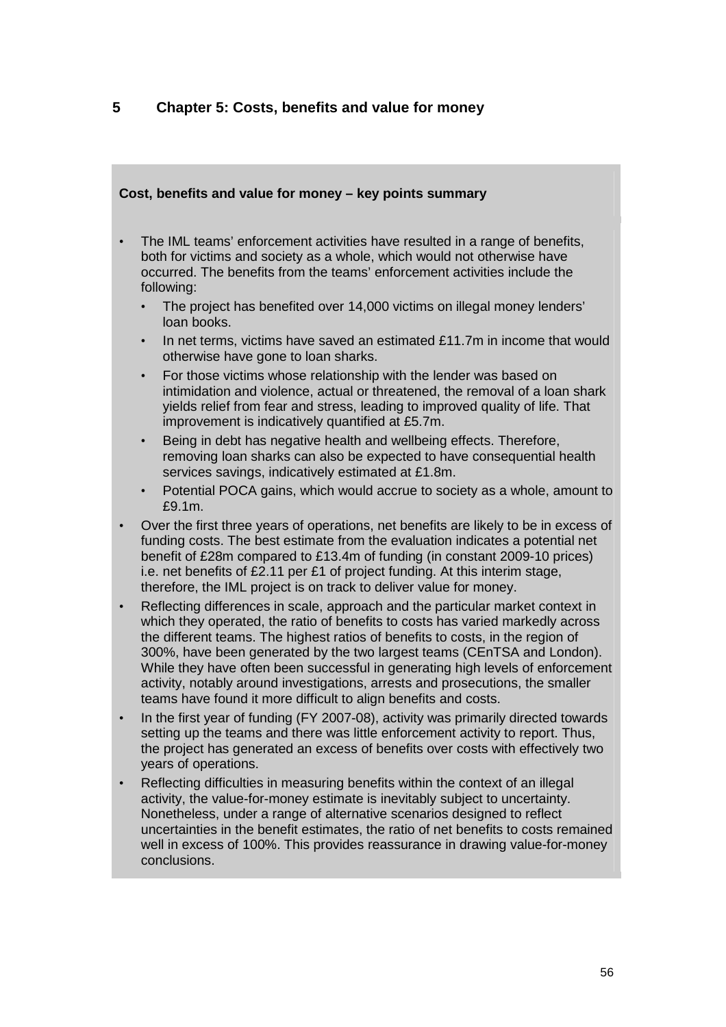# **5 Chapter 5: Costs, benefits and value for money**

# **Cost, benefits and value for money – key points summary**  • The IML teams' enforcement activities have resulted in a range of benefits, both for victims and society as a whole, which would not otherwise have occurred. The benefits from the teams' enforcement activities include the following: • The project has benefited over 14,000 victims on illegal money lenders' loan books. In net terms, victims have saved an estimated £11.7m in income that would otherwise have gone to loan sharks. • For those victims whose relationship with the lender was based on intimidation and violence, actual or threatened, the removal of a loan shark yields relief from fear and stress, leading to improved quality of life. That improvement is indicatively quantified at £5.7m. • Being in debt has negative health and wellbeing effects. Therefore, removing loan sharks can also be expected to have consequential health services savings, indicatively estimated at £1.8m. • Potential POCA gains, which would accrue to society as a whole, amount to £9.1m. • Over the first three years of operations, net benefits are likely to be in excess of funding costs. The best estimate from the evaluation indicates a potential net benefit of £28m compared to £13.4m of funding (in constant 2009-10 prices) i.e. net benefits of £2.11 per £1 of project funding. At this interim stage, therefore, the IML project is on track to deliver value for money. • Reflecting differences in scale, approach and the particular market context in which they operated, the ratio of benefits to costs has varied markedly across the different teams. The highest ratios of benefits to costs, in the region of 300%, have been generated by the two largest teams (CEnTSA and London). While they have often been successful in generating high levels of enforcement activity, notably around investigations, arrests and prosecutions, the smaller teams have found it more difficult to align benefits and costs. • In the first year of funding (FY 2007-08), activity was primarily directed towards setting up the teams and there was little enforcement activity to report. Thus, the project has generated an excess of benefits over costs with effectively two years of operations. • Reflecting difficulties in measuring benefits within the context of an illegal activity, the value-for-money estimate is inevitably subject to uncertainty. Nonetheless, under a range of alternative scenarios designed to reflect uncertainties in the benefit estimates, the ratio of net benefits to costs remained

well in excess of 100%. This provides reassurance in drawing value-for-money

conclusions.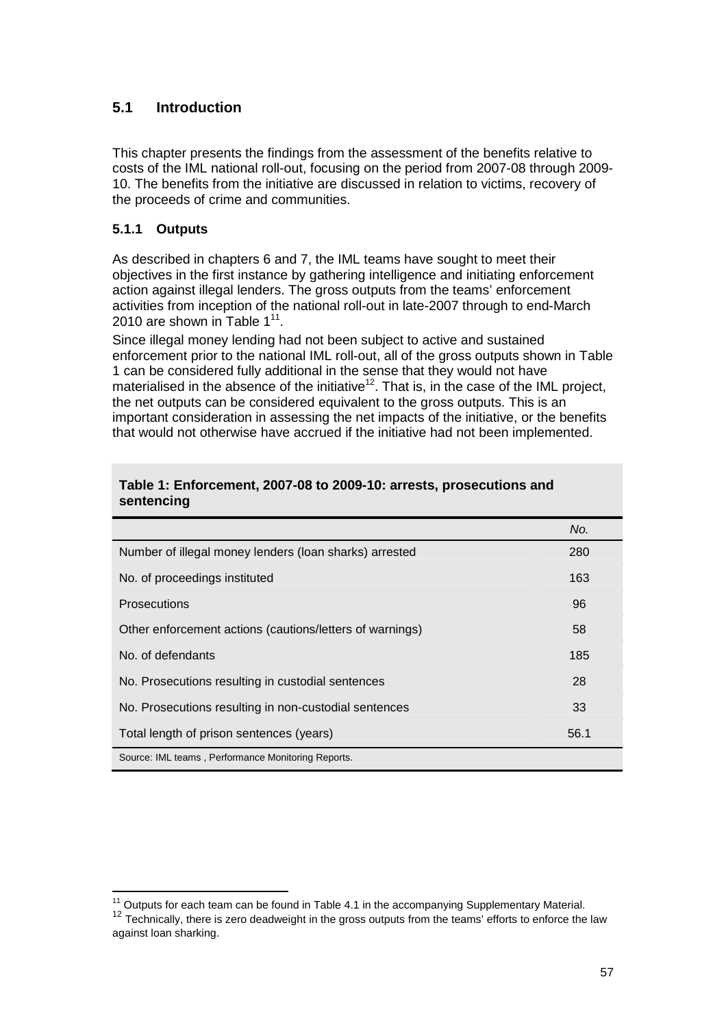# **5.1 Introduction**

This chapter presents the findings from the assessment of the benefits relative to costs of the IML national roll-out, focusing on the period from 2007-08 through 2009- 10. The benefits from the initiative are discussed in relation to victims, recovery of the proceeds of crime and communities.

## **5.1.1 Outputs**

As described in chapters 6 and 7, the IML teams have sought to meet their objectives in the first instance by gathering intelligence and initiating enforcement action against illegal lenders. The gross outputs from the teams' enforcement activities from inception of the national roll-out in late-2007 through to end-March 2010 are shown in Table  $1^{11}$ .

Since illegal money lending had not been subject to active and sustained enforcement prior to the national IML roll-out, all of the gross outputs shown in Table 1 can be considered fully additional in the sense that they would not have materialised in the absence of the initiative<sup>12</sup>. That is, in the case of the IML project, the net outputs can be considered equivalent to the gross outputs. This is an important consideration in assessing the net impacts of the initiative, or the benefits that would not otherwise have accrued if the initiative had not been implemented.

|                                                          | No.  |
|----------------------------------------------------------|------|
| Number of illegal money lenders (loan sharks) arrested   | 280  |
| No. of proceedings instituted                            | 163  |
| <b>Prosecutions</b>                                      | 96   |
| Other enforcement actions (cautions/letters of warnings) | 58   |
| No. of defendants                                        | 185  |
| No. Prosecutions resulting in custodial sentences        | 28   |
| No. Prosecutions resulting in non-custodial sentences    | 33   |
| Total length of prison sentences (years)                 | 56.1 |
| Source: IML teams, Performance Monitoring Reports.       |      |

### **Table 1: Enforcement, 2007-08 to 2009-10: arrests, prosecutions and sentencing**

 $\overline{\phantom{a}}$ 

 $11$  Outputs for each team can be found in Table 4.1 in the accompanying Supplementary Material. <sup>12</sup> Technically, there is zero deadweight in the gross outputs from the teams' efforts to enforce the law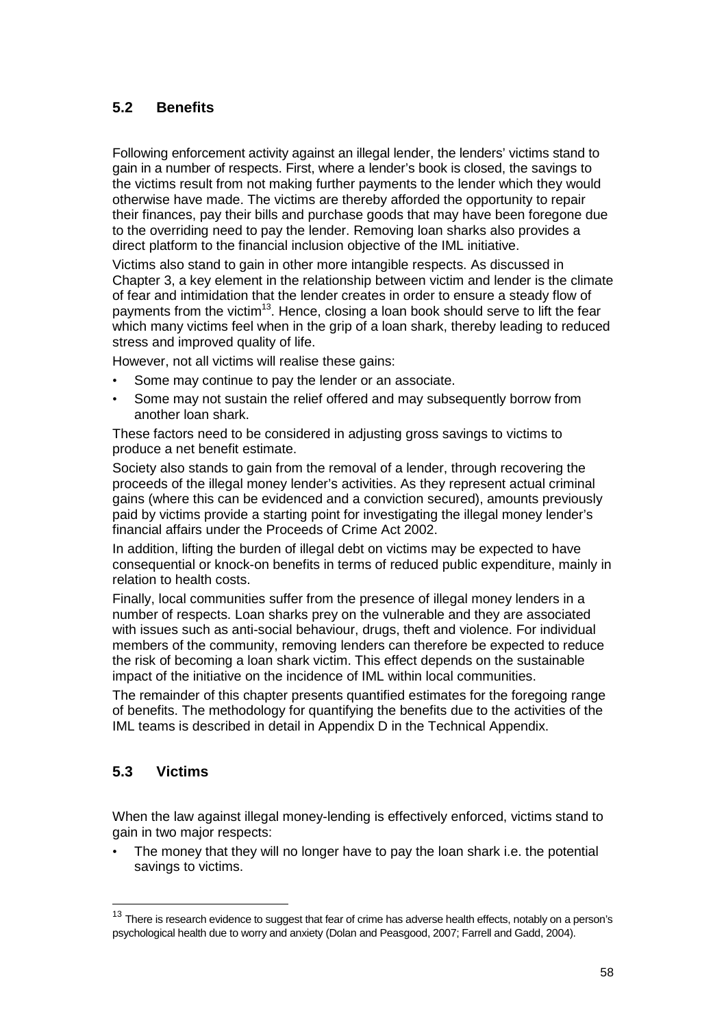# **5.2 Benefits**

Following enforcement activity against an illegal lender, the lenders' victims stand to gain in a number of respects. First, where a lender's book is closed, the savings to the victims result from not making further payments to the lender which they would otherwise have made. The victims are thereby afforded the opportunity to repair their finances, pay their bills and purchase goods that may have been foregone due to the overriding need to pay the lender. Removing loan sharks also provides a direct platform to the financial inclusion objective of the IML initiative.

Victims also stand to gain in other more intangible respects. As discussed in Chapter 3, a key element in the relationship between victim and lender is the climate of fear and intimidation that the lender creates in order to ensure a steady flow of payments from the victim<sup>13</sup>. Hence, closing a loan book should serve to lift the fear which many victims feel when in the grip of a loan shark, thereby leading to reduced stress and improved quality of life.

However, not all victims will realise these gains:

- Some may continue to pay the lender or an associate.
- Some may not sustain the relief offered and may subsequently borrow from another loan shark.

These factors need to be considered in adjusting gross savings to victims to produce a net benefit estimate.

Society also stands to gain from the removal of a lender, through recovering the proceeds of the illegal money lender's activities. As they represent actual criminal gains (where this can be evidenced and a conviction secured), amounts previously paid by victims provide a starting point for investigating the illegal money lender's financial affairs under the Proceeds of Crime Act 2002.

In addition, lifting the burden of illegal debt on victims may be expected to have consequential or knock-on benefits in terms of reduced public expenditure, mainly in relation to health costs.

Finally, local communities suffer from the presence of illegal money lenders in a number of respects. Loan sharks prey on the vulnerable and they are associated with issues such as anti-social behaviour, drugs, theft and violence. For individual members of the community, removing lenders can therefore be expected to reduce the risk of becoming a loan shark victim. This effect depends on the sustainable impact of the initiative on the incidence of IML within local communities.

The remainder of this chapter presents quantified estimates for the foregoing range of benefits. The methodology for quantifying the benefits due to the activities of the IML teams is described in detail in Appendix D in the Technical Appendix.

# **5.3 Victims**

 $\overline{a}$ 

When the law against illegal money-lending is effectively enforced, victims stand to gain in two major respects:

The money that they will no longer have to pay the loan shark i.e. the potential savings to victims.

 $13$  There is research evidence to suggest that fear of crime has adverse health effects, notably on a person's psychological health due to worry and anxiety (Dolan and Peasgood, 2007; Farrell and Gadd, 2004).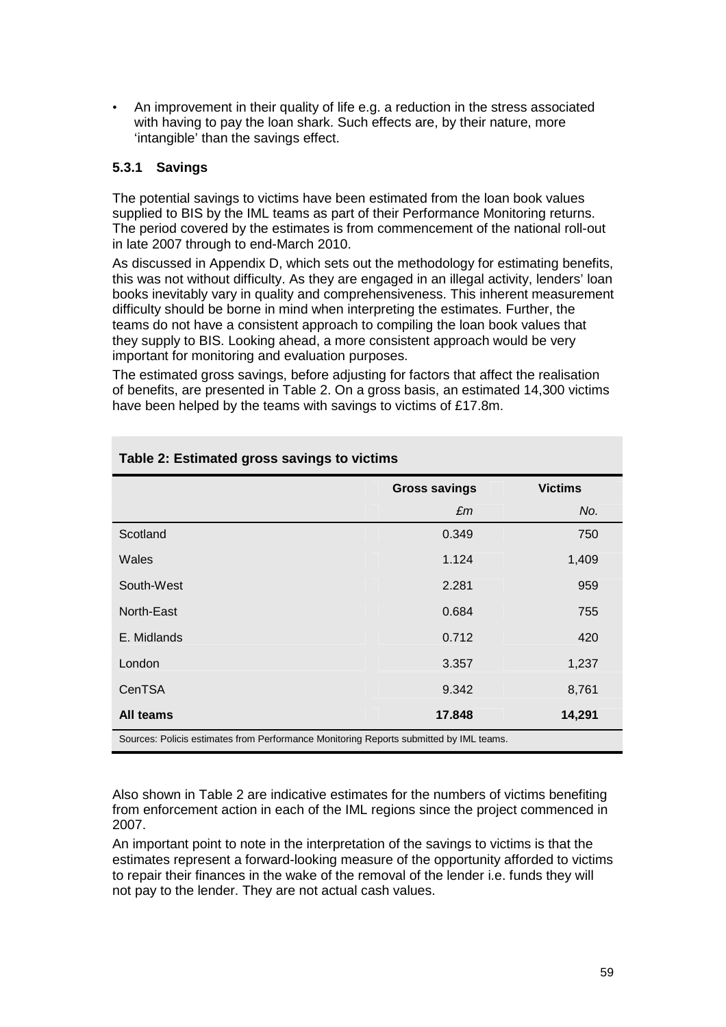• An improvement in their quality of life e.g. a reduction in the stress associated with having to pay the loan shark. Such effects are, by their nature, more 'intangible' than the savings effect.

## **5.3.1 Savings**

The potential savings to victims have been estimated from the loan book values supplied to BIS by the IML teams as part of their Performance Monitoring returns. The period covered by the estimates is from commencement of the national roll-out in late 2007 through to end-March 2010.

As discussed in Appendix D, which sets out the methodology for estimating benefits, this was not without difficulty. As they are engaged in an illegal activity, lenders' loan books inevitably vary in quality and comprehensiveness. This inherent measurement difficulty should be borne in mind when interpreting the estimates. Further, the teams do not have a consistent approach to compiling the loan book values that they supply to BIS. Looking ahead, a more consistent approach would be very important for monitoring and evaluation purposes.

The estimated gross savings, before adjusting for factors that affect the realisation of benefits, are presented in Table 2. On a gross basis, an estimated 14,300 victims have been helped by the teams with savings to victims of £17.8m.

|                                                                                        | <b>Gross savings</b> | <b>Victims</b> |
|----------------------------------------------------------------------------------------|----------------------|----------------|
|                                                                                        | £m                   | No.            |
| Scotland                                                                               | 0.349                | 750            |
| Wales                                                                                  | 1.124                | 1,409          |
| South-West                                                                             | 2.281                | 959            |
| North-East                                                                             | 0.684                | 755            |
| E. Midlands                                                                            | 0.712                | 420            |
| London                                                                                 | 3.357                | 1,237          |
| CenTSA                                                                                 | 9.342                | 8,761          |
| All teams                                                                              | 17.848               | 14,291         |
| Sources: Policis estimates from Performance Monitoring Reports submitted by IML teams. |                      |                |

## **Table 2: Estimated gross savings to victims**

Also shown in Table 2 are indicative estimates for the numbers of victims benefiting from enforcement action in each of the IML regions since the project commenced in 2007.

An important point to note in the interpretation of the savings to victims is that the estimates represent a forward-looking measure of the opportunity afforded to victims to repair their finances in the wake of the removal of the lender i.e. funds they will not pay to the lender. They are not actual cash values.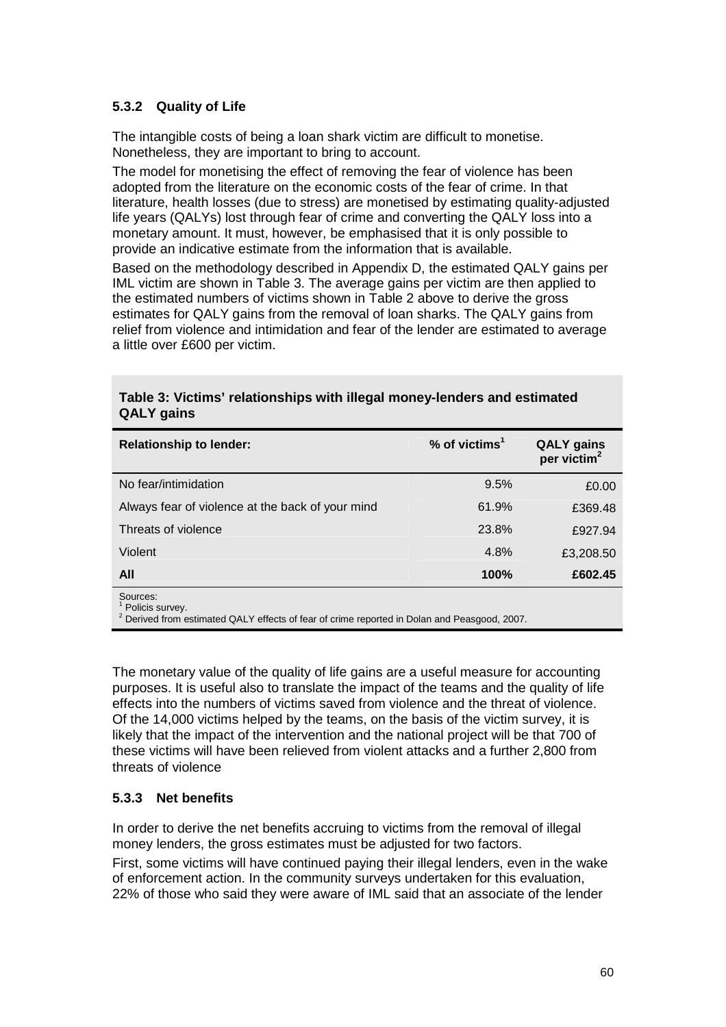## **5.3.2 Quality of Life**

The intangible costs of being a loan shark victim are difficult to monetise. Nonetheless, they are important to bring to account.

The model for monetising the effect of removing the fear of violence has been adopted from the literature on the economic costs of the fear of crime. In that literature, health losses (due to stress) are monetised by estimating quality-adjusted life years (QALYs) lost through fear of crime and converting the QALY loss into a monetary amount. It must, however, be emphasised that it is only possible to provide an indicative estimate from the information that is available.

Based on the methodology described in Appendix D, the estimated QALY gains per IML victim are shown in Table 3. The average gains per victim are then applied to the estimated numbers of victims shown in Table 2 above to derive the gross estimates for QALY gains from the removal of loan sharks. The QALY gains from relief from violence and intimidation and fear of the lender are estimated to average a little over £600 per victim.

| <b>Relationship to lender:</b>                   | $%$ of victims <sup>1</sup> | <b>QALY</b> gains<br>per victim <sup>2</sup> |
|--------------------------------------------------|-----------------------------|----------------------------------------------|
| No fear/intimidation                             | 9.5%                        | £0.00                                        |
| Always fear of violence at the back of your mind | 61.9%                       | £369.48                                      |
| Threats of violence                              | 23.8%                       | £927.94                                      |
| Violent                                          | 4.8%                        | £3,208.50                                    |
| All                                              | 100%                        | £602.45                                      |
| SOUICAS'                                         |                             |                                              |

## **Table 3: Victims' relationships with illegal money-lenders and estimated QALY gains**

Sources: 1 Policis survey.

2

Derived from estimated QALY effects of fear of crime reported in Dolan and Peasgood, 2007.

The monetary value of the quality of life gains are a useful measure for accounting purposes. It is useful also to translate the impact of the teams and the quality of life effects into the numbers of victims saved from violence and the threat of violence. Of the 14,000 victims helped by the teams, on the basis of the victim survey, it is likely that the impact of the intervention and the national project will be that 700 of these victims will have been relieved from violent attacks and a further 2,800 from threats of violence

### **5.3.3 Net benefits**

In order to derive the net benefits accruing to victims from the removal of illegal money lenders, the gross estimates must be adjusted for two factors.

First, some victims will have continued paying their illegal lenders, even in the wake of enforcement action. In the community surveys undertaken for this evaluation, 22% of those who said they were aware of IML said that an associate of the lender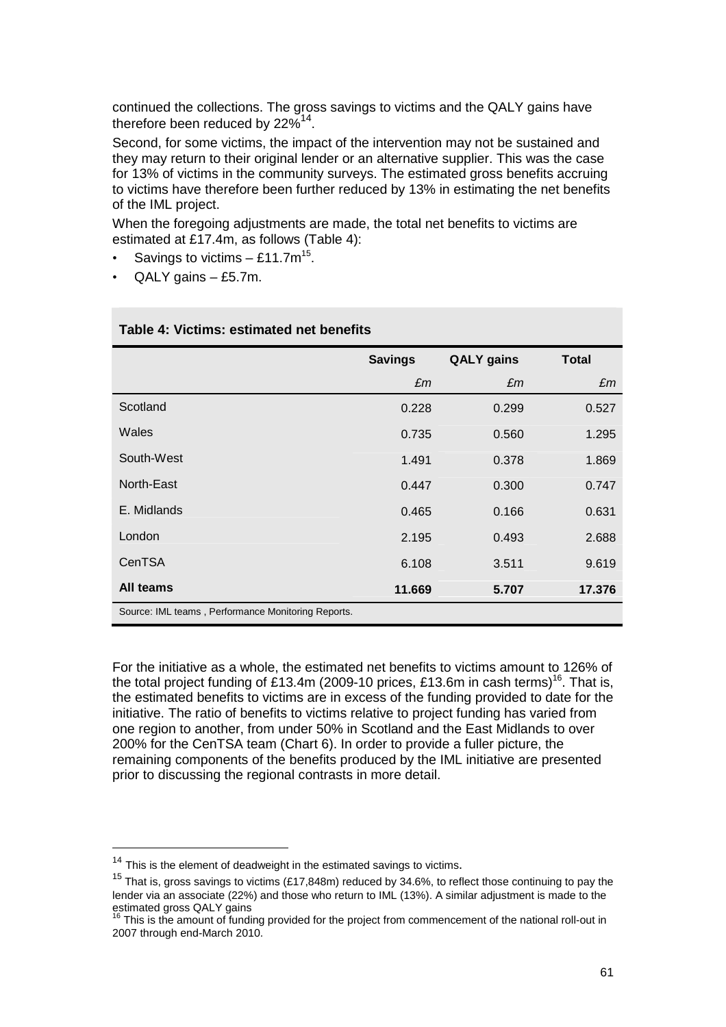continued the collections. The gross savings to victims and the QALY gains have therefore been reduced by 22% $^{14}$ .

Second, for some victims, the impact of the intervention may not be sustained and they may return to their original lender or an alternative supplier. This was the case for 13% of victims in the community surveys. The estimated gross benefits accruing to victims have therefore been further reduced by 13% in estimating the net benefits of the IML project.

When the foregoing adjustments are made, the total net benefits to victims are estimated at £17.4m, as follows (Table 4):

- Savings to victims  $-$  £11.7m<sup>15</sup>.
- QALY gains £5.7m.

|                                                    | <b>Savings</b> | <b>QALY</b> gains | <b>Total</b> |
|----------------------------------------------------|----------------|-------------------|--------------|
|                                                    | £m             | £m                | £m           |
| Scotland                                           | 0.228          | 0.299             | 0.527        |
| Wales                                              | 0.735          | 0.560             | 1.295        |
| South-West                                         | 1.491          | 0.378             | 1.869        |
| North-East                                         | 0.447          | 0.300             | 0.747        |
| E. Midlands                                        | 0.465          | 0.166             | 0.631        |
| London                                             | 2.195          | 0.493             | 2.688        |
| CenTSA                                             | 6.108          | 3.511             | 9.619        |
| All teams                                          | 11.669         | 5.707             | 17.376       |
| Source: IML teams, Performance Monitoring Reports. |                |                   |              |

#### **Table 4: Victims: estimated net benefits**

For the initiative as a whole, the estimated net benefits to victims amount to 126% of the total project funding of £13.4m (2009-10 prices, £13.6m in cash terms)<sup>16</sup>. That is, the estimated benefits to victims are in excess of the funding provided to date for the initiative. The ratio of benefits to victims relative to project funding has varied from one region to another, from under 50% in Scotland and the East Midlands to over 200% for the CenTSA team (Chart 6). In order to provide a fuller picture, the remaining components of the benefits produced by the IML initiative are presented prior to discussing the regional contrasts in more detail.

 $\overline{a}$ 

<sup>&</sup>lt;sup>14</sup> This is the element of deadweight in the estimated savings to victims.

<sup>&</sup>lt;sup>15</sup> That is, gross savings to victims (£17,848m) reduced by 34.6%, to reflect those continuing to pay the lender via an associate (22%) and those who return to IML (13%). A similar adjustment is made to the estimated gross QALY gains

This is the amount of funding provided for the project from commencement of the national roll-out in 2007 through end-March 2010.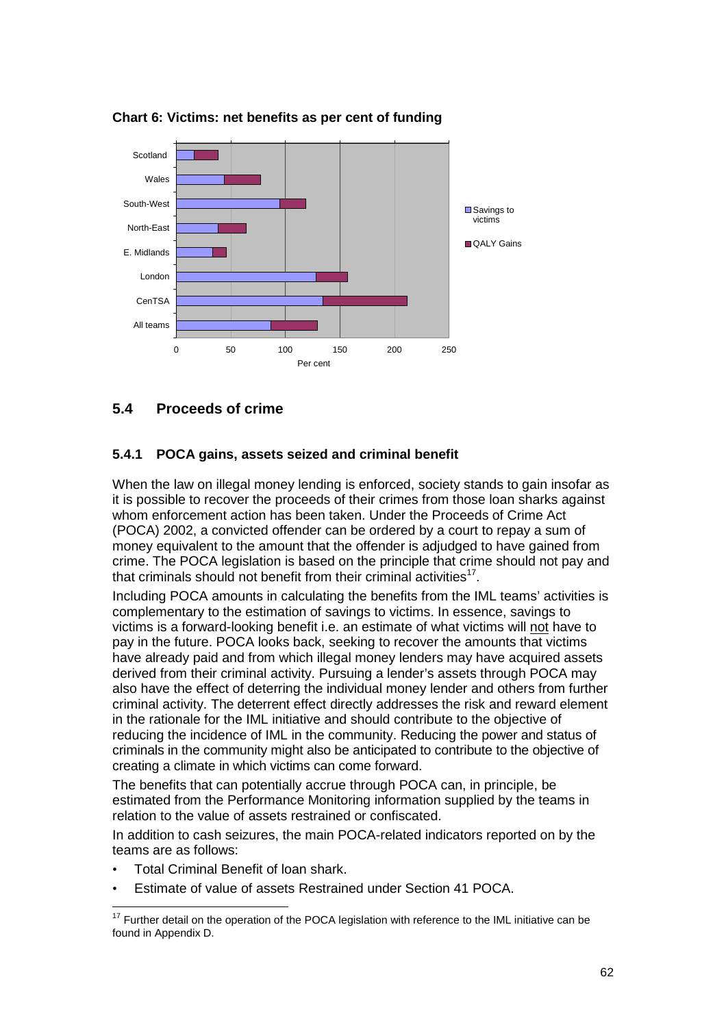

**Chart 6: Victims: net benefits as per cent of funding** 

# **5.4 Proceeds of crime**

## **5.4.1 POCA gains, assets seized and criminal benefit**

When the law on illegal money lending is enforced, society stands to gain insofar as it is possible to recover the proceeds of their crimes from those loan sharks against whom enforcement action has been taken. Under the Proceeds of Crime Act (POCA) 2002, a convicted offender can be ordered by a court to repay a sum of money equivalent to the amount that the offender is adjudged to have gained from crime. The POCA legislation is based on the principle that crime should not pay and that criminals should not benefit from their criminal activities<sup>17</sup>.

Including POCA amounts in calculating the benefits from the IML teams' activities is complementary to the estimation of savings to victims. In essence, savings to victims is a forward-looking benefit i.e. an estimate of what victims will not have to pay in the future. POCA looks back, seeking to recover the amounts that victims have already paid and from which illegal money lenders may have acquired assets derived from their criminal activity. Pursuing a lender's assets through POCA may also have the effect of deterring the individual money lender and others from further criminal activity. The deterrent effect directly addresses the risk and reward element in the rationale for the IML initiative and should contribute to the objective of reducing the incidence of IML in the community. Reducing the power and status of criminals in the community might also be anticipated to contribute to the objective of creating a climate in which victims can come forward.

The benefits that can potentially accrue through POCA can, in principle, be estimated from the Performance Monitoring information supplied by the teams in relation to the value of assets restrained or confiscated.

In addition to cash seizures, the main POCA-related indicators reported on by the teams are as follows:

- Total Criminal Benefit of loan shark.
- Estimate of value of assets Restrained under Section 41 POCA.

 $\overline{a}$  $17$  Further detail on the operation of the POCA legislation with reference to the IML initiative can be found in Appendix D.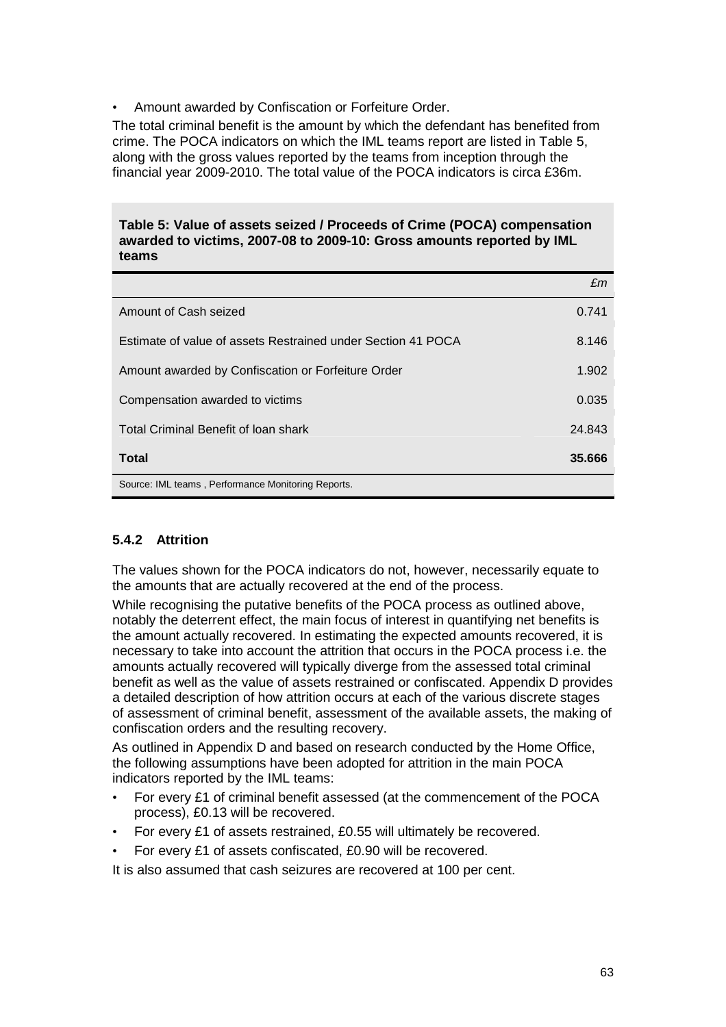• Amount awarded by Confiscation or Forfeiture Order.

The total criminal benefit is the amount by which the defendant has benefited from crime. The POCA indicators on which the IML teams report are listed in Table 5, along with the gross values reported by the teams from inception through the financial year 2009-2010. The total value of the POCA indicators is circa £36m.

### **Table 5: Value of assets seized / Proceeds of Crime (POCA) compensation awarded to victims, 2007-08 to 2009-10: Gross amounts reported by IML teams**

|                                                              | £m     |
|--------------------------------------------------------------|--------|
| Amount of Cash seized                                        | 0.741  |
| Estimate of value of assets Restrained under Section 41 POCA | 8.146  |
| Amount awarded by Confiscation or Forfeiture Order           | 1.902  |
| Compensation awarded to victims                              | 0.035  |
| Total Criminal Benefit of loan shark                         | 24.843 |
| <b>Total</b>                                                 | 35.666 |
| Source: IML teams, Performance Monitoring Reports.           |        |

## **5.4.2 Attrition**

The values shown for the POCA indicators do not, however, necessarily equate to the amounts that are actually recovered at the end of the process.

While recognising the putative benefits of the POCA process as outlined above, notably the deterrent effect, the main focus of interest in quantifying net benefits is the amount actually recovered. In estimating the expected amounts recovered, it is necessary to take into account the attrition that occurs in the POCA process i.e. the amounts actually recovered will typically diverge from the assessed total criminal benefit as well as the value of assets restrained or confiscated. Appendix D provides a detailed description of how attrition occurs at each of the various discrete stages of assessment of criminal benefit, assessment of the available assets, the making of confiscation orders and the resulting recovery.

As outlined in Appendix D and based on research conducted by the Home Office, the following assumptions have been adopted for attrition in the main POCA indicators reported by the IML teams:

- For every £1 of criminal benefit assessed (at the commencement of the POCA process), £0.13 will be recovered.
- For every £1 of assets restrained, £0.55 will ultimately be recovered.
- For every £1 of assets confiscated, £0.90 will be recovered.

It is also assumed that cash seizures are recovered at 100 per cent.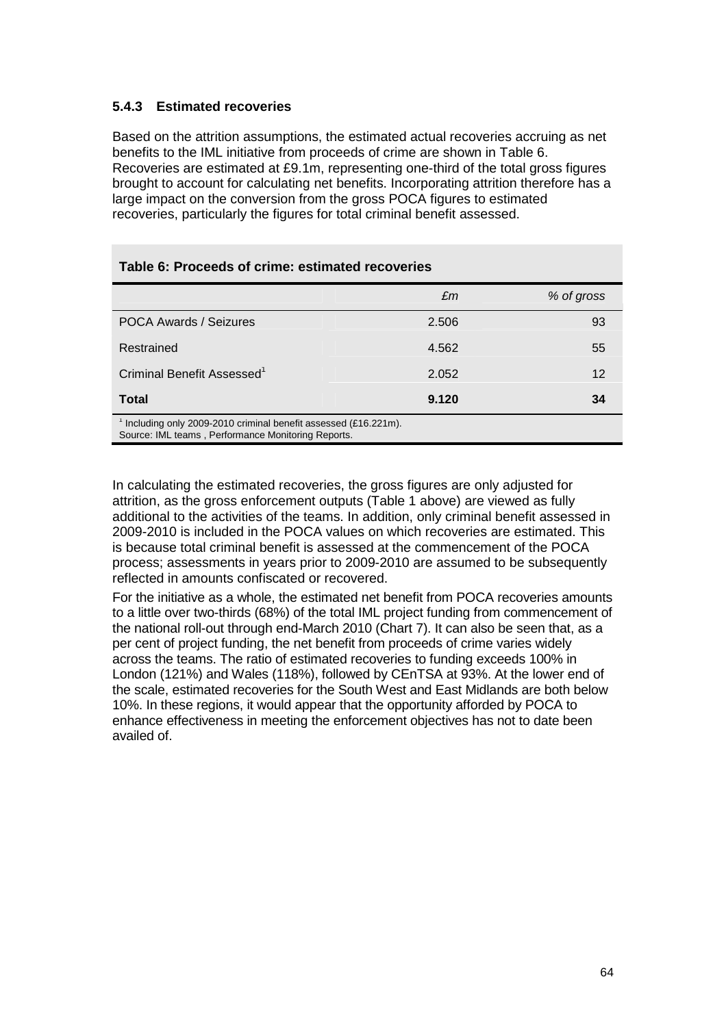## **5.4.3 Estimated recoveries**

Based on the attrition assumptions, the estimated actual recoveries accruing as net benefits to the IML initiative from proceeds of crime are shown in Table 6. Recoveries are estimated at £9.1m, representing one-third of the total gross figures brought to account for calculating net benefits. Incorporating attrition therefore has a large impact on the conversion from the gross POCA figures to estimated recoveries, particularly the figures for total criminal benefit assessed.

|                                                                                                                      | £m    | % of gross |
|----------------------------------------------------------------------------------------------------------------------|-------|------------|
| <b>POCA Awards / Seizures</b>                                                                                        | 2.506 | 93         |
| Restrained                                                                                                           | 4.562 | 55         |
| Criminal Benefit Assessed <sup>1</sup>                                                                               | 2.052 | 12         |
| <b>Total</b>                                                                                                         | 9.120 | 34         |
| Including only 2009-2010 criminal benefit assessed (£16.221m).<br>Source: IML teams, Performance Monitoring Reports. |       |            |

In calculating the estimated recoveries, the gross figures are only adjusted for attrition, as the gross enforcement outputs (Table 1 above) are viewed as fully additional to the activities of the teams. In addition, only criminal benefit assessed in 2009-2010 is included in the POCA values on which recoveries are estimated. This is because total criminal benefit is assessed at the commencement of the POCA process; assessments in years prior to 2009-2010 are assumed to be subsequently reflected in amounts confiscated or recovered.

For the initiative as a whole, the estimated net benefit from POCA recoveries amounts to a little over two-thirds (68%) of the total IML project funding from commencement of the national roll-out through end-March 2010 (Chart 7). It can also be seen that, as a per cent of project funding, the net benefit from proceeds of crime varies widely across the teams. The ratio of estimated recoveries to funding exceeds 100% in London (121%) and Wales (118%), followed by CEnTSA at 93%. At the lower end of the scale, estimated recoveries for the South West and East Midlands are both below 10%. In these regions, it would appear that the opportunity afforded by POCA to enhance effectiveness in meeting the enforcement objectives has not to date been availed of.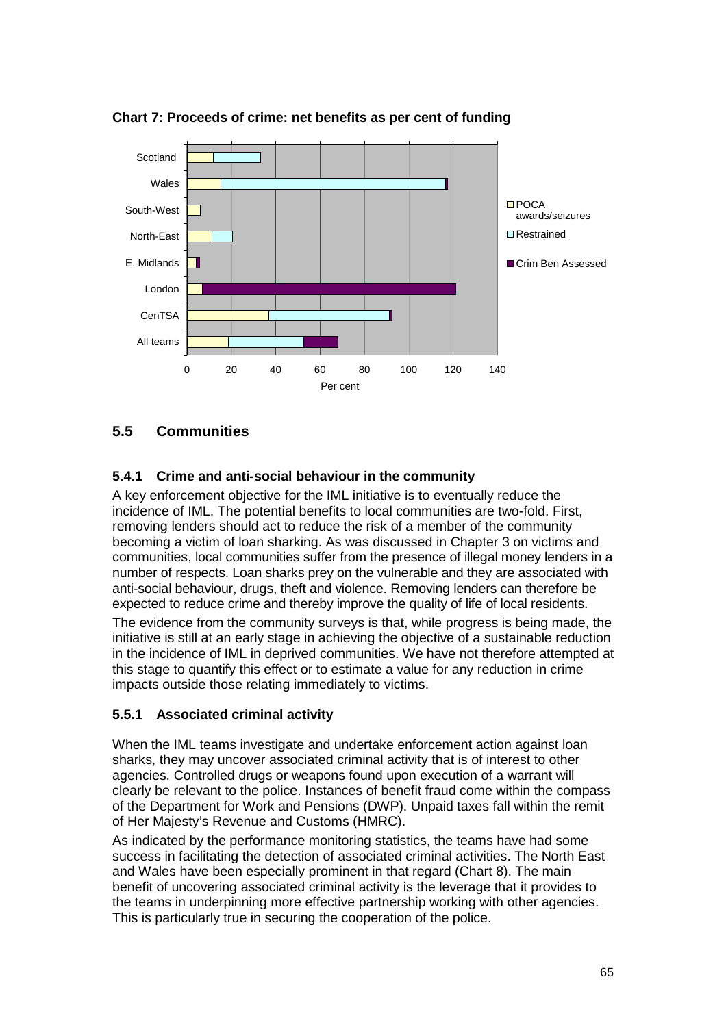

**Chart 7: Proceeds of crime: net benefits as per cent of funding** 

# **5.5 Communities**

# **5.4.1 Crime and anti-social behaviour in the community**

A key enforcement objective for the IML initiative is to eventually reduce the incidence of IML. The potential benefits to local communities are two-fold. First, removing lenders should act to reduce the risk of a member of the community becoming a victim of loan sharking. As was discussed in Chapter 3 on victims and communities, local communities suffer from the presence of illegal money lenders in a number of respects. Loan sharks prey on the vulnerable and they are associated with anti-social behaviour, drugs, theft and violence. Removing lenders can therefore be expected to reduce crime and thereby improve the quality of life of local residents.

The evidence from the community surveys is that, while progress is being made, the initiative is still at an early stage in achieving the objective of a sustainable reduction in the incidence of IML in deprived communities. We have not therefore attempted at this stage to quantify this effect or to estimate a value for any reduction in crime impacts outside those relating immediately to victims.

# **5.5.1 Associated criminal activity**

When the IML teams investigate and undertake enforcement action against loan sharks, they may uncover associated criminal activity that is of interest to other agencies. Controlled drugs or weapons found upon execution of a warrant will clearly be relevant to the police. Instances of benefit fraud come within the compass of the Department for Work and Pensions (DWP). Unpaid taxes fall within the remit of Her Majesty's Revenue and Customs (HMRC).

As indicated by the performance monitoring statistics, the teams have had some success in facilitating the detection of associated criminal activities. The North East and Wales have been especially prominent in that regard (Chart 8). The main benefit of uncovering associated criminal activity is the leverage that it provides to the teams in underpinning more effective partnership working with other agencies. This is particularly true in securing the cooperation of the police.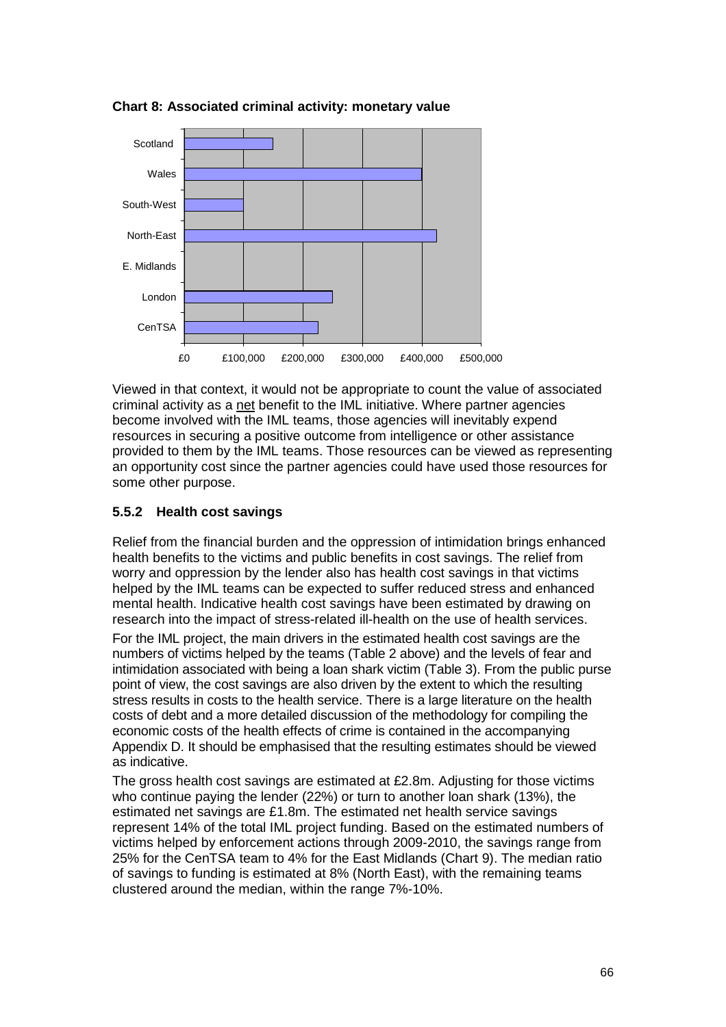

**Chart 8: Associated criminal activity: monetary value** 

Viewed in that context, it would not be appropriate to count the value of associated criminal activity as a net benefit to the IML initiative. Where partner agencies become involved with the IML teams, those agencies will inevitably expend resources in securing a positive outcome from intelligence or other assistance provided to them by the IML teams. Those resources can be viewed as representing an opportunity cost since the partner agencies could have used those resources for some other purpose.

## **5.5.2 Health cost savings**

Relief from the financial burden and the oppression of intimidation brings enhanced health benefits to the victims and public benefits in cost savings. The relief from worry and oppression by the lender also has health cost savings in that victims helped by the IML teams can be expected to suffer reduced stress and enhanced mental health. Indicative health cost savings have been estimated by drawing on research into the impact of stress-related ill-health on the use of health services.

For the IML project, the main drivers in the estimated health cost savings are the numbers of victims helped by the teams (Table 2 above) and the levels of fear and intimidation associated with being a loan shark victim (Table 3). From the public purse point of view, the cost savings are also driven by the extent to which the resulting stress results in costs to the health service. There is a large literature on the health costs of debt and a more detailed discussion of the methodology for compiling the economic costs of the health effects of crime is contained in the accompanying Appendix D. It should be emphasised that the resulting estimates should be viewed as indicative.

The gross health cost savings are estimated at £2.8m. Adjusting for those victims who continue paying the lender (22%) or turn to another loan shark (13%), the estimated net savings are £1.8m. The estimated net health service savings represent 14% of the total IML project funding. Based on the estimated numbers of victims helped by enforcement actions through 2009-2010, the savings range from 25% for the CenTSA team to 4% for the East Midlands (Chart 9). The median ratio of savings to funding is estimated at 8% (North East), with the remaining teams clustered around the median, within the range 7%-10%.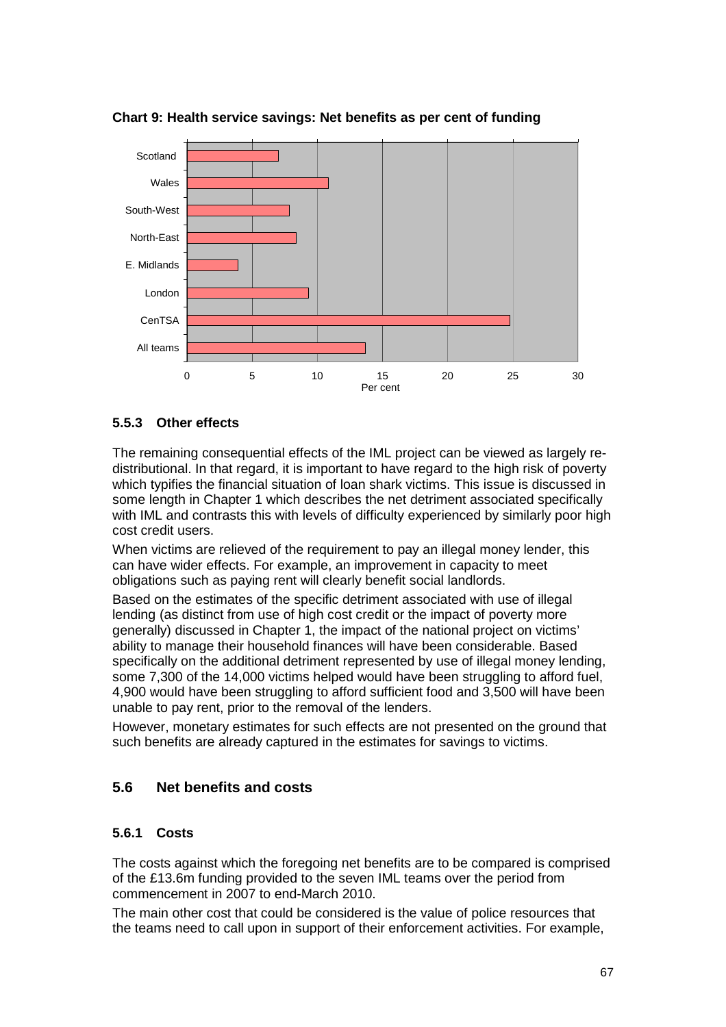

**Chart 9: Health service savings: Net benefits as per cent of funding** 

## **5.5.3 Other effects**

The remaining consequential effects of the IML project can be viewed as largely redistributional. In that regard, it is important to have regard to the high risk of poverty which typifies the financial situation of loan shark victims. This issue is discussed in some length in Chapter 1 which describes the net detriment associated specifically with IML and contrasts this with levels of difficulty experienced by similarly poor high cost credit users.

When victims are relieved of the requirement to pay an illegal money lender, this can have wider effects. For example, an improvement in capacity to meet obligations such as paying rent will clearly benefit social landlords.

Based on the estimates of the specific detriment associated with use of illegal lending (as distinct from use of high cost credit or the impact of poverty more generally) discussed in Chapter 1, the impact of the national project on victims' ability to manage their household finances will have been considerable. Based specifically on the additional detriment represented by use of illegal money lending, some 7,300 of the 14,000 victims helped would have been struggling to afford fuel, 4,900 would have been struggling to afford sufficient food and 3,500 will have been unable to pay rent, prior to the removal of the lenders.

However, monetary estimates for such effects are not presented on the ground that such benefits are already captured in the estimates for savings to victims.

## **5.6 Net benefits and costs**

## **5.6.1 Costs**

The costs against which the foregoing net benefits are to be compared is comprised of the £13.6m funding provided to the seven IML teams over the period from commencement in 2007 to end-March 2010.

The main other cost that could be considered is the value of police resources that the teams need to call upon in support of their enforcement activities. For example,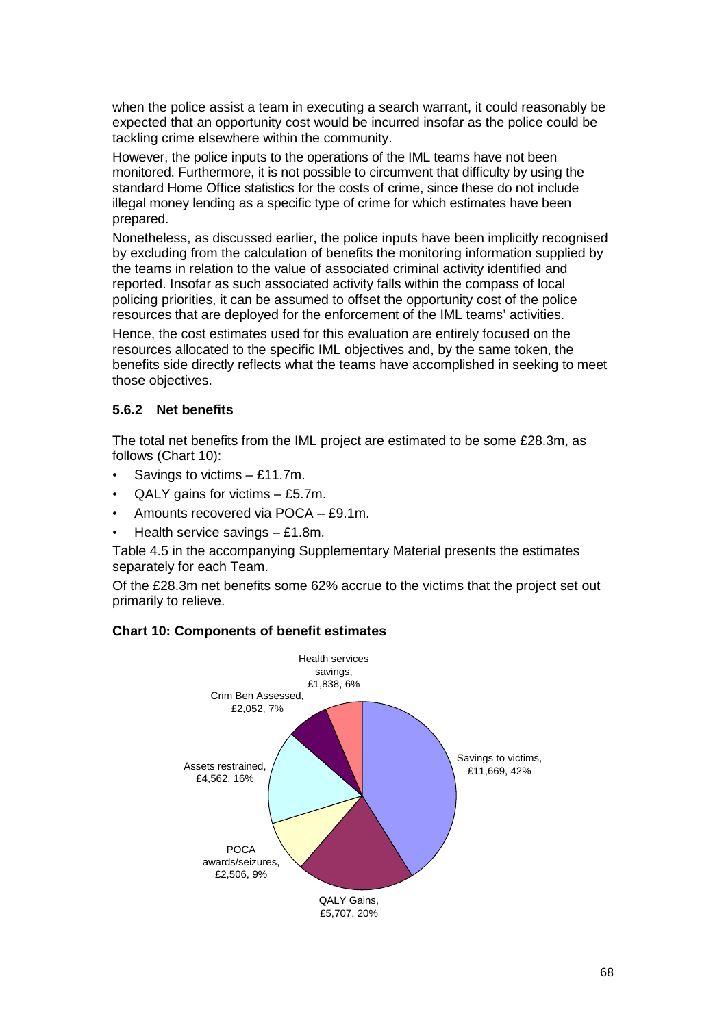when the police assist a team in executing a search warrant, it could reasonably be expected that an opportunity cost would be incurred insofar as the police could be tackling crime elsewhere within the community.

However, the police inputs to the operations of the IML teams have not been monitored. Furthermore, it is not possible to circumvent that difficulty by using the standard Home Office statistics for the costs of crime, since these do not include illegal money lending as a specific type of crime for which estimates have been prepared.

Nonetheless, as discussed earlier, the police inputs have been implicitly recognised by excluding from the calculation of benefits the monitoring information supplied by the teams in relation to the value of associated criminal activity identified and reported. Insofar as such associated activity falls within the compass of local policing priorities, it can be assumed to offset the opportunity cost of the police resources that are deployed for the enforcement of the IML teams' activities.

Hence, the cost estimates used for this evaluation are entirely focused on the resources allocated to the specific IML objectives and, by the same token, the benefits side directly reflects what the teams have accomplished in seeking to meet those objectives.

## **5.6.2 Net benefits**

The total net benefits from the IML project are estimated to be some £28.3m, as follows (Chart 10):

- Savings to victims £11.7m.
- $QALY$  gains for victims  $-$  £5.7m.
- Amounts recovered via POCA £9.1m.
- Health service savings  $f1.8$ m.

Table 4.5 in the accompanying Supplementary Material presents the estimates separately for each Team.

Of the £28.3m net benefits some 62% accrue to the victims that the project set out primarily to relieve.



### **Chart 10: Components of benefit estimates**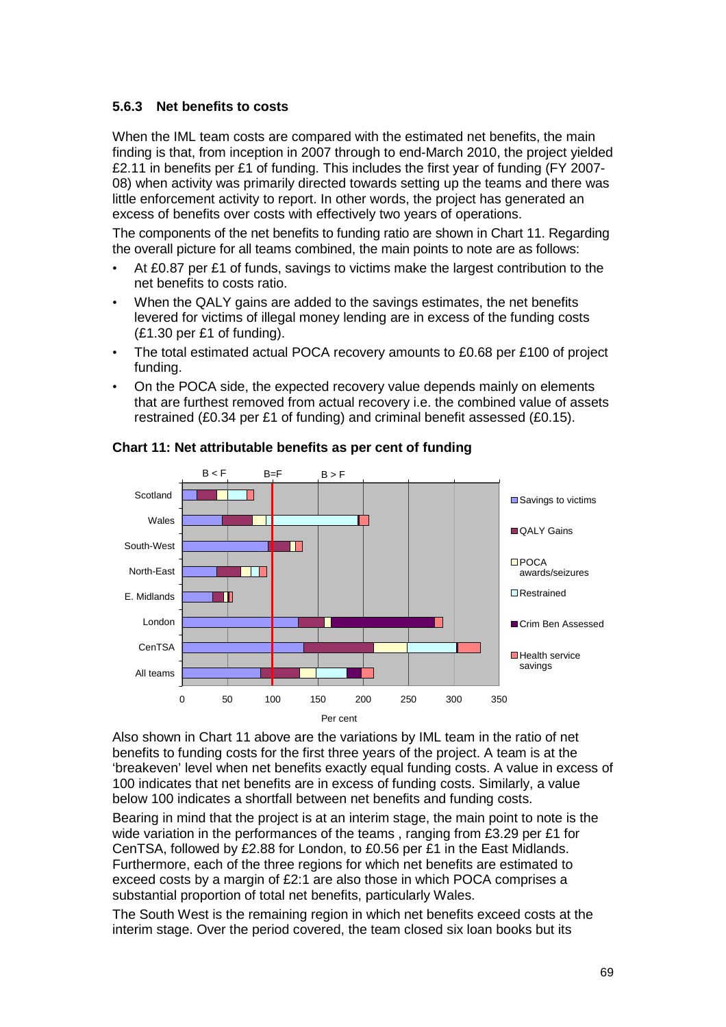## **5.6.3 Net benefits to costs**

When the IML team costs are compared with the estimated net benefits, the main finding is that, from inception in 2007 through to end-March 2010, the project yielded £2.11 in benefits per £1 of funding. This includes the first year of funding (FY 2007- 08) when activity was primarily directed towards setting up the teams and there was little enforcement activity to report. In other words, the project has generated an excess of benefits over costs with effectively two years of operations.

The components of the net benefits to funding ratio are shown in Chart 11. Regarding the overall picture for all teams combined, the main points to note are as follows:

- At £0.87 per £1 of funds, savings to victims make the largest contribution to the net benefits to costs ratio.
- When the QALY gains are added to the savings estimates, the net benefits levered for victims of illegal money lending are in excess of the funding costs (£1.30 per £1 of funding).
- The total estimated actual POCA recovery amounts to £0.68 per £100 of project funding.
- On the POCA side, the expected recovery value depends mainly on elements that are furthest removed from actual recovery i.e. the combined value of assets restrained (£0.34 per £1 of funding) and criminal benefit assessed (£0.15).



### **Chart 11: Net attributable benefits as per cent of funding**

Also shown in Chart 11 above are the variations by IML team in the ratio of net benefits to funding costs for the first three years of the project. A team is at the 'breakeven' level when net benefits exactly equal funding costs. A value in excess of 100 indicates that net benefits are in excess of funding costs. Similarly, a value below 100 indicates a shortfall between net benefits and funding costs.

Bearing in mind that the project is at an interim stage, the main point to note is the wide variation in the performances of the teams , ranging from £3.29 per £1 for CenTSA, followed by £2.88 for London, to £0.56 per £1 in the East Midlands. Furthermore, each of the three regions for which net benefits are estimated to exceed costs by a margin of £2:1 are also those in which POCA comprises a substantial proportion of total net benefits, particularly Wales.

The South West is the remaining region in which net benefits exceed costs at the interim stage. Over the period covered, the team closed six loan books but its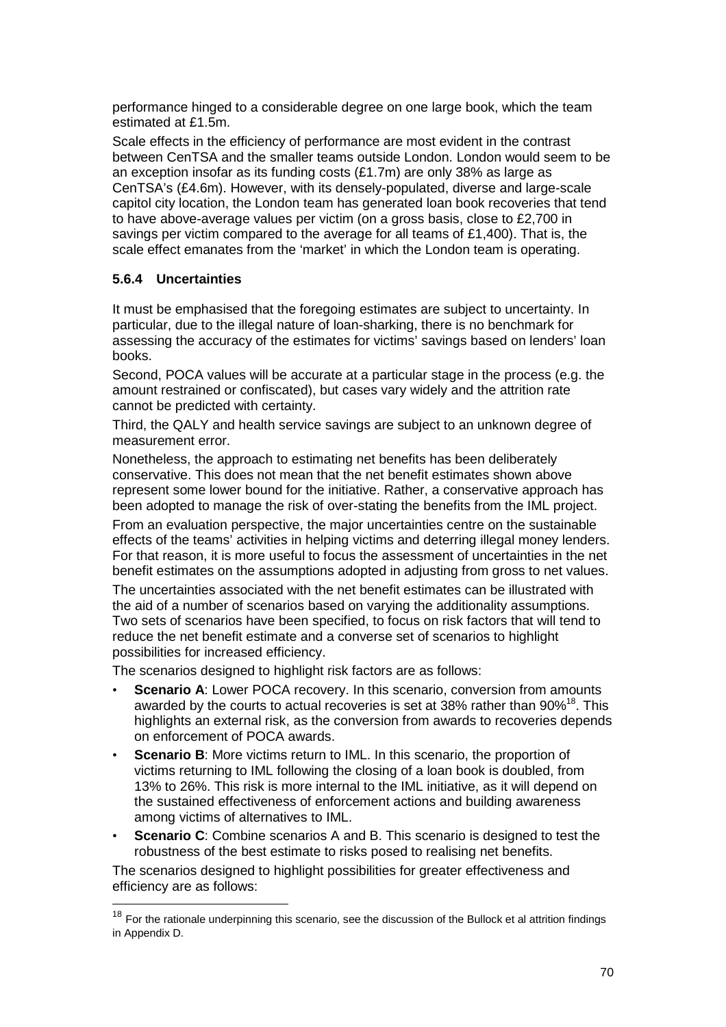performance hinged to a considerable degree on one large book, which the team estimated at £1.5m.

Scale effects in the efficiency of performance are most evident in the contrast between CenTSA and the smaller teams outside London. London would seem to be an exception insofar as its funding costs (£1.7m) are only 38% as large as CenTSA's (£4.6m). However, with its densely-populated, diverse and large-scale capitol city location, the London team has generated loan book recoveries that tend to have above-average values per victim (on a gross basis, close to £2,700 in savings per victim compared to the average for all teams of £1,400). That is, the scale effect emanates from the 'market' in which the London team is operating.

### **5.6.4 Uncertainties**

 $\overline{a}$ 

It must be emphasised that the foregoing estimates are subject to uncertainty. In particular, due to the illegal nature of loan-sharking, there is no benchmark for assessing the accuracy of the estimates for victims' savings based on lenders' loan books.

Second, POCA values will be accurate at a particular stage in the process (e.g. the amount restrained or confiscated), but cases vary widely and the attrition rate cannot be predicted with certainty.

Third, the QALY and health service savings are subject to an unknown degree of measurement error.

Nonetheless, the approach to estimating net benefits has been deliberately conservative. This does not mean that the net benefit estimates shown above represent some lower bound for the initiative. Rather, a conservative approach has been adopted to manage the risk of over-stating the benefits from the IML project.

From an evaluation perspective, the major uncertainties centre on the sustainable effects of the teams' activities in helping victims and deterring illegal money lenders. For that reason, it is more useful to focus the assessment of uncertainties in the net benefit estimates on the assumptions adopted in adjusting from gross to net values.

The uncertainties associated with the net benefit estimates can be illustrated with the aid of a number of scenarios based on varying the additionality assumptions. Two sets of scenarios have been specified, to focus on risk factors that will tend to reduce the net benefit estimate and a converse set of scenarios to highlight possibilities for increased efficiency.

The scenarios designed to highlight risk factors are as follows:

- **Scenario A**: Lower POCA recovery. In this scenario, conversion from amounts awarded by the courts to actual recoveries is set at 38% rather than 90%<sup>18</sup>. This highlights an external risk, as the conversion from awards to recoveries depends on enforcement of POCA awards.
- **Scenario B:** More victims return to IML. In this scenario, the proportion of victims returning to IML following the closing of a loan book is doubled, from 13% to 26%. This risk is more internal to the IML initiative, as it will depend on the sustained effectiveness of enforcement actions and building awareness among victims of alternatives to IML.
- **Scenario C:** Combine scenarios A and B. This scenario is designed to test the robustness of the best estimate to risks posed to realising net benefits.

The scenarios designed to highlight possibilities for greater effectiveness and efficiency are as follows:

 $18$  For the rationale underpinning this scenario, see the discussion of the Bullock et al attrition findings in Appendix D.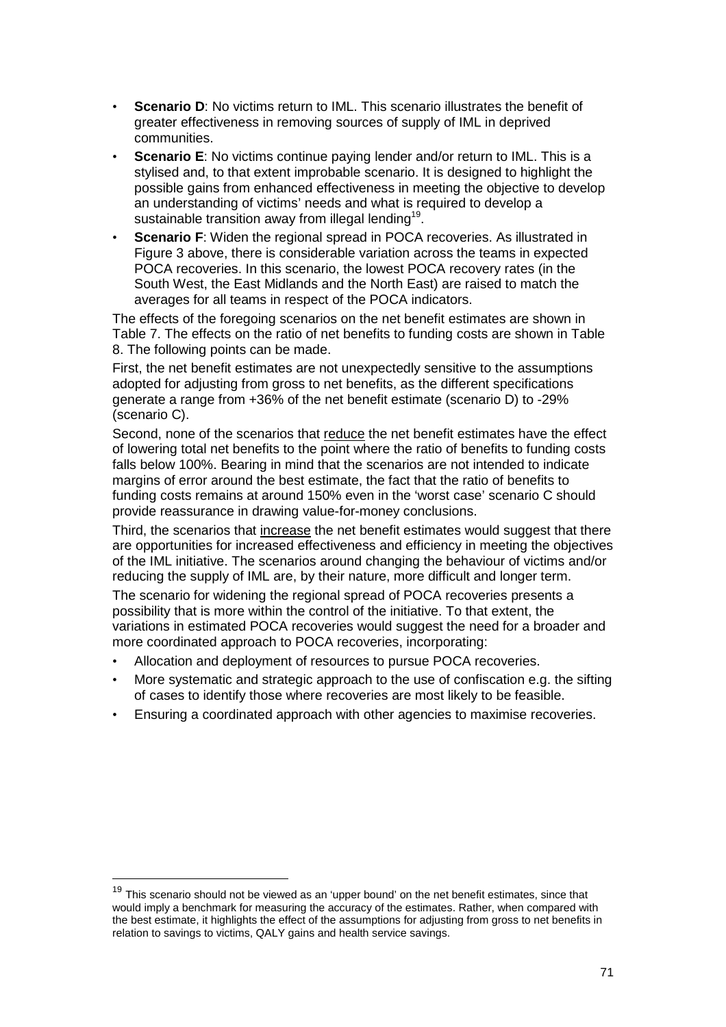- **Scenario D:** No victims return to IML. This scenario illustrates the benefit of greater effectiveness in removing sources of supply of IML in deprived communities.
- **Scenario E**: No victims continue paying lender and/or return to IML. This is a stylised and, to that extent improbable scenario. It is designed to highlight the possible gains from enhanced effectiveness in meeting the objective to develop an understanding of victims' needs and what is required to develop a sustainable transition away from illegal lending<sup>19</sup>.
- **Scenario F**: Widen the regional spread in POCA recoveries. As illustrated in Figure 3 above, there is considerable variation across the teams in expected POCA recoveries. In this scenario, the lowest POCA recovery rates (in the South West, the East Midlands and the North East) are raised to match the averages for all teams in respect of the POCA indicators.

The effects of the foregoing scenarios on the net benefit estimates are shown in Table 7. The effects on the ratio of net benefits to funding costs are shown in Table 8. The following points can be made.

First, the net benefit estimates are not unexpectedly sensitive to the assumptions adopted for adjusting from gross to net benefits, as the different specifications generate a range from +36% of the net benefit estimate (scenario D) to -29% (scenario C).

Second, none of the scenarios that reduce the net benefit estimates have the effect of lowering total net benefits to the point where the ratio of benefits to funding costs falls below 100%. Bearing in mind that the scenarios are not intended to indicate margins of error around the best estimate, the fact that the ratio of benefits to funding costs remains at around 150% even in the 'worst case' scenario C should provide reassurance in drawing value-for-money conclusions.

Third, the scenarios that increase the net benefit estimates would suggest that there are opportunities for increased effectiveness and efficiency in meeting the objectives of the IML initiative. The scenarios around changing the behaviour of victims and/or reducing the supply of IML are, by their nature, more difficult and longer term.

The scenario for widening the regional spread of POCA recoveries presents a possibility that is more within the control of the initiative. To that extent, the variations in estimated POCA recoveries would suggest the need for a broader and more coordinated approach to POCA recoveries, incorporating:

- Allocation and deployment of resources to pursue POCA recoveries.
- More systematic and strategic approach to the use of confiscation e.g. the sifting of cases to identify those where recoveries are most likely to be feasible.
- Ensuring a coordinated approach with other agencies to maximise recoveries.

 $\overline{a}$ 

 $19$  This scenario should not be viewed as an 'upper bound' on the net benefit estimates, since that would imply a benchmark for measuring the accuracy of the estimates. Rather, when compared with the best estimate, it highlights the effect of the assumptions for adjusting from gross to net benefits in relation to savings to victims, QALY gains and health service savings.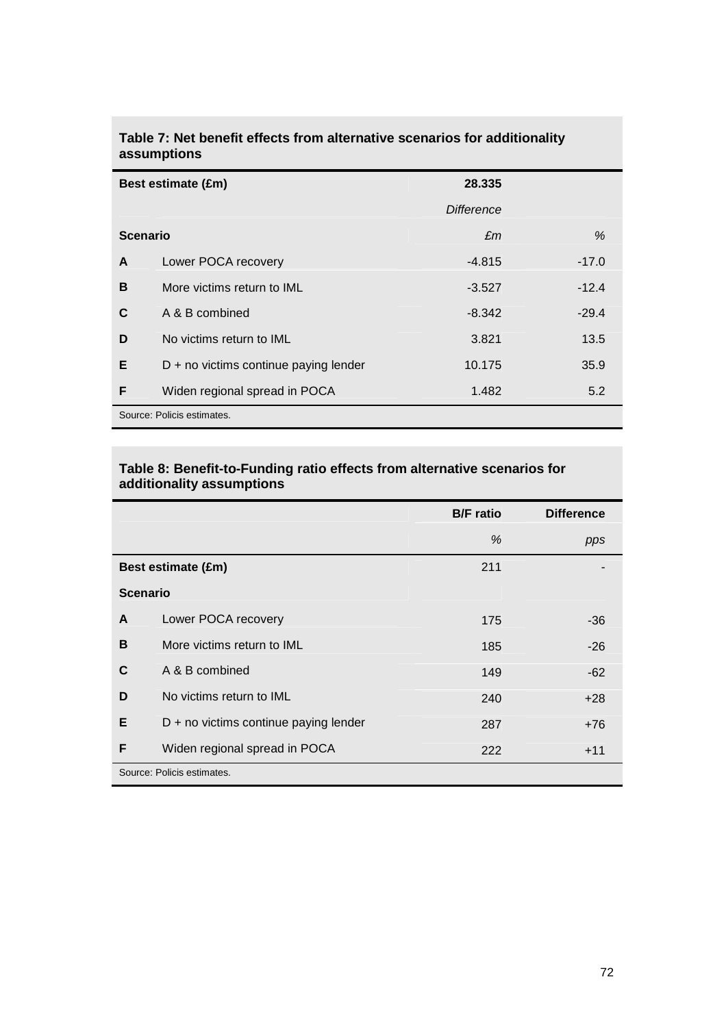| Best estimate (£m) |                                         | 28.335     |         |  |
|--------------------|-----------------------------------------|------------|---------|--|
|                    |                                         | Difference |         |  |
| <b>Scenario</b>    |                                         | £m         | %       |  |
| A                  | Lower POCA recovery                     | $-4.815$   | $-17.0$ |  |
| B                  | More victims return to IML              | $-3.527$   | $-12.4$ |  |
| C                  | A & B combined                          | $-8.342$   | $-29.4$ |  |
| D                  | No victims return to IML                | 3.821      | 13.5    |  |
| Е                  | $D + no$ victims continue paying lender | 10.175     | 35.9    |  |
| F                  | Widen regional spread in POCA           | 1.482      | 5.2     |  |
|                    | Source: Policis estimates.              |            |         |  |

## **Table 7: Net benefit effects from alternative scenarios for additionality assumptions**

### **Table 8: Benefit-to-Funding ratio effects from alternative scenarios for additionality assumptions**

|                            |                                       | <b>B/F</b> ratio | <b>Difference</b> |
|----------------------------|---------------------------------------|------------------|-------------------|
|                            |                                       | %                | pps               |
|                            | Best estimate (£m)                    | 211              |                   |
| <b>Scenario</b>            |                                       |                  |                   |
| A                          | Lower POCA recovery                   | 175              | -36               |
| B                          | More victims return to IML            | 185              | $-26$             |
| C                          | A & B combined                        | 149              | $-62$             |
| D                          | No victims return to IML              | 240              | $+28$             |
| Е                          | D + no victims continue paying lender | 287              | $+76$             |
| F                          | Widen regional spread in POCA         | 222              | $+11$             |
| Source: Policis estimates. |                                       |                  |                   |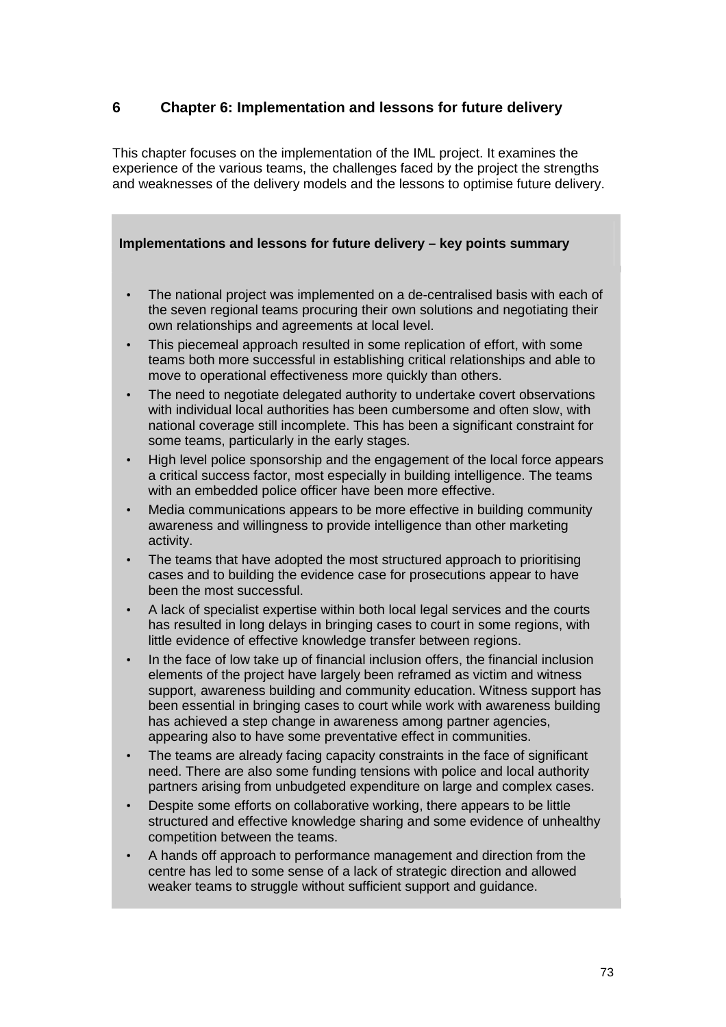# **6 Chapter 6: Implementation and lessons for future delivery**

This chapter focuses on the implementation of the IML project. It examines the experience of the various teams, the challenges faced by the project the strengths and weaknesses of the delivery models and the lessons to optimise future delivery.

# **Implementations and lessons for future delivery – key points summary**

- The national project was implemented on a de-centralised basis with each of the seven regional teams procuring their own solutions and negotiating their own relationships and agreements at local level.
- This piecemeal approach resulted in some replication of effort, with some teams both more successful in establishing critical relationships and able to move to operational effectiveness more quickly than others.
- The need to negotiate delegated authority to undertake covert observations with individual local authorities has been cumbersome and often slow, with national coverage still incomplete. This has been a significant constraint for some teams, particularly in the early stages.
- High level police sponsorship and the engagement of the local force appears a critical success factor, most especially in building intelligence. The teams with an embedded police officer have been more effective.
- Media communications appears to be more effective in building community awareness and willingness to provide intelligence than other marketing activity.
- The teams that have adopted the most structured approach to prioritising cases and to building the evidence case for prosecutions appear to have been the most successful.
- A lack of specialist expertise within both local legal services and the courts has resulted in long delays in bringing cases to court in some regions, with little evidence of effective knowledge transfer between regions.
- In the face of low take up of financial inclusion offers, the financial inclusion elements of the project have largely been reframed as victim and witness support, awareness building and community education. Witness support has been essential in bringing cases to court while work with awareness building has achieved a step change in awareness among partner agencies, appearing also to have some preventative effect in communities.
- The teams are already facing capacity constraints in the face of significant need. There are also some funding tensions with police and local authority partners arising from unbudgeted expenditure on large and complex cases.
- Despite some efforts on collaborative working, there appears to be little structured and effective knowledge sharing and some evidence of unhealthy competition between the teams.
- A hands off approach to performance management and direction from the centre has led to some sense of a lack of strategic direction and allowed weaker teams to struggle without sufficient support and guidance.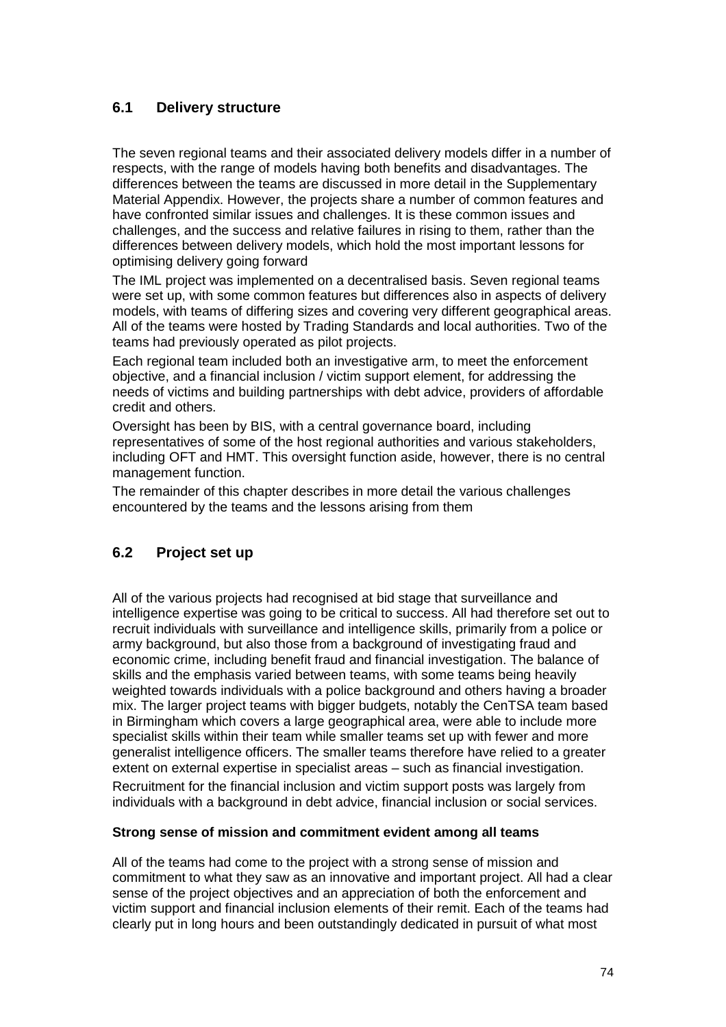# **6.1 Delivery structure**

The seven regional teams and their associated delivery models differ in a number of respects, with the range of models having both benefits and disadvantages. The differences between the teams are discussed in more detail in the Supplementary Material Appendix. However, the projects share a number of common features and have confronted similar issues and challenges. It is these common issues and challenges, and the success and relative failures in rising to them, rather than the differences between delivery models, which hold the most important lessons for optimising delivery going forward

The IML project was implemented on a decentralised basis. Seven regional teams were set up, with some common features but differences also in aspects of delivery models, with teams of differing sizes and covering very different geographical areas. All of the teams were hosted by Trading Standards and local authorities. Two of the teams had previously operated as pilot projects.

Each regional team included both an investigative arm, to meet the enforcement objective, and a financial inclusion / victim support element, for addressing the needs of victims and building partnerships with debt advice, providers of affordable credit and others.

Oversight has been by BIS, with a central governance board, including representatives of some of the host regional authorities and various stakeholders, including OFT and HMT. This oversight function aside, however, there is no central management function.

The remainder of this chapter describes in more detail the various challenges encountered by the teams and the lessons arising from them

# **6.2 Project set up**

All of the various projects had recognised at bid stage that surveillance and intelligence expertise was going to be critical to success. All had therefore set out to recruit individuals with surveillance and intelligence skills, primarily from a police or army background, but also those from a background of investigating fraud and economic crime, including benefit fraud and financial investigation. The balance of skills and the emphasis varied between teams, with some teams being heavily weighted towards individuals with a police background and others having a broader mix. The larger project teams with bigger budgets, notably the CenTSA team based in Birmingham which covers a large geographical area, were able to include more specialist skills within their team while smaller teams set up with fewer and more generalist intelligence officers. The smaller teams therefore have relied to a greater extent on external expertise in specialist areas – such as financial investigation. Recruitment for the financial inclusion and victim support posts was largely from individuals with a background in debt advice, financial inclusion or social services.

# **Strong sense of mission and commitment evident among all teams**

All of the teams had come to the project with a strong sense of mission and commitment to what they saw as an innovative and important project. All had a clear sense of the project objectives and an appreciation of both the enforcement and victim support and financial inclusion elements of their remit. Each of the teams had clearly put in long hours and been outstandingly dedicated in pursuit of what most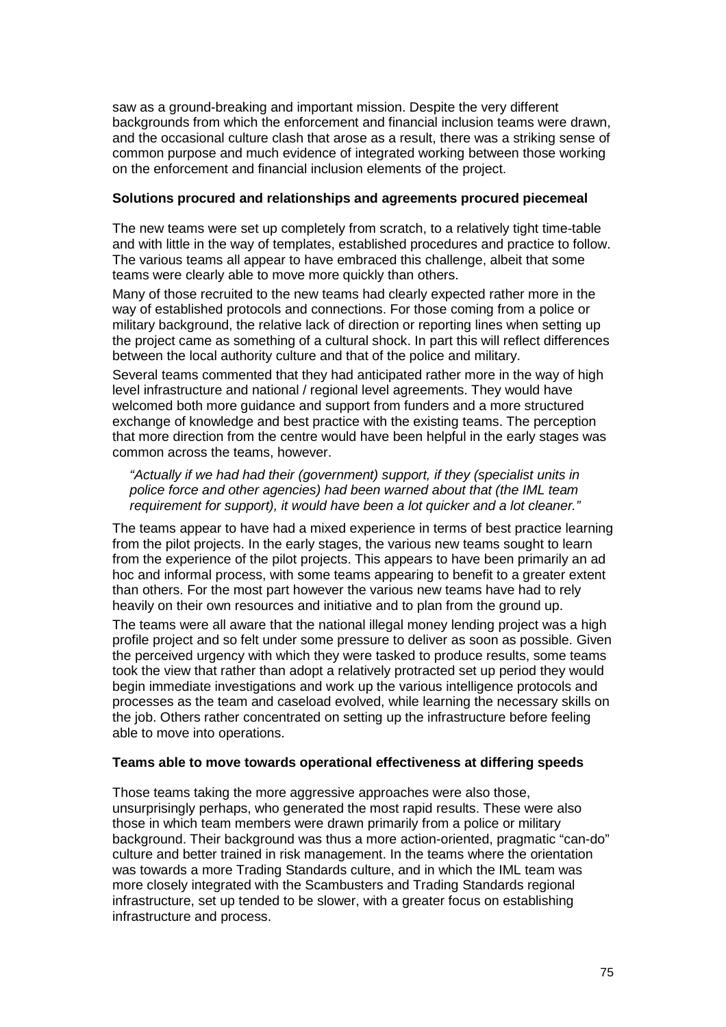saw as a ground-breaking and important mission. Despite the very different backgrounds from which the enforcement and financial inclusion teams were drawn, and the occasional culture clash that arose as a result, there was a striking sense of common purpose and much evidence of integrated working between those working on the enforcement and financial inclusion elements of the project.

#### **Solutions procured and relationships and agreements procured piecemeal**

The new teams were set up completely from scratch, to a relatively tight time-table and with little in the way of templates, established procedures and practice to follow. The various teams all appear to have embraced this challenge, albeit that some teams were clearly able to move more quickly than others.

Many of those recruited to the new teams had clearly expected rather more in the way of established protocols and connections. For those coming from a police or military background, the relative lack of direction or reporting lines when setting up the project came as something of a cultural shock. In part this will reflect differences between the local authority culture and that of the police and military.

Several teams commented that they had anticipated rather more in the way of high level infrastructure and national / regional level agreements. They would have welcomed both more guidance and support from funders and a more structured exchange of knowledge and best practice with the existing teams. The perception that more direction from the centre would have been helpful in the early stages was common across the teams, however.

"Actually if we had had their (government) support, if they (specialist units in police force and other agencies) had been warned about that (the IML team requirement for support), it would have been a lot quicker and a lot cleaner."

The teams appear to have had a mixed experience in terms of best practice learning from the pilot projects. In the early stages, the various new teams sought to learn from the experience of the pilot projects. This appears to have been primarily an ad hoc and informal process, with some teams appearing to benefit to a greater extent than others. For the most part however the various new teams have had to rely heavily on their own resources and initiative and to plan from the ground up.

The teams were all aware that the national illegal money lending project was a high profile project and so felt under some pressure to deliver as soon as possible. Given the perceived urgency with which they were tasked to produce results, some teams took the view that rather than adopt a relatively protracted set up period they would begin immediate investigations and work up the various intelligence protocols and processes as the team and caseload evolved, while learning the necessary skills on the job. Others rather concentrated on setting up the infrastructure before feeling able to move into operations.

#### **Teams able to move towards operational effectiveness at differing speeds**

Those teams taking the more aggressive approaches were also those, unsurprisingly perhaps, who generated the most rapid results. These were also those in which team members were drawn primarily from a police or military background. Their background was thus a more action-oriented, pragmatic "can-do" culture and better trained in risk management. In the teams where the orientation was towards a more Trading Standards culture, and in which the IML team was more closely integrated with the Scambusters and Trading Standards regional infrastructure, set up tended to be slower, with a greater focus on establishing infrastructure and process.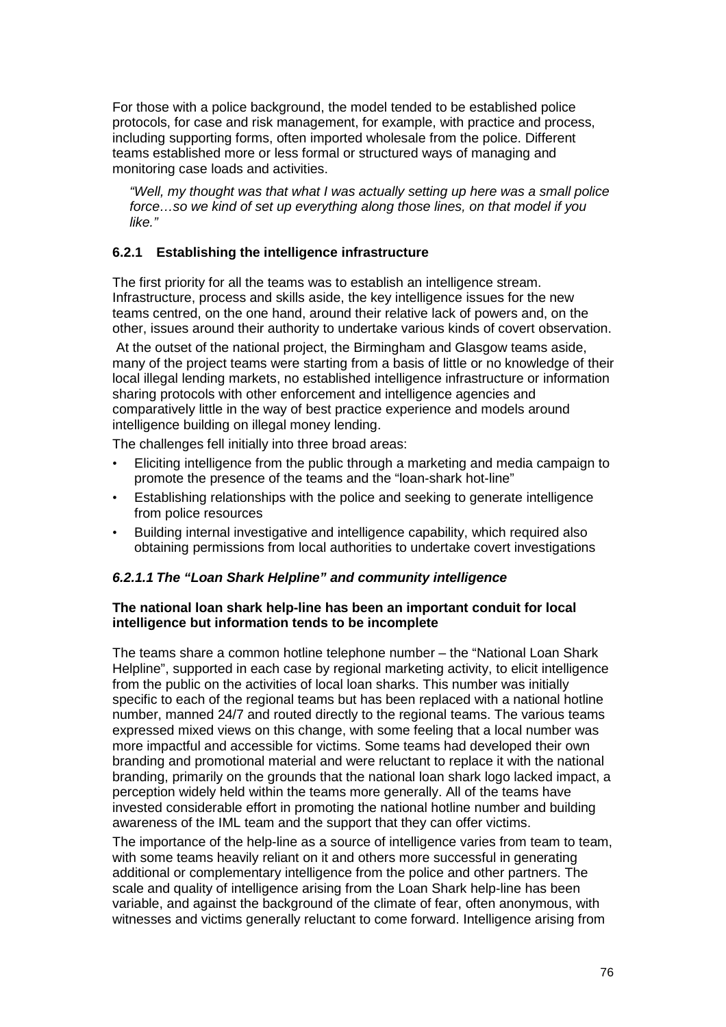For those with a police background, the model tended to be established police protocols, for case and risk management, for example, with practice and process, including supporting forms, often imported wholesale from the police. Different teams established more or less formal or structured ways of managing and monitoring case loads and activities.

"Well, my thought was that what I was actually setting up here was a small police force…so we kind of set up everything along those lines, on that model if you like."

# **6.2.1 Establishing the intelligence infrastructure**

The first priority for all the teams was to establish an intelligence stream. Infrastructure, process and skills aside, the key intelligence issues for the new teams centred, on the one hand, around their relative lack of powers and, on the other, issues around their authority to undertake various kinds of covert observation.

 At the outset of the national project, the Birmingham and Glasgow teams aside, many of the project teams were starting from a basis of little or no knowledge of their local illegal lending markets, no established intelligence infrastructure or information sharing protocols with other enforcement and intelligence agencies and comparatively little in the way of best practice experience and models around intelligence building on illegal money lending.

The challenges fell initially into three broad areas:

- Eliciting intelligence from the public through a marketing and media campaign to promote the presence of the teams and the "loan-shark hot-line"
- Establishing relationships with the police and seeking to generate intelligence from police resources
- Building internal investigative and intelligence capability, which required also obtaining permissions from local authorities to undertake covert investigations

# **6.2.1.1 The "Loan Shark Helpline" and community intelligence**

# **The national loan shark help-line has been an important conduit for local intelligence but information tends to be incomplete**

The teams share a common hotline telephone number – the "National Loan Shark Helpline", supported in each case by regional marketing activity, to elicit intelligence from the public on the activities of local loan sharks. This number was initially specific to each of the regional teams but has been replaced with a national hotline number, manned 24/7 and routed directly to the regional teams. The various teams expressed mixed views on this change, with some feeling that a local number was more impactful and accessible for victims. Some teams had developed their own branding and promotional material and were reluctant to replace it with the national branding, primarily on the grounds that the national loan shark logo lacked impact, a perception widely held within the teams more generally. All of the teams have invested considerable effort in promoting the national hotline number and building awareness of the IML team and the support that they can offer victims.

The importance of the help-line as a source of intelligence varies from team to team, with some teams heavily reliant on it and others more successful in generating additional or complementary intelligence from the police and other partners. The scale and quality of intelligence arising from the Loan Shark help-line has been variable, and against the background of the climate of fear, often anonymous, with witnesses and victims generally reluctant to come forward. Intelligence arising from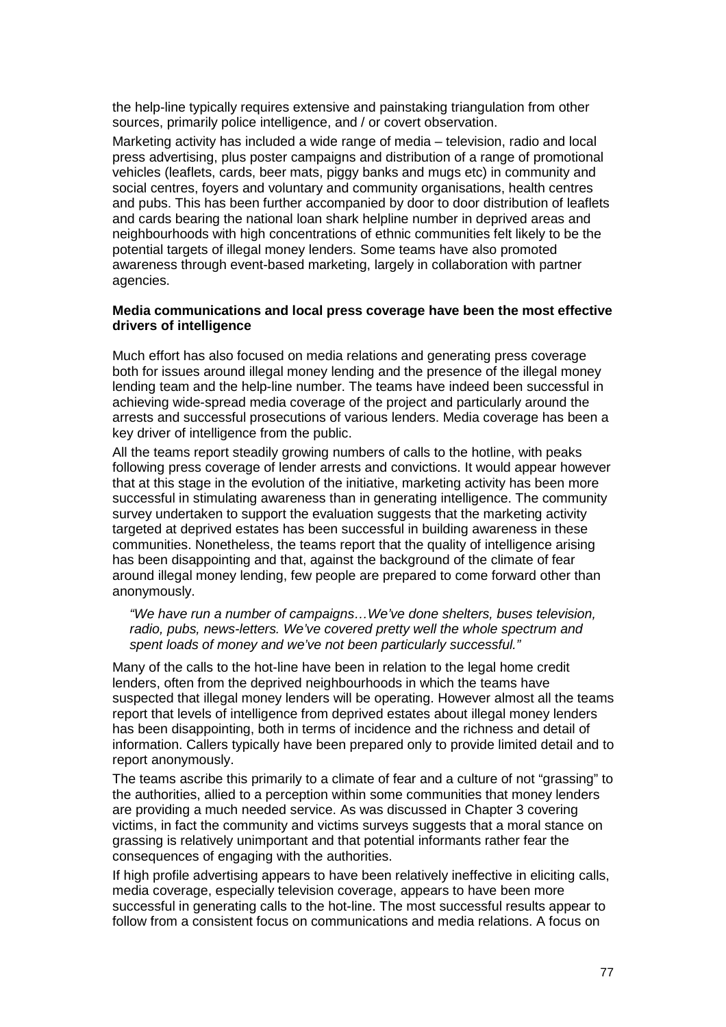the help-line typically requires extensive and painstaking triangulation from other sources, primarily police intelligence, and / or covert observation.

Marketing activity has included a wide range of media – television, radio and local press advertising, plus poster campaigns and distribution of a range of promotional vehicles (leaflets, cards, beer mats, piggy banks and mugs etc) in community and social centres, foyers and voluntary and community organisations, health centres and pubs. This has been further accompanied by door to door distribution of leaflets and cards bearing the national loan shark helpline number in deprived areas and neighbourhoods with high concentrations of ethnic communities felt likely to be the potential targets of illegal money lenders. Some teams have also promoted awareness through event-based marketing, largely in collaboration with partner agencies.

### **Media communications and local press coverage have been the most effective drivers of intelligence**

Much effort has also focused on media relations and generating press coverage both for issues around illegal money lending and the presence of the illegal money lending team and the help-line number. The teams have indeed been successful in achieving wide-spread media coverage of the project and particularly around the arrests and successful prosecutions of various lenders. Media coverage has been a key driver of intelligence from the public.

All the teams report steadily growing numbers of calls to the hotline, with peaks following press coverage of lender arrests and convictions. It would appear however that at this stage in the evolution of the initiative, marketing activity has been more successful in stimulating awareness than in generating intelligence. The community survey undertaken to support the evaluation suggests that the marketing activity targeted at deprived estates has been successful in building awareness in these communities. Nonetheless, the teams report that the quality of intelligence arising has been disappointing and that, against the background of the climate of fear around illegal money lending, few people are prepared to come forward other than anonymously.

"We have run a number of campaigns…We've done shelters, buses television, radio, pubs, news-letters. We've covered pretty well the whole spectrum and spent loads of money and we've not been particularly successful."

Many of the calls to the hot-line have been in relation to the legal home credit lenders, often from the deprived neighbourhoods in which the teams have suspected that illegal money lenders will be operating. However almost all the teams report that levels of intelligence from deprived estates about illegal money lenders has been disappointing, both in terms of incidence and the richness and detail of information. Callers typically have been prepared only to provide limited detail and to report anonymously.

The teams ascribe this primarily to a climate of fear and a culture of not "grassing" to the authorities, allied to a perception within some communities that money lenders are providing a much needed service. As was discussed in Chapter 3 covering victims, in fact the community and victims surveys suggests that a moral stance on grassing is relatively unimportant and that potential informants rather fear the consequences of engaging with the authorities.

If high profile advertising appears to have been relatively ineffective in eliciting calls, media coverage, especially television coverage, appears to have been more successful in generating calls to the hot-line. The most successful results appear to follow from a consistent focus on communications and media relations. A focus on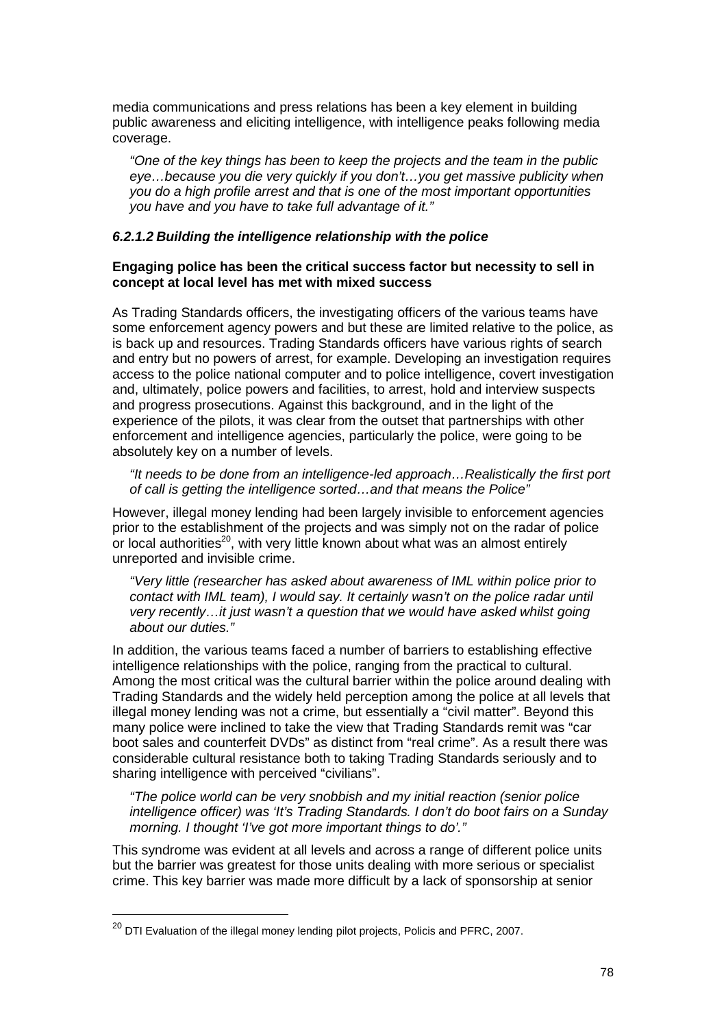media communications and press relations has been a key element in building public awareness and eliciting intelligence, with intelligence peaks following media coverage.

"One of the key things has been to keep the projects and the team in the public eye…because you die very quickly if you don't…you get massive publicity when you do a high profile arrest and that is one of the most important opportunities you have and you have to take full advantage of it."

#### **6.2.1.2 Building the intelligence relationship with the police**

## **Engaging police has been the critical success factor but necessity to sell in concept at local level has met with mixed success**

As Trading Standards officers, the investigating officers of the various teams have some enforcement agency powers and but these are limited relative to the police, as is back up and resources. Trading Standards officers have various rights of search and entry but no powers of arrest, for example. Developing an investigation requires access to the police national computer and to police intelligence, covert investigation and, ultimately, police powers and facilities, to arrest, hold and interview suspects and progress prosecutions. Against this background, and in the light of the experience of the pilots, it was clear from the outset that partnerships with other enforcement and intelligence agencies, particularly the police, were going to be absolutely key on a number of levels.

"It needs to be done from an intelligence-led approach…Realistically the first port of call is getting the intelligence sorted…and that means the Police"

However, illegal money lending had been largely invisible to enforcement agencies prior to the establishment of the projects and was simply not on the radar of police or local authorities<sup>20</sup>, with very little known about what was an almost entirely unreported and invisible crime.

"Very little (researcher has asked about awareness of IML within police prior to contact with IML team), I would say. It certainly wasn't on the police radar until very recently…it just wasn't a question that we would have asked whilst going about our duties."

In addition, the various teams faced a number of barriers to establishing effective intelligence relationships with the police, ranging from the practical to cultural. Among the most critical was the cultural barrier within the police around dealing with Trading Standards and the widely held perception among the police at all levels that illegal money lending was not a crime, but essentially a "civil matter". Beyond this many police were inclined to take the view that Trading Standards remit was "car boot sales and counterfeit DVDs" as distinct from "real crime". As a result there was considerable cultural resistance both to taking Trading Standards seriously and to sharing intelligence with perceived "civilians".

"The police world can be very snobbish and my initial reaction (senior police intelligence officer) was 'It's Trading Standards. I don't do boot fairs on a Sunday morning. I thought 'I've got more important things to do'."

This syndrome was evident at all levels and across a range of different police units but the barrier was greatest for those units dealing with more serious or specialist crime. This key barrier was made more difficult by a lack of sponsorship at senior

 $\overline{a}$ 

 $^{20}$  DTI Evaluation of the illegal money lending pilot projects, Policis and PFRC, 2007.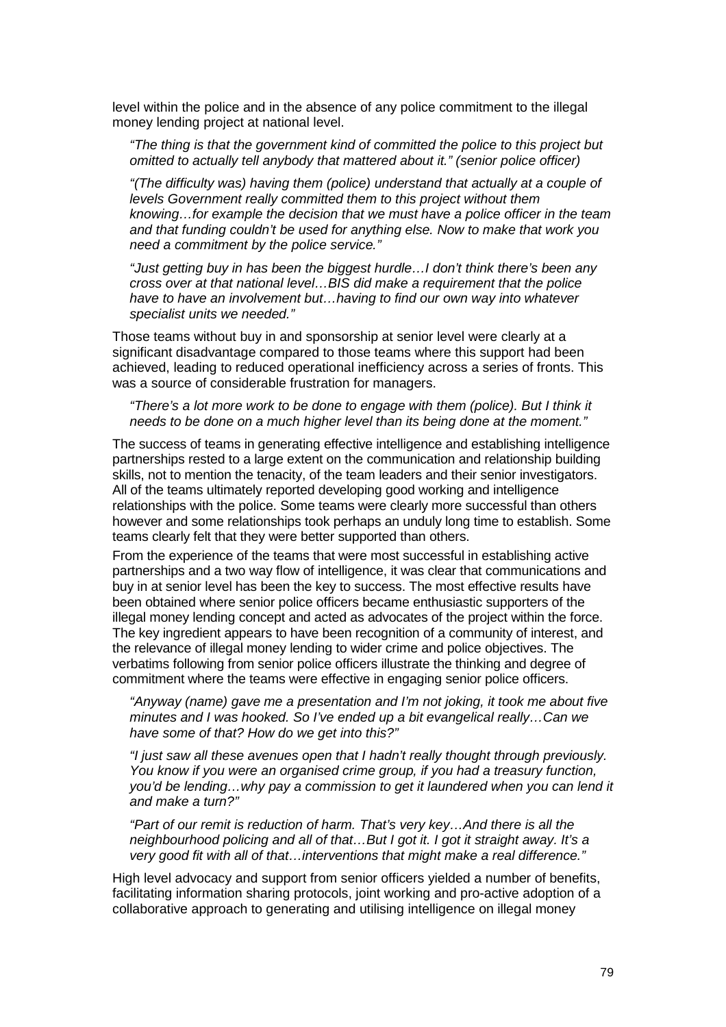level within the police and in the absence of any police commitment to the illegal money lending project at national level.

"The thing is that the government kind of committed the police to this project but omitted to actually tell anybody that mattered about it." (senior police officer)

"(The difficulty was) having them (police) understand that actually at a couple of levels Government really committed them to this project without them knowing…for example the decision that we must have a police officer in the team and that funding couldn't be used for anything else. Now to make that work you need a commitment by the police service."

"Just getting buy in has been the biggest hurdle…I don't think there's been any cross over at that national level…BIS did make a requirement that the police have to have an involvement but…having to find our own way into whatever specialist units we needed."

Those teams without buy in and sponsorship at senior level were clearly at a significant disadvantage compared to those teams where this support had been achieved, leading to reduced operational inefficiency across a series of fronts. This was a source of considerable frustration for managers.

"There's a lot more work to be done to engage with them (police). But I think it needs to be done on a much higher level than its being done at the moment."

The success of teams in generating effective intelligence and establishing intelligence partnerships rested to a large extent on the communication and relationship building skills, not to mention the tenacity, of the team leaders and their senior investigators. All of the teams ultimately reported developing good working and intelligence relationships with the police. Some teams were clearly more successful than others however and some relationships took perhaps an unduly long time to establish. Some teams clearly felt that they were better supported than others.

From the experience of the teams that were most successful in establishing active partnerships and a two way flow of intelligence, it was clear that communications and buy in at senior level has been the key to success. The most effective results have been obtained where senior police officers became enthusiastic supporters of the illegal money lending concept and acted as advocates of the project within the force. The key ingredient appears to have been recognition of a community of interest, and the relevance of illegal money lending to wider crime and police objectives. The verbatims following from senior police officers illustrate the thinking and degree of commitment where the teams were effective in engaging senior police officers.

"Anyway (name) gave me a presentation and I'm not joking, it took me about five minutes and I was hooked. So I've ended up a bit evangelical really…Can we have some of that? How do we get into this?"

"I just saw all these avenues open that I hadn't really thought through previously. You know if you were an organised crime group, if you had a treasury function, you'd be lending…why pay a commission to get it laundered when you can lend it and make a turn?"

"Part of our remit is reduction of harm. That's very key…And there is all the neighbourhood policing and all of that…But I got it. I got it straight away. It's a very good fit with all of that…interventions that might make a real difference."

High level advocacy and support from senior officers yielded a number of benefits, facilitating information sharing protocols, joint working and pro-active adoption of a collaborative approach to generating and utilising intelligence on illegal money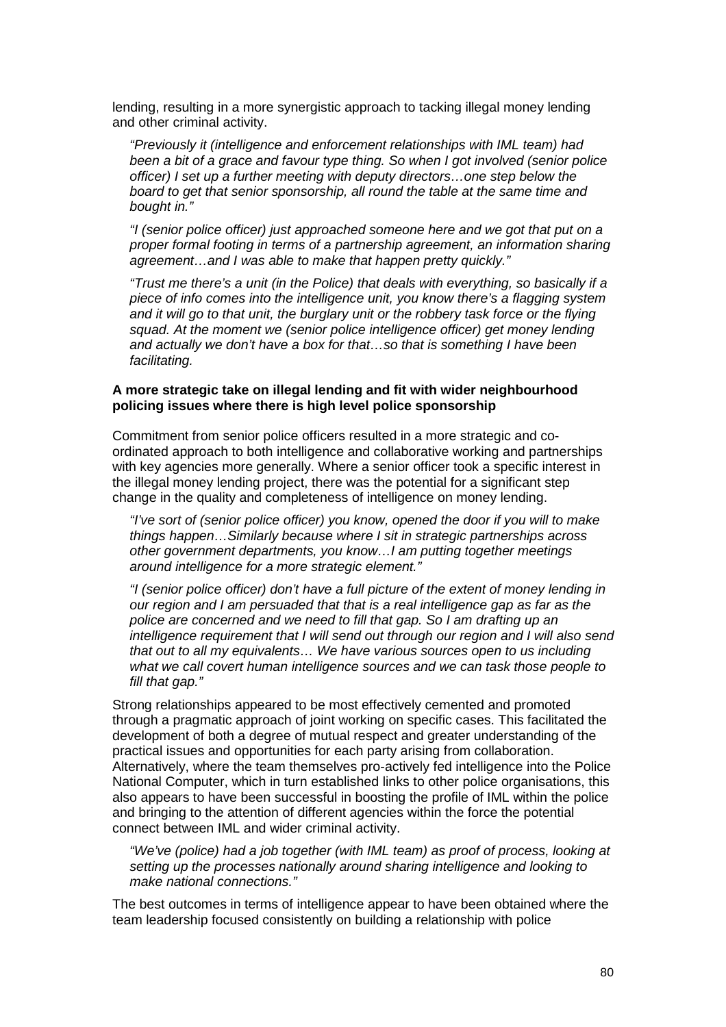lending, resulting in a more synergistic approach to tacking illegal money lending and other criminal activity.

"Previously it (intelligence and enforcement relationships with IML team) had been a bit of a grace and favour type thing. So when I got involved (senior police officer) I set up a further meeting with deputy directors…one step below the board to get that senior sponsorship, all round the table at the same time and bought in."

"I (senior police officer) just approached someone here and we got that put on a proper formal footing in terms of a partnership agreement, an information sharing agreement…and I was able to make that happen pretty quickly."

"Trust me there's a unit (in the Police) that deals with everything, so basically if a piece of info comes into the intelligence unit, you know there's a flagging system and it will go to that unit, the burglary unit or the robbery task force or the flying squad. At the moment we (senior police intelligence officer) get money lending and actually we don't have a box for that…so that is something I have been facilitating.

#### **A more strategic take on illegal lending and fit with wider neighbourhood policing issues where there is high level police sponsorship**

Commitment from senior police officers resulted in a more strategic and coordinated approach to both intelligence and collaborative working and partnerships with key agencies more generally. Where a senior officer took a specific interest in the illegal money lending project, there was the potential for a significant step change in the quality and completeness of intelligence on money lending.

"I've sort of (senior police officer) you know, opened the door if you will to make things happen…Similarly because where I sit in strategic partnerships across other government departments, you know…I am putting together meetings around intelligence for a more strategic element."

"I (senior police officer) don't have a full picture of the extent of money lending in our region and I am persuaded that that is a real intelligence gap as far as the police are concerned and we need to fill that gap. So I am drafting up an intelligence requirement that I will send out through our region and I will also send that out to all my equivalents… We have various sources open to us including what we call covert human intelligence sources and we can task those people to fill that gap."

Strong relationships appeared to be most effectively cemented and promoted through a pragmatic approach of joint working on specific cases. This facilitated the development of both a degree of mutual respect and greater understanding of the practical issues and opportunities for each party arising from collaboration. Alternatively, where the team themselves pro-actively fed intelligence into the Police National Computer, which in turn established links to other police organisations, this also appears to have been successful in boosting the profile of IML within the police and bringing to the attention of different agencies within the force the potential connect between IML and wider criminal activity.

"We've (police) had a job together (with IML team) as proof of process, looking at setting up the processes nationally around sharing intelligence and looking to make national connections."

The best outcomes in terms of intelligence appear to have been obtained where the team leadership focused consistently on building a relationship with police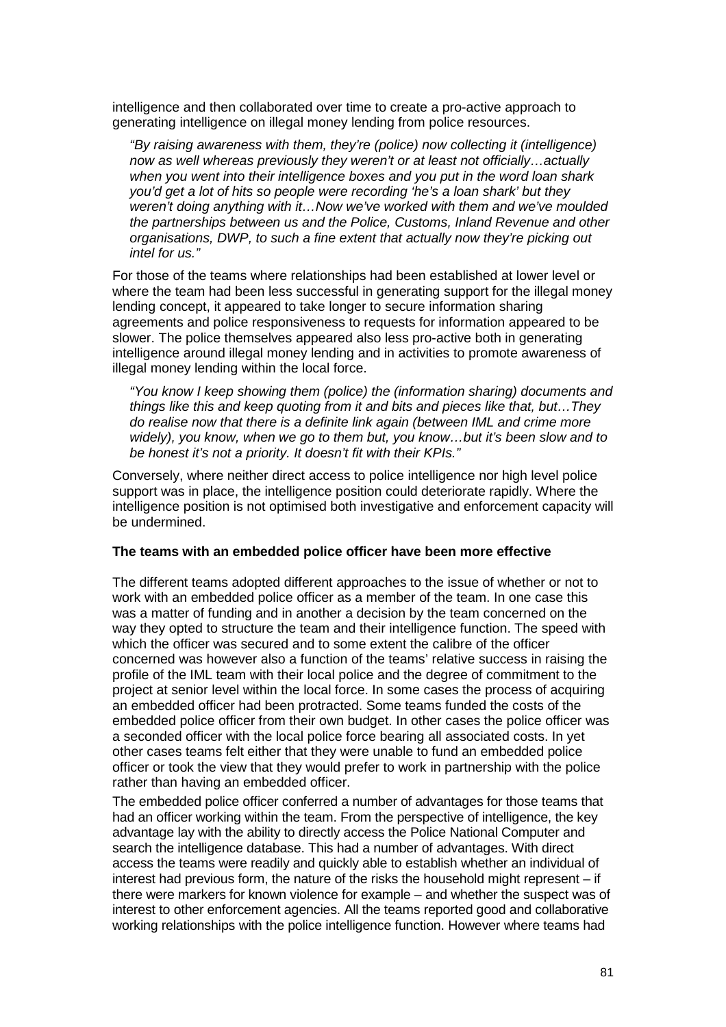intelligence and then collaborated over time to create a pro-active approach to generating intelligence on illegal money lending from police resources.

"By raising awareness with them, they're (police) now collecting it (intelligence) now as well whereas previously they weren't or at least not officially…actually when you went into their intelligence boxes and you put in the word loan shark you'd get a lot of hits so people were recording 'he's a loan shark' but they weren't doing anything with it…Now we've worked with them and we've moulded the partnerships between us and the Police, Customs, Inland Revenue and other organisations, DWP, to such a fine extent that actually now they're picking out intel for us."

For those of the teams where relationships had been established at lower level or where the team had been less successful in generating support for the illegal money lending concept, it appeared to take longer to secure information sharing agreements and police responsiveness to requests for information appeared to be slower. The police themselves appeared also less pro-active both in generating intelligence around illegal money lending and in activities to promote awareness of illegal money lending within the local force.

"You know I keep showing them (police) the (information sharing) documents and things like this and keep quoting from it and bits and pieces like that, but…They do realise now that there is a definite link again (between IML and crime more widely), you know, when we go to them but, you know…but it's been slow and to be honest it's not a priority. It doesn't fit with their KPIs."

Conversely, where neither direct access to police intelligence nor high level police support was in place, the intelligence position could deteriorate rapidly. Where the intelligence position is not optimised both investigative and enforcement capacity will be undermined.

#### **The teams with an embedded police officer have been more effective**

The different teams adopted different approaches to the issue of whether or not to work with an embedded police officer as a member of the team. In one case this was a matter of funding and in another a decision by the team concerned on the way they opted to structure the team and their intelligence function. The speed with which the officer was secured and to some extent the calibre of the officer concerned was however also a function of the teams' relative success in raising the profile of the IML team with their local police and the degree of commitment to the project at senior level within the local force. In some cases the process of acquiring an embedded officer had been protracted. Some teams funded the costs of the embedded police officer from their own budget. In other cases the police officer was a seconded officer with the local police force bearing all associated costs. In yet other cases teams felt either that they were unable to fund an embedded police officer or took the view that they would prefer to work in partnership with the police rather than having an embedded officer.

The embedded police officer conferred a number of advantages for those teams that had an officer working within the team. From the perspective of intelligence, the key advantage lay with the ability to directly access the Police National Computer and search the intelligence database. This had a number of advantages. With direct access the teams were readily and quickly able to establish whether an individual of interest had previous form, the nature of the risks the household might represent – if there were markers for known violence for example – and whether the suspect was of interest to other enforcement agencies. All the teams reported good and collaborative working relationships with the police intelligence function. However where teams had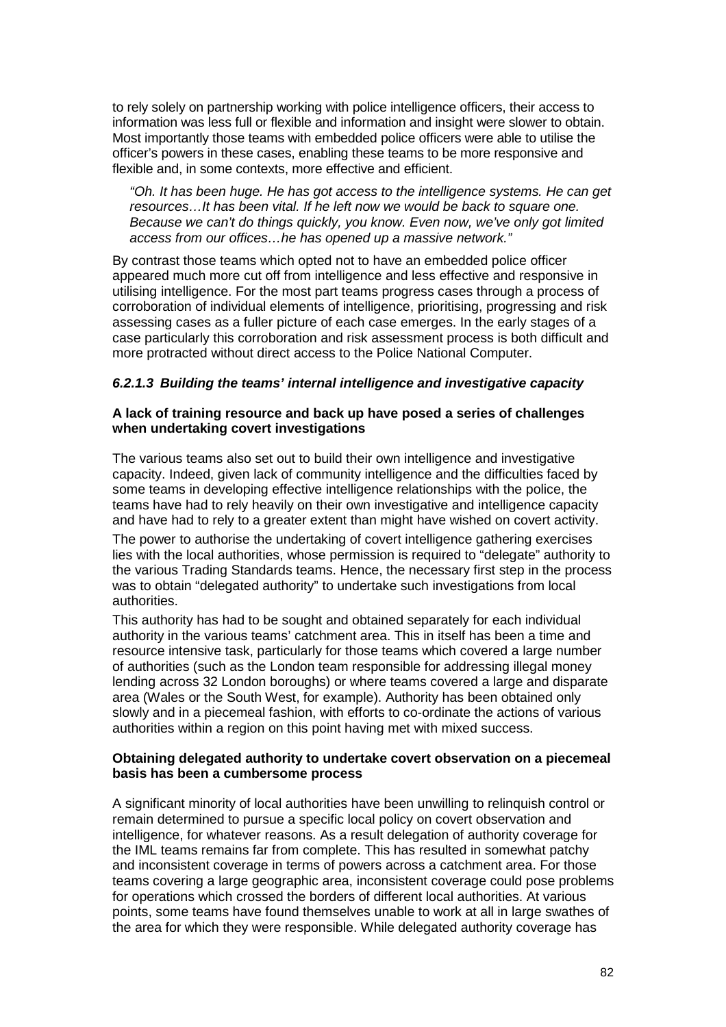to rely solely on partnership working with police intelligence officers, their access to information was less full or flexible and information and insight were slower to obtain. Most importantly those teams with embedded police officers were able to utilise the officer's powers in these cases, enabling these teams to be more responsive and flexible and, in some contexts, more effective and efficient.

"Oh. It has been huge. He has got access to the intelligence systems. He can get resources…It has been vital. If he left now we would be back to square one. Because we can't do things quickly, you know. Even now, we've only got limited access from our offices…he has opened up a massive network."

By contrast those teams which opted not to have an embedded police officer appeared much more cut off from intelligence and less effective and responsive in utilising intelligence. For the most part teams progress cases through a process of corroboration of individual elements of intelligence, prioritising, progressing and risk assessing cases as a fuller picture of each case emerges. In the early stages of a case particularly this corroboration and risk assessment process is both difficult and more protracted without direct access to the Police National Computer.

# **6.2.1.3 Building the teams' internal intelligence and investigative capacity**

## **A lack of training resource and back up have posed a series of challenges when undertaking covert investigations**

The various teams also set out to build their own intelligence and investigative capacity. Indeed, given lack of community intelligence and the difficulties faced by some teams in developing effective intelligence relationships with the police, the teams have had to rely heavily on their own investigative and intelligence capacity and have had to rely to a greater extent than might have wished on covert activity.

The power to authorise the undertaking of covert intelligence gathering exercises lies with the local authorities, whose permission is required to "delegate" authority to the various Trading Standards teams. Hence, the necessary first step in the process was to obtain "delegated authority" to undertake such investigations from local authorities.

This authority has had to be sought and obtained separately for each individual authority in the various teams' catchment area. This in itself has been a time and resource intensive task, particularly for those teams which covered a large number of authorities (such as the London team responsible for addressing illegal money lending across 32 London boroughs) or where teams covered a large and disparate area (Wales or the South West, for example). Authority has been obtained only slowly and in a piecemeal fashion, with efforts to co-ordinate the actions of various authorities within a region on this point having met with mixed success.

## **Obtaining delegated authority to undertake covert observation on a piecemeal basis has been a cumbersome process**

A significant minority of local authorities have been unwilling to relinquish control or remain determined to pursue a specific local policy on covert observation and intelligence, for whatever reasons. As a result delegation of authority coverage for the IML teams remains far from complete. This has resulted in somewhat patchy and inconsistent coverage in terms of powers across a catchment area. For those teams covering a large geographic area, inconsistent coverage could pose problems for operations which crossed the borders of different local authorities. At various points, some teams have found themselves unable to work at all in large swathes of the area for which they were responsible. While delegated authority coverage has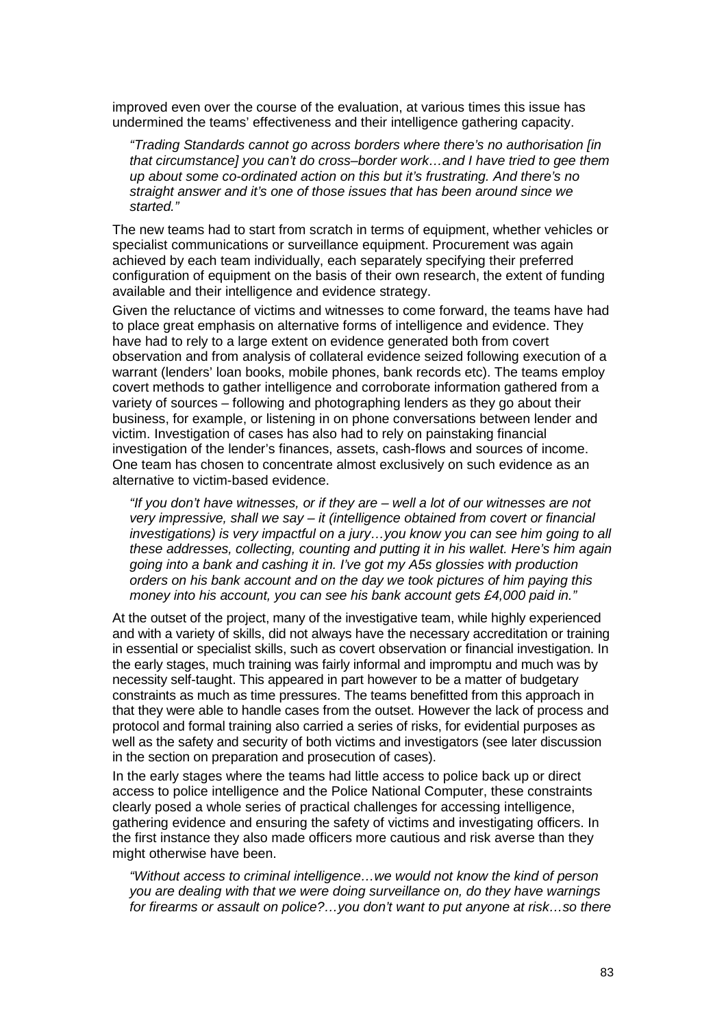improved even over the course of the evaluation, at various times this issue has undermined the teams' effectiveness and their intelligence gathering capacity.

"Trading Standards cannot go across borders where there's no authorisation [in that circumstance] you can't do cross–border work…and I have tried to gee them up about some co-ordinated action on this but it's frustrating. And there's no straight answer and it's one of those issues that has been around since we started."

The new teams had to start from scratch in terms of equipment, whether vehicles or specialist communications or surveillance equipment. Procurement was again achieved by each team individually, each separately specifying their preferred configuration of equipment on the basis of their own research, the extent of funding available and their intelligence and evidence strategy.

Given the reluctance of victims and witnesses to come forward, the teams have had to place great emphasis on alternative forms of intelligence and evidence. They have had to rely to a large extent on evidence generated both from covert observation and from analysis of collateral evidence seized following execution of a warrant (lenders' loan books, mobile phones, bank records etc). The teams employ covert methods to gather intelligence and corroborate information gathered from a variety of sources – following and photographing lenders as they go about their business, for example, or listening in on phone conversations between lender and victim. Investigation of cases has also had to rely on painstaking financial investigation of the lender's finances, assets, cash-flows and sources of income. One team has chosen to concentrate almost exclusively on such evidence as an alternative to victim-based evidence.

"If you don't have witnesses, or if they are – well a lot of our witnesses are not very impressive, shall we say – it (intelligence obtained from covert or financial investigations) is very impactful on a jury…you know you can see him going to all these addresses, collecting, counting and putting it in his wallet. Here's him again going into a bank and cashing it in. I've got my A5s glossies with production orders on his bank account and on the day we took pictures of him paying this money into his account, you can see his bank account gets £4,000 paid in."

At the outset of the project, many of the investigative team, while highly experienced and with a variety of skills, did not always have the necessary accreditation or training in essential or specialist skills, such as covert observation or financial investigation. In the early stages, much training was fairly informal and impromptu and much was by necessity self-taught. This appeared in part however to be a matter of budgetary constraints as much as time pressures. The teams benefitted from this approach in that they were able to handle cases from the outset. However the lack of process and protocol and formal training also carried a series of risks, for evidential purposes as well as the safety and security of both victims and investigators (see later discussion in the section on preparation and prosecution of cases).

In the early stages where the teams had little access to police back up or direct access to police intelligence and the Police National Computer, these constraints clearly posed a whole series of practical challenges for accessing intelligence, gathering evidence and ensuring the safety of victims and investigating officers. In the first instance they also made officers more cautious and risk averse than they might otherwise have been.

"Without access to criminal intelligence…we would not know the kind of person you are dealing with that we were doing surveillance on, do they have warnings for firearms or assault on police?…you don't want to put anyone at risk…so there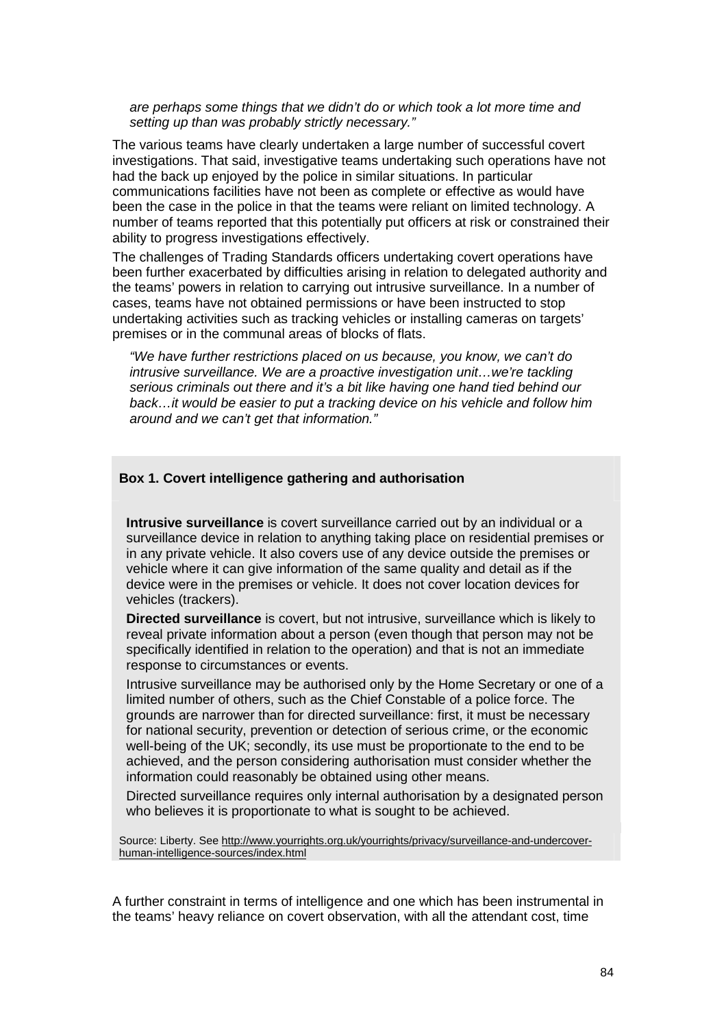are perhaps some things that we didn't do or which took a lot more time and setting up than was probably strictly necessary."

The various teams have clearly undertaken a large number of successful covert investigations. That said, investigative teams undertaking such operations have not had the back up enjoyed by the police in similar situations. In particular communications facilities have not been as complete or effective as would have been the case in the police in that the teams were reliant on limited technology. A number of teams reported that this potentially put officers at risk or constrained their ability to progress investigations effectively.

The challenges of Trading Standards officers undertaking covert operations have been further exacerbated by difficulties arising in relation to delegated authority and the teams' powers in relation to carrying out intrusive surveillance. In a number of cases, teams have not obtained permissions or have been instructed to stop undertaking activities such as tracking vehicles or installing cameras on targets' premises or in the communal areas of blocks of flats.

"We have further restrictions placed on us because, you know, we can't do intrusive surveillance. We are a proactive investigation unit…we're tackling serious criminals out there and it's a bit like having one hand tied behind our back…it would be easier to put a tracking device on his vehicle and follow him around and we can't get that information."

### **Box 1. Covert intelligence gathering and authorisation**

**Intrusive surveillance** is covert surveillance carried out by an individual or a surveillance device in relation to anything taking place on residential premises or in any private vehicle. It also covers use of any device outside the premises or vehicle where it can give information of the same quality and detail as if the device were in the premises or vehicle. It does not cover location devices for vehicles (trackers).

**Directed surveillance** is covert, but not intrusive, surveillance which is likely to reveal private information about a person (even though that person may not be specifically identified in relation to the operation) and that is not an immediate response to circumstances or events.

Intrusive surveillance may be authorised only by the Home Secretary or one of a limited number of others, such as the Chief Constable of a police force. The grounds are narrower than for directed surveillance: first, it must be necessary for national security, prevention or detection of serious crime, or the economic well-being of the UK; secondly, its use must be proportionate to the end to be achieved, and the person considering authorisation must consider whether the information could reasonably be obtained using other means.

Directed surveillance requires only internal authorisation by a designated person who believes it is proportionate to what is sought to be achieved.

Source: Liberty. See http://www.yourrights.org.uk/yourrights/privacy/surveillance-and-undercoverhuman-intelligence-sources/index.html

A further constraint in terms of intelligence and one which has been instrumental in the teams' heavy reliance on covert observation, with all the attendant cost, time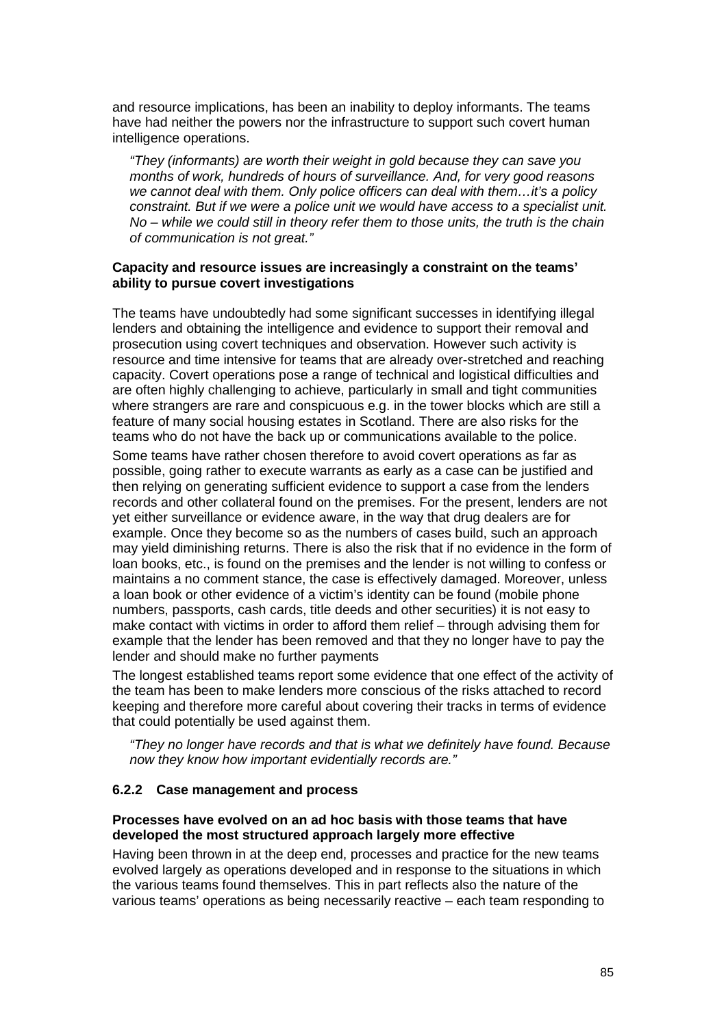and resource implications, has been an inability to deploy informants. The teams have had neither the powers nor the infrastructure to support such covert human intelligence operations.

"They (informants) are worth their weight in gold because they can save you months of work, hundreds of hours of surveillance. And, for very good reasons we cannot deal with them. Only police officers can deal with them…it's a policy constraint. But if we were a police unit we would have access to a specialist unit. No – while we could still in theory refer them to those units, the truth is the chain of communication is not great."

## **Capacity and resource issues are increasingly a constraint on the teams' ability to pursue covert investigations**

The teams have undoubtedly had some significant successes in identifying illegal lenders and obtaining the intelligence and evidence to support their removal and prosecution using covert techniques and observation. However such activity is resource and time intensive for teams that are already over-stretched and reaching capacity. Covert operations pose a range of technical and logistical difficulties and are often highly challenging to achieve, particularly in small and tight communities where strangers are rare and conspicuous e.g. in the tower blocks which are still a feature of many social housing estates in Scotland. There are also risks for the teams who do not have the back up or communications available to the police.

Some teams have rather chosen therefore to avoid covert operations as far as possible, going rather to execute warrants as early as a case can be justified and then relying on generating sufficient evidence to support a case from the lenders records and other collateral found on the premises. For the present, lenders are not yet either surveillance or evidence aware, in the way that drug dealers are for example. Once they become so as the numbers of cases build, such an approach may yield diminishing returns. There is also the risk that if no evidence in the form of loan books, etc., is found on the premises and the lender is not willing to confess or maintains a no comment stance, the case is effectively damaged. Moreover, unless a loan book or other evidence of a victim's identity can be found (mobile phone numbers, passports, cash cards, title deeds and other securities) it is not easy to make contact with victims in order to afford them relief – through advising them for example that the lender has been removed and that they no longer have to pay the lender and should make no further payments

The longest established teams report some evidence that one effect of the activity of the team has been to make lenders more conscious of the risks attached to record keeping and therefore more careful about covering their tracks in terms of evidence that could potentially be used against them.

"They no longer have records and that is what we definitely have found. Because now they know how important evidentially records are."

# **6.2.2 Case management and process**

## **Processes have evolved on an ad hoc basis with those teams that have developed the most structured approach largely more effective**

Having been thrown in at the deep end, processes and practice for the new teams evolved largely as operations developed and in response to the situations in which the various teams found themselves. This in part reflects also the nature of the various teams' operations as being necessarily reactive – each team responding to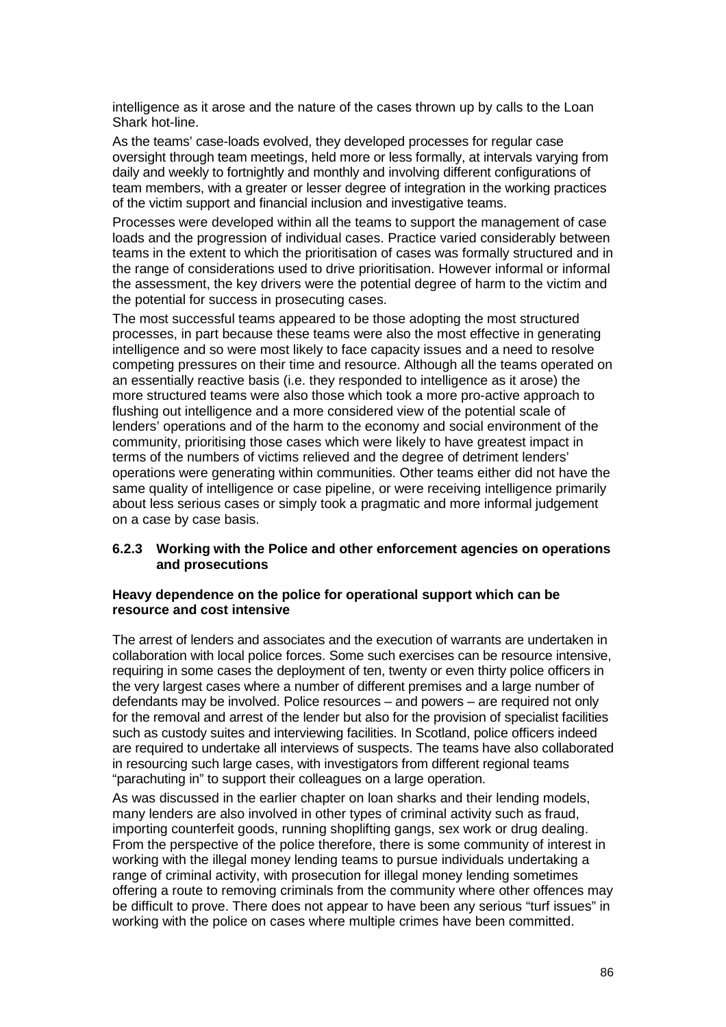intelligence as it arose and the nature of the cases thrown up by calls to the Loan Shark hot-line.

As the teams' case-loads evolved, they developed processes for regular case oversight through team meetings, held more or less formally, at intervals varying from daily and weekly to fortnightly and monthly and involving different configurations of team members, with a greater or lesser degree of integration in the working practices of the victim support and financial inclusion and investigative teams.

Processes were developed within all the teams to support the management of case loads and the progression of individual cases. Practice varied considerably between teams in the extent to which the prioritisation of cases was formally structured and in the range of considerations used to drive prioritisation. However informal or informal the assessment, the key drivers were the potential degree of harm to the victim and the potential for success in prosecuting cases.

The most successful teams appeared to be those adopting the most structured processes, in part because these teams were also the most effective in generating intelligence and so were most likely to face capacity issues and a need to resolve competing pressures on their time and resource. Although all the teams operated on an essentially reactive basis (i.e. they responded to intelligence as it arose) the more structured teams were also those which took a more pro-active approach to flushing out intelligence and a more considered view of the potential scale of lenders' operations and of the harm to the economy and social environment of the community, prioritising those cases which were likely to have greatest impact in terms of the numbers of victims relieved and the degree of detriment lenders' operations were generating within communities. Other teams either did not have the same quality of intelligence or case pipeline, or were receiving intelligence primarily about less serious cases or simply took a pragmatic and more informal judgement on a case by case basis.

## **6.2.3 Working with the Police and other enforcement agencies on operations and prosecutions**

## **Heavy dependence on the police for operational support which can be resource and cost intensive**

The arrest of lenders and associates and the execution of warrants are undertaken in collaboration with local police forces. Some such exercises can be resource intensive, requiring in some cases the deployment of ten, twenty or even thirty police officers in the very largest cases where a number of different premises and a large number of defendants may be involved. Police resources – and powers – are required not only for the removal and arrest of the lender but also for the provision of specialist facilities such as custody suites and interviewing facilities. In Scotland, police officers indeed are required to undertake all interviews of suspects. The teams have also collaborated in resourcing such large cases, with investigators from different regional teams "parachuting in" to support their colleagues on a large operation.

As was discussed in the earlier chapter on loan sharks and their lending models, many lenders are also involved in other types of criminal activity such as fraud, importing counterfeit goods, running shoplifting gangs, sex work or drug dealing. From the perspective of the police therefore, there is some community of interest in working with the illegal money lending teams to pursue individuals undertaking a range of criminal activity, with prosecution for illegal money lending sometimes offering a route to removing criminals from the community where other offences may be difficult to prove. There does not appear to have been any serious "turf issues" in working with the police on cases where multiple crimes have been committed.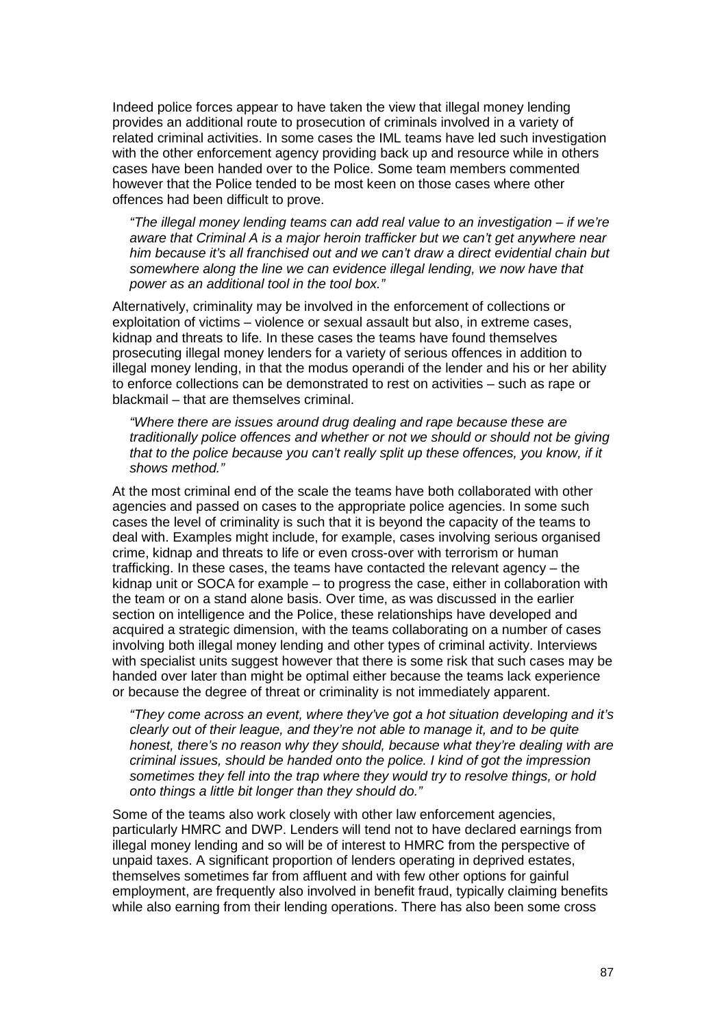Indeed police forces appear to have taken the view that illegal money lending provides an additional route to prosecution of criminals involved in a variety of related criminal activities. In some cases the IML teams have led such investigation with the other enforcement agency providing back up and resource while in others cases have been handed over to the Police. Some team members commented however that the Police tended to be most keen on those cases where other offences had been difficult to prove.

"The illegal money lending teams can add real value to an investigation – if we're aware that Criminal A is a major heroin trafficker but we can't get anywhere near him because it's all franchised out and we can't draw a direct evidential chain but somewhere along the line we can evidence illegal lending, we now have that power as an additional tool in the tool box."

Alternatively, criminality may be involved in the enforcement of collections or exploitation of victims – violence or sexual assault but also, in extreme cases, kidnap and threats to life. In these cases the teams have found themselves prosecuting illegal money lenders for a variety of serious offences in addition to illegal money lending, in that the modus operandi of the lender and his or her ability to enforce collections can be demonstrated to rest on activities – such as rape or blackmail – that are themselves criminal.

"Where there are issues around drug dealing and rape because these are traditionally police offences and whether or not we should or should not be giving that to the police because you can't really split up these offences, you know, if it shows method."

At the most criminal end of the scale the teams have both collaborated with other agencies and passed on cases to the appropriate police agencies. In some such cases the level of criminality is such that it is beyond the capacity of the teams to deal with. Examples might include, for example, cases involving serious organised crime, kidnap and threats to life or even cross-over with terrorism or human trafficking. In these cases, the teams have contacted the relevant agency – the kidnap unit or SOCA for example – to progress the case, either in collaboration with the team or on a stand alone basis. Over time, as was discussed in the earlier section on intelligence and the Police, these relationships have developed and acquired a strategic dimension, with the teams collaborating on a number of cases involving both illegal money lending and other types of criminal activity. Interviews with specialist units suggest however that there is some risk that such cases may be handed over later than might be optimal either because the teams lack experience or because the degree of threat or criminality is not immediately apparent.

"They come across an event, where they've got a hot situation developing and it's clearly out of their league, and they're not able to manage it, and to be quite honest, there's no reason why they should, because what they're dealing with are criminal issues, should be handed onto the police. I kind of got the impression sometimes they fell into the trap where they would try to resolve things, or hold onto things a little bit longer than they should do."

Some of the teams also work closely with other law enforcement agencies, particularly HMRC and DWP. Lenders will tend not to have declared earnings from illegal money lending and so will be of interest to HMRC from the perspective of unpaid taxes. A significant proportion of lenders operating in deprived estates, themselves sometimes far from affluent and with few other options for gainful employment, are frequently also involved in benefit fraud, typically claiming benefits while also earning from their lending operations. There has also been some cross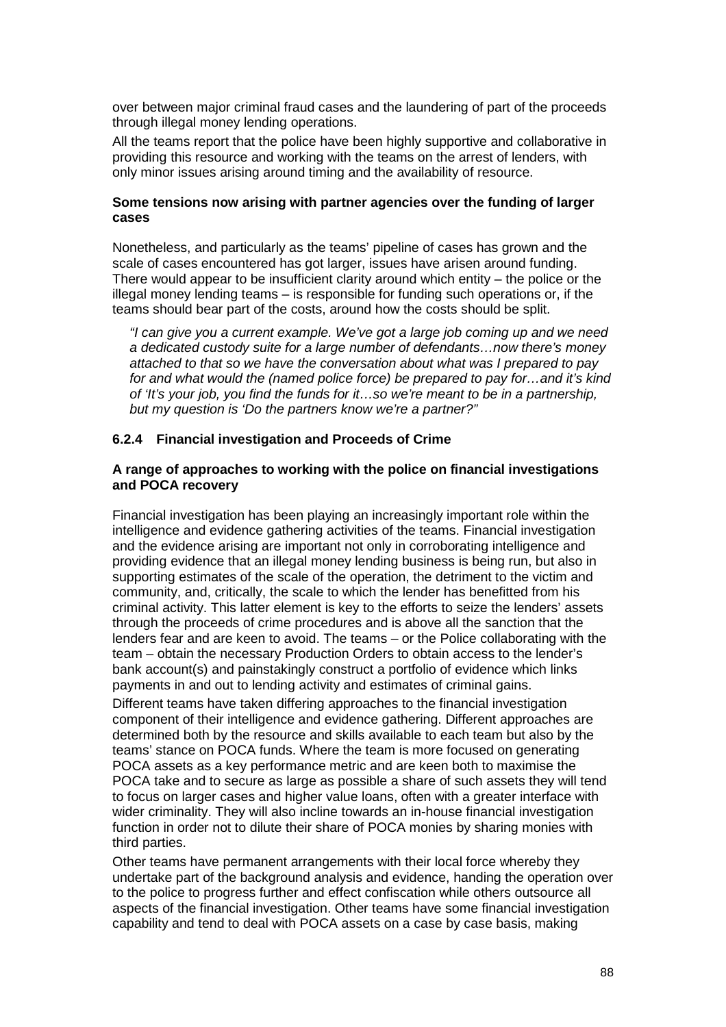over between major criminal fraud cases and the laundering of part of the proceeds through illegal money lending operations.

All the teams report that the police have been highly supportive and collaborative in providing this resource and working with the teams on the arrest of lenders, with only minor issues arising around timing and the availability of resource.

## **Some tensions now arising with partner agencies over the funding of larger cases**

Nonetheless, and particularly as the teams' pipeline of cases has grown and the scale of cases encountered has got larger, issues have arisen around funding. There would appear to be insufficient clarity around which entity – the police or the illegal money lending teams – is responsible for funding such operations or, if the teams should bear part of the costs, around how the costs should be split.

"I can give you a current example. We've got a large job coming up and we need a dedicated custody suite for a large number of defendants…now there's money attached to that so we have the conversation about what was I prepared to pay for and what would the (named police force) be prepared to pay for…and it's kind of 'It's your job, you find the funds for it…so we're meant to be in a partnership, but my question is 'Do the partners know we're a partner?"

#### **6.2.4 Financial investigation and Proceeds of Crime**

#### **A range of approaches to working with the police on financial investigations and POCA recovery**

Financial investigation has been playing an increasingly important role within the intelligence and evidence gathering activities of the teams. Financial investigation and the evidence arising are important not only in corroborating intelligence and providing evidence that an illegal money lending business is being run, but also in supporting estimates of the scale of the operation, the detriment to the victim and community, and, critically, the scale to which the lender has benefitted from his criminal activity. This latter element is key to the efforts to seize the lenders' assets through the proceeds of crime procedures and is above all the sanction that the lenders fear and are keen to avoid. The teams – or the Police collaborating with the team – obtain the necessary Production Orders to obtain access to the lender's bank account(s) and painstakingly construct a portfolio of evidence which links payments in and out to lending activity and estimates of criminal gains.

Different teams have taken differing approaches to the financial investigation component of their intelligence and evidence gathering. Different approaches are determined both by the resource and skills available to each team but also by the teams' stance on POCA funds. Where the team is more focused on generating POCA assets as a key performance metric and are keen both to maximise the POCA take and to secure as large as possible a share of such assets they will tend to focus on larger cases and higher value loans, often with a greater interface with wider criminality. They will also incline towards an in-house financial investigation function in order not to dilute their share of POCA monies by sharing monies with third parties.

Other teams have permanent arrangements with their local force whereby they undertake part of the background analysis and evidence, handing the operation over to the police to progress further and effect confiscation while others outsource all aspects of the financial investigation. Other teams have some financial investigation capability and tend to deal with POCA assets on a case by case basis, making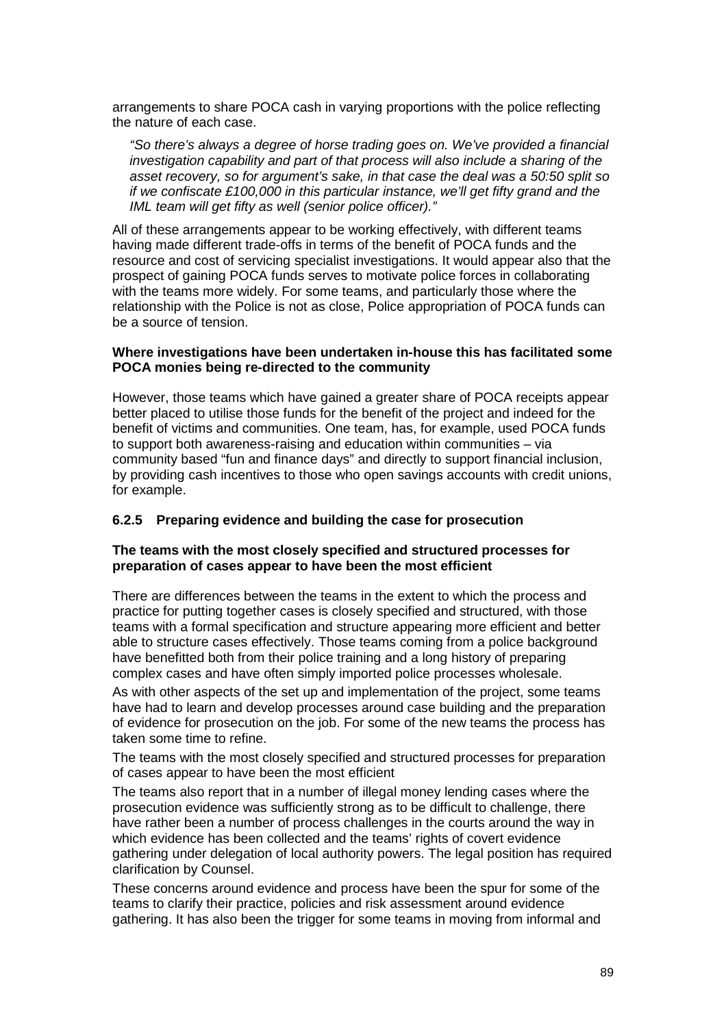arrangements to share POCA cash in varying proportions with the police reflecting the nature of each case.

"So there's always a degree of horse trading goes on. We've provided a financial investigation capability and part of that process will also include a sharing of the asset recovery, so for argument's sake, in that case the deal was a 50:50 split so if we confiscate £100,000 in this particular instance, we'll get fifty grand and the IML team will get fifty as well (senior police officer)."

All of these arrangements appear to be working effectively, with different teams having made different trade-offs in terms of the benefit of POCA funds and the resource and cost of servicing specialist investigations. It would appear also that the prospect of gaining POCA funds serves to motivate police forces in collaborating with the teams more widely. For some teams, and particularly those where the relationship with the Police is not as close, Police appropriation of POCA funds can be a source of tension.

## **Where investigations have been undertaken in-house this has facilitated some POCA monies being re-directed to the community**

However, those teams which have gained a greater share of POCA receipts appear better placed to utilise those funds for the benefit of the project and indeed for the benefit of victims and communities. One team, has, for example, used POCA funds to support both awareness-raising and education within communities – via community based "fun and finance days" and directly to support financial inclusion, by providing cash incentives to those who open savings accounts with credit unions, for example.

# **6.2.5 Preparing evidence and building the case for prosecution**

## **The teams with the most closely specified and structured processes for preparation of cases appear to have been the most efficient**

There are differences between the teams in the extent to which the process and practice for putting together cases is closely specified and structured, with those teams with a formal specification and structure appearing more efficient and better able to structure cases effectively. Those teams coming from a police background have benefitted both from their police training and a long history of preparing complex cases and have often simply imported police processes wholesale.

As with other aspects of the set up and implementation of the project, some teams have had to learn and develop processes around case building and the preparation of evidence for prosecution on the job. For some of the new teams the process has taken some time to refine.

The teams with the most closely specified and structured processes for preparation of cases appear to have been the most efficient

The teams also report that in a number of illegal money lending cases where the prosecution evidence was sufficiently strong as to be difficult to challenge, there have rather been a number of process challenges in the courts around the way in which evidence has been collected and the teams' rights of covert evidence gathering under delegation of local authority powers. The legal position has required clarification by Counsel.

These concerns around evidence and process have been the spur for some of the teams to clarify their practice, policies and risk assessment around evidence gathering. It has also been the trigger for some teams in moving from informal and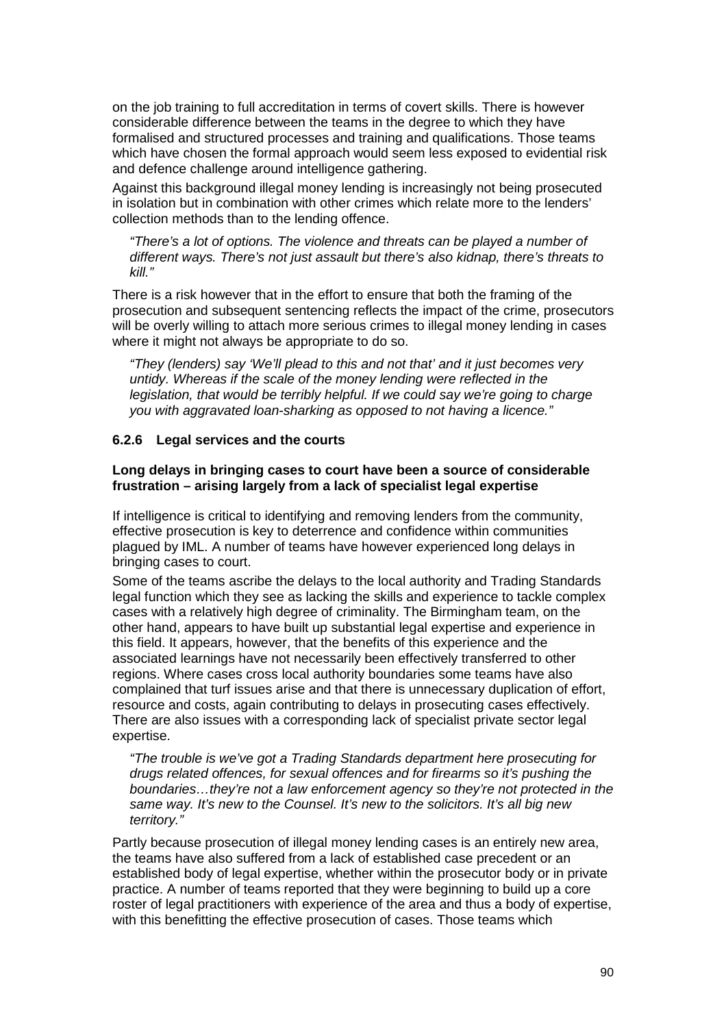on the job training to full accreditation in terms of covert skills. There is however considerable difference between the teams in the degree to which they have formalised and structured processes and training and qualifications. Those teams which have chosen the formal approach would seem less exposed to evidential risk and defence challenge around intelligence gathering.

Against this background illegal money lending is increasingly not being prosecuted in isolation but in combination with other crimes which relate more to the lenders' collection methods than to the lending offence.

"There's a lot of options. The violence and threats can be played a number of different ways. There's not just assault but there's also kidnap, there's threats to kill."

There is a risk however that in the effort to ensure that both the framing of the prosecution and subsequent sentencing reflects the impact of the crime, prosecutors will be overly willing to attach more serious crimes to illegal money lending in cases where it might not always be appropriate to do so.

"They (lenders) say 'We'll plead to this and not that' and it just becomes very untidy. Whereas if the scale of the money lending were reflected in the legislation, that would be terribly helpful. If we could say we're going to charge you with aggravated loan-sharking as opposed to not having a licence."

# **6.2.6 Legal services and the courts**

## **Long delays in bringing cases to court have been a source of considerable frustration – arising largely from a lack of specialist legal expertise**

If intelligence is critical to identifying and removing lenders from the community, effective prosecution is key to deterrence and confidence within communities plagued by IML. A number of teams have however experienced long delays in bringing cases to court.

Some of the teams ascribe the delays to the local authority and Trading Standards legal function which they see as lacking the skills and experience to tackle complex cases with a relatively high degree of criminality. The Birmingham team, on the other hand, appears to have built up substantial legal expertise and experience in this field. It appears, however, that the benefits of this experience and the associated learnings have not necessarily been effectively transferred to other regions. Where cases cross local authority boundaries some teams have also complained that turf issues arise and that there is unnecessary duplication of effort, resource and costs, again contributing to delays in prosecuting cases effectively. There are also issues with a corresponding lack of specialist private sector legal expertise.

"The trouble is we've got a Trading Standards department here prosecuting for drugs related offences, for sexual offences and for firearms so it's pushing the boundaries…they're not a law enforcement agency so they're not protected in the same way. It's new to the Counsel. It's new to the solicitors. It's all big new territory."

Partly because prosecution of illegal money lending cases is an entirely new area, the teams have also suffered from a lack of established case precedent or an established body of legal expertise, whether within the prosecutor body or in private practice. A number of teams reported that they were beginning to build up a core roster of legal practitioners with experience of the area and thus a body of expertise, with this benefitting the effective prosecution of cases. Those teams which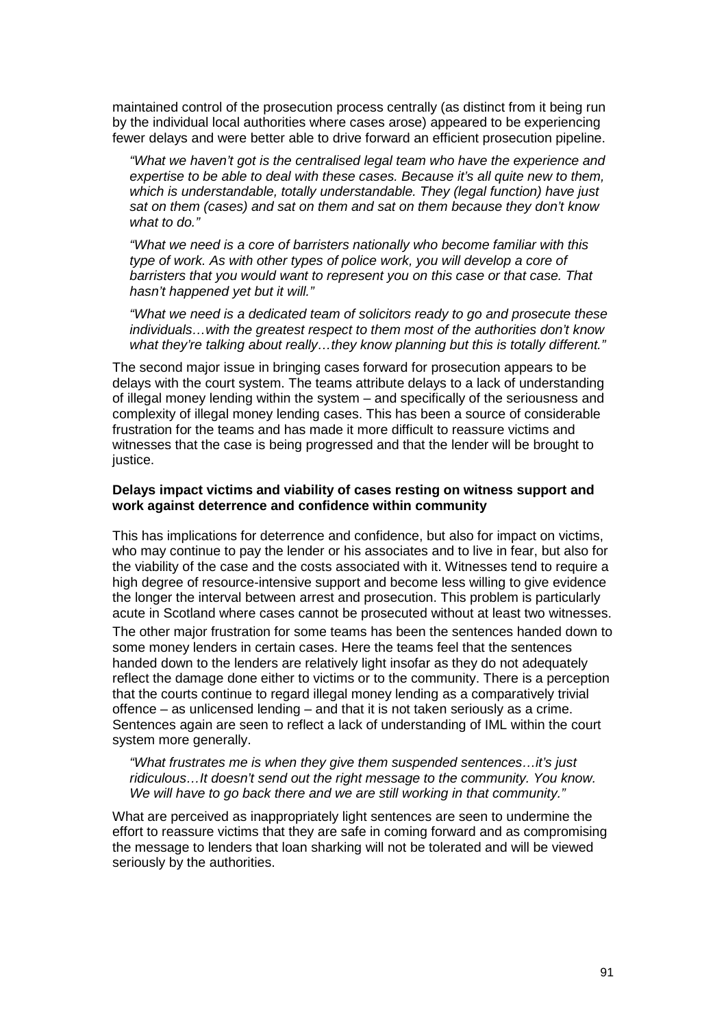maintained control of the prosecution process centrally (as distinct from it being run by the individual local authorities where cases arose) appeared to be experiencing fewer delays and were better able to drive forward an efficient prosecution pipeline.

"What we haven't got is the centralised legal team who have the experience and expertise to be able to deal with these cases. Because it's all quite new to them, which is understandable, totally understandable. They (legal function) have just sat on them (cases) and sat on them and sat on them because they don't know what to do."

"What we need is a core of barristers nationally who become familiar with this type of work. As with other types of police work, you will develop a core of barristers that you would want to represent you on this case or that case. That hasn't happened yet but it will."

"What we need is a dedicated team of solicitors ready to go and prosecute these individuals…with the greatest respect to them most of the authorities don't know what they're talking about really...they know planning but this is totally different."

The second major issue in bringing cases forward for prosecution appears to be delays with the court system. The teams attribute delays to a lack of understanding of illegal money lending within the system – and specifically of the seriousness and complexity of illegal money lending cases. This has been a source of considerable frustration for the teams and has made it more difficult to reassure victims and witnesses that the case is being progressed and that the lender will be brought to justice.

### **Delays impact victims and viability of cases resting on witness support and work against deterrence and confidence within community**

This has implications for deterrence and confidence, but also for impact on victims, who may continue to pay the lender or his associates and to live in fear, but also for the viability of the case and the costs associated with it. Witnesses tend to require a high degree of resource-intensive support and become less willing to give evidence the longer the interval between arrest and prosecution. This problem is particularly acute in Scotland where cases cannot be prosecuted without at least two witnesses.

The other major frustration for some teams has been the sentences handed down to some money lenders in certain cases. Here the teams feel that the sentences handed down to the lenders are relatively light insofar as they do not adequately reflect the damage done either to victims or to the community. There is a perception that the courts continue to regard illegal money lending as a comparatively trivial offence – as unlicensed lending – and that it is not taken seriously as a crime. Sentences again are seen to reflect a lack of understanding of IML within the court system more generally.

"What frustrates me is when they give them suspended sentences…it's just ridiculous…It doesn't send out the right message to the community. You know. We will have to go back there and we are still working in that community."

What are perceived as inappropriately light sentences are seen to undermine the effort to reassure victims that they are safe in coming forward and as compromising the message to lenders that loan sharking will not be tolerated and will be viewed seriously by the authorities.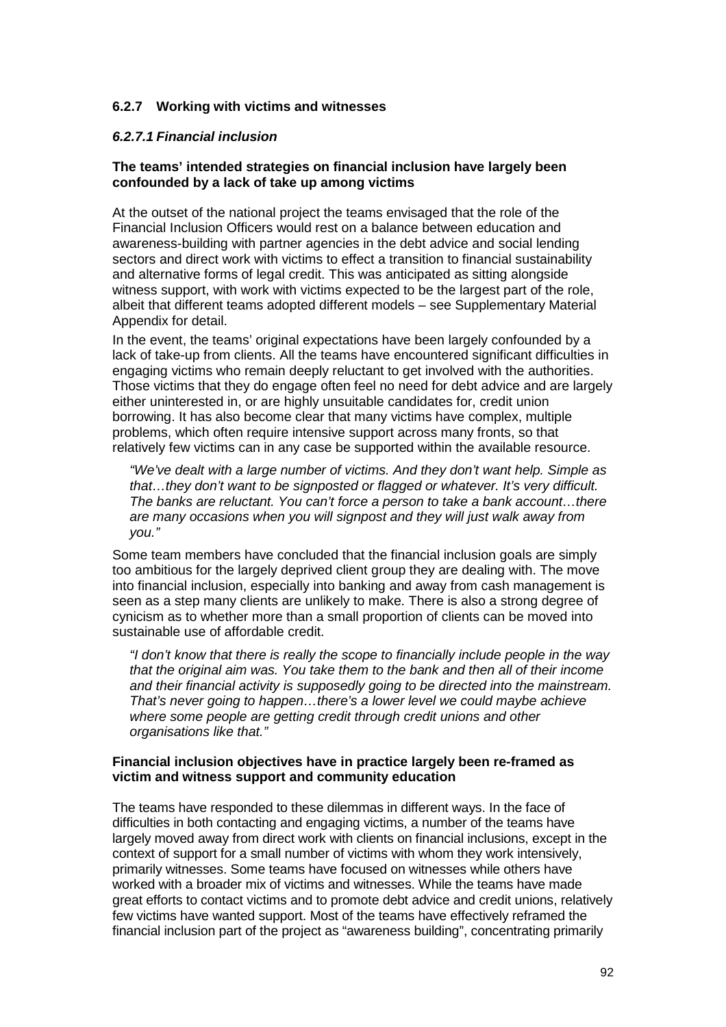# **6.2.7 Working with victims and witnesses**

# **6.2.7.1 Financial inclusion**

## **The teams' intended strategies on financial inclusion have largely been confounded by a lack of take up among victims**

At the outset of the national project the teams envisaged that the role of the Financial Inclusion Officers would rest on a balance between education and awareness-building with partner agencies in the debt advice and social lending sectors and direct work with victims to effect a transition to financial sustainability and alternative forms of legal credit. This was anticipated as sitting alongside witness support, with work with victims expected to be the largest part of the role, albeit that different teams adopted different models – see Supplementary Material Appendix for detail.

In the event, the teams' original expectations have been largely confounded by a lack of take-up from clients. All the teams have encountered significant difficulties in engaging victims who remain deeply reluctant to get involved with the authorities. Those victims that they do engage often feel no need for debt advice and are largely either uninterested in, or are highly unsuitable candidates for, credit union borrowing. It has also become clear that many victims have complex, multiple problems, which often require intensive support across many fronts, so that relatively few victims can in any case be supported within the available resource.

"We've dealt with a large number of victims. And they don't want help. Simple as that…they don't want to be signposted or flagged or whatever. It's very difficult. The banks are reluctant. You can't force a person to take a bank account…there are many occasions when you will signpost and they will just walk away from you."

Some team members have concluded that the financial inclusion goals are simply too ambitious for the largely deprived client group they are dealing with. The move into financial inclusion, especially into banking and away from cash management is seen as a step many clients are unlikely to make. There is also a strong degree of cynicism as to whether more than a small proportion of clients can be moved into sustainable use of affordable credit.

"I don't know that there is really the scope to financially include people in the way that the original aim was. You take them to the bank and then all of their income and their financial activity is supposedly going to be directed into the mainstream. That's never going to happen…there's a lower level we could maybe achieve where some people are getting credit through credit unions and other organisations like that."

## **Financial inclusion objectives have in practice largely been re-framed as victim and witness support and community education**

The teams have responded to these dilemmas in different ways. In the face of difficulties in both contacting and engaging victims, a number of the teams have largely moved away from direct work with clients on financial inclusions, except in the context of support for a small number of victims with whom they work intensively, primarily witnesses. Some teams have focused on witnesses while others have worked with a broader mix of victims and witnesses. While the teams have made great efforts to contact victims and to promote debt advice and credit unions, relatively few victims have wanted support. Most of the teams have effectively reframed the financial inclusion part of the project as "awareness building", concentrating primarily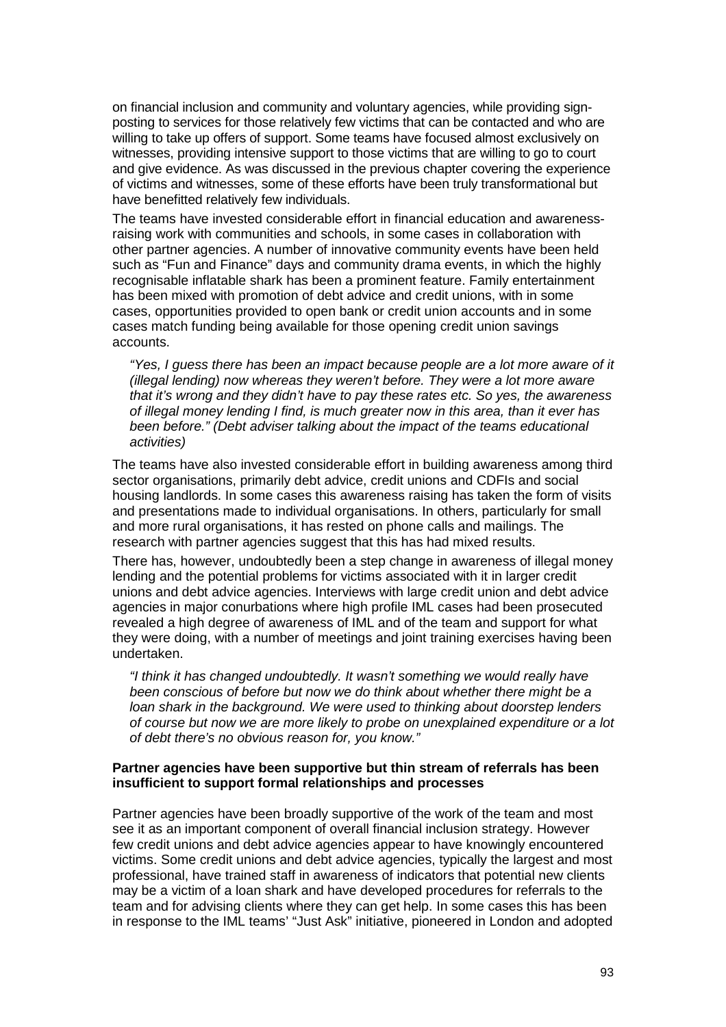on financial inclusion and community and voluntary agencies, while providing signposting to services for those relatively few victims that can be contacted and who are willing to take up offers of support. Some teams have focused almost exclusively on witnesses, providing intensive support to those victims that are willing to go to court and give evidence. As was discussed in the previous chapter covering the experience of victims and witnesses, some of these efforts have been truly transformational but have benefitted relatively few individuals.

The teams have invested considerable effort in financial education and awarenessraising work with communities and schools, in some cases in collaboration with other partner agencies. A number of innovative community events have been held such as "Fun and Finance" days and community drama events, in which the highly recognisable inflatable shark has been a prominent feature. Family entertainment has been mixed with promotion of debt advice and credit unions, with in some cases, opportunities provided to open bank or credit union accounts and in some cases match funding being available for those opening credit union savings accounts.

"Yes, I guess there has been an impact because people are a lot more aware of it (illegal lending) now whereas they weren't before. They were a lot more aware that it's wrong and they didn't have to pay these rates etc. So yes, the awareness of illegal money lending I find, is much greater now in this area, than it ever has been before." (Debt adviser talking about the impact of the teams educational activities)

The teams have also invested considerable effort in building awareness among third sector organisations, primarily debt advice, credit unions and CDFIs and social housing landlords. In some cases this awareness raising has taken the form of visits and presentations made to individual organisations. In others, particularly for small and more rural organisations, it has rested on phone calls and mailings. The research with partner agencies suggest that this has had mixed results.

There has, however, undoubtedly been a step change in awareness of illegal money lending and the potential problems for victims associated with it in larger credit unions and debt advice agencies. Interviews with large credit union and debt advice agencies in major conurbations where high profile IML cases had been prosecuted revealed a high degree of awareness of IML and of the team and support for what they were doing, with a number of meetings and joint training exercises having been undertaken.

"I think it has changed undoubtedly. It wasn't something we would really have been conscious of before but now we do think about whether there might be a loan shark in the background. We were used to thinking about doorstep lenders of course but now we are more likely to probe on unexplained expenditure or a lot of debt there's no obvious reason for, you know."

## **Partner agencies have been supportive but thin stream of referrals has been insufficient to support formal relationships and processes**

Partner agencies have been broadly supportive of the work of the team and most see it as an important component of overall financial inclusion strategy. However few credit unions and debt advice agencies appear to have knowingly encountered victims. Some credit unions and debt advice agencies, typically the largest and most professional, have trained staff in awareness of indicators that potential new clients may be a victim of a loan shark and have developed procedures for referrals to the team and for advising clients where they can get help. In some cases this has been in response to the IML teams' "Just Ask" initiative, pioneered in London and adopted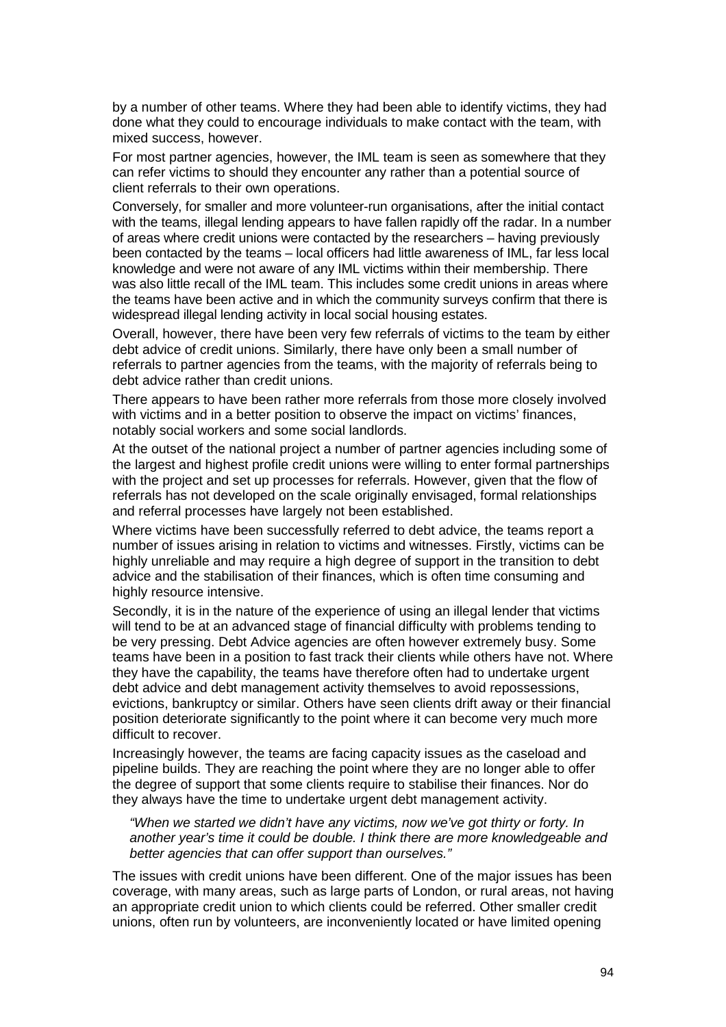by a number of other teams. Where they had been able to identify victims, they had done what they could to encourage individuals to make contact with the team, with mixed success, however.

For most partner agencies, however, the IML team is seen as somewhere that they can refer victims to should they encounter any rather than a potential source of client referrals to their own operations.

Conversely, for smaller and more volunteer-run organisations, after the initial contact with the teams, illegal lending appears to have fallen rapidly off the radar. In a number of areas where credit unions were contacted by the researchers – having previously been contacted by the teams – local officers had little awareness of IML, far less local knowledge and were not aware of any IML victims within their membership. There was also little recall of the IML team. This includes some credit unions in areas where the teams have been active and in which the community surveys confirm that there is widespread illegal lending activity in local social housing estates.

Overall, however, there have been very few referrals of victims to the team by either debt advice of credit unions. Similarly, there have only been a small number of referrals to partner agencies from the teams, with the majority of referrals being to debt advice rather than credit unions.

There appears to have been rather more referrals from those more closely involved with victims and in a better position to observe the impact on victims' finances, notably social workers and some social landlords.

At the outset of the national project a number of partner agencies including some of the largest and highest profile credit unions were willing to enter formal partnerships with the project and set up processes for referrals. However, given that the flow of referrals has not developed on the scale originally envisaged, formal relationships and referral processes have largely not been established.

Where victims have been successfully referred to debt advice, the teams report a number of issues arising in relation to victims and witnesses. Firstly, victims can be highly unreliable and may require a high degree of support in the transition to debt advice and the stabilisation of their finances, which is often time consuming and highly resource intensive.

Secondly, it is in the nature of the experience of using an illegal lender that victims will tend to be at an advanced stage of financial difficulty with problems tending to be very pressing. Debt Advice agencies are often however extremely busy. Some teams have been in a position to fast track their clients while others have not. Where they have the capability, the teams have therefore often had to undertake urgent debt advice and debt management activity themselves to avoid repossessions, evictions, bankruptcy or similar. Others have seen clients drift away or their financial position deteriorate significantly to the point where it can become very much more difficult to recover.

Increasingly however, the teams are facing capacity issues as the caseload and pipeline builds. They are reaching the point where they are no longer able to offer the degree of support that some clients require to stabilise their finances. Nor do they always have the time to undertake urgent debt management activity.

"When we started we didn't have any victims, now we've got thirty or forty. In another year's time it could be double. I think there are more knowledgeable and better agencies that can offer support than ourselves."

The issues with credit unions have been different. One of the major issues has been coverage, with many areas, such as large parts of London, or rural areas, not having an appropriate credit union to which clients could be referred. Other smaller credit unions, often run by volunteers, are inconveniently located or have limited opening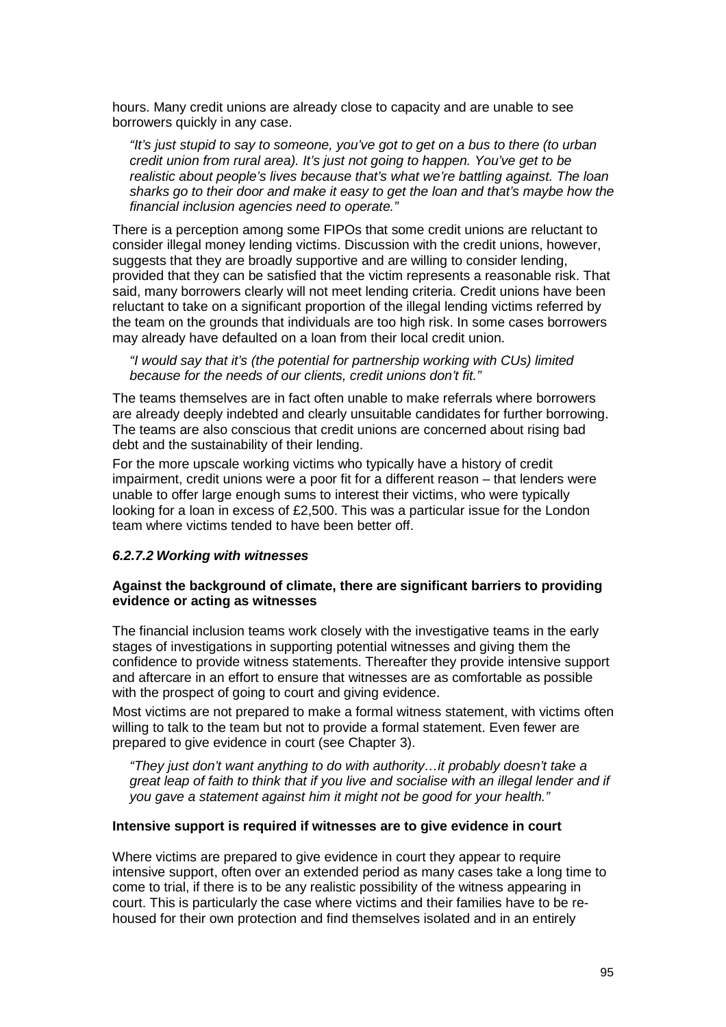hours. Many credit unions are already close to capacity and are unable to see borrowers quickly in any case.

"It's just stupid to say to someone, you've got to get on a bus to there (to urban credit union from rural area). It's just not going to happen. You've get to be realistic about people's lives because that's what we're battling against. The loan sharks go to their door and make it easy to get the loan and that's maybe how the financial inclusion agencies need to operate."

There is a perception among some FIPOs that some credit unions are reluctant to consider illegal money lending victims. Discussion with the credit unions, however, suggests that they are broadly supportive and are willing to consider lending, provided that they can be satisfied that the victim represents a reasonable risk. That said, many borrowers clearly will not meet lending criteria. Credit unions have been reluctant to take on a significant proportion of the illegal lending victims referred by the team on the grounds that individuals are too high risk. In some cases borrowers may already have defaulted on a loan from their local credit union.

"I would say that it's (the potential for partnership working with CUs) limited because for the needs of our clients, credit unions don't fit."

The teams themselves are in fact often unable to make referrals where borrowers are already deeply indebted and clearly unsuitable candidates for further borrowing. The teams are also conscious that credit unions are concerned about rising bad debt and the sustainability of their lending.

For the more upscale working victims who typically have a history of credit impairment, credit unions were a poor fit for a different reason – that lenders were unable to offer large enough sums to interest their victims, who were typically looking for a loan in excess of £2,500. This was a particular issue for the London team where victims tended to have been better off.

#### **6.2.7.2 Working with witnesses**

#### **Against the background of climate, there are significant barriers to providing evidence or acting as witnesses**

The financial inclusion teams work closely with the investigative teams in the early stages of investigations in supporting potential witnesses and giving them the confidence to provide witness statements. Thereafter they provide intensive support and aftercare in an effort to ensure that witnesses are as comfortable as possible with the prospect of going to court and giving evidence.

Most victims are not prepared to make a formal witness statement, with victims often willing to talk to the team but not to provide a formal statement. Even fewer are prepared to give evidence in court (see Chapter 3).

"They just don't want anything to do with authority…it probably doesn't take a great leap of faith to think that if you live and socialise with an illegal lender and if you gave a statement against him it might not be good for your health."

#### **Intensive support is required if witnesses are to give evidence in court**

Where victims are prepared to give evidence in court they appear to require intensive support, often over an extended period as many cases take a long time to come to trial, if there is to be any realistic possibility of the witness appearing in court. This is particularly the case where victims and their families have to be rehoused for their own protection and find themselves isolated and in an entirely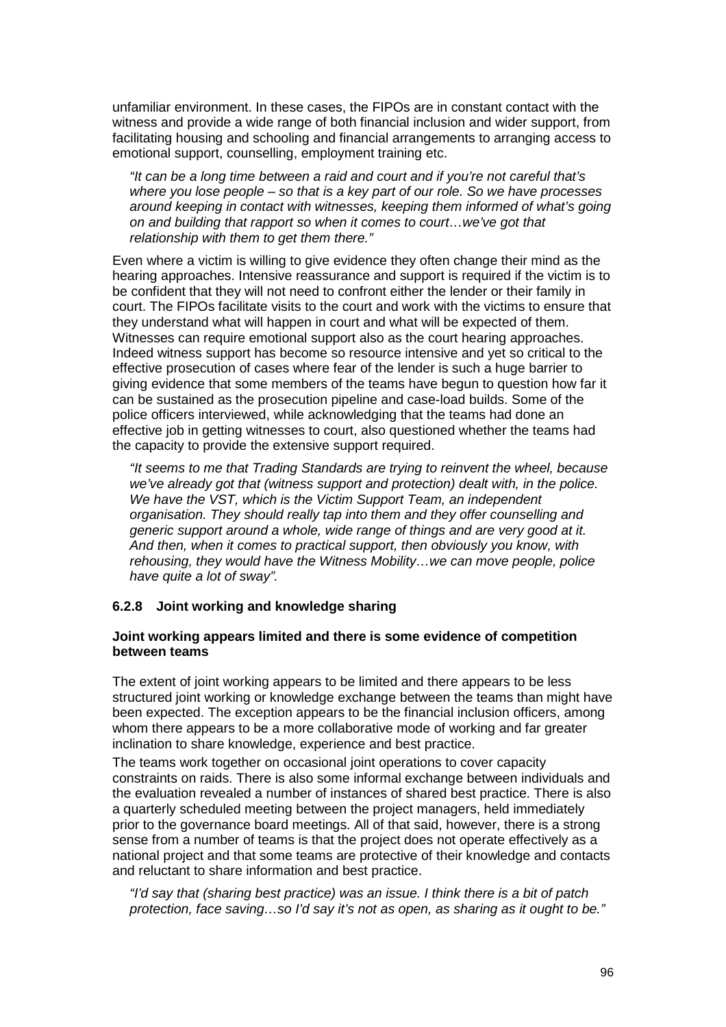unfamiliar environment. In these cases, the FIPOs are in constant contact with the witness and provide a wide range of both financial inclusion and wider support, from facilitating housing and schooling and financial arrangements to arranging access to emotional support, counselling, employment training etc.

"It can be a long time between a raid and court and if you're not careful that's where you lose people – so that is a key part of our role. So we have processes around keeping in contact with witnesses, keeping them informed of what's going on and building that rapport so when it comes to court…we've got that relationship with them to get them there."

Even where a victim is willing to give evidence they often change their mind as the hearing approaches. Intensive reassurance and support is required if the victim is to be confident that they will not need to confront either the lender or their family in court. The FIPOs facilitate visits to the court and work with the victims to ensure that they understand what will happen in court and what will be expected of them. Witnesses can require emotional support also as the court hearing approaches. Indeed witness support has become so resource intensive and yet so critical to the effective prosecution of cases where fear of the lender is such a huge barrier to giving evidence that some members of the teams have begun to question how far it can be sustained as the prosecution pipeline and case-load builds. Some of the police officers interviewed, while acknowledging that the teams had done an effective job in getting witnesses to court, also questioned whether the teams had the capacity to provide the extensive support required.

"It seems to me that Trading Standards are trying to reinvent the wheel, because we've already got that (witness support and protection) dealt with, in the police. We have the VST, which is the Victim Support Team, an independent organisation. They should really tap into them and they offer counselling and generic support around a whole, wide range of things and are very good at it. And then, when it comes to practical support, then obviously you know, with rehousing, they would have the Witness Mobility…we can move people, police have quite a lot of sway".

# **6.2.8 Joint working and knowledge sharing**

## **Joint working appears limited and there is some evidence of competition between teams**

The extent of joint working appears to be limited and there appears to be less structured joint working or knowledge exchange between the teams than might have been expected. The exception appears to be the financial inclusion officers, among whom there appears to be a more collaborative mode of working and far greater inclination to share knowledge, experience and best practice.

The teams work together on occasional joint operations to cover capacity constraints on raids. There is also some informal exchange between individuals and the evaluation revealed a number of instances of shared best practice. There is also a quarterly scheduled meeting between the project managers, held immediately prior to the governance board meetings. All of that said, however, there is a strong sense from a number of teams is that the project does not operate effectively as a national project and that some teams are protective of their knowledge and contacts and reluctant to share information and best practice.

"I'd say that (sharing best practice) was an issue. I think there is a bit of patch protection, face saving…so I'd say it's not as open, as sharing as it ought to be."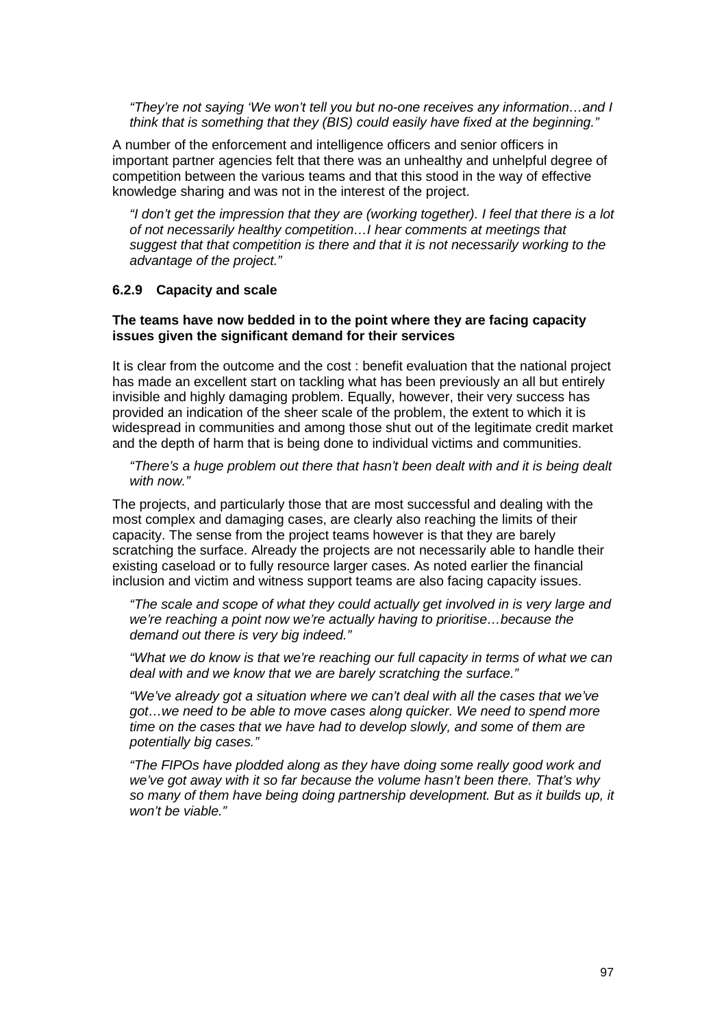"They're not saying 'We won't tell you but no-one receives any information…and I think that is something that they (BIS) could easily have fixed at the beginning."

A number of the enforcement and intelligence officers and senior officers in important partner agencies felt that there was an unhealthy and unhelpful degree of competition between the various teams and that this stood in the way of effective knowledge sharing and was not in the interest of the project.

"I don't get the impression that they are (working together). I feel that there is a lot of not necessarily healthy competition…I hear comments at meetings that suggest that that competition is there and that it is not necessarily working to the advantage of the project."

#### **6.2.9 Capacity and scale**

## **The teams have now bedded in to the point where they are facing capacity issues given the significant demand for their services**

It is clear from the outcome and the cost : benefit evaluation that the national project has made an excellent start on tackling what has been previously an all but entirely invisible and highly damaging problem. Equally, however, their very success has provided an indication of the sheer scale of the problem, the extent to which it is widespread in communities and among those shut out of the legitimate credit market and the depth of harm that is being done to individual victims and communities.

"There's a huge problem out there that hasn't been dealt with and it is being dealt with now."

The projects, and particularly those that are most successful and dealing with the most complex and damaging cases, are clearly also reaching the limits of their capacity. The sense from the project teams however is that they are barely scratching the surface. Already the projects are not necessarily able to handle their existing caseload or to fully resource larger cases. As noted earlier the financial inclusion and victim and witness support teams are also facing capacity issues.

"The scale and scope of what they could actually get involved in is very large and we're reaching a point now we're actually having to prioritise…because the demand out there is very big indeed."

"What we do know is that we're reaching our full capacity in terms of what we can deal with and we know that we are barely scratching the surface."

"We've already got a situation where we can't deal with all the cases that we've got…we need to be able to move cases along quicker. We need to spend more time on the cases that we have had to develop slowly, and some of them are potentially big cases."

"The FIPOs have plodded along as they have doing some really good work and we've got away with it so far because the volume hasn't been there. That's why so many of them have being doing partnership development. But as it builds up, it won't be viable."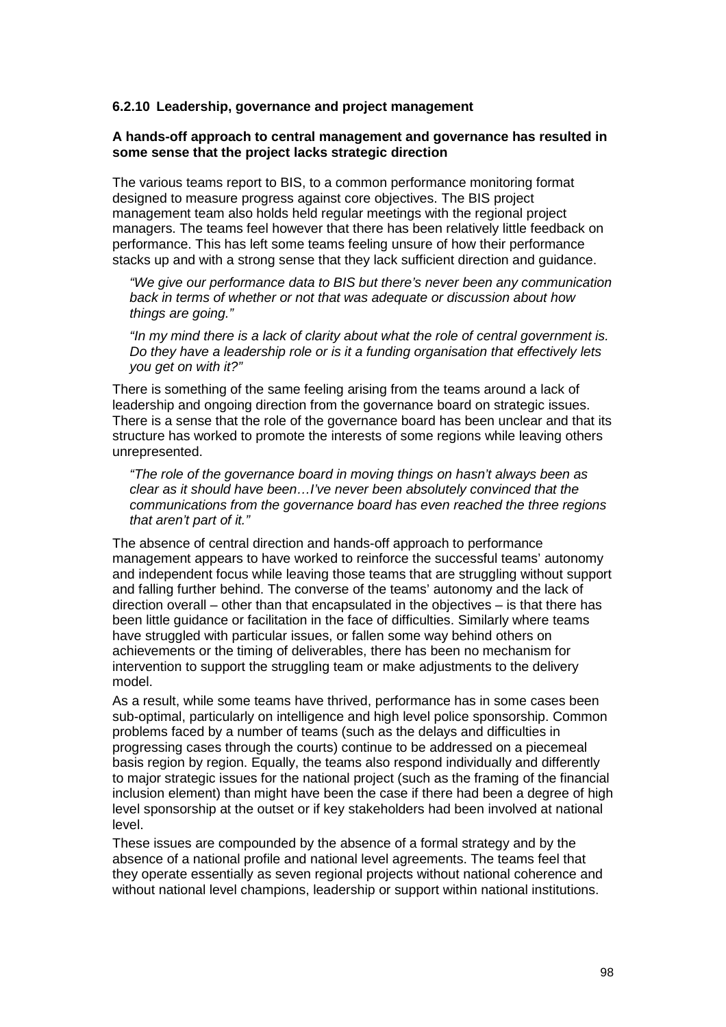## **6.2.10 Leadership, governance and project management**

## **A hands-off approach to central management and governance has resulted in some sense that the project lacks strategic direction**

The various teams report to BIS, to a common performance monitoring format designed to measure progress against core objectives. The BIS project management team also holds held regular meetings with the regional project managers. The teams feel however that there has been relatively little feedback on performance. This has left some teams feeling unsure of how their performance stacks up and with a strong sense that they lack sufficient direction and guidance.

"We give our performance data to BIS but there's never been any communication back in terms of whether or not that was adequate or discussion about how things are going."

"In my mind there is a lack of clarity about what the role of central government is. Do they have a leadership role or is it a funding organisation that effectively lets you get on with it?"

There is something of the same feeling arising from the teams around a lack of leadership and ongoing direction from the governance board on strategic issues. There is a sense that the role of the governance board has been unclear and that its structure has worked to promote the interests of some regions while leaving others unrepresented.

"The role of the governance board in moving things on hasn't always been as clear as it should have been…I've never been absolutely convinced that the communications from the governance board has even reached the three regions that aren't part of it."

The absence of central direction and hands-off approach to performance management appears to have worked to reinforce the successful teams' autonomy and independent focus while leaving those teams that are struggling without support and falling further behind. The converse of the teams' autonomy and the lack of direction overall – other than that encapsulated in the objectives – is that there has been little guidance or facilitation in the face of difficulties. Similarly where teams have struggled with particular issues, or fallen some way behind others on achievements or the timing of deliverables, there has been no mechanism for intervention to support the struggling team or make adjustments to the delivery model.

As a result, while some teams have thrived, performance has in some cases been sub-optimal, particularly on intelligence and high level police sponsorship. Common problems faced by a number of teams (such as the delays and difficulties in progressing cases through the courts) continue to be addressed on a piecemeal basis region by region. Equally, the teams also respond individually and differently to major strategic issues for the national project (such as the framing of the financial inclusion element) than might have been the case if there had been a degree of high level sponsorship at the outset or if key stakeholders had been involved at national level.

These issues are compounded by the absence of a formal strategy and by the absence of a national profile and national level agreements. The teams feel that they operate essentially as seven regional projects without national coherence and without national level champions, leadership or support within national institutions.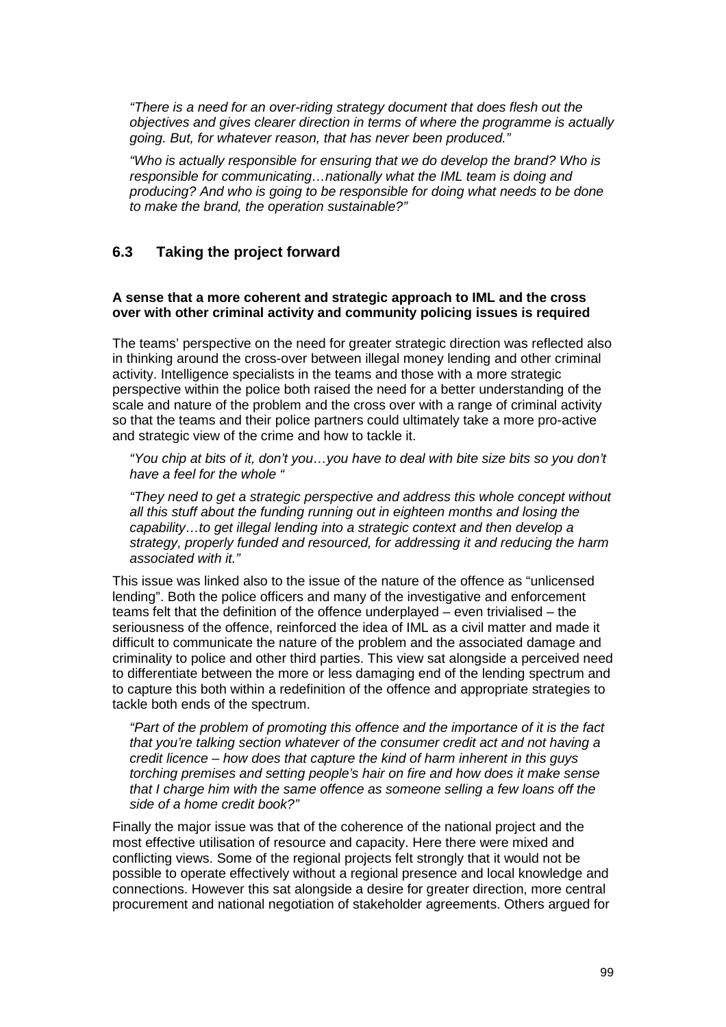"There is a need for an over-riding strategy document that does flesh out the objectives and gives clearer direction in terms of where the programme is actually going. But, for whatever reason, that has never been produced."

"Who is actually responsible for ensuring that we do develop the brand? Who is responsible for communicating…nationally what the IML team is doing and producing? And who is going to be responsible for doing what needs to be done to make the brand, the operation sustainable?"

# **6.3 Taking the project forward**

## **A sense that a more coherent and strategic approach to IML and the cross over with other criminal activity and community policing issues is required**

The teams' perspective on the need for greater strategic direction was reflected also in thinking around the cross-over between illegal money lending and other criminal activity. Intelligence specialists in the teams and those with a more strategic perspective within the police both raised the need for a better understanding of the scale and nature of the problem and the cross over with a range of criminal activity so that the teams and their police partners could ultimately take a more pro-active and strategic view of the crime and how to tackle it.

"You chip at bits of it, don't you…you have to deal with bite size bits so you don't have a feel for the whole "

"They need to get a strategic perspective and address this whole concept without all this stuff about the funding running out in eighteen months and losing the capability…to get illegal lending into a strategic context and then develop a strategy, properly funded and resourced, for addressing it and reducing the harm associated with it."

This issue was linked also to the issue of the nature of the offence as "unlicensed lending". Both the police officers and many of the investigative and enforcement teams felt that the definition of the offence underplayed – even trivialised – the seriousness of the offence, reinforced the idea of IML as a civil matter and made it difficult to communicate the nature of the problem and the associated damage and criminality to police and other third parties. This view sat alongside a perceived need to differentiate between the more or less damaging end of the lending spectrum and to capture this both within a redefinition of the offence and appropriate strategies to tackle both ends of the spectrum.

"Part of the problem of promoting this offence and the importance of it is the fact that you're talking section whatever of the consumer credit act and not having a credit licence – how does that capture the kind of harm inherent in this guys torching premises and setting people's hair on fire and how does it make sense that I charge him with the same offence as someone selling a few loans off the side of a home credit book?"

Finally the major issue was that of the coherence of the national project and the most effective utilisation of resource and capacity. Here there were mixed and conflicting views. Some of the regional projects felt strongly that it would not be possible to operate effectively without a regional presence and local knowledge and connections. However this sat alongside a desire for greater direction, more central procurement and national negotiation of stakeholder agreements. Others argued for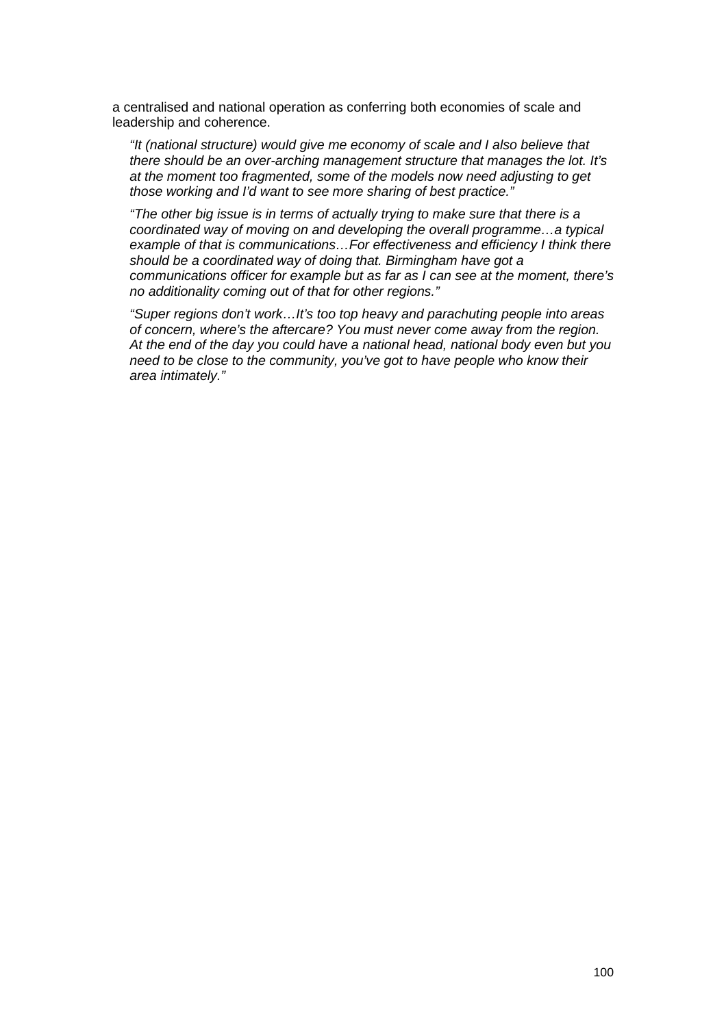a centralised and national operation as conferring both economies of scale and leadership and coherence.

"It (national structure) would give me economy of scale and I also believe that there should be an over-arching management structure that manages the lot. It's at the moment too fragmented, some of the models now need adjusting to get those working and I'd want to see more sharing of best practice."

"The other big issue is in terms of actually trying to make sure that there is a coordinated way of moving on and developing the overall programme…a typical example of that is communications…For effectiveness and efficiency I think there should be a coordinated way of doing that. Birmingham have got a communications officer for example but as far as I can see at the moment, there's no additionality coming out of that for other regions."

"Super regions don't work…It's too top heavy and parachuting people into areas of concern, where's the aftercare? You must never come away from the region. At the end of the day you could have a national head, national body even but you need to be close to the community, you've got to have people who know their area intimately."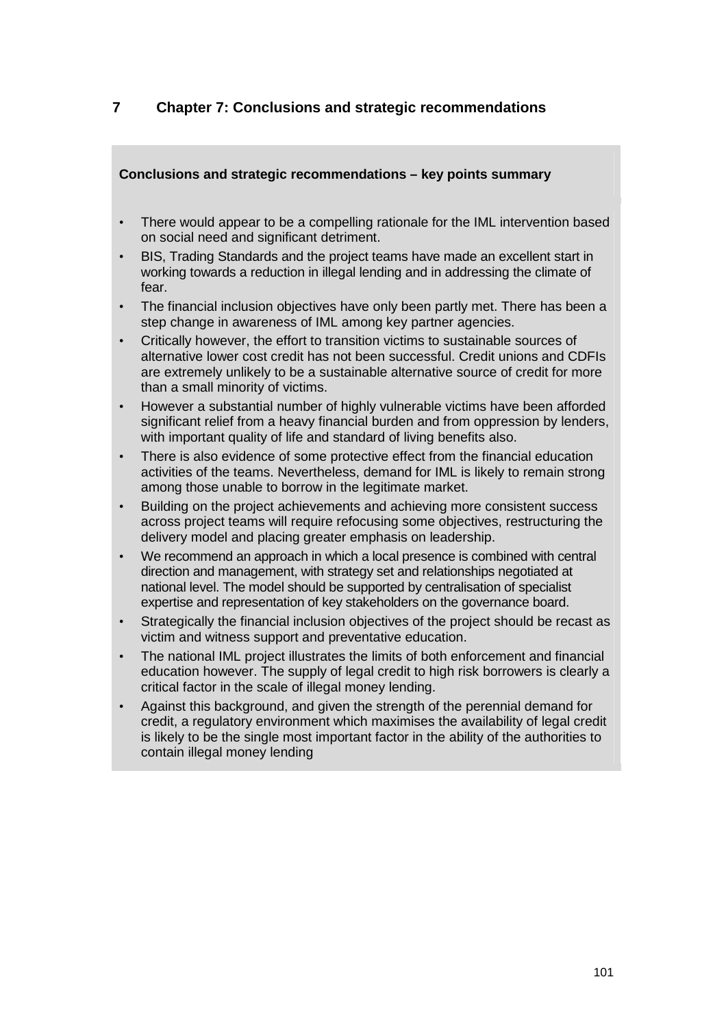# **7 Chapter 7: Conclusions and strategic recommendations**

# **Conclusions and strategic recommendations – key points summary**

- There would appear to be a compelling rationale for the IML intervention based on social need and significant detriment.
- BIS, Trading Standards and the project teams have made an excellent start in working towards a reduction in illegal lending and in addressing the climate of fear.
- The financial inclusion objectives have only been partly met. There has been a step change in awareness of IML among key partner agencies.
- Critically however, the effort to transition victims to sustainable sources of alternative lower cost credit has not been successful. Credit unions and CDFIs are extremely unlikely to be a sustainable alternative source of credit for more than a small minority of victims.
- However a substantial number of highly vulnerable victims have been afforded significant relief from a heavy financial burden and from oppression by lenders. with important quality of life and standard of living benefits also.
- There is also evidence of some protective effect from the financial education activities of the teams. Nevertheless, demand for IML is likely to remain strong among those unable to borrow in the legitimate market.
- Building on the project achievements and achieving more consistent success across project teams will require refocusing some objectives, restructuring the delivery model and placing greater emphasis on leadership.
- We recommend an approach in which a local presence is combined with central direction and management, with strategy set and relationships negotiated at national level. The model should be supported by centralisation of specialist expertise and representation of key stakeholders on the governance board.
- Strategically the financial inclusion objectives of the project should be recast as victim and witness support and preventative education.
- The national IML project illustrates the limits of both enforcement and financial education however. The supply of legal credit to high risk borrowers is clearly a critical factor in the scale of illegal money lending.
- Against this background, and given the strength of the perennial demand for credit, a regulatory environment which maximises the availability of legal credit is likely to be the single most important factor in the ability of the authorities to contain illegal money lending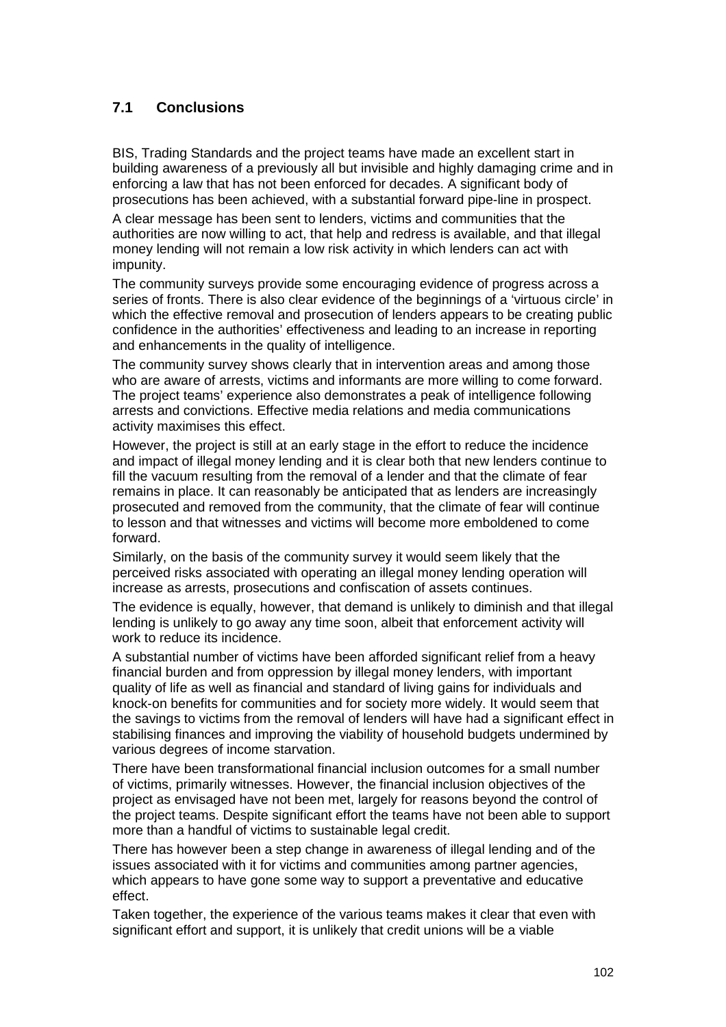# **7.1 Conclusions**

BIS, Trading Standards and the project teams have made an excellent start in building awareness of a previously all but invisible and highly damaging crime and in enforcing a law that has not been enforced for decades. A significant body of prosecutions has been achieved, with a substantial forward pipe-line in prospect.

A clear message has been sent to lenders, victims and communities that the authorities are now willing to act, that help and redress is available, and that illegal money lending will not remain a low risk activity in which lenders can act with impunity.

The community surveys provide some encouraging evidence of progress across a series of fronts. There is also clear evidence of the beginnings of a 'virtuous circle' in which the effective removal and prosecution of lenders appears to be creating public confidence in the authorities' effectiveness and leading to an increase in reporting and enhancements in the quality of intelligence.

The community survey shows clearly that in intervention areas and among those who are aware of arrests, victims and informants are more willing to come forward. The project teams' experience also demonstrates a peak of intelligence following arrests and convictions. Effective media relations and media communications activity maximises this effect.

However, the project is still at an early stage in the effort to reduce the incidence and impact of illegal money lending and it is clear both that new lenders continue to fill the vacuum resulting from the removal of a lender and that the climate of fear remains in place. It can reasonably be anticipated that as lenders are increasingly prosecuted and removed from the community, that the climate of fear will continue to lesson and that witnesses and victims will become more emboldened to come forward.

Similarly, on the basis of the community survey it would seem likely that the perceived risks associated with operating an illegal money lending operation will increase as arrests, prosecutions and confiscation of assets continues.

The evidence is equally, however, that demand is unlikely to diminish and that illegal lending is unlikely to go away any time soon, albeit that enforcement activity will work to reduce its incidence.

A substantial number of victims have been afforded significant relief from a heavy financial burden and from oppression by illegal money lenders, with important quality of life as well as financial and standard of living gains for individuals and knock-on benefits for communities and for society more widely. It would seem that the savings to victims from the removal of lenders will have had a significant effect in stabilising finances and improving the viability of household budgets undermined by various degrees of income starvation.

There have been transformational financial inclusion outcomes for a small number of victims, primarily witnesses. However, the financial inclusion objectives of the project as envisaged have not been met, largely for reasons beyond the control of the project teams. Despite significant effort the teams have not been able to support more than a handful of victims to sustainable legal credit.

There has however been a step change in awareness of illegal lending and of the issues associated with it for victims and communities among partner agencies, which appears to have gone some way to support a preventative and educative effect.

Taken together, the experience of the various teams makes it clear that even with significant effort and support, it is unlikely that credit unions will be a viable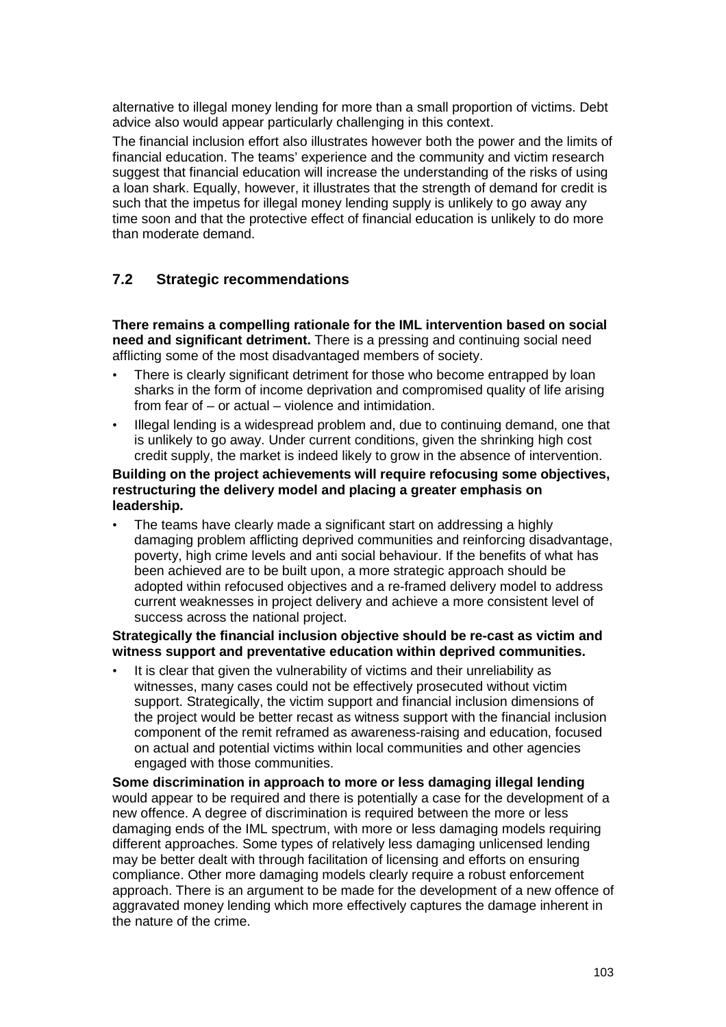alternative to illegal money lending for more than a small proportion of victims. Debt advice also would appear particularly challenging in this context.

The financial inclusion effort also illustrates however both the power and the limits of financial education. The teams' experience and the community and victim research suggest that financial education will increase the understanding of the risks of using a loan shark. Equally, however, it illustrates that the strength of demand for credit is such that the impetus for illegal money lending supply is unlikely to go away any time soon and that the protective effect of financial education is unlikely to do more than moderate demand.

# **7.2 Strategic recommendations**

**There remains a compelling rationale for the IML intervention based on social need and significant detriment.** There is a pressing and continuing social need afflicting some of the most disadvantaged members of society.

- There is clearly significant detriment for those who become entrapped by loan sharks in the form of income deprivation and compromised quality of life arising from fear of – or actual – violence and intimidation.
- Illegal lending is a widespread problem and, due to continuing demand, one that is unlikely to go away. Under current conditions, given the shrinking high cost credit supply, the market is indeed likely to grow in the absence of intervention.

## **Building on the project achievements will require refocusing some objectives, restructuring the delivery model and placing a greater emphasis on leadership.**

• The teams have clearly made a significant start on addressing a highly damaging problem afflicting deprived communities and reinforcing disadvantage, poverty, high crime levels and anti social behaviour. If the benefits of what has been achieved are to be built upon, a more strategic approach should be adopted within refocused objectives and a re-framed delivery model to address current weaknesses in project delivery and achieve a more consistent level of success across the national project.

## **Strategically the financial inclusion objective should be re-cast as victim and witness support and preventative education within deprived communities.**

It is clear that given the vulnerability of victims and their unreliability as witnesses, many cases could not be effectively prosecuted without victim support. Strategically, the victim support and financial inclusion dimensions of the project would be better recast as witness support with the financial inclusion component of the remit reframed as awareness-raising and education, focused on actual and potential victims within local communities and other agencies engaged with those communities.

**Some discrimination in approach to more or less damaging illegal lending** would appear to be required and there is potentially a case for the development of a new offence. A degree of discrimination is required between the more or less damaging ends of the IML spectrum, with more or less damaging models requiring different approaches. Some types of relatively less damaging unlicensed lending may be better dealt with through facilitation of licensing and efforts on ensuring compliance. Other more damaging models clearly require a robust enforcement approach. There is an argument to be made for the development of a new offence of aggravated money lending which more effectively captures the damage inherent in the nature of the crime.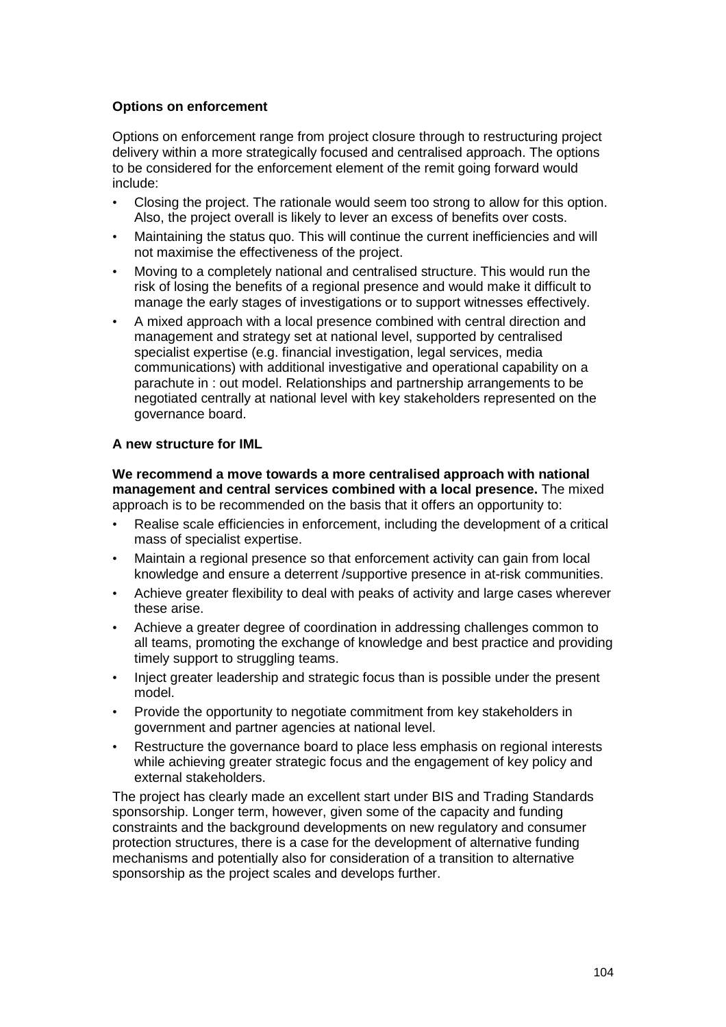# **Options on enforcement**

Options on enforcement range from project closure through to restructuring project delivery within a more strategically focused and centralised approach. The options to be considered for the enforcement element of the remit going forward would include:

- Closing the project. The rationale would seem too strong to allow for this option. Also, the project overall is likely to lever an excess of benefits over costs.
- Maintaining the status quo. This will continue the current inefficiencies and will not maximise the effectiveness of the project.
- Moving to a completely national and centralised structure. This would run the risk of losing the benefits of a regional presence and would make it difficult to manage the early stages of investigations or to support witnesses effectively.
- A mixed approach with a local presence combined with central direction and management and strategy set at national level, supported by centralised specialist expertise (e.g. financial investigation, legal services, media communications) with additional investigative and operational capability on a parachute in : out model. Relationships and partnership arrangements to be negotiated centrally at national level with key stakeholders represented on the governance board.

# **A new structure for IML**

**We recommend a move towards a more centralised approach with national management and central services combined with a local presence.** The mixed approach is to be recommended on the basis that it offers an opportunity to:

- Realise scale efficiencies in enforcement, including the development of a critical mass of specialist expertise.
- Maintain a regional presence so that enforcement activity can gain from local knowledge and ensure a deterrent /supportive presence in at-risk communities.
- Achieve greater flexibility to deal with peaks of activity and large cases wherever these arise.
- Achieve a greater degree of coordination in addressing challenges common to all teams, promoting the exchange of knowledge and best practice and providing timely support to struggling teams.
- Inject greater leadership and strategic focus than is possible under the present model.
- Provide the opportunity to negotiate commitment from key stakeholders in government and partner agencies at national level.
- Restructure the governance board to place less emphasis on regional interests while achieving greater strategic focus and the engagement of key policy and external stakeholders.

The project has clearly made an excellent start under BIS and Trading Standards sponsorship. Longer term, however, given some of the capacity and funding constraints and the background developments on new regulatory and consumer protection structures, there is a case for the development of alternative funding mechanisms and potentially also for consideration of a transition to alternative sponsorship as the project scales and develops further.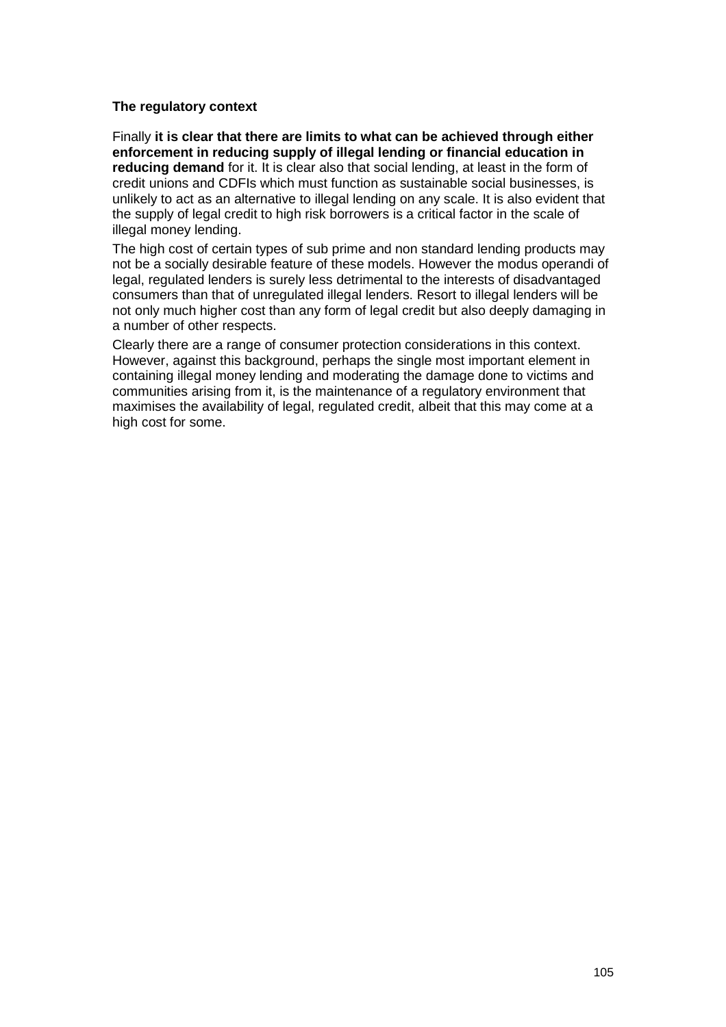## **The regulatory context**

Finally **it is clear that there are limits to what can be achieved through either enforcement in reducing supply of illegal lending or financial education in reducing demand** for it. It is clear also that social lending, at least in the form of credit unions and CDFIs which must function as sustainable social businesses, is unlikely to act as an alternative to illegal lending on any scale. It is also evident that the supply of legal credit to high risk borrowers is a critical factor in the scale of illegal money lending.

The high cost of certain types of sub prime and non standard lending products may not be a socially desirable feature of these models. However the modus operandi of legal, regulated lenders is surely less detrimental to the interests of disadvantaged consumers than that of unregulated illegal lenders. Resort to illegal lenders will be not only much higher cost than any form of legal credit but also deeply damaging in a number of other respects.

Clearly there are a range of consumer protection considerations in this context. However, against this background, perhaps the single most important element in containing illegal money lending and moderating the damage done to victims and communities arising from it, is the maintenance of a regulatory environment that maximises the availability of legal, regulated credit, albeit that this may come at a high cost for some.